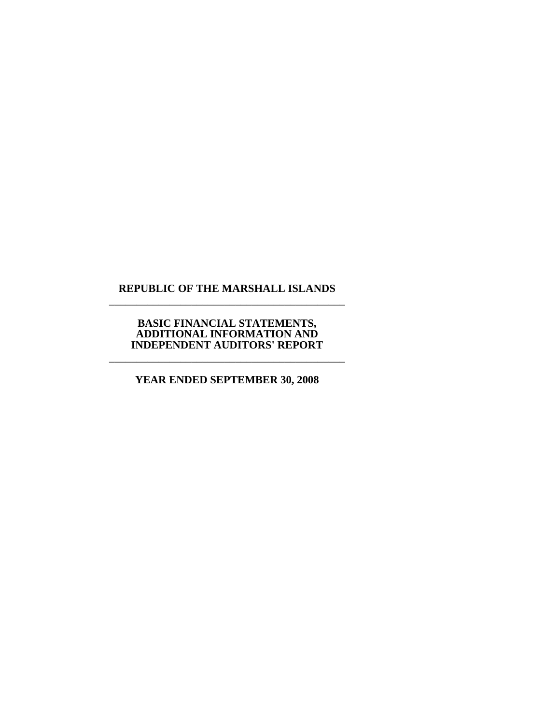## **REPUBLIC OF THE MARSHALL ISLANDS**  \_\_\_\_\_\_\_\_\_\_\_\_\_\_\_\_\_\_\_\_\_\_\_\_\_\_\_\_\_\_\_\_\_\_\_\_\_\_\_\_\_\_\_

## **BASIC FINANCIAL STATEMENTS, ADDITIONAL INFORMATION AND INDEPENDENT AUDITORS' REPORT**

\_\_\_\_\_\_\_\_\_\_\_\_\_\_\_\_\_\_\_\_\_\_\_\_\_\_\_\_\_\_\_\_\_\_\_\_\_\_\_\_\_\_\_

**YEAR ENDED SEPTEMBER 30, 2008**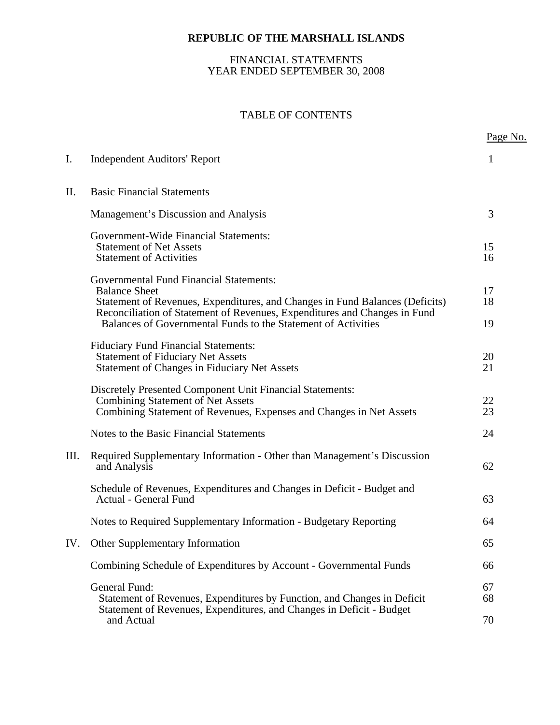## FINANCIAL STATEMENTS YEAR ENDED SEPTEMBER 30, 2008

## TABLE OF CONTENTS

|      |                                                                                                                                                                                                                                                                                                      | Page No.       |
|------|------------------------------------------------------------------------------------------------------------------------------------------------------------------------------------------------------------------------------------------------------------------------------------------------------|----------------|
| I.   | <b>Independent Auditors' Report</b>                                                                                                                                                                                                                                                                  | 1              |
| П.   | <b>Basic Financial Statements</b>                                                                                                                                                                                                                                                                    |                |
|      | Management's Discussion and Analysis                                                                                                                                                                                                                                                                 | 3              |
|      | <b>Government-Wide Financial Statements:</b><br><b>Statement of Net Assets</b><br><b>Statement of Activities</b>                                                                                                                                                                                     | 15<br>16       |
|      | <b>Governmental Fund Financial Statements:</b><br><b>Balance Sheet</b><br>Statement of Revenues, Expenditures, and Changes in Fund Balances (Deficits)<br>Reconciliation of Statement of Revenues, Expenditures and Changes in Fund<br>Balances of Governmental Funds to the Statement of Activities | 17<br>18<br>19 |
|      | <b>Fiduciary Fund Financial Statements:</b><br><b>Statement of Fiduciary Net Assets</b><br><b>Statement of Changes in Fiduciary Net Assets</b>                                                                                                                                                       | 20<br>21       |
|      | Discretely Presented Component Unit Financial Statements:<br><b>Combining Statement of Net Assets</b><br>Combining Statement of Revenues, Expenses and Changes in Net Assets                                                                                                                         | 22<br>23       |
|      | Notes to the Basic Financial Statements                                                                                                                                                                                                                                                              | 24             |
| III. | Required Supplementary Information - Other than Management's Discussion<br>and Analysis                                                                                                                                                                                                              | 62             |
|      | Schedule of Revenues, Expenditures and Changes in Deficit - Budget and<br><b>Actual - General Fund</b>                                                                                                                                                                                               | 63             |
|      | Notes to Required Supplementary Information - Budgetary Reporting                                                                                                                                                                                                                                    | 64             |
|      | IV. Other Supplementary Information                                                                                                                                                                                                                                                                  | 65             |
|      | Combining Schedule of Expenditures by Account - Governmental Funds                                                                                                                                                                                                                                   | 66             |
|      | General Fund:<br>Statement of Revenues, Expenditures by Function, and Changes in Deficit<br>Statement of Revenues, Expenditures, and Changes in Deficit - Budget                                                                                                                                     | 67<br>68       |
|      | and Actual                                                                                                                                                                                                                                                                                           | 70             |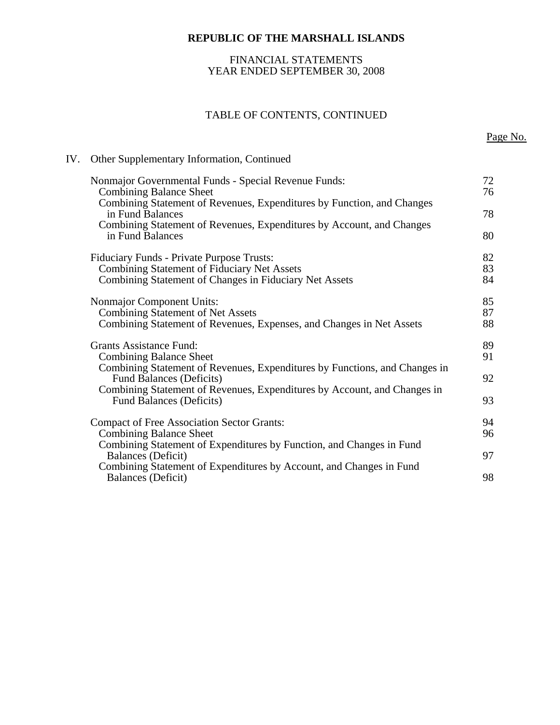## FINANCIAL STATEMENTS YEAR ENDED SEPTEMBER 30, 2008

## TABLE OF CONTENTS, CONTINUED

## IV. Other Supplementary Information, Continued

| Nonmajor Governmental Funds - Special Revenue Funds:<br><b>Combining Balance Sheet</b>                                                                              | 72<br>76 |
|---------------------------------------------------------------------------------------------------------------------------------------------------------------------|----------|
| Combining Statement of Revenues, Expenditures by Function, and Changes<br>in Fund Balances<br>Combining Statement of Revenues, Expenditures by Account, and Changes | 78       |
| in Fund Balances                                                                                                                                                    | 80       |
| <b>Fiduciary Funds - Private Purpose Trusts:</b><br>Combining Statement of Fiduciary Net Assets                                                                     | 82<br>83 |
| Combining Statement of Changes in Fiduciary Net Assets                                                                                                              | 84       |
| Nonmajor Component Units:<br><b>Combining Statement of Net Assets</b>                                                                                               | 85<br>87 |
| Combining Statement of Revenues, Expenses, and Changes in Net Assets                                                                                                | 88       |
| <b>Grants Assistance Fund:</b>                                                                                                                                      | 89       |
| <b>Combining Balance Sheet</b><br>Combining Statement of Revenues, Expenditures by Functions, and Changes in                                                        | 91       |
| <b>Fund Balances (Deficits)</b><br>Combining Statement of Revenues, Expenditures by Account, and Changes in                                                         | 92       |
| <b>Fund Balances (Deficits)</b>                                                                                                                                     | 93       |
| <b>Compact of Free Association Sector Grants:</b>                                                                                                                   | 94       |
| <b>Combining Balance Sheet</b><br>Combining Statement of Expenditures by Function, and Changes in Fund                                                              | 96       |
| Balances (Deficit)<br>Combining Statement of Expenditures by Account, and Changes in Fund                                                                           | 97       |
| Balances (Deficit)                                                                                                                                                  | 98       |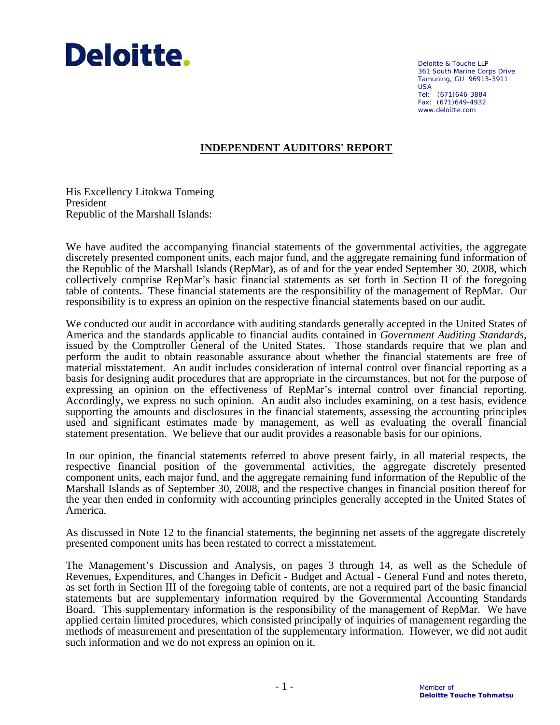

Deloitte & Touche LLP 361 South Marine Corps Drive Tamuning, GU 96913-3911 USA Tel: (671)646-3884 Fax: (671)649-4932 www.deloitte.com

## **INDEPENDENT AUDITORS' REPORT**

His Excellency Litokwa Tomeing President Republic of the Marshall Islands:

We have audited the accompanying financial statements of the governmental activities, the aggregate discretely presented component units, each major fund, and the aggregate remaining fund information of the Republic of the Marshall Islands (RepMar), as of and for the year ended September 30, 2008, which collectively comprise RepMar's basic financial statements as set forth in Section II of the foregoing table of contents. These financial statements are the responsibility of the management of RepMar. Our responsibility is to express an opinion on the respective financial statements based on our audit.

We conducted our audit in accordance with auditing standards generally accepted in the United States of America and the standards applicable to financial audits contained in *Government Auditing Standards*, issued by the Comptroller General of the United States. Those standards require that we plan and perform the audit to obtain reasonable assurance about whether the financial statements are free of material misstatement. An audit includes consideration of internal control over financial reporting as a basis for designing audit procedures that are appropriate in the circumstances, but not for the purpose of expressing an opinion on the effectiveness of RepMar's internal control over financial reporting. Accordingly, we express no such opinion. An audit also includes examining, on a test basis, evidence supporting the amounts and disclosures in the financial statements, assessing the accounting principles used and significant estimates made by management, as well as evaluating the overall financial statement presentation. We believe that our audit provides a reasonable basis for our opinions.

In our opinion, the financial statements referred to above present fairly, in all material respects, the respective financial position of the governmental activities, the aggregate discretely presented component units, each major fund, and the aggregate remaining fund information of the Republic of the Marshall Islands as of September 30, 2008, and the respective changes in financial position thereof for the year then ended in conformity with accounting principles generally accepted in the United States of America.

As discussed in Note 12 to the financial statements, the beginning net assets of the aggregate discretely presented component units has been restated to correct a misstatement.

The Management's Discussion and Analysis, on pages 3 through 14, as well as the Schedule of Revenues, Expenditures, and Changes in Deficit - Budget and Actual - General Fund and notes thereto, as set forth in Section III of the foregoing table of contents, are not a required part of the basic financial statements but are supplementary information required by the Governmental Accounting Standards Board. This supplementary information is the responsibility of the management of RepMar. We have applied certain limited procedures, which consisted principally of inquiries of management regarding the methods of measurement and presentation of the supplementary information. However, we did not audit such information and we do not express an opinion on it.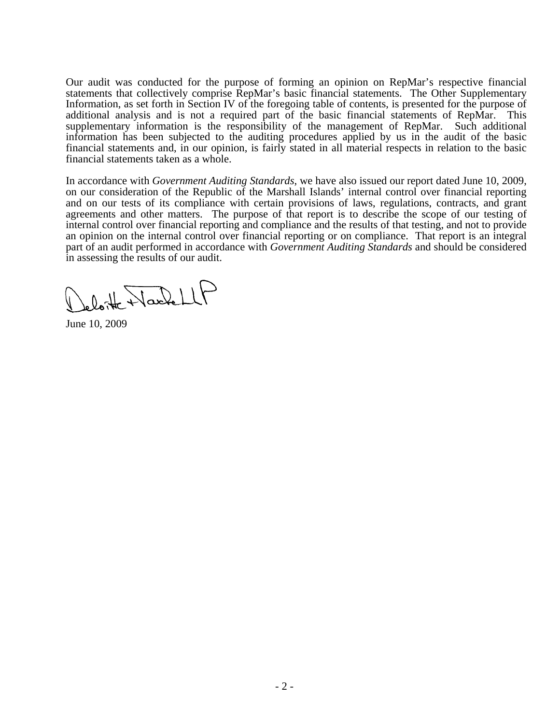Our audit was conducted for the purpose of forming an opinion on RepMar's respective financial statements that collectively comprise RepMar's basic financial statements. The Other Supplementary Information, as set forth in Section IV of the foregoing table of contents, is presented for the purpose of additional analysis and is not a required part of the basic financial statements of RepMar. This supplementary information is the responsibility of the management of RepMar. Such additional information has been subjected to the auditing procedures applied by us in the audit of the basic financial statements and, in our opinion, is fairly stated in all material respects in relation to the basic financial statements taken as a whole.

In accordance with *Government Auditing Standards*, we have also issued our report dated June 10, 2009, on our consideration of the Republic of the Marshall Islands' internal control over financial reporting and on our tests of its compliance with certain provisions of laws, regulations, contracts, and grant agreements and other matters. The purpose of that report is to describe the scope of our testing of internal control over financial reporting and compliance and the results of that testing, and not to provide an opinion on the internal control over financial reporting or on compliance. That report is an integral part of an audit performed in accordance with *Government Auditing Standards* and should be considered in assessing the results of our audit.

Jeloitte NachellP

June 10, 2009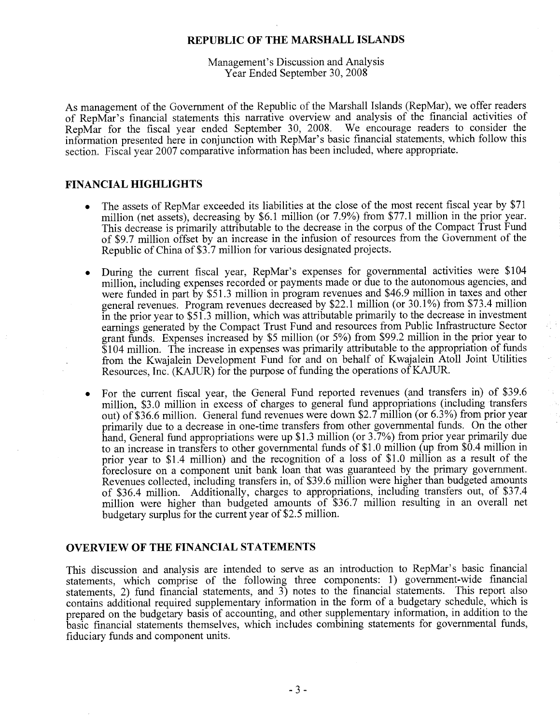## Management's Discussion and Analysis Year Ended September 30, 2008

As management of the Government of the Republic of the Marshall Islands (RepMar), we offer readers of RepMar's financial statements this narrative overview and analysis of the financial activities of RepMar for the fiscal year ended September 30, 2008. We encourage readers to consider the information presented here in conjunction with RepMar's basic financial statements, which follow this section. Fiscal year 2007 comparative information has been included, where appropriate.

## **FINANCIAL HIGHLIGHTS**

- The assets of RepMar exceeded its liabilities at the close of the most recent fiscal year by \$71 million (net assets), decreasing by \$6.1 million (or 7.9%) from \$77.1 million in the prior year. This decrease is primarily attributable to the decrease in the corpus of the Compact Trust Fund of \$9.7 million offset by an increase in the infusion of resources from the Government of the Republic of China of \$3.7 million for various designated projects.
- During the current fiscal year, RepMar's expenses for governmental activities were \$104 million, including expenses recorded or payments made or due to the autonomous agencies, and were funded in part by \$51.3 million in program revenues and \$46.9 million in taxes and other general revenues. Program revenues decreased by \$22.1 million (or 30.1%) from \$73.4 million in the prior year to \$51.3 million, which was attributable primarily to the decrease in investment earnings generated by the Compact Trust Fund and resources from Public Infrastructure Sector grant funds. Expenses increased by \$5 million (or 5%) from \$99.2 million in the prior year to \$104 million. The increase in expenses was primarily attributable to the appropriation of funds from the Kwajalein Development Fund for and on behalf of Kwajalein Atoll Joint Utilities Resources, Inc. (KAJUR) for the purpose of funding the operations of KAJUR.
- For the current fiscal year, the General Fund reported revenues (and transfers in) of \$39.6 million, \$3.0 million in excess of charges to general fund appropriations (including transfers out) of \$36.6 million. General fund revenues were down \$2.7 million (or 6.3%) from prior year primarily due to a decrease in one-time transfers from other governmental funds. On the other hand, General fund appropriations were up \$1.3 million (or 3.7%) from prior year primarily due to an increase in transfers to other governmental funds of \$1.0 million (up from \$0.4 million in prior year to \$1.4 million) and the recognition of a loss of \$1.0 million as a result of the foreclosure on a component unit bank loan that was guaranteed by the primary government. Revenues collected, including transfers in, of \$39.6 million were higher than budgeted amounts of \$36.4 million. Additionally, charges to appropriations, including transfers out, of \$37.4 million were higher than budgeted amounts of \$36.7 million resulting in an overall net budgetary surplus for the current year of \$2.5 million.

### **OVERVIEW OF THE FINANCIAL STATEMENTS**

This discussion and analysis are intended to serve as an introduction to RepMar's basic financial statements, which comprise of the following three components: 1) government-wide financial statements, 2) fund financial statements, and  $3$ ) notes to the financial statements. This report also contains additional required supplementary information in the form of a budgetary schedule, which is prepared on the budgetary basis of accounting, and other supplementary information, in addition to the basic financial statements themselves, which includes combining statements for governmental funds, fiduciary funds and component units.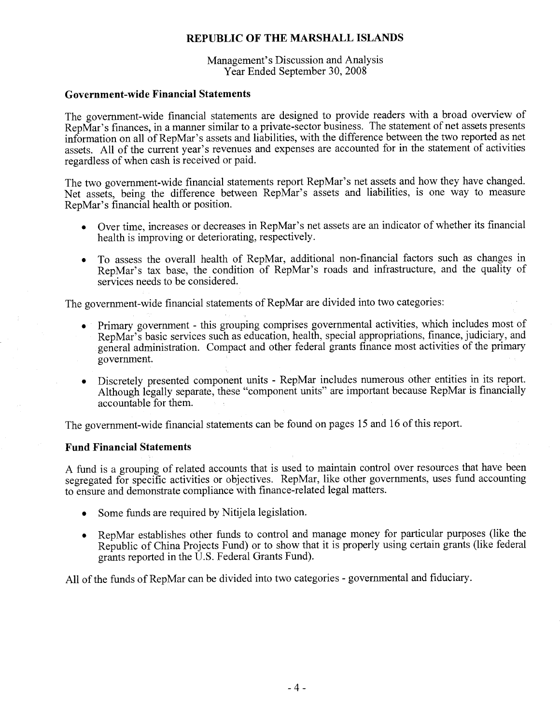Management's Discussion and Analysis Year Ended September 30, 2008

## **Government-wide Financial Statements**

The government-wide financial statements are designed to provide readers with a broad overview of RepMar's finances, in a manner similar to a private-sector business. The statement of net assets presents information on all of RepMar's assets and liabilities, with the difference between the two reported as net assets. All of the current year's revenues and expenses are accounted for in the statement of activities regardless of when cash is received or paid.

The two government-wide financial statements report RepMar's net assets and how they have changed. Net assets, being the difference between RepMar's assets and liabilities, is one way to measure RepMar's financial health or position.

- Over time, increases or decreases in RepMar's net assets are an indicator of whether its financial health is improving or deteriorating, respectively.
- To assess the overall health of RepMar, additional non-financial factors such as changes in RepMar's tax base, the condition of RepMar's roads and infrastructure, and the quality of services needs to be considered.

The government-wide financial statements of RepMar are divided into two categories:

- Primary government this grouping comprises governmental activities, which includes most of RepMar's basic services such as education, health, special appropriations, finance, judiciary, and general administration. Compact and other federal grants finance most activities of the primary government.
- Discretely presented component units RepMar includes numerous other entities in its report. Although legally separate, these "component units" are important because RepMar is financially accountable for them.

The government-wide financial statements can be found on pages 15 and 16 of this report.

## **Fund Financial Statements**

A fund is a grouping of related accounts that is used to maintain control over resources that have been segregated for specific activities or objectives. RepMar, like other governments, uses fund accounting to ensure and demonstrate compliance with finance-related legal matters.

- Some funds are required by Nitijela legislation.
- RepMar establishes other funds to control and manage money for particular purposes (like the Republic of China Projects Fund) or to show that it is properly using certain grants (like federal grants reported in the U.S. Federal Grants Fund).

All of the funds of RepMar can be divided into two categories - governmental and fiduciary.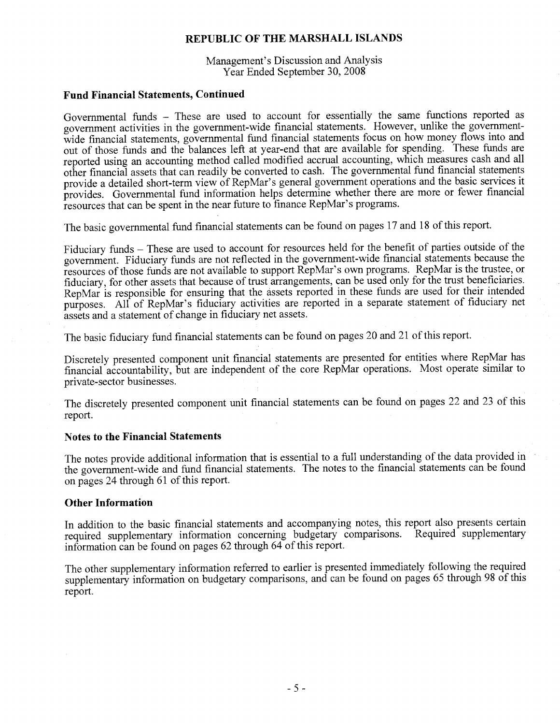Management's Discussion and Analysis Year Ended September 30, 2008

## **Fund Financial Statements, Continued**

Governmental funds - These are used to account for essentially the same functions reported as government activities in the government-wide financial statements. However, unlike the governmentwide financial statements, governmental fund financial statements focus on how money flows into and out of those funds and the balances left at year-end that are available for spending. These funds are reported using an accounting method called modified accrual accounting, which measures cash and all other financial assets that can readily be converted to cash. The governmental fund financial statements provide a detailed short-term view of RepMar's general government operations and the basic services it provides. Governmental fund information helps determine whether there are more or fewer financial resources that can be spent in the near future to finance RepMar's programs.

The basic governmental fund financial statements can be found on pages 17 and 18 of this report.

Fiduciary funds - These are used to account for resources held for the benefit of parties outside of the government. Fiduciary funds are not reflected in the government-wide financial statements because the resources of those funds are not available to support RepMar's own programs. RepMar is the trustee, or fiduciary, for other assets that because of trust arrangements, can be used only for the trust beneficiaries. RepMar is responsible for ensuring that the assets reported in these funds are used for their intended purposes. All of RepMar's fiduciary activities are reported in a separate statement of fiduciary net assets and a statement of change in fiduciary net assets.

The basic fiduciary fund financial statements can be found on pages 20 and 21 of this report.

Discretely presented component unit financial statements are presented for entities where RepMar has financial accountability, but are independent of the core RepMar operations. Most operate similar to private-sector businesses.

The discretely presented component unit financial statements can be found on pages 22 and 23 of this report.

## **Notes to the Financial Statements**

The notes provide additional information that is essential to a full understanding of the data provided in the government-wide and fund financial statements. The notes to the financial statements can be found on pages 24 through 61 of this report.

### **Other Information**

In addition to the basic financial statements and accompanying notes, this report also presents certain required supplementary information concerning budgetary comparisons. Required supplementary information can be found on pages 62 through 64 of this report.

The other supplementary information referred to earlier is presented immediately following the required supplementary information on budgetary comparisons, and can be found on pages 65 through 98 of this report.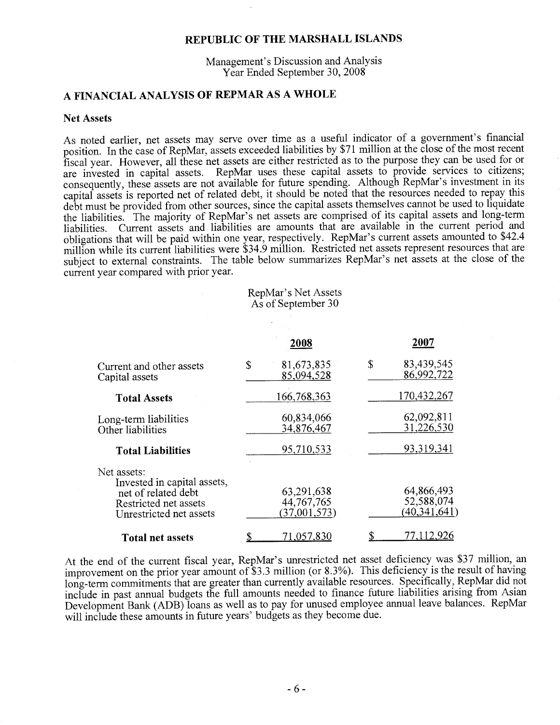Management's Discussion and Analysis Year Ended September 30, 2008

## A FINANCIAL ANALYSIS OF REPMAR AS A WHOLE

#### **Net Assets**

As noted earlier, net assets may serve over time as a useful indicator of a government's financial position. In the case of RepMar, assets exceeded liabilities by \$71 million at the close of the most recent fiscal year. However, all these net assets are either restricted as to the purpose they can be used for or are invested in capital assets. RepMar uses these capital assets to provide services to citizens; consequently, these assets are not available for future spending. Although RepMar's investment in its capital assets is reported net of related debt, it should be noted that the resources needed to repay this debt must be provided from other sources, since the capital assets themselves cannot be used to liquidate the liabilities. The majority of RepMar's net assets are comprised of its capital assets and long-term liabilities. Current assets and liabilities are amounts that are available in the current period and obligations that will be paid within one year, respectively. RepMar's current assets amounted to \$42.4 million while its current liabilities were \$34.9 million. Restricted net assets represent resources that are subject to external constraints. The table below summarizes RepMar's net assets at the close of the current year compared with prior year.

RepMar's Net Assets As of September 30

|                                                                                                                       | 2008                                       | 2007                                       |
|-----------------------------------------------------------------------------------------------------------------------|--------------------------------------------|--------------------------------------------|
| Current and other assets<br>Capital assets                                                                            | \$<br>81,673,835<br>85,094,528             | \$<br>83,439,545<br>86,992,722             |
| <b>Total Assets</b>                                                                                                   | 166,768,363                                | 170,432,267                                |
| Long-term liabilities<br>Other liabilities                                                                            | 60,834,066<br>34,876,467                   | 62,092,811<br>31,226,530                   |
| <b>Total Liabilities</b>                                                                                              | 95,710,533                                 | 93,319,341                                 |
| Net assets:<br>Invested in capital assets,<br>net of related debt<br>Restricted net assets<br>Unrestricted net assets | 63,291,638<br>44, 767, 765<br>(37,001,573) | 64,866,493<br>52,588,074<br>(40, 341, 641) |
| <b>Total net assets</b>                                                                                               | 71,057,830                                 | 77.112,926                                 |

At the end of the current fiscal year, RepMar's unrestricted net asset deficiency was \$37 million, an improvement on the prior year amount of \$3.3 million (or 8.3%). This deficiency is the result of having long-term commitments that are greater than currently available resources. Specifically, RepMar did not include in past annual budgets the full amounts needed to finance future liabilities arising from Asian Development Bank (ADB) loans as well as to pay for unused employee annual leave balances. RepMar will include these amounts in future years' budgets as they become due.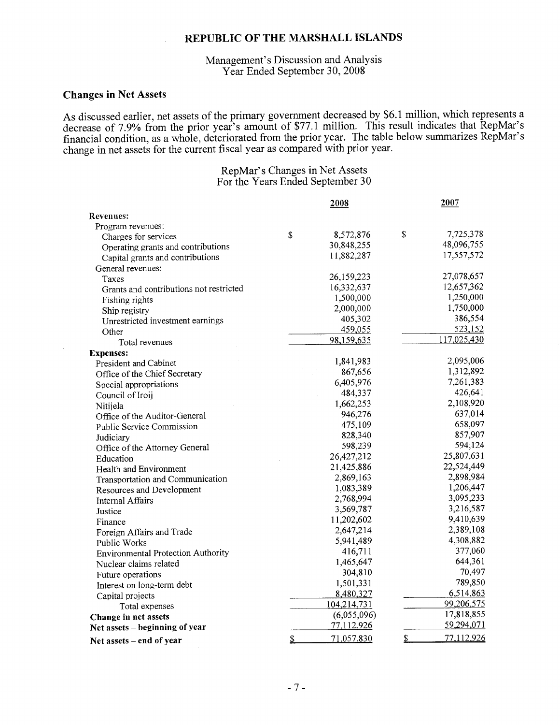## Management's Discussion and Analysis Year Ended September 30, 2008

## **Changes in Net Assets**

As discussed earlier, net assets of the primary government decreased by \$6.1 million, which represents a decrease of 7.9% from the prior year's amount of \$77.1 million. This result indicates that RepMar's financial condition, as a whole, deteriorated from the prior year. The table below summarizes RepMar's change in net assets for the current fiscal year as compared with prior year.

## RepMar's Changes in Net Assets For the Years Ended September 30

|                                           | 2008             | 2007             |
|-------------------------------------------|------------------|------------------|
| <b>Revenues:</b>                          |                  |                  |
| Program revenues:                         |                  |                  |
| Charges for services                      | \$<br>8,572,876  | \$<br>7,725,378  |
| Operating grants and contributions        | 30,848,255       | 48,096,755       |
| Capital grants and contributions          | 11,882,287       | 17,557,572       |
| General revenues:                         |                  |                  |
| Taxes                                     | 26,159,223       | 27,078,657       |
| Grants and contributions not restricted   | 16,332,637       | 12,657,362       |
| Fishing rights                            | 1,500,000        | 1,250,000        |
| Ship registry                             | 2,000,000        | 1,750,000        |
| Unrestricted investment earnings          | 405,302          | 386,554          |
| Other                                     | 459,055          | 523,152          |
| Total revenues                            | 98,159,635       | 117,025,430      |
| <b>Expenses:</b>                          |                  |                  |
| President and Cabinet                     | 1,841,983        | 2,095,006        |
| Office of the Chief Secretary             | 867,656          | 1,312,892        |
| Special appropriations                    | 6,405,976        | 7,261,383        |
| Council of Iroij                          | 484,337          | 426,641          |
| Nitijela                                  | 1,662,253        | 2,108,920        |
| Office of the Auditor-General             | 946,276          | 637,014          |
| Public Service Commission                 | 475,109          | 658,097          |
| Judiciary                                 | 828,340          | 857,907          |
| Office of the Attorney General            | 598,239          | 594,124          |
| Education                                 | 26,427,212       | 25,807,631       |
| Health and Environment                    | 21,425,886       | 22,524,449       |
| Transportation and Communication          | 2,869,163        | 2,898,984        |
| Resources and Development                 | 1,083,389        | 1,206,447        |
| <b>Internal Affairs</b>                   | 2,768,994        | 3,095,233        |
| Justice                                   | 3,569,787        | 3,216,587        |
| Finance                                   | 11,202,602       | 9,410,639        |
| Foreign Affairs and Trade                 | 2,647,214        | 2,389,108        |
| Public Works                              | 5,941,489        | 4,308,882        |
| <b>Environmental Protection Authority</b> | 416,711          | 377,060          |
| Nuclear claims related                    | 1,465,647        | 644,361          |
| Future operations                         | 304,810          | 70,497           |
| Interest on long-term debt                | 1,501,331        | 789,850          |
| Capital projects                          | 8,480,327        | 6,514,863        |
| Total expenses                            | 104,214,731      | 99,206,575       |
| Change in net assets                      | (6,055,096)      | 17,818,855       |
| Net assets – beginning of year            | 77,112,926       | 59,294,071       |
| Net assets - end of year                  | \$<br>71,057,830 | \$<br>77,112,926 |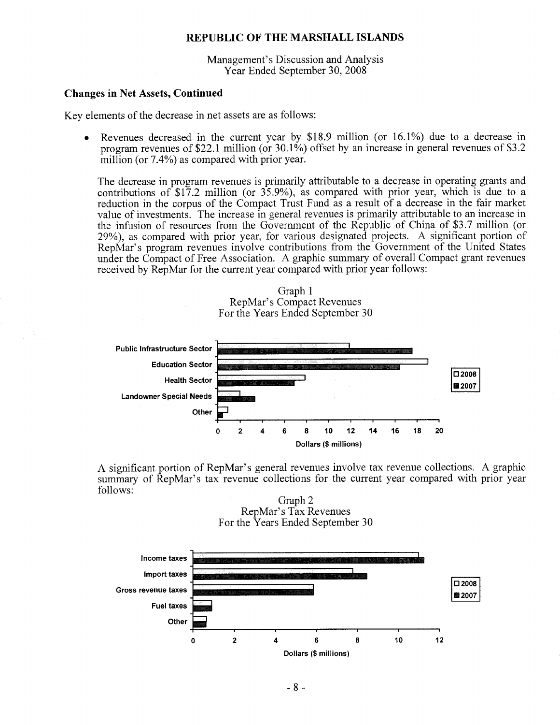Management's Discussion and Analysis Year Ended September 30, 2008

### **Changes in Net Assets, Continued**

Key elements of the decrease in net assets are as follows:

Revenues decreased in the current year by \$18.9 million (or  $16.1\%$ ) due to a decrease in program revenues of \$22.1 million (or  $30.1\%$ ) offset by an increase in general revenues of \$3.2 million (or 7.4%) as compared with prior year.

The decrease in program revenues is primarily attributable to a decrease in operating grants and contributions of  $$17.2$  million (or  $35.9\%$ ), as compared with prior year, which is due to a reduction in the corpus of the Compact Trust Fund as a result of a decrease in the fair market value of investments. The increase in general revenues is primarily attributable to an increase in the infusion of resources from the Government of the Republic of China of \$3.7 million (or 29%), as compared with prior year, for various designated projects. A significant portion of RepMar's program revenues involve contributions from the Government of the United States under the Compact of Free Association. A graphic summary of overall Compact grant revenues received by RepMar for the current year compared with prior year follows:





A significant portion of RepMar's general revenues involve tax revenue collections. A graphic summary of RepMar's tax revenue collections for the current year compared with prior year follows:



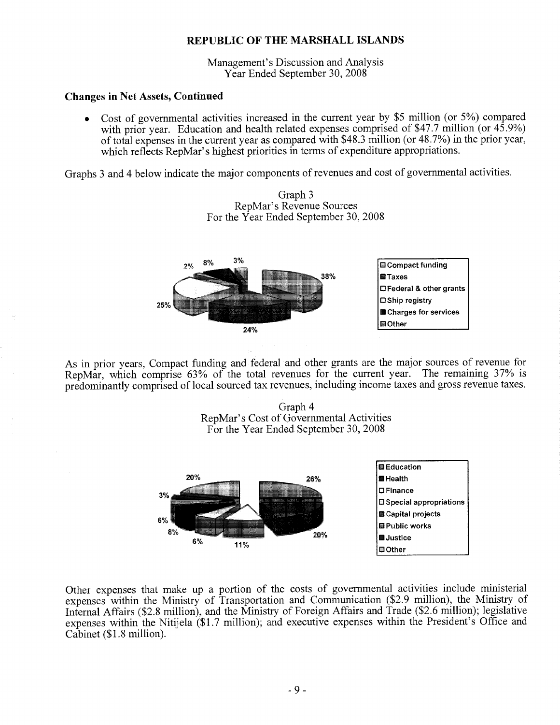Management's Discussion and Analysis Year Ended September 30, 2008

## **Changes in Net Assets, Continued**

Cost of governmental activities increased in the current year by \$5 million (or 5%) compared  $\bullet$ with prior year. Education and health related expenses comprised of \$47.7 million (or 45.9%) of total expenses in the current year as compared with \$48.3 million (or 48.7%) in the prior year, which reflects RepMar's highest priorities in terms of expenditure appropriations.

Graphs 3 and 4 below indicate the major components of revenues and cost of governmental activities.





As in prior years, Compact funding and federal and other grants are the major sources of revenue for RepMar, which comprise 63% of the total revenues for the current year. The remaining 37% is predominantly comprised of local sourced tax revenues, including income taxes and gross revenue taxes.

> Graph 4 RepMar's Cost of Governmental Activities For the Year Ended September 30, 2008



Other expenses that make up a portion of the costs of governmental activities include ministerial expenses within the Ministry of Transportation and Communication (\$2.9 million), the Ministry of Internal Affairs (\$2.8 million), and the Ministry of Foreign Affairs and Trade (\$2.6 million); legislative expenses within the Nitijela (\$1.7 million); and executive expenses within the President's Office and Cabinet (\$1.8 million).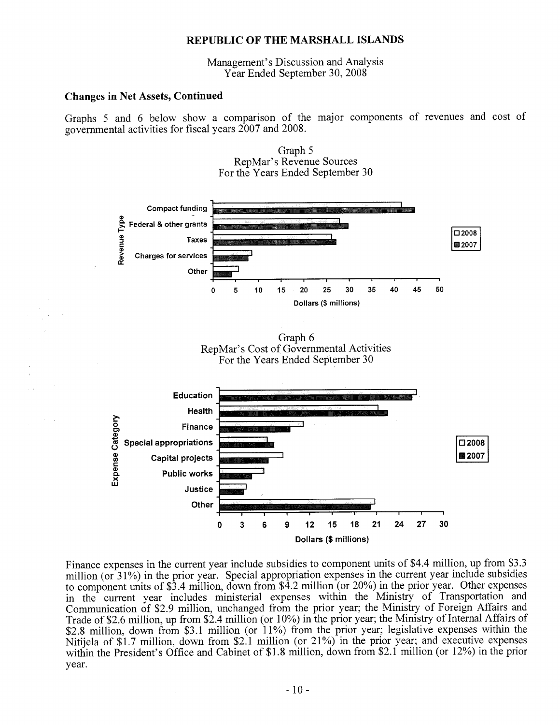Management's Discussion and Analysis Year Ended September 30, 2008

## **Changes in Net Assets, Continued**

Graphs 5 and 6 below show a comparison of the major components of revenues and cost of governmental activities for fiscal years 2007 and 2008.



Graph 5 RepMar's Revenue Sources

Finance expenses in the current year include subsidies to component units of \$4.4 million, up from \$3.3 million (or 31%) in the prior year. Special appropriation expenses in the current year include subsidies to component units of \$3.4 million, down from \$4.2 million (or 20%) in the prior year. Other expenses in the current year includes ministerial expenses within the Ministry of Transportation and Communication of \$2.9 million, unchanged from the prior year; the Ministry of Foreign Affairs and Trade of \$2.6 million, up from \$2.4 million (or 10%) in the prior year; the Ministry of Internal Affairs of \$2.8 million, down from \$3.1 million (or 11%) from the prior year; legislative expenses within the Nitijela of \$1.7 million, down from \$2.1 million (or 21%) in the prior year; and executive expenses within the President's Office and Cabinet of \$1.8 million, down from \$2.1 million (or 12%) in the prior year.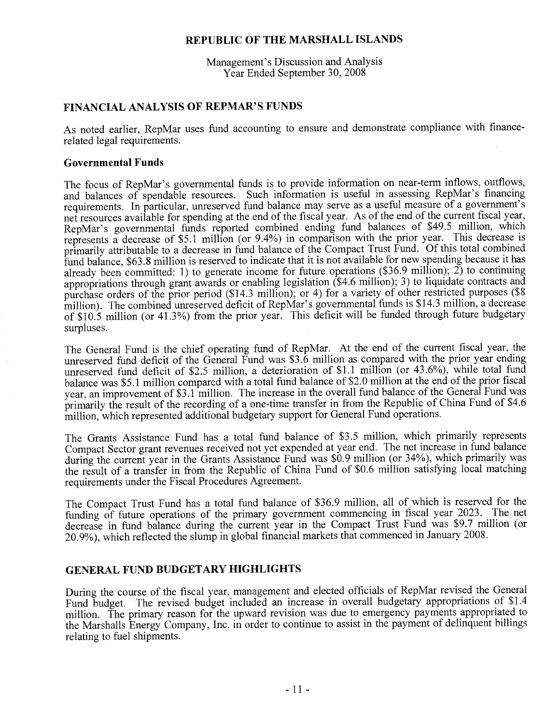Management's Discussion and Analysis Year Ended September 30, 2008

## FINANCIAL ANALYSIS OF REPMAR'S FUNDS

As noted earlier, RepMar uses fund accounting to ensure and demonstrate compliance with financerelated legal requirements.

## **Governmental Funds**

The focus of RepMar's governmental funds is to provide information on near-term inflows, outflows, and balances of spendable resources. Such information is useful in assessing RepMar's financing requirements. In particular, unreserved fund balance may serve as a useful measure of a government's net resources available for spending at the end of the fiscal year. As of the end of the current fiscal year, RepMar's governmental funds reported combined ending fund balances of \$49.5 million, which represents a decrease of \$5.1 million (or 9.4%) in comparison with the prior year. This decrease is primarily attributable to a decrease in fund balance of the Compact Trust Fund. Of this total combined fund balance, \$63.8 million is reserved to indicate that it is not available for new spending because it has already been committed: 1) to generate income for future operations (\$36.9 million);  $2$ ) to continuing appropriations through grant awards or enabling legislation (\$4.6 million); 3) to liquidate contracts and purchase orders of the prior period (\$14.3 million); or 4) for a variety of other restricted purposes (\$8 million). The combined unreserved deficit of RepMar's governmental funds is \$14.3 million, a decrease of \$10.5 million (or 41.3%) from the prior year. This deficit will be funded through future budgetary surpluses.

The General Fund is the chief operating fund of RepMar. At the end of the current fiscal year, the unreserved fund deficit of the General Fund was \$3.6 million as compared with the prior year ending unreserved fund deficit of \$2.5 million, a deterioration of \$1.1 million (or 43.6%), while total fund balance was \$5.1 million compared with a total fund balance of \$2.0 million at the end of the prior fiscal year, an improvement of \$3.1 million. The increase in the overall fund balance of the General Fund was primarily the result of the recording of a one-time transfer in from the Republic of China Fund of \$4.6 million, which represented additional budgetary support for General Fund operations.

The Grants Assistance Fund has a total fund balance of \$3.5 million, which primarily represents Compact Sector grant revenues received not yet expended at year end. The net increase in fund balance during the current year in the Grants Assistance Fund was \$0.9 million (or 34%), which primarily was the result of a transfer in from the Republic of China Fund of \$0.6 million satisfying local matching requirements under the Fiscal Procedures Agreement.

The Compact Trust Fund has a total fund balance of \$36.9 million, all of which is reserved for the funding of future operations of the primary government commencing in fiscal year 2023. The net decrease in fund balance during the current year in the Compact Trust Fund was \$9.7 million (or 20.9%), which reflected the slump in global financial markets that commenced in January 2008.

## **GENERAL FUND BUDGETARY HIGHLIGHTS**

During the course of the fiscal year, management and elected officials of RepMar revised the General Fund budget. The revised budget included an increase in overall budgetary appropriations of \$1.4 million. The primary reason for the upward revision was due to emergency payments appropriated to the Marshalls Energy Company, Inc. in order to continue to assist in the payment of delinquent billings relating to fuel shipments.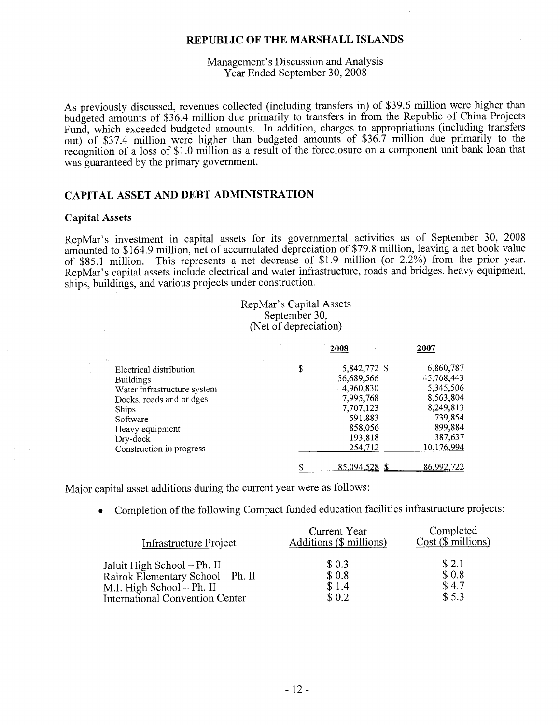## Management's Discussion and Analysis Year Ended September 30, 2008

As previously discussed, revenues collected (including transfers in) of \$39.6 million were higher than budgeted amounts of \$36.4 million due primarily to transfers in from the Republic of China Projects Fund, which exceeded budgeted amounts. In addition, charges to appropriations (including transfers out) of \$37.4 million were higher than budgeted amounts of \$36.7 million due primarily to the recognition of a loss of \$1.0 million as a result of the foreclosure on a component unit bank loan that was guaranteed by the primary government.

## **CAPITAL ASSET AND DEBT ADMINISTRATION**

#### **Capital Assets**

RepMar's investment in capital assets for its governmental activities as of September 30, 2008 amounted to \$164.9 million, net of accumulated depreciation of \$79.8 million, leaving a net book value of \$85.1 million. This represents a net decrease of \$1.9 million (or  $2.2\%$ ) from the prior year. RepMar's capital assets include electrical and water infrastructure, roads and bridges, heavy equipment, ships, buildings, and various projects under construction.

## RepMar's Capital Assets September 30, (Net of depreciation)

|                                                                                                                                                                                               | 2008                                                                                                                | 2007                                                                                                          |
|-----------------------------------------------------------------------------------------------------------------------------------------------------------------------------------------------|---------------------------------------------------------------------------------------------------------------------|---------------------------------------------------------------------------------------------------------------|
| Electrical distribution<br><b>Buildings</b><br>Water infrastructure system<br>Docks, roads and bridges<br><b>Ships</b><br>Software<br>Heavy equipment<br>Dry-dock<br>Construction in progress | \$<br>5,842,772 \$<br>56,689,566<br>4,960,830<br>7,995,768<br>7,707,123<br>591,883<br>858,056<br>193,818<br>254,712 | 6,860,787<br>45,768,443<br>5,345,506<br>8,563,804<br>8,249,813<br>739,854<br>899,884<br>387,637<br>10,176,994 |
|                                                                                                                                                                                               | 85,094,528                                                                                                          | 86,992,722                                                                                                    |

Major capital asset additions during the current year were as follows:

• Completion of the following Compact funded education facilities infrastructure projects:

| Infrastructure Project                 | Current Year<br>Additions (\$ millions) | Completed<br>$Cost$ ( $\sqrt{$}$ millions) |
|----------------------------------------|-----------------------------------------|--------------------------------------------|
| Jaluit High School - Ph. II            | \$0.3                                   | \$2.1                                      |
| Rairok Elementary School - Ph. II      | \$0.8                                   | \$0.8                                      |
| M.I. High School - Ph. II              | \$1.4                                   | \$4.7                                      |
| <b>International Convention Center</b> | \$0.2                                   | \$5.3                                      |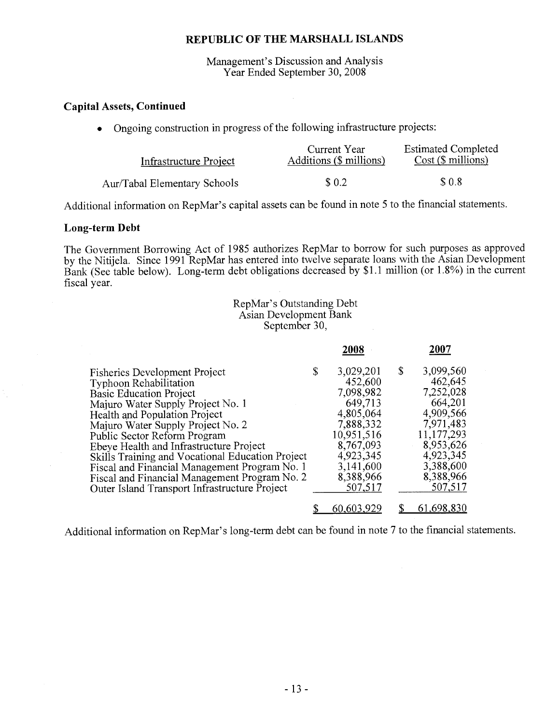Management's Discussion and Analysis Year Ended September 30, 2008

## **Capital Assets, Continued**

Ongoing construction in progress of the following infrastructure projects:

| Infrastructure Project       | Current Year<br>Additions (\$ millions) | <b>Estimated Completed</b><br>$Cost ($\text{ millions})$ |
|------------------------------|-----------------------------------------|----------------------------------------------------------|
| Aur/Tabal Elementary Schools | \$0.2                                   | \$0.8                                                    |

Additional information on RepMar's capital assets can be found in note 5 to the financial statements.

## Long-term Debt

The Government Borrowing Act of 1985 authorizes RepMar to borrow for such purposes as approved by the Nitijela. Since 1991 RepMar has entered into twelve separate loans with the Asian Development Bank (See table below). Long-term debt obligations decreased by \$1.1 million (or 1.8%) in the current fiscal year.

## RepMar's Outstanding Debt Asian Development Bank September 30,

|                                                  | 2008            | 2007            |
|--------------------------------------------------|-----------------|-----------------|
| <b>Fisheries Development Project</b>             | \$<br>3,029,201 | \$<br>3,099,560 |
| <b>Typhoon Rehabilitation</b>                    | 452,600         | 462,645         |
| <b>Basic Education Project</b>                   | 7,098,982       | 7,252,028       |
| Majuro Water Supply Project No. 1                | 649,713         | 664,201         |
| Health and Population Project                    | 4,805,064       | 4,909,566       |
| Majuro Water Supply Project No. 2                | 7,888,332       | 7,971,483       |
| Public Sector Reform Program                     | 10,951,516      | 11, 177, 293    |
| Ebeye Health and Infrastructure Project          | 8,767,093       | 8,953,626       |
| Skills Training and Vocational Education Project | 4,923,345       | 4,923,345       |
| Fiscal and Financial Management Program No. 1    | 3,141,600       | 3,388,600       |
| Fiscal and Financial Management Program No. 2    | 8,388,966       | 8,388,966       |
| Outer Island Transport Infrastructure Project    | 507,517         | 507,517         |
|                                                  | 60.603.929      | 61.698.830      |

Additional information on RepMar's long-term debt can be found in note 7 to the financial statements.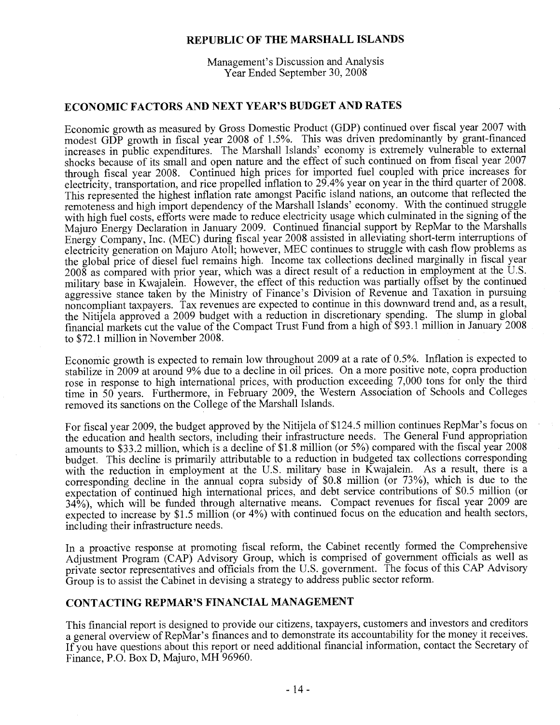Management's Discussion and Analysis Year Ended September 30, 2008

## **ECONOMIC FACTORS AND NEXT YEAR'S BUDGET AND RATES**

Economic growth as measured by Gross Domestic Product (GDP) continued over fiscal year 2007 with modest GDP growth in fiscal year 2008 of 1.5%. This was driven predominantly by grant-financed increases in public expenditures. The Marshall Islands' economy is extremely vulnerable to external shocks because of its small and open nature and the effect of such continued on from fiscal year 2007 through fiscal year 2008. Continued high prices for imported fuel coupled with price increases for electricity, transportation, and rice propelled inflation to 29.4% year on year in the third quarter of 2008. This represented the highest inflation rate amongst Pacific island nations, an outcome that reflected the remoteness and high import dependency of the Marshall Islands' economy. With the continued struggle with high fuel costs, efforts were made to reduce electricity usage which culminated in the signing of the Majuro Energy Declaration in January 2009. Continued financial support by RepMar to the Marshalls Energy Company, Inc. (MEC) during fiscal year 2008 assisted in alleviating short-term interruptions of electricity generation on Majuro Atoll; however, MEC continues to struggle with cash flow problems as the global price of diesel fuel remains high. Income tax collections declined marginally in fiscal year 2008 as compared with prior year, which was a direct result of a reduction in employment at the U.S. military base in Kwajalein. However, the effect of this reduction was partially offset by the continued aggressive stance taken by the Ministry of Finance's Division of Revenue and Taxation in pursuing noncompliant taxpayers. Tax revenues are expected to continue in this downward trend and, as a result, the Nitijela approved a 2009 budget with a reduction in discretionary spending. The slump in global financial markets cut the value of the Compact Trust Fund from a high of \$93.1 million in January 2008 to \$72.1 million in November 2008.

Economic growth is expected to remain low throughout 2009 at a rate of 0.5%. Inflation is expected to stabilize in 2009 at around 9% due to a decline in oil prices. On a more positive note, copra production rose in response to high international prices, with production exceeding 7,000 tons for only the third time in 50 years. Furthermore, in February 2009, the Western Association of Schools and Colleges removed its sanctions on the College of the Marshall Islands.

For fiscal year 2009, the budget approved by the Nitijela of \$124.5 million continues RepMar's focus on the education and health sectors, including their infrastructure needs. The General Fund appropriation amounts to \$33.2 million, which is a decline of \$1.8 million (or 5%) compared with the fiscal year 2008 budget. This decline is primarily attributable to a reduction in budgeted tax collections corresponding with the reduction in employment at the U.S. military base in Kwajalein. As a result, there is a corresponding decline in the annual copra subsidy of \$0.8 million (or 73%), which is due to the expectation of continued high international prices, and debt service contributions of \$0.5 million (or 34%), which will be funded through alternative means. Compact revenues for fiscal year 2009 are expected to increase by \$1.5 million (or 4%) with continued focus on the education and health sectors, including their infrastructure needs.

In a proactive response at promoting fiscal reform, the Cabinet recently formed the Comprehensive Adjustment Program (CAP) Advisory Group, which is comprised of government officials as well as private sector representatives and officials from the U.S. government. The focus of this CAP Advisory Group is to assist the Cabinet in devising a strategy to address public sector reform.

## CONTACTING REPMAR'S FINANCIAL MANAGEMENT

This financial report is designed to provide our citizens, taxpayers, customers and investors and creditors a general overview of RepMar's finances and to demonstrate its accountability for the money it receives. If you have questions about this report or need additional financial information, contact the Secretary of Finance, P.O. Box D, Majuro, MH 96960.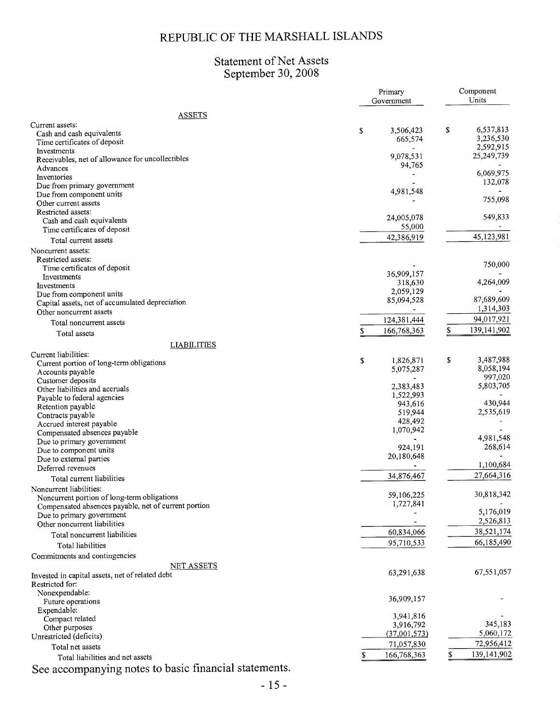## Statement of Net Assets<br>September 30, 2008

| <b>ASSETS</b><br>Current assets:<br>\$<br>6,537,813<br>\$<br>3,506,423<br>Cash and cash equivalents<br>3,236,530<br>665,574<br>Time certificates of deposit<br>2,592,915<br>Investments<br>25,249,739<br>9,078,531<br>Receivables, net of allowance for uncollectibles<br>94,765<br>Advances<br>6,069,975<br>Inventories<br>132,078<br>Due from primary government<br>4,981,548<br>Due from component units<br>755,098<br>Other current assets<br>Restricted assets:<br>549,833<br>24,005,078<br>Cash and cash equivalents<br>55,000<br>Time certificates of deposit<br>45,123,981<br>42,386,919<br>Total current assets<br>Noncurrent assets:<br>Restricted assets:<br>750,000<br>Time certificates of deposit<br>36,909,157<br>Investments<br>4,264,009<br>318,630<br>Investments<br>2,059,129<br>Due from component units<br>87,689,609<br>85,094,528<br>Capital assets, net of accumulated depreciation<br>1,314,303<br>Other noncurrent assets<br>124,381,444<br>94,017,921<br>Total noncurrent assets<br>S<br>139,141,902<br>166,768,363<br>Total assets<br><b>LIABILITIES</b><br>Current liabilities:<br>\$<br>3,487,988<br>\$<br>1,826,871<br>Current portion of long-term obligations<br>8,058,194<br>5,075,287<br>Accounts payable<br>997,020<br>Customer deposits<br>5,803,705<br>2,383,483<br>Other liabilities and accruals<br>1,522,993<br>Payable to federal agencies<br>430,944<br>943,616<br>Retention payable<br>2,535,619<br>519,944<br>Contracts payable<br>428,492<br>Accrued interest payable<br>1,070,942<br>Compensated absences payable<br>4,981,548<br>Due to primary government<br>268,614<br>924,191<br>Due to component units<br>20,180,648<br>Due to external parties<br>1,100,684<br>Deferred revenues<br>27,664,316<br>34,876,467<br>Total current liabilities<br>Noncurrent liabilities:<br>30,818,342<br>59,106,225<br>Noncurrent portion of long-term obligations<br>1,727,841<br>Compensated absences payable, net of current portion<br>5,176,019<br>Due to primary government<br>2,526,813<br>Other noncurrent liabilities<br>38,521,174<br>60,834,066<br>Total noncurrent liabilities<br>66,185,490<br>95,710,533<br>Total liabilities<br>Commitments and contingencies<br><b>NET ASSETS</b><br>67,551,057<br>63,291,638<br>Invested in capital assets, net of related debt<br>Restricted for:<br>Nonexpendable:<br>36,909,157<br>Future operations<br>Expendable:<br>3,941,816<br>Compact related<br>345,183<br>3,916,792<br>Other purposes<br>5,060,172<br>(37,001,573)<br>Unrestricted (deficits)<br>72,956,412<br>71,057,830<br>Total net assets<br>139,141,902<br>\$<br>\$<br>166,768,363<br>Total liabilities and net assets<br>See accompanying notes to basic financial statements. |  | Primary<br>Government | Component<br>Units |
|------------------------------------------------------------------------------------------------------------------------------------------------------------------------------------------------------------------------------------------------------------------------------------------------------------------------------------------------------------------------------------------------------------------------------------------------------------------------------------------------------------------------------------------------------------------------------------------------------------------------------------------------------------------------------------------------------------------------------------------------------------------------------------------------------------------------------------------------------------------------------------------------------------------------------------------------------------------------------------------------------------------------------------------------------------------------------------------------------------------------------------------------------------------------------------------------------------------------------------------------------------------------------------------------------------------------------------------------------------------------------------------------------------------------------------------------------------------------------------------------------------------------------------------------------------------------------------------------------------------------------------------------------------------------------------------------------------------------------------------------------------------------------------------------------------------------------------------------------------------------------------------------------------------------------------------------------------------------------------------------------------------------------------------------------------------------------------------------------------------------------------------------------------------------------------------------------------------------------------------------------------------------------------------------------------------------------------------------------------------------------------------------------------------------------------------------------------------------------------------------------------------------------------------------------------------------------------------------------------------------------------------------------------------------------------------------------------------------------------|--|-----------------------|--------------------|
|                                                                                                                                                                                                                                                                                                                                                                                                                                                                                                                                                                                                                                                                                                                                                                                                                                                                                                                                                                                                                                                                                                                                                                                                                                                                                                                                                                                                                                                                                                                                                                                                                                                                                                                                                                                                                                                                                                                                                                                                                                                                                                                                                                                                                                                                                                                                                                                                                                                                                                                                                                                                                                                                                                                                    |  |                       |                    |
|                                                                                                                                                                                                                                                                                                                                                                                                                                                                                                                                                                                                                                                                                                                                                                                                                                                                                                                                                                                                                                                                                                                                                                                                                                                                                                                                                                                                                                                                                                                                                                                                                                                                                                                                                                                                                                                                                                                                                                                                                                                                                                                                                                                                                                                                                                                                                                                                                                                                                                                                                                                                                                                                                                                                    |  |                       |                    |
|                                                                                                                                                                                                                                                                                                                                                                                                                                                                                                                                                                                                                                                                                                                                                                                                                                                                                                                                                                                                                                                                                                                                                                                                                                                                                                                                                                                                                                                                                                                                                                                                                                                                                                                                                                                                                                                                                                                                                                                                                                                                                                                                                                                                                                                                                                                                                                                                                                                                                                                                                                                                                                                                                                                                    |  |                       |                    |
|                                                                                                                                                                                                                                                                                                                                                                                                                                                                                                                                                                                                                                                                                                                                                                                                                                                                                                                                                                                                                                                                                                                                                                                                                                                                                                                                                                                                                                                                                                                                                                                                                                                                                                                                                                                                                                                                                                                                                                                                                                                                                                                                                                                                                                                                                                                                                                                                                                                                                                                                                                                                                                                                                                                                    |  |                       |                    |
|                                                                                                                                                                                                                                                                                                                                                                                                                                                                                                                                                                                                                                                                                                                                                                                                                                                                                                                                                                                                                                                                                                                                                                                                                                                                                                                                                                                                                                                                                                                                                                                                                                                                                                                                                                                                                                                                                                                                                                                                                                                                                                                                                                                                                                                                                                                                                                                                                                                                                                                                                                                                                                                                                                                                    |  |                       |                    |
|                                                                                                                                                                                                                                                                                                                                                                                                                                                                                                                                                                                                                                                                                                                                                                                                                                                                                                                                                                                                                                                                                                                                                                                                                                                                                                                                                                                                                                                                                                                                                                                                                                                                                                                                                                                                                                                                                                                                                                                                                                                                                                                                                                                                                                                                                                                                                                                                                                                                                                                                                                                                                                                                                                                                    |  |                       |                    |
|                                                                                                                                                                                                                                                                                                                                                                                                                                                                                                                                                                                                                                                                                                                                                                                                                                                                                                                                                                                                                                                                                                                                                                                                                                                                                                                                                                                                                                                                                                                                                                                                                                                                                                                                                                                                                                                                                                                                                                                                                                                                                                                                                                                                                                                                                                                                                                                                                                                                                                                                                                                                                                                                                                                                    |  |                       |                    |
|                                                                                                                                                                                                                                                                                                                                                                                                                                                                                                                                                                                                                                                                                                                                                                                                                                                                                                                                                                                                                                                                                                                                                                                                                                                                                                                                                                                                                                                                                                                                                                                                                                                                                                                                                                                                                                                                                                                                                                                                                                                                                                                                                                                                                                                                                                                                                                                                                                                                                                                                                                                                                                                                                                                                    |  |                       |                    |
|                                                                                                                                                                                                                                                                                                                                                                                                                                                                                                                                                                                                                                                                                                                                                                                                                                                                                                                                                                                                                                                                                                                                                                                                                                                                                                                                                                                                                                                                                                                                                                                                                                                                                                                                                                                                                                                                                                                                                                                                                                                                                                                                                                                                                                                                                                                                                                                                                                                                                                                                                                                                                                                                                                                                    |  |                       |                    |
|                                                                                                                                                                                                                                                                                                                                                                                                                                                                                                                                                                                                                                                                                                                                                                                                                                                                                                                                                                                                                                                                                                                                                                                                                                                                                                                                                                                                                                                                                                                                                                                                                                                                                                                                                                                                                                                                                                                                                                                                                                                                                                                                                                                                                                                                                                                                                                                                                                                                                                                                                                                                                                                                                                                                    |  |                       |                    |
|                                                                                                                                                                                                                                                                                                                                                                                                                                                                                                                                                                                                                                                                                                                                                                                                                                                                                                                                                                                                                                                                                                                                                                                                                                                                                                                                                                                                                                                                                                                                                                                                                                                                                                                                                                                                                                                                                                                                                                                                                                                                                                                                                                                                                                                                                                                                                                                                                                                                                                                                                                                                                                                                                                                                    |  |                       |                    |
|                                                                                                                                                                                                                                                                                                                                                                                                                                                                                                                                                                                                                                                                                                                                                                                                                                                                                                                                                                                                                                                                                                                                                                                                                                                                                                                                                                                                                                                                                                                                                                                                                                                                                                                                                                                                                                                                                                                                                                                                                                                                                                                                                                                                                                                                                                                                                                                                                                                                                                                                                                                                                                                                                                                                    |  |                       |                    |
|                                                                                                                                                                                                                                                                                                                                                                                                                                                                                                                                                                                                                                                                                                                                                                                                                                                                                                                                                                                                                                                                                                                                                                                                                                                                                                                                                                                                                                                                                                                                                                                                                                                                                                                                                                                                                                                                                                                                                                                                                                                                                                                                                                                                                                                                                                                                                                                                                                                                                                                                                                                                                                                                                                                                    |  |                       |                    |
|                                                                                                                                                                                                                                                                                                                                                                                                                                                                                                                                                                                                                                                                                                                                                                                                                                                                                                                                                                                                                                                                                                                                                                                                                                                                                                                                                                                                                                                                                                                                                                                                                                                                                                                                                                                                                                                                                                                                                                                                                                                                                                                                                                                                                                                                                                                                                                                                                                                                                                                                                                                                                                                                                                                                    |  |                       |                    |
|                                                                                                                                                                                                                                                                                                                                                                                                                                                                                                                                                                                                                                                                                                                                                                                                                                                                                                                                                                                                                                                                                                                                                                                                                                                                                                                                                                                                                                                                                                                                                                                                                                                                                                                                                                                                                                                                                                                                                                                                                                                                                                                                                                                                                                                                                                                                                                                                                                                                                                                                                                                                                                                                                                                                    |  |                       |                    |
|                                                                                                                                                                                                                                                                                                                                                                                                                                                                                                                                                                                                                                                                                                                                                                                                                                                                                                                                                                                                                                                                                                                                                                                                                                                                                                                                                                                                                                                                                                                                                                                                                                                                                                                                                                                                                                                                                                                                                                                                                                                                                                                                                                                                                                                                                                                                                                                                                                                                                                                                                                                                                                                                                                                                    |  |                       |                    |
|                                                                                                                                                                                                                                                                                                                                                                                                                                                                                                                                                                                                                                                                                                                                                                                                                                                                                                                                                                                                                                                                                                                                                                                                                                                                                                                                                                                                                                                                                                                                                                                                                                                                                                                                                                                                                                                                                                                                                                                                                                                                                                                                                                                                                                                                                                                                                                                                                                                                                                                                                                                                                                                                                                                                    |  |                       |                    |
|                                                                                                                                                                                                                                                                                                                                                                                                                                                                                                                                                                                                                                                                                                                                                                                                                                                                                                                                                                                                                                                                                                                                                                                                                                                                                                                                                                                                                                                                                                                                                                                                                                                                                                                                                                                                                                                                                                                                                                                                                                                                                                                                                                                                                                                                                                                                                                                                                                                                                                                                                                                                                                                                                                                                    |  |                       |                    |
|                                                                                                                                                                                                                                                                                                                                                                                                                                                                                                                                                                                                                                                                                                                                                                                                                                                                                                                                                                                                                                                                                                                                                                                                                                                                                                                                                                                                                                                                                                                                                                                                                                                                                                                                                                                                                                                                                                                                                                                                                                                                                                                                                                                                                                                                                                                                                                                                                                                                                                                                                                                                                                                                                                                                    |  |                       |                    |
|                                                                                                                                                                                                                                                                                                                                                                                                                                                                                                                                                                                                                                                                                                                                                                                                                                                                                                                                                                                                                                                                                                                                                                                                                                                                                                                                                                                                                                                                                                                                                                                                                                                                                                                                                                                                                                                                                                                                                                                                                                                                                                                                                                                                                                                                                                                                                                                                                                                                                                                                                                                                                                                                                                                                    |  |                       |                    |
|                                                                                                                                                                                                                                                                                                                                                                                                                                                                                                                                                                                                                                                                                                                                                                                                                                                                                                                                                                                                                                                                                                                                                                                                                                                                                                                                                                                                                                                                                                                                                                                                                                                                                                                                                                                                                                                                                                                                                                                                                                                                                                                                                                                                                                                                                                                                                                                                                                                                                                                                                                                                                                                                                                                                    |  |                       |                    |
|                                                                                                                                                                                                                                                                                                                                                                                                                                                                                                                                                                                                                                                                                                                                                                                                                                                                                                                                                                                                                                                                                                                                                                                                                                                                                                                                                                                                                                                                                                                                                                                                                                                                                                                                                                                                                                                                                                                                                                                                                                                                                                                                                                                                                                                                                                                                                                                                                                                                                                                                                                                                                                                                                                                                    |  |                       |                    |
|                                                                                                                                                                                                                                                                                                                                                                                                                                                                                                                                                                                                                                                                                                                                                                                                                                                                                                                                                                                                                                                                                                                                                                                                                                                                                                                                                                                                                                                                                                                                                                                                                                                                                                                                                                                                                                                                                                                                                                                                                                                                                                                                                                                                                                                                                                                                                                                                                                                                                                                                                                                                                                                                                                                                    |  |                       |                    |
|                                                                                                                                                                                                                                                                                                                                                                                                                                                                                                                                                                                                                                                                                                                                                                                                                                                                                                                                                                                                                                                                                                                                                                                                                                                                                                                                                                                                                                                                                                                                                                                                                                                                                                                                                                                                                                                                                                                                                                                                                                                                                                                                                                                                                                                                                                                                                                                                                                                                                                                                                                                                                                                                                                                                    |  |                       |                    |
|                                                                                                                                                                                                                                                                                                                                                                                                                                                                                                                                                                                                                                                                                                                                                                                                                                                                                                                                                                                                                                                                                                                                                                                                                                                                                                                                                                                                                                                                                                                                                                                                                                                                                                                                                                                                                                                                                                                                                                                                                                                                                                                                                                                                                                                                                                                                                                                                                                                                                                                                                                                                                                                                                                                                    |  |                       |                    |
|                                                                                                                                                                                                                                                                                                                                                                                                                                                                                                                                                                                                                                                                                                                                                                                                                                                                                                                                                                                                                                                                                                                                                                                                                                                                                                                                                                                                                                                                                                                                                                                                                                                                                                                                                                                                                                                                                                                                                                                                                                                                                                                                                                                                                                                                                                                                                                                                                                                                                                                                                                                                                                                                                                                                    |  |                       |                    |
|                                                                                                                                                                                                                                                                                                                                                                                                                                                                                                                                                                                                                                                                                                                                                                                                                                                                                                                                                                                                                                                                                                                                                                                                                                                                                                                                                                                                                                                                                                                                                                                                                                                                                                                                                                                                                                                                                                                                                                                                                                                                                                                                                                                                                                                                                                                                                                                                                                                                                                                                                                                                                                                                                                                                    |  |                       |                    |
|                                                                                                                                                                                                                                                                                                                                                                                                                                                                                                                                                                                                                                                                                                                                                                                                                                                                                                                                                                                                                                                                                                                                                                                                                                                                                                                                                                                                                                                                                                                                                                                                                                                                                                                                                                                                                                                                                                                                                                                                                                                                                                                                                                                                                                                                                                                                                                                                                                                                                                                                                                                                                                                                                                                                    |  |                       |                    |
|                                                                                                                                                                                                                                                                                                                                                                                                                                                                                                                                                                                                                                                                                                                                                                                                                                                                                                                                                                                                                                                                                                                                                                                                                                                                                                                                                                                                                                                                                                                                                                                                                                                                                                                                                                                                                                                                                                                                                                                                                                                                                                                                                                                                                                                                                                                                                                                                                                                                                                                                                                                                                                                                                                                                    |  |                       |                    |
|                                                                                                                                                                                                                                                                                                                                                                                                                                                                                                                                                                                                                                                                                                                                                                                                                                                                                                                                                                                                                                                                                                                                                                                                                                                                                                                                                                                                                                                                                                                                                                                                                                                                                                                                                                                                                                                                                                                                                                                                                                                                                                                                                                                                                                                                                                                                                                                                                                                                                                                                                                                                                                                                                                                                    |  |                       |                    |
|                                                                                                                                                                                                                                                                                                                                                                                                                                                                                                                                                                                                                                                                                                                                                                                                                                                                                                                                                                                                                                                                                                                                                                                                                                                                                                                                                                                                                                                                                                                                                                                                                                                                                                                                                                                                                                                                                                                                                                                                                                                                                                                                                                                                                                                                                                                                                                                                                                                                                                                                                                                                                                                                                                                                    |  |                       |                    |
|                                                                                                                                                                                                                                                                                                                                                                                                                                                                                                                                                                                                                                                                                                                                                                                                                                                                                                                                                                                                                                                                                                                                                                                                                                                                                                                                                                                                                                                                                                                                                                                                                                                                                                                                                                                                                                                                                                                                                                                                                                                                                                                                                                                                                                                                                                                                                                                                                                                                                                                                                                                                                                                                                                                                    |  |                       |                    |
|                                                                                                                                                                                                                                                                                                                                                                                                                                                                                                                                                                                                                                                                                                                                                                                                                                                                                                                                                                                                                                                                                                                                                                                                                                                                                                                                                                                                                                                                                                                                                                                                                                                                                                                                                                                                                                                                                                                                                                                                                                                                                                                                                                                                                                                                                                                                                                                                                                                                                                                                                                                                                                                                                                                                    |  |                       |                    |
|                                                                                                                                                                                                                                                                                                                                                                                                                                                                                                                                                                                                                                                                                                                                                                                                                                                                                                                                                                                                                                                                                                                                                                                                                                                                                                                                                                                                                                                                                                                                                                                                                                                                                                                                                                                                                                                                                                                                                                                                                                                                                                                                                                                                                                                                                                                                                                                                                                                                                                                                                                                                                                                                                                                                    |  |                       |                    |
|                                                                                                                                                                                                                                                                                                                                                                                                                                                                                                                                                                                                                                                                                                                                                                                                                                                                                                                                                                                                                                                                                                                                                                                                                                                                                                                                                                                                                                                                                                                                                                                                                                                                                                                                                                                                                                                                                                                                                                                                                                                                                                                                                                                                                                                                                                                                                                                                                                                                                                                                                                                                                                                                                                                                    |  |                       |                    |
|                                                                                                                                                                                                                                                                                                                                                                                                                                                                                                                                                                                                                                                                                                                                                                                                                                                                                                                                                                                                                                                                                                                                                                                                                                                                                                                                                                                                                                                                                                                                                                                                                                                                                                                                                                                                                                                                                                                                                                                                                                                                                                                                                                                                                                                                                                                                                                                                                                                                                                                                                                                                                                                                                                                                    |  |                       |                    |
|                                                                                                                                                                                                                                                                                                                                                                                                                                                                                                                                                                                                                                                                                                                                                                                                                                                                                                                                                                                                                                                                                                                                                                                                                                                                                                                                                                                                                                                                                                                                                                                                                                                                                                                                                                                                                                                                                                                                                                                                                                                                                                                                                                                                                                                                                                                                                                                                                                                                                                                                                                                                                                                                                                                                    |  |                       |                    |
|                                                                                                                                                                                                                                                                                                                                                                                                                                                                                                                                                                                                                                                                                                                                                                                                                                                                                                                                                                                                                                                                                                                                                                                                                                                                                                                                                                                                                                                                                                                                                                                                                                                                                                                                                                                                                                                                                                                                                                                                                                                                                                                                                                                                                                                                                                                                                                                                                                                                                                                                                                                                                                                                                                                                    |  |                       |                    |
|                                                                                                                                                                                                                                                                                                                                                                                                                                                                                                                                                                                                                                                                                                                                                                                                                                                                                                                                                                                                                                                                                                                                                                                                                                                                                                                                                                                                                                                                                                                                                                                                                                                                                                                                                                                                                                                                                                                                                                                                                                                                                                                                                                                                                                                                                                                                                                                                                                                                                                                                                                                                                                                                                                                                    |  |                       |                    |
|                                                                                                                                                                                                                                                                                                                                                                                                                                                                                                                                                                                                                                                                                                                                                                                                                                                                                                                                                                                                                                                                                                                                                                                                                                                                                                                                                                                                                                                                                                                                                                                                                                                                                                                                                                                                                                                                                                                                                                                                                                                                                                                                                                                                                                                                                                                                                                                                                                                                                                                                                                                                                                                                                                                                    |  |                       |                    |
|                                                                                                                                                                                                                                                                                                                                                                                                                                                                                                                                                                                                                                                                                                                                                                                                                                                                                                                                                                                                                                                                                                                                                                                                                                                                                                                                                                                                                                                                                                                                                                                                                                                                                                                                                                                                                                                                                                                                                                                                                                                                                                                                                                                                                                                                                                                                                                                                                                                                                                                                                                                                                                                                                                                                    |  |                       |                    |
|                                                                                                                                                                                                                                                                                                                                                                                                                                                                                                                                                                                                                                                                                                                                                                                                                                                                                                                                                                                                                                                                                                                                                                                                                                                                                                                                                                                                                                                                                                                                                                                                                                                                                                                                                                                                                                                                                                                                                                                                                                                                                                                                                                                                                                                                                                                                                                                                                                                                                                                                                                                                                                                                                                                                    |  |                       |                    |
|                                                                                                                                                                                                                                                                                                                                                                                                                                                                                                                                                                                                                                                                                                                                                                                                                                                                                                                                                                                                                                                                                                                                                                                                                                                                                                                                                                                                                                                                                                                                                                                                                                                                                                                                                                                                                                                                                                                                                                                                                                                                                                                                                                                                                                                                                                                                                                                                                                                                                                                                                                                                                                                                                                                                    |  |                       |                    |
|                                                                                                                                                                                                                                                                                                                                                                                                                                                                                                                                                                                                                                                                                                                                                                                                                                                                                                                                                                                                                                                                                                                                                                                                                                                                                                                                                                                                                                                                                                                                                                                                                                                                                                                                                                                                                                                                                                                                                                                                                                                                                                                                                                                                                                                                                                                                                                                                                                                                                                                                                                                                                                                                                                                                    |  |                       |                    |
|                                                                                                                                                                                                                                                                                                                                                                                                                                                                                                                                                                                                                                                                                                                                                                                                                                                                                                                                                                                                                                                                                                                                                                                                                                                                                                                                                                                                                                                                                                                                                                                                                                                                                                                                                                                                                                                                                                                                                                                                                                                                                                                                                                                                                                                                                                                                                                                                                                                                                                                                                                                                                                                                                                                                    |  |                       |                    |
|                                                                                                                                                                                                                                                                                                                                                                                                                                                                                                                                                                                                                                                                                                                                                                                                                                                                                                                                                                                                                                                                                                                                                                                                                                                                                                                                                                                                                                                                                                                                                                                                                                                                                                                                                                                                                                                                                                                                                                                                                                                                                                                                                                                                                                                                                                                                                                                                                                                                                                                                                                                                                                                                                                                                    |  |                       |                    |
|                                                                                                                                                                                                                                                                                                                                                                                                                                                                                                                                                                                                                                                                                                                                                                                                                                                                                                                                                                                                                                                                                                                                                                                                                                                                                                                                                                                                                                                                                                                                                                                                                                                                                                                                                                                                                                                                                                                                                                                                                                                                                                                                                                                                                                                                                                                                                                                                                                                                                                                                                                                                                                                                                                                                    |  |                       |                    |
|                                                                                                                                                                                                                                                                                                                                                                                                                                                                                                                                                                                                                                                                                                                                                                                                                                                                                                                                                                                                                                                                                                                                                                                                                                                                                                                                                                                                                                                                                                                                                                                                                                                                                                                                                                                                                                                                                                                                                                                                                                                                                                                                                                                                                                                                                                                                                                                                                                                                                                                                                                                                                                                                                                                                    |  |                       |                    |
|                                                                                                                                                                                                                                                                                                                                                                                                                                                                                                                                                                                                                                                                                                                                                                                                                                                                                                                                                                                                                                                                                                                                                                                                                                                                                                                                                                                                                                                                                                                                                                                                                                                                                                                                                                                                                                                                                                                                                                                                                                                                                                                                                                                                                                                                                                                                                                                                                                                                                                                                                                                                                                                                                                                                    |  |                       |                    |
|                                                                                                                                                                                                                                                                                                                                                                                                                                                                                                                                                                                                                                                                                                                                                                                                                                                                                                                                                                                                                                                                                                                                                                                                                                                                                                                                                                                                                                                                                                                                                                                                                                                                                                                                                                                                                                                                                                                                                                                                                                                                                                                                                                                                                                                                                                                                                                                                                                                                                                                                                                                                                                                                                                                                    |  |                       |                    |
|                                                                                                                                                                                                                                                                                                                                                                                                                                                                                                                                                                                                                                                                                                                                                                                                                                                                                                                                                                                                                                                                                                                                                                                                                                                                                                                                                                                                                                                                                                                                                                                                                                                                                                                                                                                                                                                                                                                                                                                                                                                                                                                                                                                                                                                                                                                                                                                                                                                                                                                                                                                                                                                                                                                                    |  |                       |                    |
|                                                                                                                                                                                                                                                                                                                                                                                                                                                                                                                                                                                                                                                                                                                                                                                                                                                                                                                                                                                                                                                                                                                                                                                                                                                                                                                                                                                                                                                                                                                                                                                                                                                                                                                                                                                                                                                                                                                                                                                                                                                                                                                                                                                                                                                                                                                                                                                                                                                                                                                                                                                                                                                                                                                                    |  |                       |                    |
|                                                                                                                                                                                                                                                                                                                                                                                                                                                                                                                                                                                                                                                                                                                                                                                                                                                                                                                                                                                                                                                                                                                                                                                                                                                                                                                                                                                                                                                                                                                                                                                                                                                                                                                                                                                                                                                                                                                                                                                                                                                                                                                                                                                                                                                                                                                                                                                                                                                                                                                                                                                                                                                                                                                                    |  |                       |                    |
|                                                                                                                                                                                                                                                                                                                                                                                                                                                                                                                                                                                                                                                                                                                                                                                                                                                                                                                                                                                                                                                                                                                                                                                                                                                                                                                                                                                                                                                                                                                                                                                                                                                                                                                                                                                                                                                                                                                                                                                                                                                                                                                                                                                                                                                                                                                                                                                                                                                                                                                                                                                                                                                                                                                                    |  |                       |                    |
|                                                                                                                                                                                                                                                                                                                                                                                                                                                                                                                                                                                                                                                                                                                                                                                                                                                                                                                                                                                                                                                                                                                                                                                                                                                                                                                                                                                                                                                                                                                                                                                                                                                                                                                                                                                                                                                                                                                                                                                                                                                                                                                                                                                                                                                                                                                                                                                                                                                                                                                                                                                                                                                                                                                                    |  |                       |                    |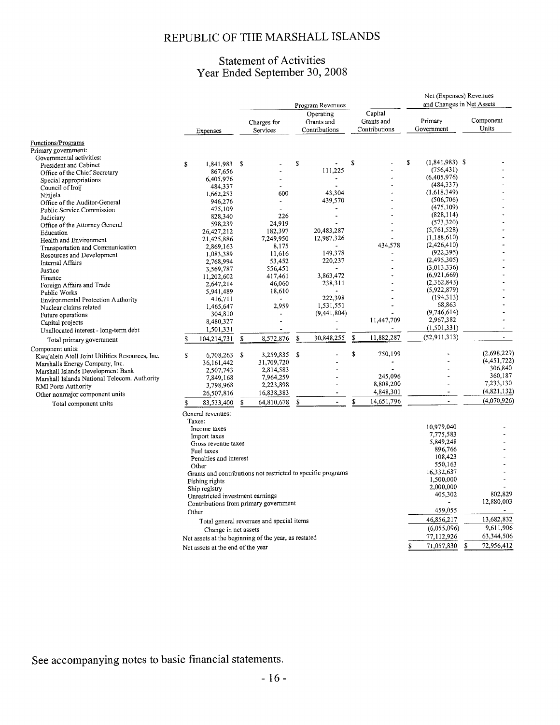## Statement of Activities<br>Year Ended September 30, 2008

|                                                                     |    |                                      | Program Revenues |                                                              |    |                                          |    |                                        | Net (Expenses) Revenues<br>and Changes in Net Assets |                           |   |                    |  |  |
|---------------------------------------------------------------------|----|--------------------------------------|------------------|--------------------------------------------------------------|----|------------------------------------------|----|----------------------------------------|------------------------------------------------------|---------------------------|---|--------------------|--|--|
|                                                                     |    | Expenses                             |                  | Charges for<br>Services                                      |    | Operating<br>Grants and<br>Contributions |    | Capital<br>Grants and<br>Contributions |                                                      | Primary<br>Government     |   | Component<br>Units |  |  |
| Functions/Programs                                                  |    |                                      |                  |                                                              |    |                                          |    |                                        |                                                      |                           |   |                    |  |  |
| Primary government:                                                 |    |                                      |                  |                                                              |    |                                          |    |                                        |                                                      |                           |   |                    |  |  |
| Governmental activities:                                            |    |                                      |                  |                                                              | \$ |                                          | S  |                                        | S                                                    | $(1,841,983)$ \$          |   |                    |  |  |
| President and Cabinet                                               | \$ | 1,841,983 \$<br>867,656              |                  |                                                              |    | 111,225                                  |    |                                        |                                                      | (756, 431)                |   |                    |  |  |
| Office of the Chief Secretary                                       |    | 6,405,976                            |                  |                                                              |    | $\ddot{\phantom{a}}$                     |    |                                        |                                                      | (6,405,976)               |   |                    |  |  |
| Special appropriations<br>Council of Iroij                          |    | 484,337                              |                  |                                                              |    |                                          |    |                                        |                                                      | (484, 337)                |   |                    |  |  |
| Nitijela                                                            |    | 1,662,253                            |                  | 600                                                          |    | 43.304                                   |    |                                        |                                                      | (1,618,349)               |   |                    |  |  |
| Office of the Auditor-General                                       |    | 946,276                              |                  | ÷,                                                           |    | 439,570                                  |    |                                        |                                                      | (506, 706)                |   |                    |  |  |
| <b>Public Service Commission</b>                                    |    | 475,109                              |                  |                                                              |    |                                          |    |                                        |                                                      | (475, 109)                |   |                    |  |  |
| Judiciary                                                           |    | 828,340                              |                  | 226                                                          |    |                                          |    |                                        |                                                      | (828, 114)                |   |                    |  |  |
| Office of the Attorney General                                      |    | 598,239                              |                  | 24.919                                                       |    |                                          |    |                                        |                                                      | (573,320)                 |   |                    |  |  |
| Education                                                           |    | 26,427,212                           |                  | 182,397                                                      |    | 20,483,287                               |    |                                        |                                                      | (5,761,528)               |   |                    |  |  |
| Health and Environment                                              |    | 21,425,886                           |                  | 7,249,950                                                    |    | 12,987,326                               |    |                                        |                                                      | (1,188,610)               |   |                    |  |  |
| Transportation and Communication                                    |    | 2,869,163                            |                  | 8,175                                                        |    |                                          |    | 434,578                                |                                                      | (2,426,410)<br>(922, 395) |   |                    |  |  |
| Resources and Development                                           |    | 1,083,389                            |                  | 11,616                                                       |    | 149,378                                  |    | $\overline{a}$                         |                                                      | (2,495,305)               |   |                    |  |  |
| Internal Affairs                                                    |    | 2,768,994                            |                  | 53,452<br>556,451                                            |    | 220,237                                  |    |                                        |                                                      | (3,013,336)               |   |                    |  |  |
| Justice                                                             |    | 3,569,787<br>11,202,602              |                  | 417,461                                                      |    | 3,863,472                                |    |                                        |                                                      | (6,921,669)               |   |                    |  |  |
| Finance<br>Foreign Affairs and Trade                                |    | 2,647,214                            |                  | 46,060                                                       |    | 238,311                                  |    |                                        |                                                      | (2,362,843)               |   |                    |  |  |
| Public Works                                                        |    | 5,941,489                            |                  | 18,610                                                       |    |                                          |    |                                        |                                                      | (5,922,879)               |   |                    |  |  |
| <b>Environmental Protection Authority</b>                           |    | 416,711                              |                  |                                                              |    | 222,398                                  |    |                                        |                                                      | (194, 313)                |   |                    |  |  |
| Nuclear claims related                                              |    | 1,465,647                            |                  | 2,959                                                        |    | 1,531,551                                |    |                                        |                                                      | 68,863                    |   |                    |  |  |
| Future operations                                                   |    | 304,810                              |                  | ۰                                                            |    | (9, 441, 804)                            |    |                                        |                                                      | (9,746,614)               |   |                    |  |  |
| Capital projects                                                    |    | 8,480,327                            |                  |                                                              |    |                                          |    | 11,447,709                             |                                                      | 2,967,382                 |   |                    |  |  |
| Unallocated interest - long-term debt                               |    | 1,501,331                            |                  | $\blacksquare$                                               |    | $\blacksquare$                           |    |                                        |                                                      | (1, 501, 331)             |   |                    |  |  |
| Total primary government                                            | S  | 104,214,731                          | \$               | 8,572,876                                                    | \$ | 30,848,255                               | \$ | 11,882,287                             |                                                      | (52, 911, 313)            |   |                    |  |  |
| Component units:                                                    |    |                                      |                  |                                                              |    |                                          | \$ | 750,199                                |                                                      |                           |   | (2,698,229)        |  |  |
| Kwajalein Atoll Joint Utilities Resources, Inc.                     | \$ | $6,708,263$ \$                       |                  | 3,259,835<br>31,709,720                                      | -S |                                          |    |                                        |                                                      |                           |   | (4,451,722)        |  |  |
| Marshalls Energy Company, Inc.                                      |    | 36,161,442<br>2,507,743              |                  | 2,814,583                                                    |    |                                          |    |                                        |                                                      |                           |   | 306,840            |  |  |
| Marshall Islands Development Bank                                   |    | 7,849,168                            |                  | 7,964,259                                                    |    |                                          |    | 245,096                                |                                                      |                           |   | 360,187            |  |  |
| Marshall Islands National Telecom. Authority<br>RMI Ports Authority |    | 3,798,968                            |                  | 2,223,898                                                    |    |                                          |    | 8,808,200                              |                                                      |                           |   | 7,233,130          |  |  |
| Other nonmajor component units                                      |    | 26,507,816                           |                  | 16,838,383                                                   |    |                                          |    | 4,848,301                              |                                                      |                           |   | (4,821,132)        |  |  |
|                                                                     | \$ | 83,533,400                           | S                | 64,810,678                                                   | \$ |                                          | \$ | 14,651,796                             |                                                      | $\ddot{\phantom{a}}$      |   | (4.070, 926)       |  |  |
| Total component units                                               |    | General revenues:                    |                  |                                                              |    |                                          |    |                                        |                                                      |                           |   |                    |  |  |
|                                                                     |    | Taxes:                               |                  |                                                              |    |                                          |    |                                        |                                                      |                           |   |                    |  |  |
|                                                                     |    | Income taxes                         |                  |                                                              |    |                                          |    |                                        |                                                      | 10,979,040<br>7,775,583   |   |                    |  |  |
|                                                                     |    | Import taxes                         |                  |                                                              |    |                                          |    |                                        |                                                      | 5,849,248                 |   |                    |  |  |
|                                                                     |    | Gross revenue taxes                  |                  |                                                              |    |                                          |    |                                        |                                                      | 896,766                   |   |                    |  |  |
|                                                                     |    | Fuel taxes<br>Penalties and interest |                  |                                                              |    |                                          |    |                                        |                                                      | 108,423                   |   |                    |  |  |
|                                                                     |    | Other                                |                  |                                                              |    |                                          |    |                                        |                                                      | 550,163                   |   |                    |  |  |
|                                                                     |    |                                      |                  | Grants and contributions not restricted to specific programs |    |                                          |    |                                        |                                                      | 16,332,637                |   |                    |  |  |
|                                                                     |    | Fishing rights                       |                  |                                                              |    |                                          |    |                                        |                                                      | 1,500,000                 |   |                    |  |  |
|                                                                     |    | Ship registry                        |                  |                                                              |    |                                          |    |                                        |                                                      | 2,000,000                 |   |                    |  |  |
|                                                                     |    | Unrestricted investment earnings     |                  |                                                              |    |                                          |    |                                        |                                                      | 405,302                   |   | 802,829            |  |  |
|                                                                     |    |                                      |                  | Contributions from primary government                        |    |                                          |    |                                        |                                                      |                           |   | 12,880,003         |  |  |
|                                                                     |    | Other                                |                  |                                                              |    |                                          |    |                                        |                                                      | 459,055                   |   | $\sim$             |  |  |
|                                                                     |    |                                      |                  | Total general revenues and special items                     |    |                                          |    |                                        |                                                      | 46,856,217                |   | 13,682,832         |  |  |
|                                                                     |    | Change in net assets                 |                  |                                                              |    |                                          |    |                                        |                                                      | (6,055,096)               |   | 9,611,906          |  |  |
|                                                                     |    |                                      |                  | Net assets at the beginning of the year, as restated         |    |                                          |    |                                        |                                                      | 77,112,926                |   | 63,344,506         |  |  |
|                                                                     |    | Net assets at the end of the year    |                  |                                                              |    |                                          |    |                                        | S                                                    | 71,057,830                | s | 72,956,412         |  |  |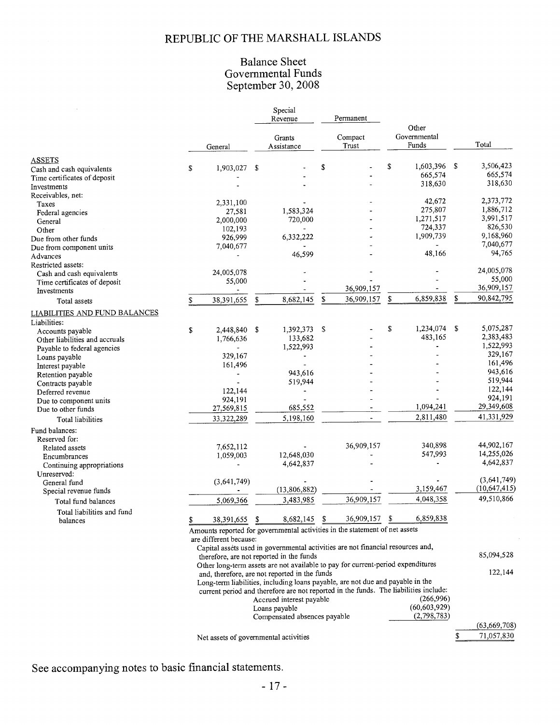## **Balance Sheet** Governmental Funds<br>September 30, 2008

Special

|                                               |    |                                       |    | Revenue                                       |         | Permanent                                                                            |              |                |    |                |
|-----------------------------------------------|----|---------------------------------------|----|-----------------------------------------------|---------|--------------------------------------------------------------------------------------|--------------|----------------|----|----------------|
|                                               |    |                                       |    |                                               | Compact |                                                                                      |              | Other          |    |                |
|                                               |    |                                       |    | Grants                                        |         |                                                                                      | Governmental |                |    |                |
|                                               |    | General                               |    | Assistance                                    |         | Trust                                                                                |              | Funds          |    | Total          |
| <b>ASSETS</b>                                 |    |                                       |    |                                               |         |                                                                                      |              |                |    |                |
| Cash and cash equivalents                     | \$ | 1,903,027                             | \$ |                                               | \$      |                                                                                      | \$           | 1,603,396 \$   |    | 3,506,423      |
| Time certificates of deposit                  |    |                                       |    |                                               |         |                                                                                      |              | 665,574        |    | 665,574        |
| Investments                                   |    |                                       |    |                                               |         |                                                                                      |              | 318,630        |    | 318,630        |
| Receivables, net:                             |    |                                       |    |                                               |         |                                                                                      |              |                |    |                |
| Taxes                                         |    | 2,331,100                             |    |                                               |         |                                                                                      |              | 42,672         |    | 2,373,772      |
| Federal agencies                              |    | 27,581                                |    | 1,583,324                                     |         |                                                                                      |              | 275,807        |    | 1,886,712      |
| General                                       |    | 2,000,000                             |    | 720,000                                       |         |                                                                                      |              | 1,271,517      |    | 3,991,517      |
| Other                                         |    | 102,193                               |    | $\blacksquare$                                |         |                                                                                      |              | 724,337        |    | 826,530        |
| Due from other funds                          |    | 926,999                               |    | 6,332,222                                     |         |                                                                                      |              | 1,909,739      |    | 9,168,960      |
| Due from component units                      |    | 7,040,677                             |    |                                               |         |                                                                                      |              |                |    | 7,040,677      |
| Advances                                      |    |                                       |    | 46,599                                        |         |                                                                                      |              | 48,166         |    | 94,765         |
| Restricted assets:                            |    |                                       |    |                                               |         |                                                                                      |              |                |    |                |
| Cash and cash equivalents                     |    | 24,005,078                            |    |                                               |         |                                                                                      |              |                |    | 24,005,078     |
| Time certificates of deposit                  |    | 55,000                                |    |                                               |         |                                                                                      |              |                |    | 55,000         |
| Investments                                   |    |                                       |    |                                               |         | 36,909,157                                                                           |              |                |    | 36,909,157     |
| Total assets                                  | S  | 38,391,655                            | \$ | 8,682,145                                     | \$      | 36,909,157                                                                           | \$           | 6,859,838      | \$ | 90,842,795     |
|                                               |    |                                       |    |                                               |         |                                                                                      |              |                |    |                |
| LIABILITIES AND FUND BALANCES<br>Liabilities: |    |                                       |    |                                               |         |                                                                                      |              |                |    |                |
|                                               | \$ | 2,448,840 \$                          |    | 1,392,373                                     | -S      |                                                                                      | \$           | 1,234,074      | -S | 5,075,287      |
| Accounts payable                              |    | 1,766,636                             |    | 133,682                                       |         |                                                                                      |              | 483,165        |    | 2,383,483      |
| Other liabilities and accruals                |    |                                       |    | 1,522,993                                     |         |                                                                                      |              |                |    | 1,522,993      |
| Payable to federal agencies                   |    | 329,167                               |    |                                               |         |                                                                                      |              |                |    | 329,167        |
| Loans payable                                 |    | 161,496                               |    |                                               |         |                                                                                      |              |                |    | 161,496        |
| Interest payable                              |    |                                       |    | 943,616                                       |         |                                                                                      |              |                |    | 943,616        |
| Retention payable                             |    |                                       |    | 519,944                                       |         |                                                                                      |              |                |    | 519,944        |
| Contracts payable                             |    |                                       |    |                                               |         |                                                                                      |              |                |    | 122,144        |
| Deferred revenue                              |    | 122,144                               |    |                                               |         |                                                                                      |              |                |    | 924,191        |
| Due to component units                        |    | 924,191                               |    | 685,552                                       |         |                                                                                      |              | 1,094,241      |    | 29,349,608     |
| Due to other funds                            |    | 27,569,815                            |    |                                               |         |                                                                                      |              | 2,811,480      |    | 41,331,929     |
| Total liabilities                             |    | 33,322,289                            |    | 5,198,160                                     |         |                                                                                      |              |                |    |                |
| Fund balances:                                |    |                                       |    |                                               |         |                                                                                      |              |                |    |                |
| Reserved for:                                 |    |                                       |    |                                               |         | 36,909,157                                                                           |              | 340,898        |    | 44,902,167     |
| Related assets                                |    | 7,652,112                             |    |                                               |         |                                                                                      |              | 547,993        |    | 14,255,026     |
| Encumbrances                                  |    | 1,059,003                             |    | 12,648,030                                    |         |                                                                                      |              |                |    | 4,642,837      |
| Continuing appropriations                     |    |                                       |    | 4,642,837                                     |         |                                                                                      |              |                |    |                |
| Unreserved:                                   |    |                                       |    |                                               |         |                                                                                      |              |                |    | (3,641,749)    |
| General fund                                  |    | (3,641,749)                           |    | (13,806,882)                                  |         |                                                                                      |              | 3,159,467      |    | (10,647,415)   |
| Special revenue funds                         |    |                                       |    |                                               |         |                                                                                      |              |                |    | 49,510,866     |
| Total fund balances                           |    | 5,069,366                             |    | 3,483,985                                     |         | 36,909,157                                                                           |              | 4,048,358      |    |                |
| Total liabilities and fund                    | \$ | 38,391,655                            | \$ | 8,682,145                                     | S       | 36,909,157                                                                           | \$           | 6,859,838      |    |                |
| balances                                      |    |                                       |    |                                               |         | Amounts reported for governmental activities in the statement of net assets          |              |                |    |                |
|                                               |    | are different because:                |    |                                               |         |                                                                                      |              |                |    |                |
|                                               |    |                                       |    |                                               |         | Capital assèts used in governmental activities are not financial resources and,      |              |                |    |                |
|                                               |    |                                       |    | therefore, are not reported in the funds      |         |                                                                                      |              |                |    | 85,094,528     |
|                                               |    |                                       |    |                                               |         | Other long-term assets are not available to pay for current-period expenditures      |              |                |    |                |
|                                               |    |                                       |    | and, therefore, are not reported in the funds |         |                                                                                      |              |                |    | 122,144        |
|                                               |    |                                       |    |                                               |         | Long-term liabilities, including loans payable, are not due and payable in the       |              |                |    |                |
|                                               |    |                                       |    |                                               |         | current period and therefore are not reported in the funds. The liabilities include: |              |                |    |                |
|                                               |    |                                       |    | Accrued interest payable                      |         |                                                                                      |              | (266,996)      |    |                |
|                                               |    |                                       |    | Loans payable                                 |         |                                                                                      |              | (60, 603, 929) |    |                |
|                                               |    |                                       |    | Compensated absences payable                  |         |                                                                                      |              | (2,798,783)    |    |                |
|                                               |    |                                       |    |                                               |         |                                                                                      |              |                |    | (63, 669, 708) |
|                                               |    |                                       |    |                                               |         |                                                                                      |              |                | \$ | 71,057,830     |
|                                               |    | Net assets of governmental activities |    |                                               |         |                                                                                      |              |                |    |                |

See accompanying notes to basic financial statements.

 $\sim$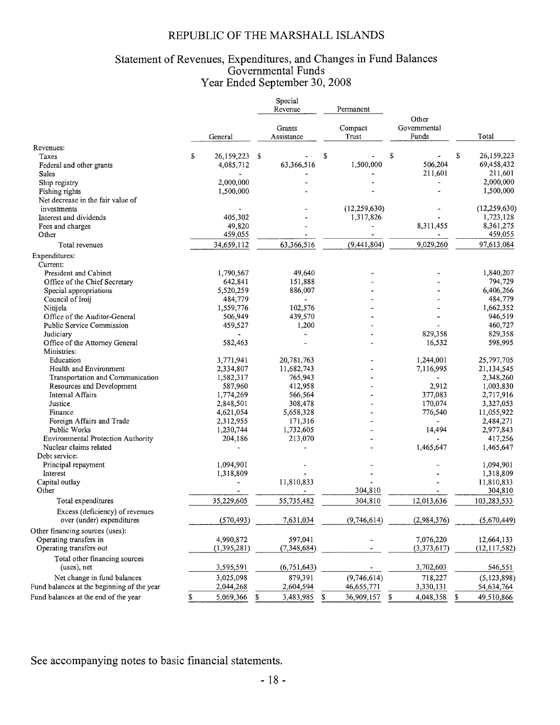## Statement of Revenues, Expenditures, and Changes in Fund Balances<br>Governmental Funds<br>Year Ended September 30, 2008

|                                              |         |               |                      | Special<br>Revenue |                    | Permanent        |    |                                |      |                |
|----------------------------------------------|---------|---------------|----------------------|--------------------|--------------------|------------------|----|--------------------------------|------|----------------|
|                                              | General |               | Grants<br>Assistance |                    |                    | Compact<br>Trust |    | Other<br>Governmental<br>Funds |      | Total          |
| Revenues:                                    |         |               |                      |                    |                    |                  |    |                                |      |                |
| Taxes                                        | \$      | 26,159,223 \$ |                      |                    | \$                 |                  | Ŝ  |                                | S    | 26,159,223     |
| Federal and other grants                     |         | 4,085,712     |                      | 63,366,516         |                    | 1,500,000        |    | 506,204                        |      | 69,458,432     |
| Sales                                        |         |               |                      |                    |                    |                  |    | 211,601                        |      | 211,601        |
| Ship registry                                |         | 2,000,000     |                      |                    |                    |                  |    |                                |      | 2,000,000      |
| Fishing rights                               |         | 1,500,000     |                      |                    |                    |                  |    |                                |      | 1,500,000      |
| Net decrease in the fair value of            |         |               |                      |                    |                    |                  |    |                                |      |                |
| investments                                  |         |               |                      |                    |                    | (12, 259, 630)   |    |                                |      | (12, 259, 630) |
| Interest and dividends                       |         | 405,302       |                      |                    |                    | 1,317,826        |    |                                |      | 1,723,128      |
| Fees and charges                             |         | 49,820        |                      |                    |                    |                  |    | 8,311,455                      |      | 8,361,275      |
| Other                                        |         | 459,055       |                      |                    |                    |                  |    |                                |      | 459,055        |
| Total revenues                               |         | 34,659,112    |                      | 63,366,516         |                    | (9,441,804)      |    | 9,029,260                      |      | 97,613,084     |
| Expenditures:<br>Current:                    |         |               |                      |                    |                    |                  |    |                                |      |                |
| President and Cabinet                        |         | 1,790,567     |                      | 49,640             |                    |                  |    |                                |      | 1,840,207      |
| Office of the Chief Secretary                |         | 642,841       |                      | 151.888            |                    |                  |    |                                |      | 794,729        |
| Special appropriations                       |         | 5,520,259     |                      | 886,007            |                    |                  |    |                                |      | 6,406,266      |
| Council of Iroii                             |         | 484,779       |                      | $\blacksquare$     |                    |                  |    |                                |      | 484,779        |
| Nitijela                                     |         | 1,559,776     |                      | 102,576            |                    |                  |    |                                |      | 1,662,352      |
| Office of the Auditor-General                |         | 506,949       |                      | 439,570            |                    |                  |    |                                |      | 946,519        |
| <b>Public Service Commission</b>             |         | 459,527       |                      | 1,200              |                    |                  |    |                                |      | 460,727        |
| Judiciary                                    |         |               |                      |                    |                    |                  |    | 829,358                        |      | 829,358        |
| Office of the Attorney General               |         | 582,463       |                      |                    |                    |                  |    | 16,532                         |      | 598,995        |
| Ministries:                                  |         |               |                      |                    |                    |                  |    |                                |      |                |
| Education                                    |         | 3,771,941     |                      | 20,781,763         |                    |                  |    | 1,244,001                      |      | 25,797,705     |
| Health and Environment                       |         | 2,334,807     |                      | 11,682,743         |                    |                  |    | 7,116,995                      |      | 21,134,545     |
| Transportation and Communication             |         | 1,582,317     |                      | 765,943            |                    |                  |    |                                |      | 2,348,260      |
| Resources and Development                    |         | 587,960       |                      | 412,958            |                    |                  |    | 2,912                          |      | 1,003,830      |
| Internal Affairs                             |         | 1,774,269     |                      | 566,564            |                    |                  |    | 377,083                        |      | 2,717,916      |
| Justice                                      |         | 2,848,501     |                      | 308,478            |                    |                  |    | 170,074                        |      | 3,327,053      |
| Finance                                      |         | 4,621,054     |                      | 5,658,328          |                    |                  |    | 776,540                        |      | 11,055,922     |
| Foreign Affairs and Trade                    |         | 2,312,955     |                      | 171,316            |                    |                  |    |                                |      | 2,484,271      |
| Public Works                                 |         | 1,230,744     |                      | 1,732,605          |                    |                  |    | 14,494                         |      | 2,977,843      |
| <b>Environmental Protection Authority</b>    |         | 204,186       |                      | 213,070            |                    |                  |    |                                |      | 417,256        |
| Nuclear claims related                       |         |               |                      |                    |                    |                  |    | 1,465,647                      |      | 1,465,647      |
| Debt service:                                |         |               |                      |                    |                    |                  |    |                                |      |                |
| Principal repayment                          |         | 1,094,901     |                      |                    |                    |                  |    |                                |      | 1,094,901      |
| Interest                                     |         | 1,318,809     |                      |                    |                    |                  |    |                                |      | 1,318,809      |
| Capital outlay                               |         |               |                      | 11,810,833         |                    |                  |    |                                |      | 11,810,833     |
| Other                                        |         |               |                      |                    |                    | 304,810          |    |                                |      | 304,810        |
| Total expenditures                           |         | 35,229,605    |                      | 55,735,482         |                    | 304,810          |    | 12,013,636                     |      | 103,283,533    |
| Excess (deficiency) of revenues              |         |               |                      |                    |                    |                  |    |                                |      |                |
| over (under) expenditures                    |         | (570, 493)    |                      | 7,631,034          |                    | (9,746,614)      |    | (2,984,376)                    |      | (5,670,449)    |
| Other financing sources (uses):              |         |               |                      |                    |                    |                  |    |                                |      |                |
| Operating transfers in                       |         | 4,990,872     |                      | 597,041            |                    |                  |    | 7,076,220                      |      | 12,664,133     |
| Operating transfers out                      |         | (1, 395, 281) |                      | (7,348,684)        |                    |                  |    | (3,373,617)                    |      | (12, 117, 582) |
| Total other financing sources<br>(uses), net |         | 3,595,591     |                      | (6,751,643)        |                    |                  |    | 3,702,603                      |      | 546,551        |
| Net change in fund balances                  |         |               |                      |                    |                    | (9,746,614)      |    |                                |      |                |
|                                              |         | 3,025,098     |                      | 879,391            |                    |                  |    | 718,227                        |      | (5, 123, 898)  |
| Fund balances at the beginning of the year   |         | 2,044,268     |                      | 2,604,594          |                    | 46,655,771       |    | 3,330,131                      |      | 54,634,764     |
| Fund balances at the end of the year         | \$      | 5,069,366     | \$                   | 3,483,985          | $\pmb{\mathbb{S}}$ | 36,909,157       | \$ | 4,048,358                      | - \$ | 49,510,866     |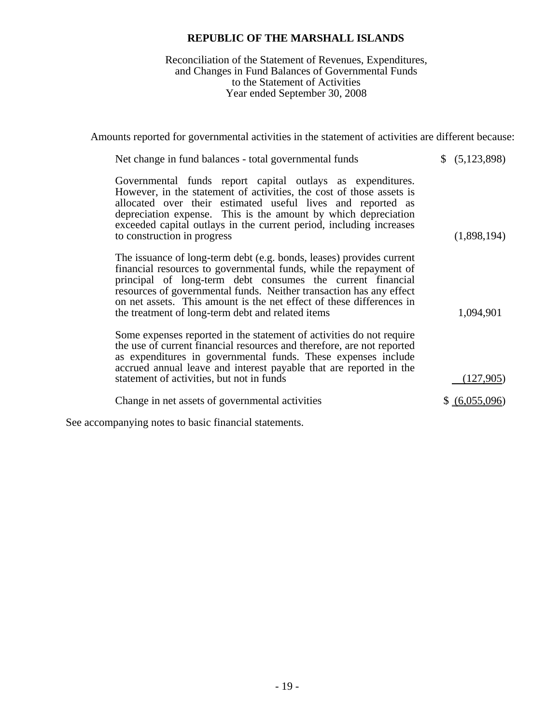## Reconciliation of the Statement of Revenues, Expenditures, and Changes in Fund Balances of Governmental Funds to the Statement of Activities Year ended September 30, 2008

Amounts reported for governmental activities in the statement of activities are different because:

| Net change in fund balances - total governmental funds                                                                                                                                                                                                                                                                                                                                                      | \$ (5,123,898) |
|-------------------------------------------------------------------------------------------------------------------------------------------------------------------------------------------------------------------------------------------------------------------------------------------------------------------------------------------------------------------------------------------------------------|----------------|
| Governmental funds report capital outlays as expenditures.<br>However, in the statement of activities, the cost of those assets is<br>allocated over their estimated useful lives and reported as<br>depreciation expense. This is the amount by which depreciation<br>exceeded capital outlays in the current period, including increases<br>to construction in progress                                   | (1,898,194)    |
| The issuance of long-term debt (e.g. bonds, leases) provides current<br>financial resources to governmental funds, while the repayment of<br>principal of long-term debt consumes the current financial<br>resources of governmental funds. Neither transaction has any effect<br>on net assets. This amount is the net effect of these differences in<br>the treatment of long-term debt and related items | 1,094,901      |
| Some expenses reported in the statement of activities do not require<br>the use of current financial resources and therefore, are not reported<br>as expenditures in governmental funds. These expenses include<br>accrued annual leave and interest payable that are reported in the<br>statement of activities, but not in funds                                                                          | (127,905)      |
| Change in net assets of governmental activities                                                                                                                                                                                                                                                                                                                                                             | \$ (6,055,096) |
|                                                                                                                                                                                                                                                                                                                                                                                                             |                |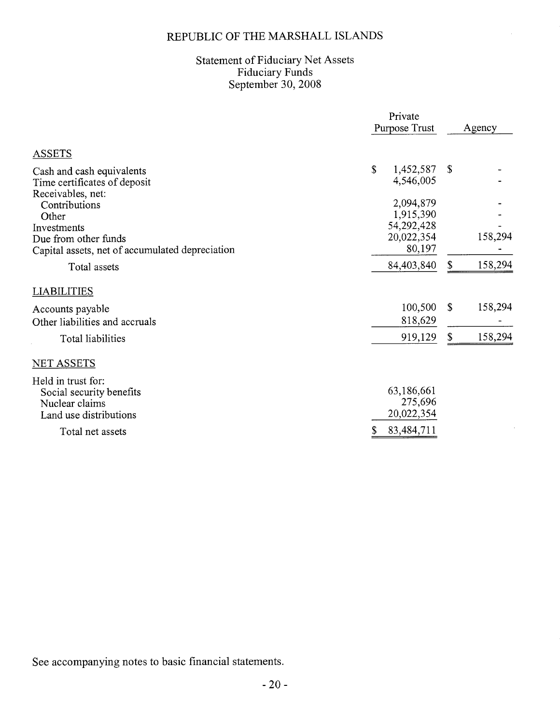$\bar{A}$ 

# Statement of Fiduciary Net Assets<br>Fiduciary Funds<br>September 30, 2008

|                                                                                            | Private<br>Purpose Trust            |    | Agency  |
|--------------------------------------------------------------------------------------------|-------------------------------------|----|---------|
| <b>ASSETS</b>                                                                              |                                     |    |         |
| Cash and cash equivalents<br>Time certificates of deposit<br>Receivables, net:             | \$<br>1,452,587<br>4,546,005        | \$ |         |
| Contributions<br>Other                                                                     | 2,094,879<br>1,915,390              |    |         |
| Investments<br>Due from other funds<br>Capital assets, net of accumulated depreciation     | 54,292,428<br>20,022,354<br>80,197  |    | 158,294 |
| Total assets                                                                               | 84,403,840                          | \$ | 158,294 |
| <b>LIABILITIES</b>                                                                         |                                     |    |         |
| Accounts payable<br>Other liabilities and accruals                                         | 100,500<br>818,629                  | S. | 158,294 |
| Total liabilities                                                                          | 919,129                             | \$ | 158,294 |
| <b>NET ASSETS</b>                                                                          |                                     |    |         |
| Held in trust for:<br>Social security benefits<br>Nuclear claims<br>Land use distributions | 63,186,661<br>275,696<br>20,022,354 |    |         |
| Total net assets                                                                           | 83,484,711<br>\$                    |    |         |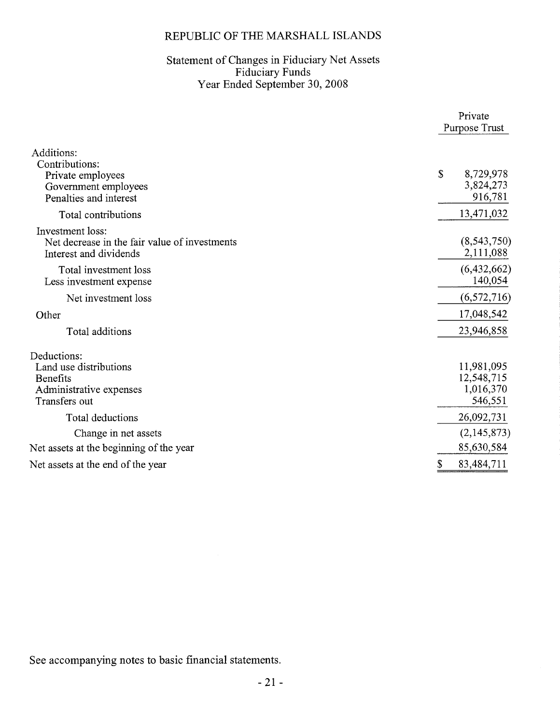# Statement of Changes in Fiduciary Net Assets<br>Fiduciary Funds<br>Year Ended September 30, 2008

|                                                                                                     | Private<br>Purpose Trust                         |
|-----------------------------------------------------------------------------------------------------|--------------------------------------------------|
| Additions:<br>Contributions:<br>Private employees<br>Government employees<br>Penalties and interest | \$<br>8,729,978<br>3,824,273<br>916,781          |
| Total contributions                                                                                 | 13,471,032                                       |
| Investment loss:<br>Net decrease in the fair value of investments<br>Interest and dividends         | (8, 543, 750)<br>2,111,088                       |
| Total investment loss<br>Less investment expense                                                    | (6,432,662)<br>140,054                           |
| Net investment loss                                                                                 | (6,572,716)                                      |
| Other                                                                                               | 17,048,542                                       |
| Total additions                                                                                     | 23,946,858                                       |
| Deductions:<br>Land use distributions<br>Benefits<br>Administrative expenses<br>Transfers out       | 11,981,095<br>12,548,715<br>1,016,370<br>546,551 |
| Total deductions                                                                                    | 26,092,731                                       |
| Change in net assets                                                                                | (2, 145, 873)                                    |
| Net assets at the beginning of the year                                                             | 85,630,584                                       |
| Net assets at the end of the year                                                                   | 83,484,711                                       |
|                                                                                                     |                                                  |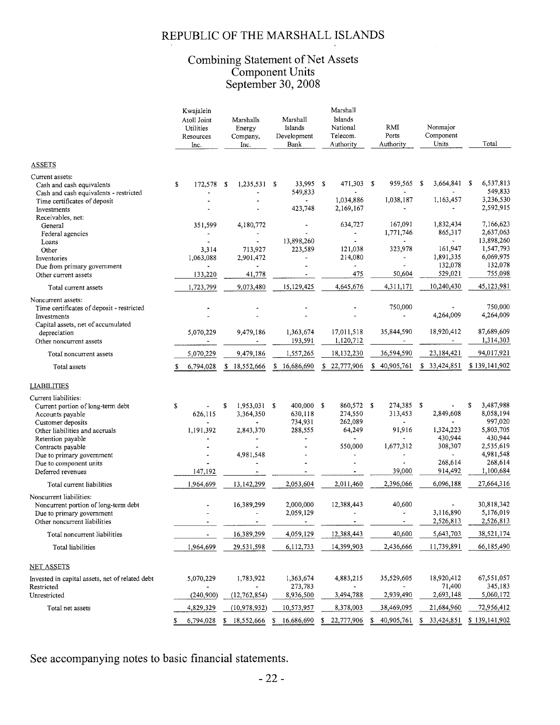## Combining Statement of Net Assets<br>Component Units<br>September 30, 2008

|                                                                                                                              | Kwajalein<br>Atoll Joint<br>Utilities<br>Resources<br>Inc. |                                       | Marshalls<br>Energy<br>Company,<br>Inc.                     | Marshall<br>Islands<br>Development<br>Bank |   | Marshall<br>Islands<br>National<br>Telecom.<br>Authority |     | RMI<br>Ports<br>Authority                        | Nonmajor<br>Component<br>Units  | Total                                   |
|------------------------------------------------------------------------------------------------------------------------------|------------------------------------------------------------|---------------------------------------|-------------------------------------------------------------|--------------------------------------------|---|----------------------------------------------------------|-----|--------------------------------------------------|---------------------------------|-----------------------------------------|
| <b>ASSETS</b>                                                                                                                |                                                            |                                       |                                                             |                                            |   |                                                          |     |                                                  |                                 |                                         |
| Current assets:<br>Cash and cash equivalents<br>Cash and cash equivalents - restricted                                       | \$                                                         | 172,578                               | 1,235,531 \$<br>\$                                          | 33,995 \$<br>549,833                       |   | 471,303<br>1,034,886                                     | -\$ | 959,565 \$<br>1,038,187                          | 3,664,841<br>1,163,457          | \$<br>6,537,813<br>549,833<br>3,236,530 |
| Time certificates of deposit<br>Investments<br>Receivables, net:                                                             |                                                            |                                       | ä.                                                          | $\blacksquare$<br>423,748                  |   | 2,169,167                                                |     |                                                  |                                 | 2,592,915                               |
| General<br>Federal agencies<br>Loans                                                                                         |                                                            | 351,599                               | 4,180,772                                                   | 13,898,260                                 |   | 634,727<br>۰.<br>÷.                                      |     | 167,091<br>1,771,746<br>$\overline{\phantom{a}}$ | 1,832,434<br>865,317            | 7.166.623<br>2,637,063<br>13,898,260    |
| Other<br>Inventories<br>Due from primary government                                                                          |                                                            | 3,314<br>1,063,088                    | 713,927<br>2,901,472                                        | 223,589<br>$\overline{a}$                  |   | 121,038<br>214,080<br>$\overline{\phantom{a}}$           |     | 323,978<br>$\blacksquare$<br>$\overline{a}$      | 161,947<br>1,891,335<br>132,078 | 1,547,793<br>6,069,975<br>132,078       |
| Other current assets                                                                                                         |                                                            | 133,220                               | 41,778                                                      |                                            |   | 475                                                      |     | 50,604                                           | 529,021                         | 755,098                                 |
| Total current assets                                                                                                         |                                                            | 1,723,799                             | 9,073,480                                                   | 15, 129, 425                               |   | 4,645,676                                                |     | 4,311,171                                        | 10,240,430                      | 45,123,981                              |
| Noncurrent assets:<br>Time certificates of deposit - restricted<br>Investments<br>Capital assets, net of accumulated         |                                                            |                                       |                                                             |                                            |   |                                                          |     | 750,000<br>$\blacksquare$                        | 4,264,009                       | 750,000<br>4,264,009                    |
| depreciation<br>Other noncurrent assets                                                                                      |                                                            | 5,070,229<br>$\overline{\phantom{a}}$ | 9,479,186<br>٠                                              | 1,363,674<br>193,591                       |   | 17,011,518<br>1,120,712                                  |     | 35,844,590<br>÷,                                 | 18,920,412                      | 87,689,609<br>1,314,303                 |
| Total noncurrent assets                                                                                                      | 5,070,229                                                  |                                       | 9,479,186                                                   | 1,557,265                                  |   | 18,132,230                                               |     | 36,594,590                                       | 23,184,421                      | 94,017,921                              |
| Total assets                                                                                                                 | 6,794,028                                                  |                                       | \$18,552,666                                                | \$<br>16,686,690                           | S | 22,777,906                                               | S.  | 40,905,761                                       | \$33,424,851                    | \$139,141,902                           |
| <u>LIABILITIES</u>                                                                                                           |                                                            |                                       |                                                             |                                            |   |                                                          |     |                                                  |                                 |                                         |
| Current liabilities:<br>Current portion of long-term debt                                                                    | \$                                                         |                                       | $1,953,031$ \$<br>\$                                        | 400,000 \$                                 |   | 860,572 \$                                               |     | 274,385 \$                                       |                                 | \$<br>3,487,988                         |
| Accounts payable<br>Customer deposits<br>Other liabilities and accruals                                                      |                                                            | 626,115<br>1,191,392                  | 3,364,350<br>2,843,370                                      | 630,118<br>734,931<br>288,555              |   | 274,550<br>262,089<br>64,249                             |     | 313,453<br>91,916                                | 2,849,608<br>1,324,223          | 8,058,194<br>997,020<br>5,803,705       |
| Retention payable<br>Contracts payable<br>Due to primary government                                                          |                                                            |                                       | 4,981,548                                                   |                                            |   | $\overline{\phantom{0}}$<br>550,000                      |     | $\blacksquare$<br>1,677,312                      | 430,944<br>308,307              | 430,944<br>2,535,619<br>4,981,548       |
| Due to component units<br>Deferred revenues                                                                                  |                                                            | 147,192                               |                                                             |                                            |   | $\blacksquare$                                           |     | $\blacksquare$<br>39,000                         | 268,614<br>914,492              | 268,614<br>1,100,684                    |
| Total current liabilities                                                                                                    | 1,964,699                                                  |                                       | 13,142,299                                                  | 2,053,604                                  |   | 2,011,460                                                |     | 2,396,066                                        | 6,096,188                       | 27,664,316                              |
| Noncurrent liabilities:<br>Noncurrent portion of long-term debt<br>Due to primary government<br>Other noncurrent liabilities |                                                            | $\blacksquare$                        | 16,389,299                                                  | 2,000,000<br>2,059,129                     |   | 12,388,443<br>$\blacksquare$                             |     | 40,600<br>$\blacksquare$                         | 3,116,890<br>2,526,813          | 30,818,342<br>5,176,019<br>2,526,813    |
| Total noncurrent liabilities                                                                                                 |                                                            |                                       | 16,389,299                                                  | 4,059,129                                  |   | 12,388,443                                               |     | 40,600                                           | 5,643,703                       | 38,521,174                              |
| Total liabilities                                                                                                            | 1,964,699                                                  |                                       | 29,531,598                                                  | 6,112,733                                  |   | 14,399,903                                               |     | 2,436,666                                        | 11,739,891                      | 66,185,490                              |
| <b>NET ASSETS</b>                                                                                                            |                                                            |                                       |                                                             |                                            |   |                                                          |     |                                                  |                                 |                                         |
| Invested in capital assets, net of related debt<br>Restricted                                                                | 5,070,229                                                  |                                       | 1,783,922                                                   | 1,363,674<br>273,783                       |   | 4,883,215                                                |     | 35,529,605                                       | 18,920,412<br>71,400            | 67,551,057<br>345,183                   |
| Unrestricted                                                                                                                 |                                                            | (240,900)                             | (12, 762, 854)                                              | 8,936,500                                  |   | 3,494,788                                                |     | 2,939,490                                        | 2,693,148                       | 5,060,172                               |
| Total net assets                                                                                                             | 4,829,329<br>6,794,028<br>S                                |                                       | (10, 978, 932)<br>\$ 18,552,666 \$ 16,686,690 \$ 22,777,906 | 10,573,957                                 |   | 8,378,003                                                | - S | 38,469,095<br>40,905,761 \$ 33,424,851           | 21,684,960                      | 72,956,412<br>\$139,141,902             |
|                                                                                                                              |                                                            |                                       |                                                             |                                            |   |                                                          |     |                                                  |                                 |                                         |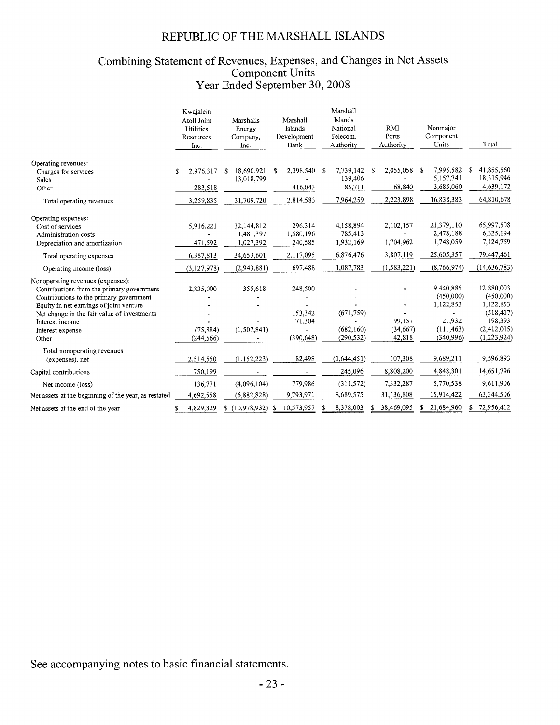# Combining Statement of Revenues, Expenses, and Changes in Net Assets<br>Component Units<br>Year Ended September 30, 2008

|                                                                                                                                                                                                                                                                     | Kwajalein<br>Atoll Joint<br><b>Utilities</b><br>Resources<br>Inc. | Marshalls<br>Energy<br>Company,<br>Inc. | Marshall<br>Islands<br>Development<br>Bank | Marshall<br>Islands<br>National<br>Telecom.<br>Authority | RMI<br>Ports<br>Authority     | Nonmajor<br>Component<br>Units                                           | Total                                                                                       |
|---------------------------------------------------------------------------------------------------------------------------------------------------------------------------------------------------------------------------------------------------------------------|-------------------------------------------------------------------|-----------------------------------------|--------------------------------------------|----------------------------------------------------------|-------------------------------|--------------------------------------------------------------------------|---------------------------------------------------------------------------------------------|
| Operating revenues:<br>Charges for services<br>Sales                                                                                                                                                                                                                | 2,976,317<br>\$                                                   | 18.690.921<br>£.<br>13,018,799          | 2,398,540<br>£.                            | 7,739,142<br>- \$<br>139,406                             | 2,055,058<br>\$               | 7,995,582<br>S<br>5,157,741                                              | 41,855,560<br>18,315,946                                                                    |
| Other<br>Total operating revenues                                                                                                                                                                                                                                   | 283,518<br>3,259,835                                              | 31,709,720                              | 416,043<br>2,814,583                       | 85,711<br>7,964,259                                      | 168,840<br>2,223,898          | 3,685,060<br>16,838,383                                                  | 4,639,172<br>64,810,678                                                                     |
| Operating expenses:<br>Cost of services<br>Administration costs<br>Depreciation and amortization                                                                                                                                                                    | 5,916,221<br>471,592                                              | 32,144,812<br>1,481,397<br>1,027,392    | 296,314<br>1,580,196<br>240,585            | 4,158,894<br>785,413<br>1,932,169                        | 2,102,157<br>1,704,962        | 21,379,110<br>2,478,188<br>1,748,059                                     | 65,997,508<br>6,325,194<br>7,124,759                                                        |
| Total operating expenses                                                                                                                                                                                                                                            | 6,387,813                                                         | 34,653,601                              | 2,117,095                                  | 6,876,476                                                | 3,807,119                     | 25,605,357                                                               | 79,447,461                                                                                  |
| Operating income (loss)                                                                                                                                                                                                                                             | (3, 127, 978)                                                     | (2,943,881)                             | 697,488                                    | 1,087,783                                                | (1, 583, 221)                 | (8,766,974)                                                              | (14, 636, 783)                                                                              |
| Nonoperating revenues (expenses):<br>Contributions from the primary government<br>Contributions to the primary government<br>Equity in net earnings of joint venture<br>Net change in the fair value of investments<br>Interest income<br>Interest expense<br>Other | 2,835,000<br>(75, 884)<br>(244, 566)                              | 355,618<br>(1, 507, 841)                | 248,500<br>153,342<br>71,304<br>(390, 648) | (671, 759)<br>(682, 160)<br>(290, 532)                   | 99.157<br>(34, 667)<br>42,818 | 9,440,885<br>(450,000)<br>1,122,853<br>27,932<br>(111, 463)<br>(340,996) | 12,880,003<br>(450,000)<br>1,122,853<br>(518, 417)<br>198,393<br>(2,412,015)<br>(1,223,924) |
| Total nonoperating revenues<br>(expenses), net                                                                                                                                                                                                                      | 2,514,550                                                         | (1, 152, 223)                           | 82,498                                     | (1,644,451)                                              | 107,308                       | 9,689,211                                                                | 9,596,893                                                                                   |
| Capital contributions                                                                                                                                                                                                                                               | 750,199                                                           |                                         |                                            | 245,096                                                  | 8,808,200                     | 4,848,301                                                                | 14,651,796                                                                                  |
| Net income (loss)                                                                                                                                                                                                                                                   | 136,771                                                           | (4,096,104)                             | 779,986                                    | (311,572)                                                | 7,332,287                     | 5,770,538                                                                | 9,611,906                                                                                   |
| Net assets at the beginning of the year, as restated                                                                                                                                                                                                                | 4,692,558                                                         | (6,882,828)                             | 9,793,971                                  | 8,689,575                                                | 31,136,808                    | 15,914,422                                                               | 63,344,506                                                                                  |
| Net assets at the end of the year                                                                                                                                                                                                                                   | 4,829,329<br>\$                                                   | (10,978,932)<br>\$                      | 10,573,957<br>s.                           | 8,378,003<br>S                                           | 38,469,095<br>S.              | 21,684,960                                                               | 72,956,412<br>\$                                                                            |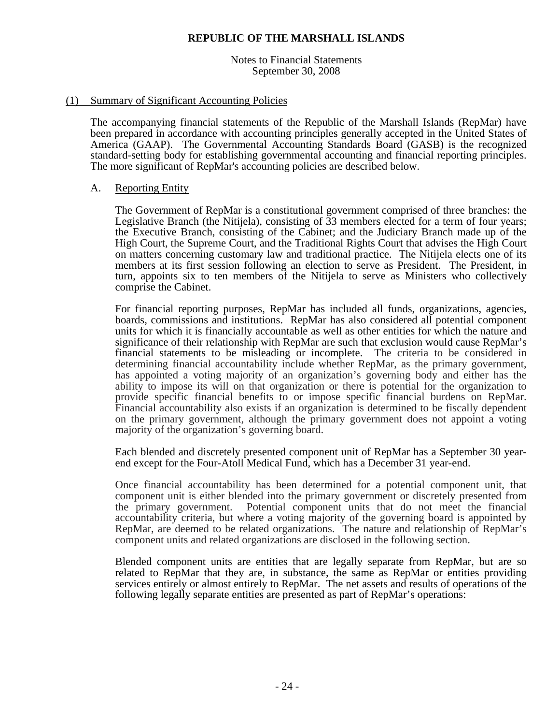Notes to Financial Statements September 30, 2008

## (1) Summary of Significant Accounting Policies

The accompanying financial statements of the Republic of the Marshall Islands (RepMar) have been prepared in accordance with accounting principles generally accepted in the United States of America (GAAP). The Governmental Accounting Standards Board (GASB) is the recognized standard-setting body for establishing governmental accounting and financial reporting principles. The more significant of RepMar's accounting policies are described below.

## A. Reporting Entity

The Government of RepMar is a constitutional government comprised of three branches: the Legislative Branch (the Nitijela), consisting of  $\overline{3}3$  members elected for a term of four years; the Executive Branch, consisting of the Cabinet; and the Judiciary Branch made up of the High Court, the Supreme Court, and the Traditional Rights Court that advises the High Court on matters concerning customary law and traditional practice. The Nitijela elects one of its members at its first session following an election to serve as President. The President, in turn, appoints six to ten members of the Nitijela to serve as Ministers who collectively comprise the Cabinet.

For financial reporting purposes, RepMar has included all funds, organizations, agencies, boards, commissions and institutions. RepMar has also considered all potential component units for which it is financially accountable as well as other entities for which the nature and significance of their relationship with RepMar are such that exclusion would cause RepMar's financial statements to be misleading or incomplete. The criteria to be considered in determining financial accountability include whether RepMar, as the primary government, has appointed a voting majority of an organization's governing body and either has the ability to impose its will on that organization or there is potential for the organization to provide specific financial benefits to or impose specific financial burdens on RepMar. Financial accountability also exists if an organization is determined to be fiscally dependent on the primary government, although the primary government does not appoint a voting majority of the organization's governing board.

Each blended and discretely presented component unit of RepMar has a September 30 yearend except for the Four-Atoll Medical Fund, which has a December 31 year-end.

Once financial accountability has been determined for a potential component unit, that component unit is either blended into the primary government or discretely presented from the primary government. Potential component units that do not meet the financial accountability criteria, but where a voting majority of the governing board is appointed by RepMar, are deemed to be related organizations. The nature and relationship of RepMar's component units and related organizations are disclosed in the following section.

Blended component units are entities that are legally separate from RepMar, but are so related to RepMar that they are, in substance, the same as RepMar or entities providing services entirely or almost entirely to RepMar. The net assets and results of operations of the following legally separate entities are presented as part of RepMar's operations: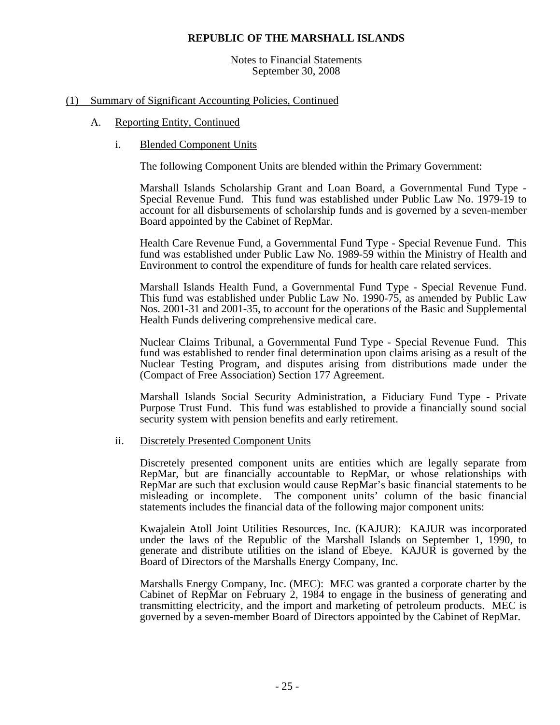Notes to Financial Statements September 30, 2008

## (1) Summary of Significant Accounting Policies, Continued

## A. Reporting Entity, Continued

i. Blended Component Units

The following Component Units are blended within the Primary Government:

Marshall Islands Scholarship Grant and Loan Board, a Governmental Fund Type - Special Revenue Fund. This fund was established under Public Law No. 1979-19 to account for all disbursements of scholarship funds and is governed by a seven-member Board appointed by the Cabinet of RepMar.

Health Care Revenue Fund, a Governmental Fund Type - Special Revenue Fund. This fund was established under Public Law No. 1989-59 within the Ministry of Health and Environment to control the expenditure of funds for health care related services.

Marshall Islands Health Fund, a Governmental Fund Type - Special Revenue Fund. This fund was established under Public Law No. 1990-75, as amended by Public Law Nos. 2001-31 and 2001-35, to account for the operations of the Basic and Supplemental Health Funds delivering comprehensive medical care.

Nuclear Claims Tribunal, a Governmental Fund Type - Special Revenue Fund. This fund was established to render final determination upon claims arising as a result of the Nuclear Testing Program, and disputes arising from distributions made under the (Compact of Free Association) Section 177 Agreement.

Marshall Islands Social Security Administration, a Fiduciary Fund Type - Private Purpose Trust Fund. This fund was established to provide a financially sound social security system with pension benefits and early retirement.

ii. Discretely Presented Component Units

Discretely presented component units are entities which are legally separate from RepMar, but are financially accountable to RepMar, or whose relationships with RepMar are such that exclusion would cause RepMar's basic financial statements to be misleading or incomplete. The component units' column of the basic financial statements includes the financial data of the following major component units:

Kwajalein Atoll Joint Utilities Resources, Inc. (KAJUR): KAJUR was incorporated under the laws of the Republic of the Marshall Islands on September 1, 1990, to generate and distribute utilities on the island of Ebeye. KAJUR is governed by the Board of Directors of the Marshalls Energy Company, Inc.

Marshalls Energy Company, Inc. (MEC): MEC was granted a corporate charter by the Cabinet of RepMar on February 2, 1984 to engage in the business of generating and transmitting electricity, and the import and marketing of petroleum products. MEC is governed by a seven-member Board of Directors appointed by the Cabinet of RepMar.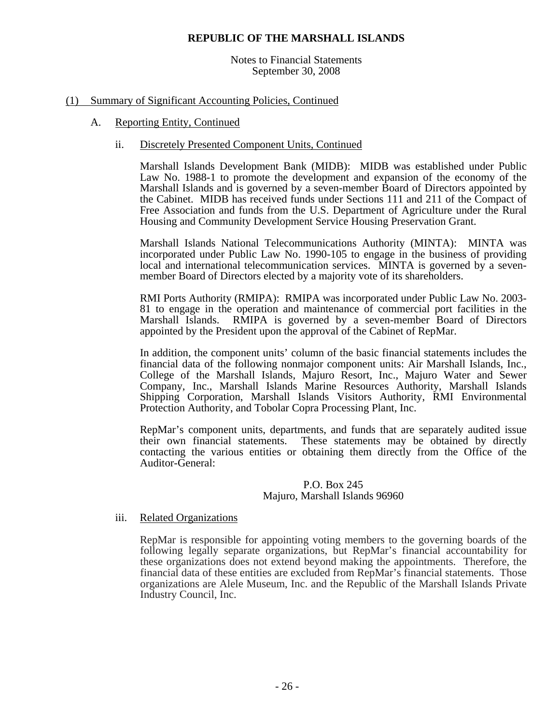Notes to Financial Statements September 30, 2008

## (1) Summary of Significant Accounting Policies, Continued

## A. Reporting Entity, Continued

## ii. Discretely Presented Component Units, Continued

Marshall Islands Development Bank (MIDB): MIDB was established under Public Law No. 1988-1 to promote the development and expansion of the economy of the Marshall Islands and is governed by a seven-member Board of Directors appointed by the Cabinet. MIDB has received funds under Sections 111 and 211 of the Compact of Free Association and funds from the U.S. Department of Agriculture under the Rural Housing and Community Development Service Housing Preservation Grant.

Marshall Islands National Telecommunications Authority (MINTA): MINTA was incorporated under Public Law No. 1990-105 to engage in the business of providing local and international telecommunication services. MINTA is governed by a sevenmember Board of Directors elected by a majority vote of its shareholders.

RMI Ports Authority (RMIPA): RMIPA was incorporated under Public Law No. 2003- 81 to engage in the operation and maintenance of commercial port facilities in the Marshall Islands. RMIPA is governed by a seven-member Board of Directors appointed by the President upon the approval of the Cabinet of RepMar.

In addition, the component units' column of the basic financial statements includes the financial data of the following nonmajor component units: Air Marshall Islands, Inc., College of the Marshall Islands, Majuro Resort, Inc., Majuro Water and Sewer Company, Inc., Marshall Islands Marine Resources Authority, Marshall Islands Shipping Corporation, Marshall Islands Visitors Authority, RMI Environmental Protection Authority, and Tobolar Copra Processing Plant, Inc.

RepMar's component units, departments, and funds that are separately audited issue their own financial statements. These statements may be obtained by directly contacting the various entities or obtaining them directly from the Office of the Auditor-General:

## P.O. Box 245 Majuro, Marshall Islands 96960

## iii. Related Organizations

RepMar is responsible for appointing voting members to the governing boards of the following legally separate organizations, but RepMar's financial accountability for these organizations does not extend beyond making the appointments. Therefore, the financial data of these entities are excluded from RepMar's financial statements. Those organizations are Alele Museum, Inc. and the Republic of the Marshall Islands Private Industry Council, Inc.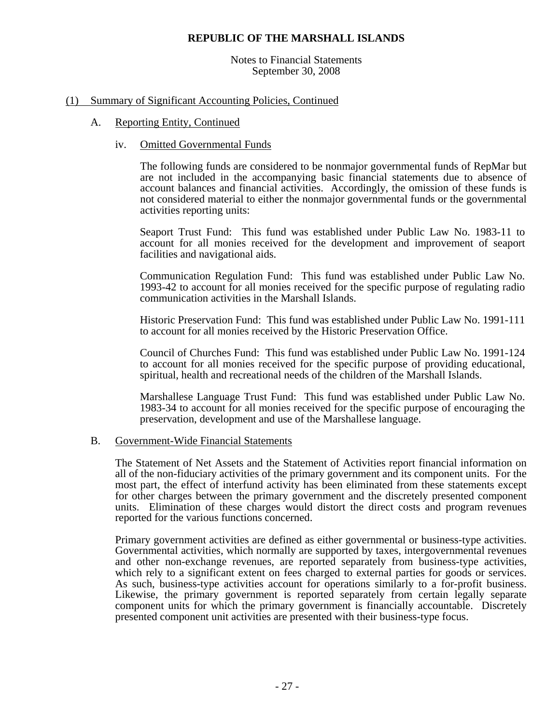Notes to Financial Statements September 30, 2008

## (1) Summary of Significant Accounting Policies, Continued

## A. Reporting Entity, Continued

## iv. Omitted Governmental Funds

The following funds are considered to be nonmajor governmental funds of RepMar but are not included in the accompanying basic financial statements due to absence of account balances and financial activities. Accordingly, the omission of these funds is not considered material to either the nonmajor governmental funds or the governmental activities reporting units:

Seaport Trust Fund: This fund was established under Public Law No. 1983-11 to account for all monies received for the development and improvement of seaport facilities and navigational aids.

Communication Regulation Fund: This fund was established under Public Law No. 1993-42 to account for all monies received for the specific purpose of regulating radio communication activities in the Marshall Islands.

Historic Preservation Fund: This fund was established under Public Law No. 1991-111 to account for all monies received by the Historic Preservation Office.

Council of Churches Fund: This fund was established under Public Law No. 1991-124 to account for all monies received for the specific purpose of providing educational, spiritual, health and recreational needs of the children of the Marshall Islands.

Marshallese Language Trust Fund: This fund was established under Public Law No. 1983-34 to account for all monies received for the specific purpose of encouraging the preservation, development and use of the Marshallese language.

## B. Government-Wide Financial Statements

The Statement of Net Assets and the Statement of Activities report financial information on all of the non-fiduciary activities of the primary government and its component units. For the most part, the effect of interfund activity has been eliminated from these statements except for other charges between the primary government and the discretely presented component units. Elimination of these charges would distort the direct costs and program revenues reported for the various functions concerned.

Primary government activities are defined as either governmental or business-type activities. Governmental activities, which normally are supported by taxes, intergovernmental revenues and other non-exchange revenues, are reported separately from business-type activities, which rely to a significant extent on fees charged to external parties for goods or services. As such, business-type activities account for operations similarly to a for-profit business. Likewise, the primary government is reported separately from certain legally separate component units for which the primary government is financially accountable. Discretely presented component unit activities are presented with their business-type focus.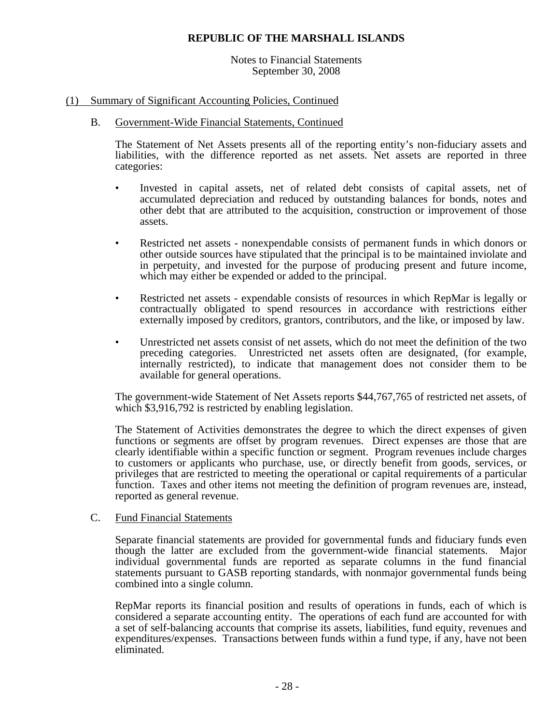## Notes to Financial Statements September 30, 2008

## (1) Summary of Significant Accounting Policies, Continued

## B. Government-Wide Financial Statements, Continued

The Statement of Net Assets presents all of the reporting entity's non-fiduciary assets and liabilities, with the difference reported as net assets. Net assets are reported in three categories:

- Invested in capital assets, net of related debt consists of capital assets, net of accumulated depreciation and reduced by outstanding balances for bonds, notes and other debt that are attributed to the acquisition, construction or improvement of those assets.
- Restricted net assets nonexpendable consists of permanent funds in which donors or other outside sources have stipulated that the principal is to be maintained inviolate and in perpetuity, and invested for the purpose of producing present and future income, which may either be expended or added to the principal.
- Restricted net assets expendable consists of resources in which RepMar is legally or contractually obligated to spend resources in accordance with restrictions either externally imposed by creditors, grantors, contributors, and the like, or imposed by law.
- Unrestricted net assets consist of net assets, which do not meet the definition of the two preceding categories. Unrestricted net assets often are designated, (for example, internally restricted), to indicate that management does not consider them to be available for general operations.

The government-wide Statement of Net Assets reports \$44,767,765 of restricted net assets, of which \$3,916,792 is restricted by enabling legislation.

The Statement of Activities demonstrates the degree to which the direct expenses of given functions or segments are offset by program revenues. Direct expenses are those that are clearly identifiable within a specific function or segment. Program revenues include charges to customers or applicants who purchase, use, or directly benefit from goods, services, or privileges that are restricted to meeting the operational or capital requirements of a particular function. Taxes and other items not meeting the definition of program revenues are, instead, reported as general revenue.

## C. Fund Financial Statements

Separate financial statements are provided for governmental funds and fiduciary funds even though the latter are excluded from the government-wide financial statements. Major individual governmental funds are reported as separate columns in the fund financial statements pursuant to GASB reporting standards, with nonmajor governmental funds being combined into a single column.

RepMar reports its financial position and results of operations in funds, each of which is considered a separate accounting entity. The operations of each fund are accounted for with a set of self-balancing accounts that comprise its assets, liabilities, fund equity, revenues and expenditures/expenses. Transactions between funds within a fund type, if any, have not been eliminated.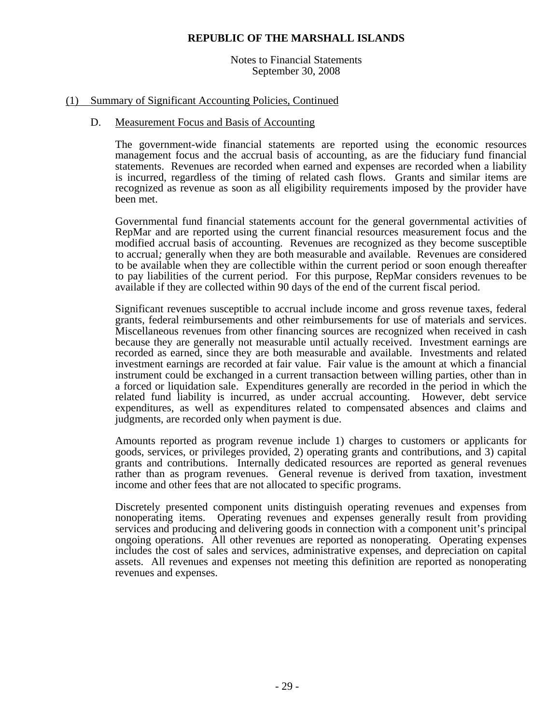Notes to Financial Statements September 30, 2008

## (1) Summary of Significant Accounting Policies, Continued

## D. Measurement Focus and Basis of Accounting

The government-wide financial statements are reported using the economic resources management focus and the accrual basis of accounting, as are the fiduciary fund financial statements. Revenues are recorded when earned and expenses are recorded when a liability is incurred, regardless of the timing of related cash flows. Grants and similar items are recognized as revenue as soon as all eligibility requirements imposed by the provider have been met.

Governmental fund financial statements account for the general governmental activities of RepMar and are reported using the current financial resources measurement focus and the modified accrual basis of accounting. Revenues are recognized as they become susceptible to accrual*;* generally when they are both measurable and available. Revenues are considered to be available when they are collectible within the current period or soon enough thereafter to pay liabilities of the current period. For this purpose, RepMar considers revenues to be available if they are collected within 90 days of the end of the current fiscal period.

Significant revenues susceptible to accrual include income and gross revenue taxes, federal grants, federal reimbursements and other reimbursements for use of materials and services. Miscellaneous revenues from other financing sources are recognized when received in cash because they are generally not measurable until actually received. Investment earnings are recorded as earned, since they are both measurable and available. Investments and related investment earnings are recorded at fair value. Fair value is the amount at which a financial instrument could be exchanged in a current transaction between willing parties, other than in a forced or liquidation sale. Expenditures generally are recorded in the period in which the related fund liability is incurred, as under accrual accounting. However, debt service expenditures, as well as expenditures related to compensated absences and claims and judgments, are recorded only when payment is due.

Amounts reported as program revenue include 1) charges to customers or applicants for goods, services, or privileges provided, 2) operating grants and contributions, and 3) capital grants and contributions. Internally dedicated resources are reported as general revenues rather than as program revenues. General revenue is derived from taxation, investment income and other fees that are not allocated to specific programs.

Discretely presented component units distinguish operating revenues and expenses from nonoperating items. Operating revenues and expenses generally result from providing services and producing and delivering goods in connection with a component unit's principal ongoing operations. All other revenues are reported as nonoperating. Operating expenses includes the cost of sales and services, administrative expenses, and depreciation on capital assets. All revenues and expenses not meeting this definition are reported as nonoperating revenues and expenses.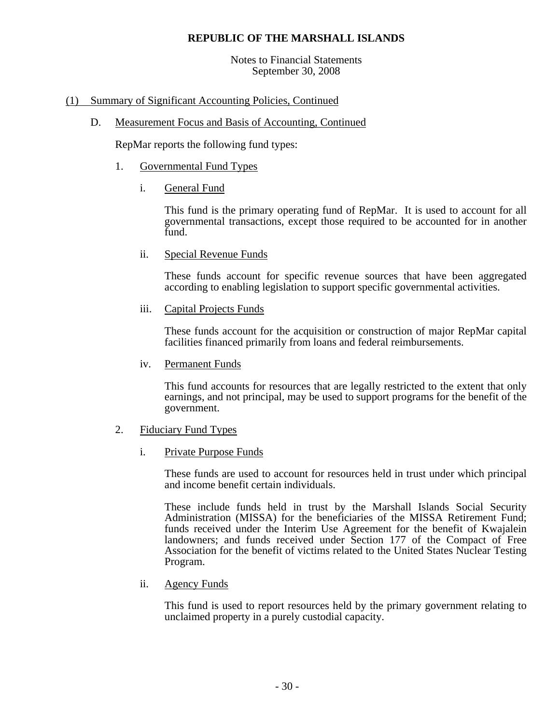Notes to Financial Statements September 30, 2008

## (1) Summary of Significant Accounting Policies, Continued

D. Measurement Focus and Basis of Accounting, Continued

RepMar reports the following fund types:

- 1. Governmental Fund Types
	- i. General Fund

This fund is the primary operating fund of RepMar. It is used to account for all governmental transactions, except those required to be accounted for in another fund.

ii. Special Revenue Funds

These funds account for specific revenue sources that have been aggregated according to enabling legislation to support specific governmental activities.

iii. Capital Projects Funds

These funds account for the acquisition or construction of major RepMar capital facilities financed primarily from loans and federal reimbursements.

iv. Permanent Funds

This fund accounts for resources that are legally restricted to the extent that only earnings, and not principal, may be used to support programs for the benefit of the government.

- 2. Fiduciary Fund Types
	- i. Private Purpose Funds

These funds are used to account for resources held in trust under which principal and income benefit certain individuals.

These include funds held in trust by the Marshall Islands Social Security Administration (MISSA) for the beneficiaries of the MISSA Retirement Fund; funds received under the Interim Use Agreement for the benefit of Kwajalein landowners; and funds received under Section 177 of the Compact of Free Association for the benefit of victims related to the United States Nuclear Testing Program.

ii. Agency Funds

This fund is used to report resources held by the primary government relating to unclaimed property in a purely custodial capacity.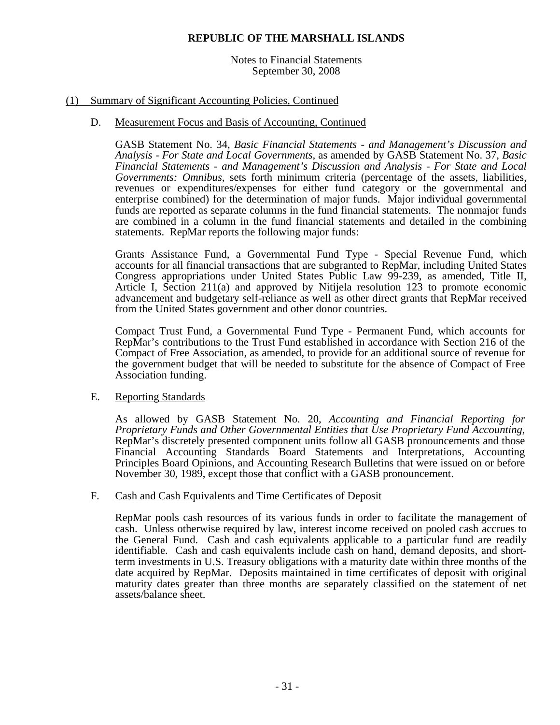## Notes to Financial Statements September 30, 2008

## (1) Summary of Significant Accounting Policies, Continued

## D. Measurement Focus and Basis of Accounting, Continued

GASB Statement No. 34, *Basic Financial Statements - and Management's Discussion and Analysis - For State and Local Governments,* as amended by GASB Statement No. 37, *Basic Financial Statements - and Management's Discussion and Analysis - For State and Local Governments: Omnibus,* sets forth minimum criteria (percentage of the assets, liabilities, revenues or expenditures/expenses for either fund category or the governmental and enterprise combined) for the determination of major funds. Major individual governmental funds are reported as separate columns in the fund financial statements. The nonmajor funds are combined in a column in the fund financial statements and detailed in the combining statements. RepMar reports the following major funds:

Grants Assistance Fund, a Governmental Fund Type - Special Revenue Fund, which accounts for all financial transactions that are subgranted to RepMar, including United States Congress appropriations under United States Public Law 99-239, as amended, Title II, Article I, Section 211(a) and approved by Nitijela resolution 123 to promote economic advancement and budgetary self-reliance as well as other direct grants that RepMar received from the United States government and other donor countries.

Compact Trust Fund, a Governmental Fund Type - Permanent Fund, which accounts for RepMar's contributions to the Trust Fund established in accordance with Section 216 of the Compact of Free Association, as amended, to provide for an additional source of revenue for the government budget that will be needed to substitute for the absence of Compact of Free Association funding.

## E. Reporting Standards

As allowed by GASB Statement No. 20, *Accounting and Financial Reporting for*  RepMar's discretely presented component units follow all GASB pronouncements and those Financial Accounting Standards Board Statements and Interpretations, Accounting Principles Board Opinions, and Accounting Research Bulletins that were issued on or before November 30, 1989, except those that conflict with a GASB pronouncement.

## F. Cash and Cash Equivalents and Time Certificates of Deposit

RepMar pools cash resources of its various funds in order to facilitate the management of cash. Unless otherwise required by law, interest income received on pooled cash accrues to the General Fund. Cash and cash equivalents applicable to a particular fund are readily identifiable. Cash and cash equivalents include cash on hand, demand deposits, and shortterm investments in U.S. Treasury obligations with a maturity date within three months of the date acquired by RepMar. Deposits maintained in time certificates of deposit with original maturity dates greater than three months are separately classified on the statement of net assets/balance sheet.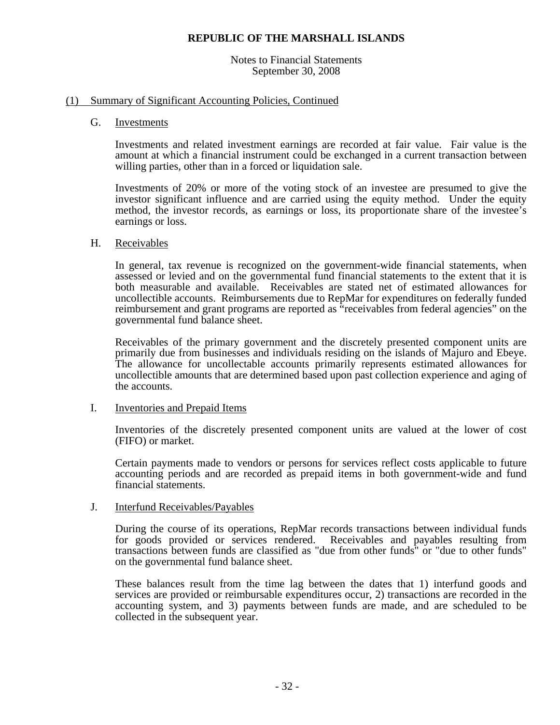## Notes to Financial Statements September 30, 2008

## (1) Summary of Significant Accounting Policies, Continued

## G. Investments

Investments and related investment earnings are recorded at fair value. Fair value is the amount at which a financial instrument could be exchanged in a current transaction between willing parties, other than in a forced or liquidation sale.

Investments of 20% or more of the voting stock of an investee are presumed to give the investor significant influence and are carried using the equity method. Under the equity method, the investor records, as earnings or loss, its proportionate share of the investee's earnings or loss.

## H. Receivables

In general, tax revenue is recognized on the government-wide financial statements, when assessed or levied and on the governmental fund financial statements to the extent that it is both measurable and available. Receivables are stated net of estimated allowances for uncollectible accounts. Reimbursements due to RepMar for expenditures on federally funded reimbursement and grant programs are reported as "receivables from federal agencies" on the governmental fund balance sheet.

Receivables of the primary government and the discretely presented component units are primarily due from businesses and individuals residing on the islands of Majuro and Ebeye. The allowance for uncollectable accounts primarily represents estimated allowances for uncollectible amounts that are determined based upon past collection experience and aging of the accounts.

## I. Inventories and Prepaid Items

Inventories of the discretely presented component units are valued at the lower of cost (FIFO) or market.

Certain payments made to vendors or persons for services reflect costs applicable to future accounting periods and are recorded as prepaid items in both government-wide and fund financial statements.

## J. Interfund Receivables/Payables

During the course of its operations, RepMar records transactions between individual funds for goods provided or services rendered. Receivables and payables resulting from transactions between funds are classified as "due from other funds" or "due to other funds" on the governmental fund balance sheet.

These balances result from the time lag between the dates that 1) interfund goods and services are provided or reimbursable expenditures occur, 2) transactions are recorded in the accounting system, and 3) payments between funds are made, and are scheduled to be collected in the subsequent year.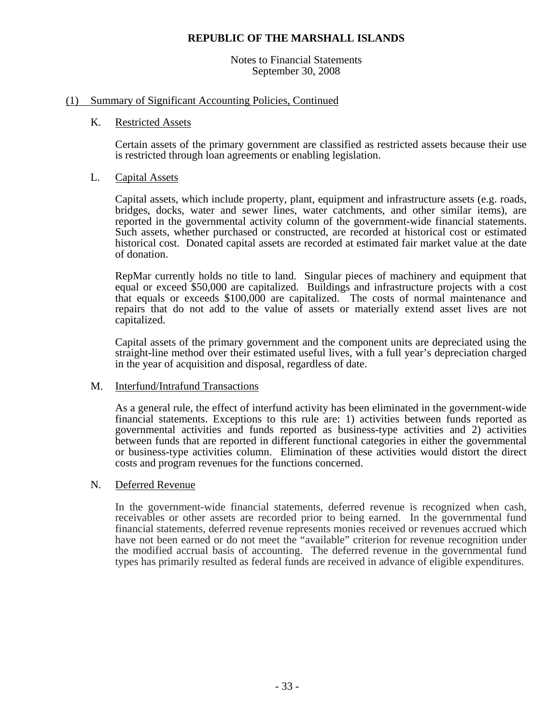Notes to Financial Statements September 30, 2008

## (1) Summary of Significant Accounting Policies, Continued

## K. Restricted Assets

Certain assets of the primary government are classified as restricted assets because their use is restricted through loan agreements or enabling legislation.

## L. Capital Assets

Capital assets, which include property, plant, equipment and infrastructure assets (e.g. roads, bridges, docks, water and sewer lines, water catchments, and other similar items), are reported in the governmental activity column of the government-wide financial statements. Such assets, whether purchased or constructed, are recorded at historical cost or estimated historical cost. Donated capital assets are recorded at estimated fair market value at the date of donation.

RepMar currently holds no title to land. Singular pieces of machinery and equipment that equal or exceed \$50,000 are capitalized. Buildings and infrastructure projects with a cost that equals or exceeds \$100,000 are capitalized. The costs of normal maintenance and repairs that do not add to the value of assets or materially extend asset lives are not capitalized.

Capital assets of the primary government and the component units are depreciated using the straight-line method over their estimated useful lives, with a full year's depreciation charged in the year of acquisition and disposal, regardless of date.

## M. Interfund/Intrafund Transactions

As a general rule, the effect of interfund activity has been eliminated in the government-wide financial statements. Exceptions to this rule are: 1) activities between funds reported as governmental activities and funds reported as business-type activities and 2) activities between funds that are reported in different functional categories in either the governmental or business-type activities column. Elimination of these activities would distort the direct costs and program revenues for the functions concerned.

### N. Deferred Revenue

In the government-wide financial statements, deferred revenue is recognized when cash, receivables or other assets are recorded prior to being earned. In the governmental fund financial statements, deferred revenue represents monies received or revenues accrued which have not been earned or do not meet the "available" criterion for revenue recognition under the modified accrual basis of accounting. The deferred revenue in the governmental fund types has primarily resulted as federal funds are received in advance of eligible expenditures.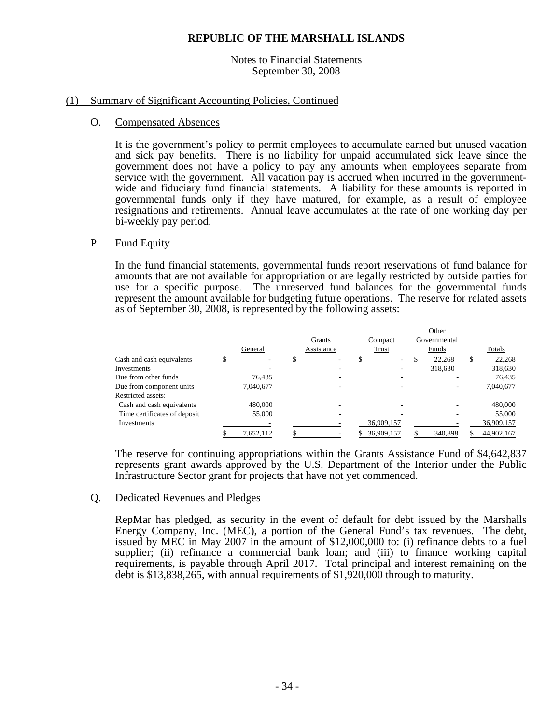#### Notes to Financial Statements September 30, 2008

### (1) Summary of Significant Accounting Policies, Continued

#### O. Compensated Absences

It is the government's policy to permit employees to accumulate earned but unused vacation and sick pay benefits. There is no liability for unpaid accumulated sick leave since the government does not have a policy to pay any amounts when employees separate from service with the government. All vacation pay is accrued when incurred in the governmentwide and fiduciary fund financial statements. A liability for these amounts is reported in governmental funds only if they have matured, for example, as a result of employee resignations and retirements. Annual leave accumulates at the rate of one working day per bi-weekly pay period.

#### P. Fund Equity

 In the fund financial statements, governmental funds report reservations of fund balance for amounts that are not available for appropriation or are legally restricted by outside parties for use for a specific purpose. The unreserved fund balances for the governmental funds represent the amount available for budgeting future operations. The reserve for related assets as of September 30, 2008, is represented by the following assets:

|                              |   |           |   |            |            |                                 | Other        |              |
|------------------------------|---|-----------|---|------------|------------|---------------------------------|--------------|--------------|
|                              |   |           |   | Grants     | Compact    |                                 | Governmental |              |
|                              |   | General   |   | Assistance | Trust      |                                 | Funds        | Totals       |
| Cash and cash equivalents    | C | -         | D | ۰          |            | \$.<br>$\overline{\phantom{a}}$ | 22.268       | \$<br>22,268 |
| Investments                  |   |           |   |            |            |                                 | 318,630      | 318,630      |
| Due from other funds         |   | 76.435    |   |            |            |                                 |              | 76.435       |
| Due from component units     |   | 7,040,677 |   |            |            |                                 |              | 7,040,677    |
| Restricted assets:           |   |           |   |            |            |                                 |              |              |
| Cash and cash equivalents    |   | 480,000   |   |            |            |                                 |              | 480,000      |
| Time certificates of deposit |   | 55,000    |   |            |            |                                 |              | 55,000       |
| Investments                  |   |           |   |            | 36,909,157 |                                 |              | 36,909,157   |
|                              |   | 7,652,112 |   |            | 36,909,157 |                                 | 340,898      | 44,902,167   |

The reserve for continuing appropriations within the Grants Assistance Fund of \$4,642,837 represents grant awards approved by the U.S. Department of the Interior under the Public Infrastructure Sector grant for projects that have not yet commenced.

#### Q. Dedicated Revenues and Pledges

RepMar has pledged, as security in the event of default for debt issued by the Marshalls Energy Company, Inc. (MEC), a portion of the General Fund's tax revenues. The debt, issued by MEC in May 2007 in the amount of \$12,000,000 to: (i) refinance debts to a fuel supplier; (ii) refinance a commercial bank loan; and (iii) to finance working capital requirements, is payable through April 2017. Total principal and interest remaining on the debt is \$13,838,265, with annual requirements of \$1,920,000 through to maturity.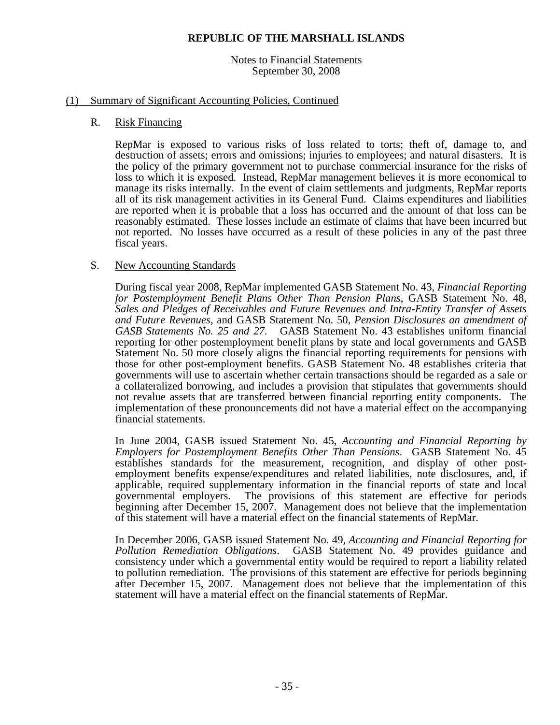Notes to Financial Statements September 30, 2008

#### (1) Summary of Significant Accounting Policies, Continued

#### R. Risk Financing

RepMar is exposed to various risks of loss related to torts; theft of, damage to, and destruction of assets; errors and omissions; injuries to employees; and natural disasters. It is the policy of the primary government not to purchase commercial insurance for the risks of loss to which it is exposed. Instead, RepMar management believes it is more economical to manage its risks internally. In the event of claim settlements and judgments, RepMar reports all of its risk management activities in its General Fund. Claims expenditures and liabilities are reported when it is probable that a loss has occurred and the amount of that loss can be reasonably estimated. These losses include an estimate of claims that have been incurred but not reported. No losses have occurred as a result of these policies in any of the past three fiscal years.

### S. New Accounting Standards

During fiscal year 2008, RepMar implemented GASB Statement No. 43, *Financial Reporting for Postemployment Benefit Plans Other Than Pension Plans*, GASB Statement No. 48, *Sales and Pledges of Receivables and Future Revenues and Intra-Entity Transfer of Assets and Future Revenues*, and GASB Statement No. 50, *Pension Disclosures an amendment of GASB Statements No. 25 and 27*. GASB Statement No. 43 establishes uniform financial reporting for other postemployment benefit plans by state and local governments and GASB Statement No. 50 more closely aligns the financial reporting requirements for pensions with those for other post-employment benefits. GASB Statement No. 48 establishes criteria that governments will use to ascertain whether certain transactions should be regarded as a sale or a collateralized borrowing, and includes a provision that stipulates that governments should not revalue assets that are transferred between financial reporting entity components. The implementation of these pronouncements did not have a material effect on the accompanying financial statements.

In June 2004, GASB issued Statement No. 45, *Accounting and Financial Reporting by Employers for Postemployment Benefits Other Than Pensions*. GASB Statement No. 45 establishes standards for the measurement, recognition, and display of other postemployment benefits expense/expenditures and related liabilities, note disclosures, and, if applicable, required supplementary information in the financial reports of state and local governmental employers. The provisions of this statement are effective for periods beginning after December 15, 2007. Management does not believe that the implementation of this statement will have a material effect on the financial statements of RepMar.

In December 2006, GASB issued Statement No. 49, *Accounting and Financial Reporting for Pollution Remediation Obligations*. GASB Statement No. 49 provides guidance and consistency under which a governmental entity would be required to report a liability related to pollution remediation. The provisions of this statement are effective for periods beginning after December 15, 2007. Management does not believe that the implementation of this statement will have a material effect on the financial statements of RepMar.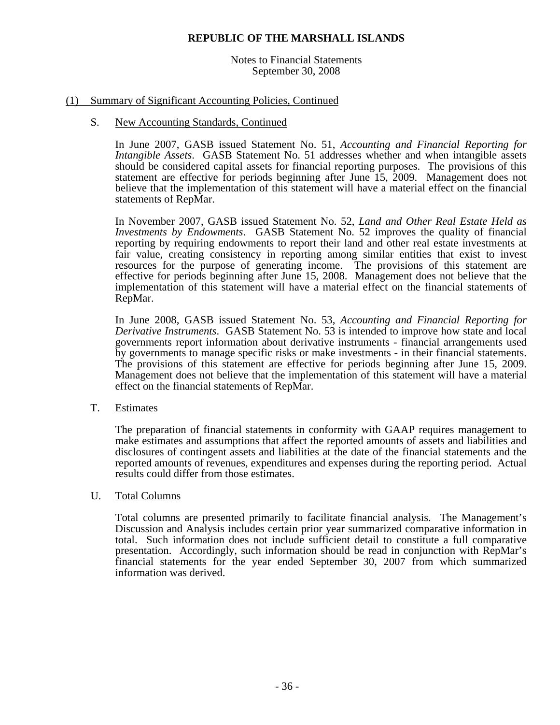Notes to Financial Statements September 30, 2008

#### (1) Summary of Significant Accounting Policies, Continued

#### S. New Accounting Standards, Continued

In June 2007, GASB issued Statement No. 51, *Accounting and Financial Reporting for Intangible Assets*. GASB Statement No. 51 addresses whether and when intangible assets should be considered capital assets for financial reporting purposes. The provisions of this statement are effective for periods beginning after June 15, 2009. Management does not believe that the implementation of this statement will have a material effect on the financial statements of RepMar.

In November 2007, GASB issued Statement No. 52, *Land and Other Real Estate Held as Investments by Endowments*. GASB Statement No. 52 improves the quality of financial reporting by requiring endowments to report their land and other real estate investments at fair value, creating consistency in reporting among similar entities that exist to invest resources for the purpose of generating income. The provisions of this statement are effective for periods beginning after June 15, 2008. Management does not believe that the implementation of this statement will have a material effect on the financial statements of RepMar.

In June 2008, GASB issued Statement No. 53, *Accounting and Financial Reporting for Derivative Instruments*. GASB Statement No. 53 is intended to improve how state and local governments report information about derivative instruments - financial arrangements used by governments to manage specific risks or make investments - in their financial statements. The provisions of this statement are effective for periods beginning after June 15, 2009. Management does not believe that the implementation of this statement will have a material effect on the financial statements of RepMar.

#### T. Estimates

The preparation of financial statements in conformity with GAAP requires management to make estimates and assumptions that affect the reported amounts of assets and liabilities and disclosures of contingent assets and liabilities at the date of the financial statements and the reported amounts of revenues, expenditures and expenses during the reporting period. Actual results could differ from those estimates.

#### U. Total Columns

Total columns are presented primarily to facilitate financial analysis. The Management's Discussion and Analysis includes certain prior year summarized comparative information in total. Such information does not include sufficient detail to constitute a full comparative presentation. Accordingly, such information should be read in conjunction with RepMar's financial statements for the year ended September 30, 2007 from which summarized information was derived.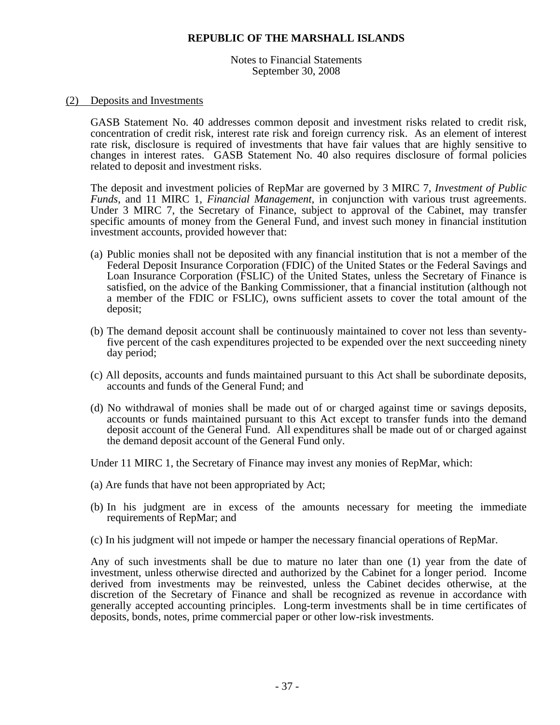Notes to Financial Statements September 30, 2008

#### (2) Deposits and Investments

GASB Statement No. 40 addresses common deposit and investment risks related to credit risk, concentration of credit risk, interest rate risk and foreign currency risk. As an element of interest rate risk, disclosure is required of investments that have fair values that are highly sensitive to changes in interest rates. GASB Statement No. 40 also requires disclosure of formal policies related to deposit and investment risks.

The deposit and investment policies of RepMar are governed by 3 MIRC 7, *Investment of Public Funds*, and 11 MIRC 1, *Financial Management*, in conjunction with various trust agreements. Under 3 MIRC 7, the Secretary of Finance, subject to approval of the Cabinet, may transfer specific amounts of money from the General Fund, and invest such money in financial institution investment accounts, provided however that:

- (a) Public monies shall not be deposited with any financial institution that is not a member of the Federal Deposit Insurance Corporation (FDIC) of the United States or the Federal Savings and Loan Insurance Corporation (FSLIC) of the United States, unless the Secretary of Finance is satisfied, on the advice of the Banking Commissioner, that a financial institution (although not a member of the FDIC or FSLIC), owns sufficient assets to cover the total amount of the deposit;
- (b) The demand deposit account shall be continuously maintained to cover not less than seventyfive percent of the cash expenditures projected to be expended over the next succeeding ninety day period;
- (c) All deposits, accounts and funds maintained pursuant to this Act shall be subordinate deposits, accounts and funds of the General Fund; and
- (d) No withdrawal of monies shall be made out of or charged against time or savings deposits, accounts or funds maintained pursuant to this Act except to transfer funds into the demand deposit account of the General Fund. All expenditures shall be made out of or charged against the demand deposit account of the General Fund only.

Under 11 MIRC 1, the Secretary of Finance may invest any monies of RepMar, which:

- (a) Are funds that have not been appropriated by Act;
- (b) In his judgment are in excess of the amounts necessary for meeting the immediate requirements of RepMar; and
- (c) In his judgment will not impede or hamper the necessary financial operations of RepMar.

Any of such investments shall be due to mature no later than one (1) year from the date of investment, unless otherwise directed and authorized by the Cabinet for a longer period. Income derived from investments may be reinvested, unless the Cabinet decides otherwise, at the discretion of the Secretary of Finance and shall be recognized as revenue in accordance with generally accepted accounting principles. Long-term investments shall be in time certificates of deposits, bonds, notes, prime commercial paper or other low-risk investments.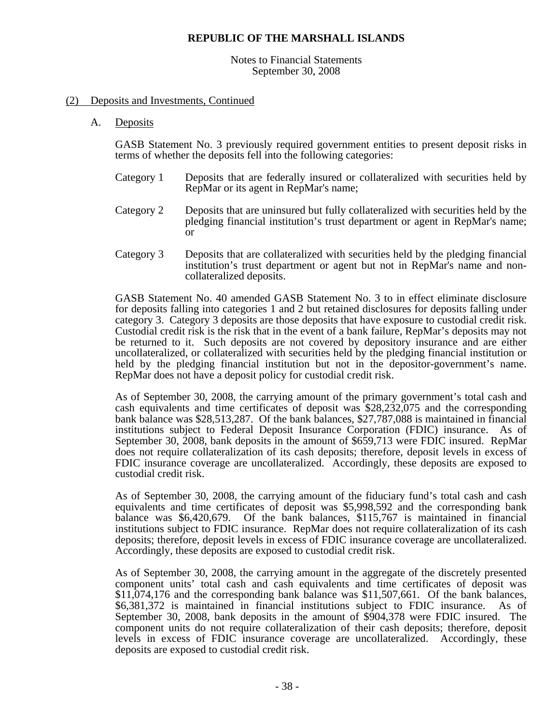#### Notes to Financial Statements September 30, 2008

#### (2) Deposits and Investments, Continued

A. Deposits

GASB Statement No. 3 previously required government entities to present deposit risks in terms of whether the deposits fell into the following categories:

- Category 1 Deposits that are federally insured or collateralized with securities held by RepMar or its agent in RepMar's name;
- Category 2 Deposits that are uninsured but fully collateralized with securities held by the pledging financial institution's trust department or agent in RepMar's name; or
- Category 3 Deposits that are collateralized with securities held by the pledging financial institution's trust department or agent but not in RepMar's name and noncollateralized deposits.

GASB Statement No. 40 amended GASB Statement No. 3 to in effect eliminate disclosure for deposits falling into categories 1 and 2 but retained disclosures for deposits falling under category 3. Category 3 deposits are those deposits that have exposure to custodial credit risk. Custodial credit risk is the risk that in the event of a bank failure, RepMar's deposits may not be returned to it. Such deposits are not covered by depository insurance and are either uncollateralized, or collateralized with securities held by the pledging financial institution or held by the pledging financial institution but not in the depositor-government's name. RepMar does not have a deposit policy for custodial credit risk.

As of September 30, 2008, the carrying amount of the primary government's total cash and cash equivalents and time certificates of deposit was \$28,232,075 and the corresponding bank balance was \$28,513,287. Of the bank balances, \$27,787,088 is maintained in financial institutions subject to Federal Deposit Insurance Corporation (FDIC) insurance. As of September 30, 2008, bank deposits in the amount of \$659,713 were FDIC insured. RepMar does not require collateralization of its cash deposits; therefore, deposit levels in excess of FDIC insurance coverage are uncollateralized. Accordingly, these deposits are exposed to custodial credit risk.

As of September 30, 2008, the carrying amount of the fiduciary fund's total cash and cash equivalents and time certificates of deposit was \$5,998,592 and the corresponding bank balance was \$6,420,679. Of the bank balances, \$115,767 is maintained in financial institutions subject to FDIC insurance. RepMar does not require collateralization of its cash deposits; therefore, deposit levels in excess of FDIC insurance coverage are uncollateralized. Accordingly, these deposits are exposed to custodial credit risk.

As of September 30, 2008, the carrying amount in the aggregate of the discretely presented component units' total cash and cash equivalents and time certificates of deposit was \$11,074,176 and the corresponding bank balance was \$11,507,661. Of the bank balances, \$6,381,372 is maintained in financial institutions subject to FDIC insurance. As of September 30, 2008, bank deposits in the amount of \$904,378 were FDIC insured. The component units do not require collateralization of their cash deposits; therefore, deposit levels in excess of FDIC insurance coverage are uncollateralized. Accordingly, these deposits are exposed to custodial credit risk.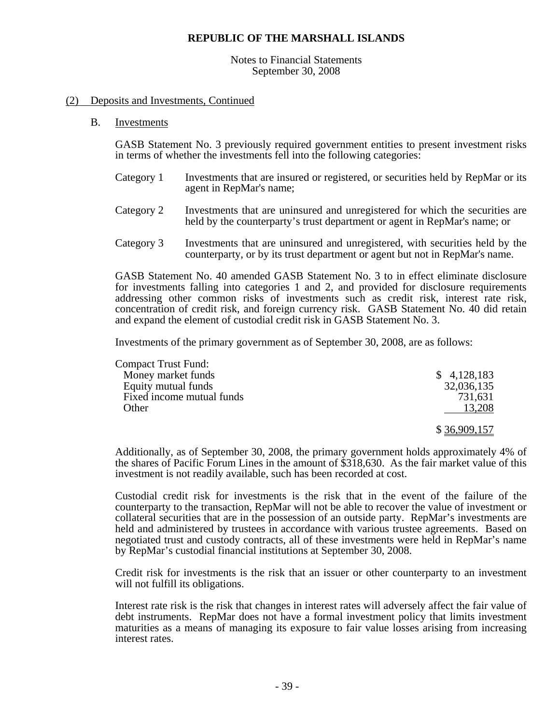#### Notes to Financial Statements September 30, 2008

#### (2) Deposits and Investments, Continued

B. Investments

GASB Statement No. 3 previously required government entities to present investment risks in terms of whether the investments fell into the following categories:

- Category 1 Investments that are insured or registered, or securities held by RepMar or its agent in RepMar's name;
- Category 2 Investments that are uninsured and unregistered for which the securities are held by the counterparty's trust department or agent in RepMar's name; or
- Category 3 Investments that are uninsured and unregistered, with securities held by the counterparty, or by its trust department or agent but not in RepMar's name.

GASB Statement No. 40 amended GASB Statement No. 3 to in effect eliminate disclosure for investments falling into categories 1 and 2, and provided for disclosure requirements addressing other common risks of investments such as credit risk, interest rate risk, concentration of credit risk, and foreign currency risk. GASB Statement No. 40 did retain and expand the element of custodial credit risk in GASB Statement No. 3.

Investments of the primary government as of September 30, 2008, are as follows:

| <b>Compact Trust Fund:</b> |              |
|----------------------------|--------------|
| Money market funds         | \$4,128,183  |
| Equity mutual funds        | 32,036,135   |
| Fixed income mutual funds  | 731,631      |
| Other                      | 13,208       |
|                            | \$36,909,157 |

Additionally, as of September 30, 2008, the primary government holds approximately 4% of the shares of Pacific Forum Lines in the amount of \$318,630. As the fair market value of this investment is not readily available, such has been recorded at cost.

Custodial credit risk for investments is the risk that in the event of the failure of the counterparty to the transaction, RepMar will not be able to recover the value of investment or collateral securities that are in the possession of an outside party. RepMar's investments are held and administered by trustees in accordance with various trustee agreements. Based on negotiated trust and custody contracts, all of these investments were held in RepMar's name by RepMar's custodial financial institutions at September 30, 2008.

 Credit risk for investments is the risk that an issuer or other counterparty to an investment will not fulfill its obligations.

Interest rate risk is the risk that changes in interest rates will adversely affect the fair value of debt instruments. RepMar does not have a formal investment policy that limits investment maturities as a means of managing its exposure to fair value losses arising from increasing interest rates.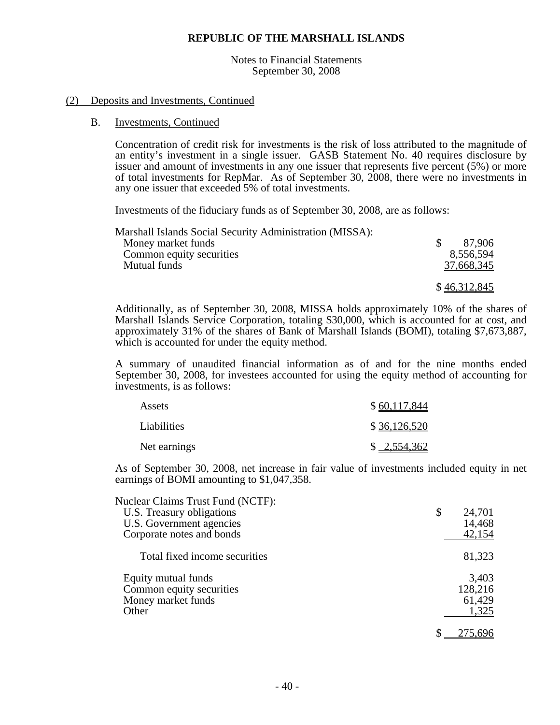Notes to Financial Statements September 30, 2008

#### (2) Deposits and Investments, Continued

#### B. Investments, Continued

Concentration of credit risk for investments is the risk of loss attributed to the magnitude of an entity's investment in a single issuer. GASB Statement No. 40 requires disclosure by issuer and amount of investments in any one issuer that represents five percent (5%) or more of total investments for RepMar. As of September 30, 2008, there were no investments in any one issuer that exceeded 5% of total investments.

Investments of the fiduciary funds as of September 30, 2008, are as follows:

| Marshall Islands Social Security Administration (MISSA): |              |
|----------------------------------------------------------|--------------|
| Money market funds                                       | 87.906       |
| Common equity securities                                 | 8,556,594    |
| Mutual funds                                             | 37,668,345   |
|                                                          |              |
|                                                          | \$46,312,845 |

Additionally, as of September 30, 2008, MISSA holds approximately 10% of the shares of Marshall Islands Service Corporation, totaling \$30,000, which is accounted for at cost, and approximately 31% of the shares of Bank of Marshall Islands (BOMI), totaling \$7,673,887, which is accounted for under the equity method.

A summary of unaudited financial information as of and for the nine months ended September 30, 2008, for investees accounted for using the equity method of accounting for investments, is as follows:

| Assets       | \$60,117,844 |
|--------------|--------------|
| Liabilities  | \$36,126,520 |
| Net earnings | \$2,554,362  |

As of September 30, 2008, net increase in fair value of investments included equity in net earnings of BOMI amounting to \$1,047,358.

| <b>Nuclear Claims Trust Fund (NCTF):</b> |              |
|------------------------------------------|--------------|
| U.S. Treasury obligations                | \$<br>24,701 |
| U.S. Government agencies                 | 14,468       |
| Corporate notes and bonds                | 42,154       |
| Total fixed income securities            | 81,323       |
| Equity mutual funds                      | 3,403        |
| Common equity securities                 | 128,216      |
| Money market funds                       | 61,429       |
| Other                                    | 1,325        |
|                                          |              |
|                                          |              |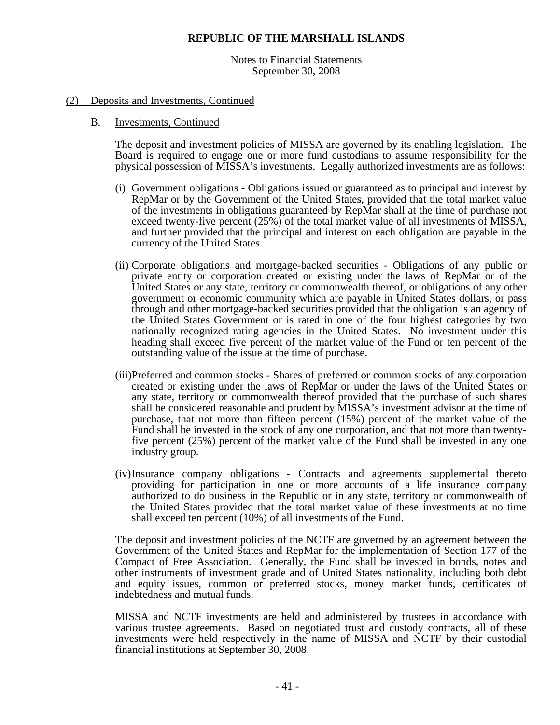Notes to Financial Statements September 30, 2008

#### (2) Deposits and Investments, Continued

#### B. Investments, Continued

The deposit and investment policies of MISSA are governed by its enabling legislation. The Board is required to engage one or more fund custodians to assume responsibility for the physical possession of MISSA's investments. Legally authorized investments are as follows:

- (i) Government obligations Obligations issued or guaranteed as to principal and interest by RepMar or by the Government of the United States, provided that the total market value of the investments in obligations guaranteed by RepMar shall at the time of purchase not exceed twenty-five percent (25%) of the total market value of all investments of MISSA, and further provided that the principal and interest on each obligation are payable in the currency of the United States.
- (ii) Corporate obligations and mortgage-backed securities Obligations of any public or private entity or corporation created or existing under the laws of RepMar or of the United States or any state, territory or commonwealth thereof, or obligations of any other government or economic community which are payable in United States dollars, or pass through and other mortgage-backed securities provided that the obligation is an agency of the United States Government or is rated in one of the four highest categories by two nationally recognized rating agencies in the United States. No investment under this heading shall exceed five percent of the market value of the Fund or ten percent of the outstanding value of the issue at the time of purchase.
- (iii)Preferred and common stocks Shares of preferred or common stocks of any corporation created or existing under the laws of RepMar or under the laws of the United States or any state, territory or commonwealth thereof provided that the purchase of such shares shall be considered reasonable and prudent by MISSA's investment advisor at the time of purchase, that not more than fifteen percent (15%) percent of the market value of the Fund shall be invested in the stock of any one corporation, and that not more than twentyfive percent (25%) percent of the market value of the Fund shall be invested in any one industry group.
- (iv) Insurance company obligations Contracts and agreements supplemental thereto providing for participation in one or more accounts of a life insurance company authorized to do business in the Republic or in any state, territory or commonwealth of the United States provided that the total market value of these investments at no time shall exceed ten percent (10%) of all investments of the Fund.

The deposit and investment policies of the NCTF are governed by an agreement between the Government of the United States and RepMar for the implementation of Section 177 of the Compact of Free Association. Generally, the Fund shall be invested in bonds, notes and other instruments of investment grade and of United States nationality, including both debt and equity issues, common or preferred stocks, money market funds, certificates of indebtedness and mutual funds.

MISSA and NCTF investments are held and administered by trustees in accordance with various trustee agreements. Based on negotiated trust and custody contracts, all of these investments were held respectively in the name of MISSA and NCTF by their custodial financial institutions at September 30, 2008.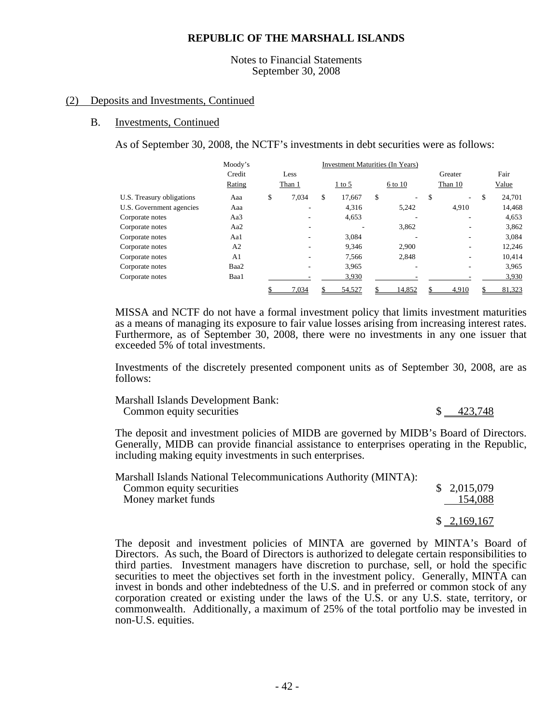#### Notes to Financial Statements September 30, 2008

#### (2) Deposits and Investments, Continued

#### B. Investments, Continued

As of September 30, 2008, the NCTF's investments in debt securities were as follows:

|                           | Moody's        |             |    |          | Investment Maturities (In Years) |          |              |  |
|---------------------------|----------------|-------------|----|----------|----------------------------------|----------|--------------|--|
|                           | Credit         | Less        |    |          |                                  | Greater  | Fair         |  |
|                           | Rating         | Than 1      |    | $1$ to 5 | 6 to 10                          | Than 10  | Value        |  |
| U.S. Treasury obligations | Aaa            | \$<br>7,034 | \$ | 17.667   | \$<br>۰.                         | \$<br>۰. | \$<br>24.701 |  |
| U.S. Government agencies  | Aaa            |             |    | 4,316    | 5,242                            | 4,910    | 14,468       |  |
| Corporate notes           | Aa3            |             |    | 4,653    |                                  |          | 4,653        |  |
| Corporate notes           | Aa2            |             |    |          | 3,862                            |          | 3,862        |  |
| Corporate notes           | Aa1            |             |    | 3,084    |                                  |          | 3,084        |  |
| Corporate notes           | A2             |             |    | 9.346    | 2.900                            |          | 12.246       |  |
| Corporate notes           | A <sub>1</sub> |             |    | 7,566    | 2,848                            |          | 10,414       |  |
| Corporate notes           | Baa2           |             |    | 3,965    |                                  |          | 3.965        |  |
| Corporate notes           | Baa1           |             |    | 3,930    |                                  |          | 3,930        |  |
|                           |                | 7,034       |    | 54,527   | 14.852                           | 4.910    | 81,323       |  |

MISSA and NCTF do not have a formal investment policy that limits investment maturities as a means of managing its exposure to fair value losses arising from increasing interest rates. Furthermore, as of September 30, 2008, there were no investments in any one issuer that exceeded 5% of total investments.

Investments of the discretely presented component units as of September 30, 2008, are as follows:

Marshall Islands Development Bank: Common equity securities  $\frac{1}{2}$   $\frac{423,748}{2}$ 

The deposit and investment policies of MIDB are governed by MIDB's Board of Directors. Generally, MIDB can provide financial assistance to enterprises operating in the Republic, including making equity investments in such enterprises.

| Marshall Islands National Telecommunications Authority (MINTA):<br>Common equity securities<br>Money market funds | \$2,015,079<br>154,088 |
|-------------------------------------------------------------------------------------------------------------------|------------------------|
|                                                                                                                   | \$2,169,167            |

The deposit and investment policies of MINTA are governed by MINTA's Board of Directors. As such, the Board of Directors is authorized to delegate certain responsibilities to third parties. Investment managers have discretion to purchase, sell, or hold the specific securities to meet the objectives set forth in the investment policy. Generally, MINTA can invest in bonds and other indebtedness of the U.S. and in preferred or common stock of any corporation created or existing under the laws of the U.S. or any U.S. state, territory, or commonwealth. Additionally, a maximum of 25% of the total portfolio may be invested in non-U.S. equities.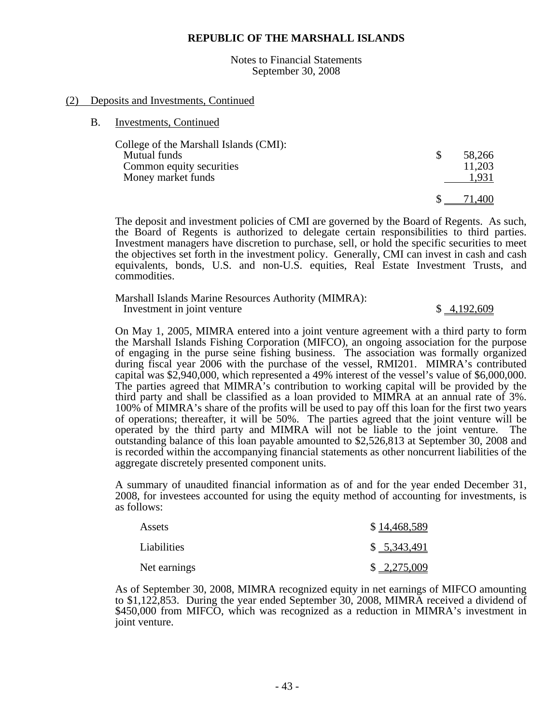Notes to Financial Statements September 30, 2008

#### (2) Deposits and Investments, Continued

B. Investments, Continued

| College of the Marshall Islands (CMI): |        |
|----------------------------------------|--------|
| Mutual funds                           | 58,266 |
| Common equity securities               | 11,203 |
| Money market funds                     | 1.931  |
|                                        |        |
|                                        |        |

The deposit and investment policies of CMI are governed by the Board of Regents. As such, the Board of Regents is authorized to delegate certain responsibilities to third parties. Investment managers have discretion to purchase, sell, or hold the specific securities to meet the objectives set forth in the investment policy. Generally, CMI can invest in cash and cash equivalents, bonds, U.S. and non-U.S. equities, Real Estate Investment Trusts, and commodities.

Marshall Islands Marine Resources Authority (MIMRA): Investment in joint venture \$ 4,192,609

On May 1, 2005, MIMRA entered into a joint venture agreement with a third party to form the Marshall Islands Fishing Corporation (MIFCO), an ongoing association for the purpose of engaging in the purse seine fishing business. The association was formally organized during fiscal year 2006 with the purchase of the vessel, RMI201. MIMRA's contributed capital was \$2,940,000, which represented a 49% interest of the vessel's value of \$6,000,000. The parties agreed that MIMRA's contribution to working capital will be provided by the third party and shall be classified as a loan provided to MIMRA at an annual rate of 3%. 100% of MIMRA's share of the profits will be used to pay off this loan for the first two years of operations; thereafter, it will be 50%. The parties agreed that the joint venture will be operated by the third party and MIMRA will not be liable to the joint venture. The outstanding balance of this loan payable amounted to \$2,526,813 at September 30, 2008 and is recorded within the accompanying financial statements as other noncurrent liabilities of the aggregate discretely presented component units.

A summary of unaudited financial information as of and for the year ended December 31, 2008, for investees accounted for using the equity method of accounting for investments, is as follows:

| Assets       | \$14,468,589 |
|--------------|--------------|
| Liabilities  | \$ 5,343,491 |
| Net earnings | \$2,275,009  |

As of September 30, 2008, MIMRA recognized equity in net earnings of MIFCO amounting to \$1,122,853. During the year ended September 30, 2008, MIMRA received a dividend of \$450,000 from MIFCO, which was recognized as a reduction in MIMRA's investment in joint venture.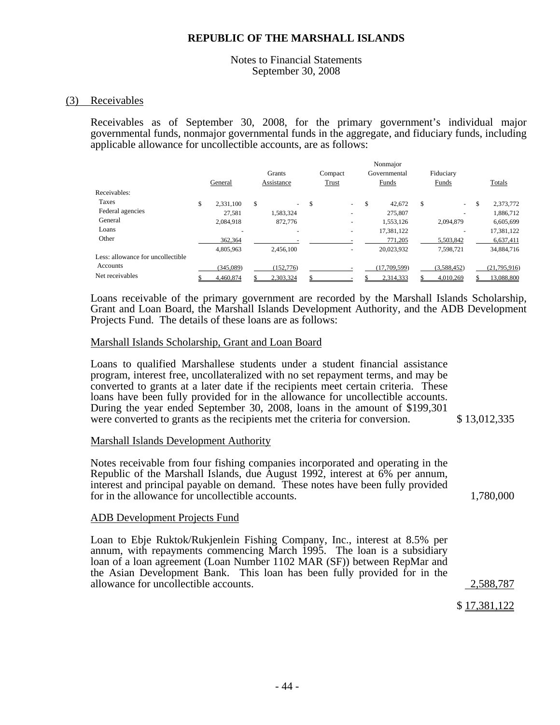#### Notes to Financial Statements September 30, 2008

#### (3) Receivables

Receivables as of September 30, 2008, for the primary government's individual major governmental funds, nonmajor governmental funds in the aggregate, and fiduciary funds, including applicable allowance for uncollectible accounts, are as follows:

|                                   |                 |        |                          |    |                          | Nonmajor     |       |             |                 |
|-----------------------------------|-----------------|--------|--------------------------|----|--------------------------|--------------|-------|-------------|-----------------|
|                                   |                 | Grants |                          |    | Compact                  | Governmental |       | Fiduciary   |                 |
|                                   | General         |        | Assistance               |    | Trust                    | Funds        | Funds |             | Totals          |
| Receivables:                      |                 |        |                          |    |                          |              |       |             |                 |
| Taxes                             | \$<br>2,331,100 | \$     | $\overline{\phantom{a}}$ | \$ | $\sim$                   | \$<br>42,672 | \$    | $\sim$      | \$<br>2,373,772 |
| Federal agencies                  | 27,581          |        | 1,583,324                |    |                          | 275,807      |       |             | 1,886,712       |
| General                           | 2,084,918       |        | 872,776                  |    |                          | 1,553,126    |       | 2,094,879   | 6,605,699       |
| Loans                             |                 |        |                          |    | ۰                        | 17,381,122   |       |             | 17,381,122      |
| Other                             | 362,364         |        |                          |    |                          | 771,205      |       | 5,503,842   | 6,637,411       |
|                                   | 4,805,963       |        | 2.456.100                |    | $\overline{\phantom{a}}$ | 20,023,932   |       | 7,598,721   | 34,884,716      |
| Less: allowance for uncollectible |                 |        |                          |    |                          |              |       |             |                 |
| Accounts                          | (345,089)       |        | (152, 776)               |    |                          | (17,709,599) |       | (3,588,452) | (21,795,916)    |
| Net receivables                   | 4,460,874       |        | 2,303,324                |    |                          | 2,314,333    |       | 4,010,269   | 13,088,800      |

Loans receivable of the primary government are recorded by the Marshall Islands Scholarship, Grant and Loan Board, the Marshall Islands Development Authority, and the ADB Development Projects Fund. The details of these loans are as follows:

#### Marshall Islands Scholarship, Grant and Loan Board

Loans to qualified Marshallese students under a student financial assistance program, interest free, uncollateralized with no set repayment terms, and may be converted to grants at a later date if the recipients meet certain criteria. These loans have been fully provided for in the allowance for uncollectible accounts. During the year ended September 30, 2008, loans in the amount of \$199,301 were converted to grants as the recipients met the criteria for conversion. \$ 13,012,335

#### Marshall Islands Development Authority

Notes receivable from four fishing companies incorporated and operating in the Republic of the Marshall Islands, due August 1992, interest at 6% per annum, interest and principal payable on demand. These notes have been fully provided for in the allowance for uncollectible accounts. 1,780,000

#### ADB Development Projects Fund

Loan to Ebje Ruktok/Rukjenlein Fishing Company, Inc., interest at 8.5% per annum, with repayments commencing March 1995. The loan is a subsidiary loan of a loan agreement (Loan Number 1102 MAR (SF)) between RepMar and the Asian Development Bank. This loan has been fully provided for in the allowance for uncollectible accounts. 2,588,787

\$ 17,381,122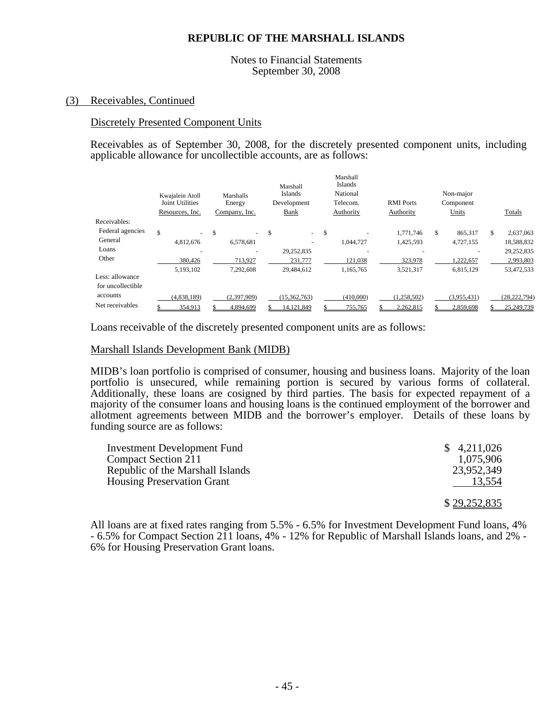#### Notes to Financial Statements September 30, 2008

#### (3) Receivables, Continued

#### Discretely Presented Component Units

Receivables as of September 30, 2008, for the discretely presented component units, including applicable allowance for uncollectible accounts, are as follows:

|                   | Kwajalein Atoll<br><b>Joint Utilities</b> |                          | Marshalls<br>Energy |   | Marshall<br><b>Islands</b><br>Development | Marshall<br>Islands<br>National<br>Telecom. | <b>RMI</b> Ports | Non-major<br>Component |     |                |
|-------------------|-------------------------------------------|--------------------------|---------------------|---|-------------------------------------------|---------------------------------------------|------------------|------------------------|-----|----------------|
|                   | Resources, Inc.                           |                          | Company, Inc.       |   | Bank                                      | Authority                                   | Authority        | Units                  |     | Totals         |
| Receivables:      |                                           |                          |                     |   |                                           |                                             |                  |                        |     |                |
| Federal agencies  | \$                                        | $\overline{\phantom{a}}$ | \$<br>$\sim$        | S | $\mathcal{L}^{\pm}$                       | \$                                          | 1.771.746        | \$<br>865,317          | \$. | 2,637,063      |
| General           | 4,812,676                                 |                          | 6,578,681           |   |                                           | 1.044.727                                   | 1,425,593        | 4,727,155              |     | 18,588,832     |
| Loans             |                                           |                          |                     |   | 29,252,835                                | $\overline{\phantom{a}}$                    |                  |                        |     | 29,252,835     |
| Other             |                                           | 380,426                  | 713,927             |   | 231.777                                   | 121,038                                     | 323,978          | 1,222,657              |     | 2,993,803      |
|                   | 5,193,102                                 |                          | 7.292.608           |   | 29,484,612                                | 1,165,765                                   | 3,521,317        | 6,815,129              |     | 53,472,533     |
| Less: allowance   |                                           |                          |                     |   |                                           |                                             |                  |                        |     |                |
| for uncollectible |                                           |                          |                     |   |                                           |                                             |                  |                        |     |                |
| accounts          | (4.838.189)                               |                          | (2,397,909)         |   | (15, 362, 763)                            | (410,000)                                   | (1,258,502)      | (3,955,431)            |     | (28, 222, 794) |
| Net receivables   |                                           | 354,913                  | 4,894,699           |   | 14,121,849                                | 755,765                                     | 2,262,815        | 2,859,698              |     | 25,249,739     |

Loans receivable of the discretely presented component units are as follows:

#### Marshall Islands Development Bank (MIDB)

MIDB's loan portfolio is comprised of consumer, housing and business loans. Majority of the loan portfolio is unsecured, while remaining portion is secured by various forms of collateral. Additionally, these loans are cosigned by third parties. The basis for expected repayment of a majority of the consumer loans and housing loans is the continued employment of the borrower and allotment agreements between MIDB and the borrower's employer. Details of these loans by funding source are as follows:

| Investment Development Fund       | \$4,211,026  |
|-----------------------------------|--------------|
| Compact Section 211               | 1,075,906    |
| Republic of the Marshall Islands  | 23,952,349   |
| <b>Housing Preservation Grant</b> | 13,554       |
|                                   |              |
|                                   | \$29,252,835 |

All loans are at fixed rates ranging from 5.5% - 6.5% for Investment Development Fund loans, 4% - 6.5% for Compact Section 211 loans, 4% - 12% for Republic of Marshall Islands loans, and 2% - 6% for Housing Preservation Grant loans.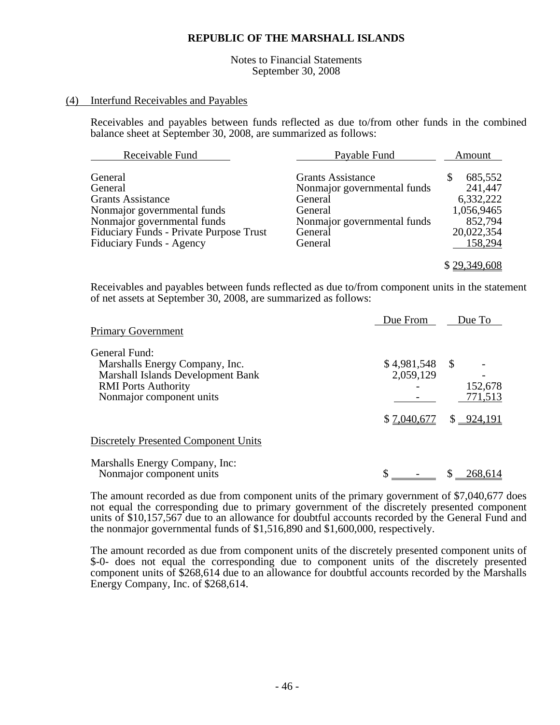Notes to Financial Statements September 30, 2008

#### (4) Interfund Receivables and Payables

Receivables and payables between funds reflected as due to/from other funds in the combined balance sheet at September 30, 2008, are summarized as follows:

| Receivable Fund                                                                                                                                                                                   | Payable Fund                                                                                                                       | Amount                                                                                 |
|---------------------------------------------------------------------------------------------------------------------------------------------------------------------------------------------------|------------------------------------------------------------------------------------------------------------------------------------|----------------------------------------------------------------------------------------|
| General<br>General<br><b>Grants Assistance</b><br>Nonmajor governmental funds<br>Nonmajor governmental funds<br><b>Fiduciary Funds - Private Purpose Trust</b><br><b>Fiduciary Funds - Agency</b> | <b>Grants Assistance</b><br>Nonmajor governmental funds<br>General<br>General<br>Nonmajor governmental funds<br>General<br>General | 685,552<br>S<br>241,447<br>6,332,222<br>1,056,9465<br>852,794<br>20,022,354<br>158,294 |
|                                                                                                                                                                                                   |                                                                                                                                    | \$29,349,608                                                                           |

Receivables and payables between funds reflected as due to/from component units in the statement of net assets at September 30, 2008, are summarized as follows:

| <b>Primary Government</b>                                                                                                                      | Due From                                      | Due To                             |
|------------------------------------------------------------------------------------------------------------------------------------------------|-----------------------------------------------|------------------------------------|
| General Fund:<br>Marshalls Energy Company, Inc.<br>Marshall Islands Development Bank<br><b>RMI</b> Ports Authority<br>Nonmajor component units | $$4,981,548$ \ \$<br>2,059,129<br>\$7,040,677 | 152,678<br>771,513<br>$$ -924,191$ |
| <b>Discretely Presented Component Units</b>                                                                                                    |                                               |                                    |
| Marshalls Energy Company, Inc:<br>Nonmajor component units                                                                                     |                                               | 268,614                            |

The amount recorded as due from component units of the primary government of \$7,040,677 does not equal the corresponding due to primary government of the discretely presented component units of \$10,157,567 due to an allowance for doubtful accounts recorded by the General Fund and the nonmajor governmental funds of \$1,516,890 and \$1,600,000, respectively.

The amount recorded as due from component units of the discretely presented component units of \$-0- does not equal the corresponding due to component units of the discretely presented component units of \$268,614 due to an allowance for doubtful accounts recorded by the Marshalls Energy Company, Inc. of \$268,614.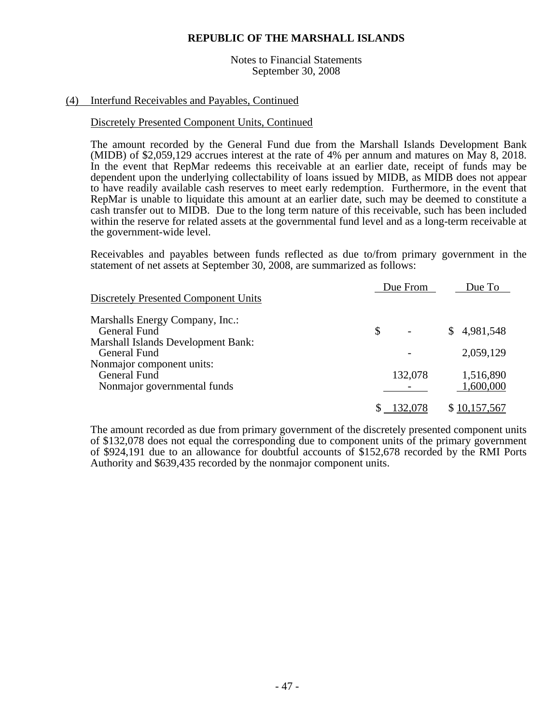#### Notes to Financial Statements September 30, 2008

### (4) Interfund Receivables and Payables, Continued

#### Discretely Presented Component Units, Continued

The amount recorded by the General Fund due from the Marshall Islands Development Bank (MIDB) of \$2,059,129 accrues interest at the rate of 4% per annum and matures on May 8, 2018. In the event that RepMar redeems this receivable at an earlier date, receipt of funds may be dependent upon the underlying collectability of loans issued by MIDB, as MIDB does not appear to have readily available cash reserves to meet early redemption. Furthermore, in the event that RepMar is unable to liquidate this amount at an earlier date, such may be deemed to constitute a cash transfer out to MIDB. Due to the long term nature of this receivable, such has been included within the reserve for related assets at the governmental fund level and as a long-term receivable at the government-wide level.

Receivables and payables between funds reflected as due to/from primary government in the statement of net assets at September 30, 2008, are summarized as follows:

|                                           | Due From | Due To       |
|-------------------------------------------|----------|--------------|
| Discretely Presented Component Units      |          |              |
| Marshalls Energy Company, Inc.:           |          |              |
| General Fund                              | \$       | \$4,981,548  |
| <b>Marshall Islands Development Bank:</b> |          |              |
| General Fund                              |          | 2,059,129    |
| Nonmajor component units:                 |          |              |
| General Fund                              | 132,078  | 1,516,890    |
| Nonmajor governmental funds               |          | 1,600,000    |
|                                           | 132,078  | \$10,157,567 |

The amount recorded as due from primary government of the discretely presented component units of \$132,078 does not equal the corresponding due to component units of the primary government of \$924,191 due to an allowance for doubtful accounts of \$152,678 recorded by the RMI Ports Authority and \$639,435 recorded by the nonmajor component units.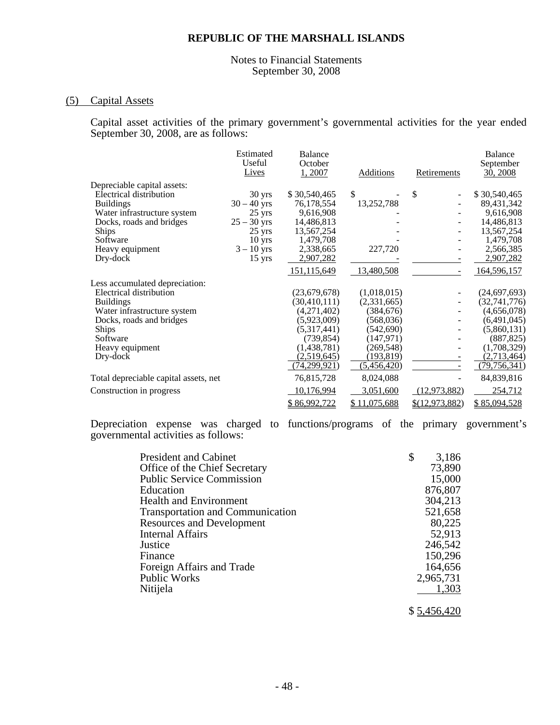#### Notes to Financial Statements September 30, 2008

# (5) Capital Assets

Capital asset activities of the primary government's governmental activities for the year ended September 30, 2008, are as follows:

|                                       | Estimated<br>Useful<br>Lives | <b>Balance</b><br>October<br>1,2007 | Additions    | Retirements    | <b>Balance</b><br>September<br>30, 2008 |
|---------------------------------------|------------------------------|-------------------------------------|--------------|----------------|-----------------------------------------|
| Depreciable capital assets:           |                              |                                     |              |                |                                         |
| Electrical distribution               | $30 \text{ yrs}$             | \$30,540,465                        | \$           | \$             | \$30,540,465                            |
| <b>Buildings</b>                      | $30 - 40$ yrs                | 76,178,554                          | 13,252,788   |                | 89,431,342                              |
| Water infrastructure system           | $25 \text{ yrs}$             | 9,616,908                           |              |                | 9,616,908                               |
| Docks, roads and bridges              | $25 - 30$ yrs                | 14,486,813                          |              |                | 14,486,813                              |
| Ships                                 | $25 \text{ yrs}$             | 13,567,254                          |              |                | 13,567,254                              |
| Software                              | 10 <sub>yrs</sub>            | 1,479,708                           |              |                | 1,479,708                               |
| Heavy equipment                       | $3 - 10$ yrs                 | 2,338,665                           | 227,720      |                | 2,566,385                               |
| Dry-dock                              | $15 \text{ yrs}$             | 2,907,282                           |              |                | 2,907,282                               |
|                                       |                              | 151,115,649                         | 13,480,508   |                | 164,596,157                             |
| Less accumulated depreciation:        |                              |                                     |              |                |                                         |
| Electrical distribution               |                              | (23,679,678)                        | (1,018,015)  |                | (24, 697, 693)                          |
| <b>Buildings</b>                      |                              | (30, 410, 111)                      | (2,331,665)  |                | (32,741,776)                            |
| Water infrastructure system           |                              | (4,271,402)                         | (384, 676)   |                | (4,656,078)                             |
| Docks, roads and bridges              |                              | (5,923,009)                         | (568, 036)   |                | (6,491,045)                             |
| <b>Ships</b>                          |                              | (5,317,441)                         | (542,690)    |                | (5,860,131)                             |
| Software                              |                              | (739, 854)                          | (147, 971)   |                | (887, 825)                              |
| Heavy equipment                       |                              | (1,438,781)                         | (269, 548)   |                | (1,708,329)                             |
| Dry-dock                              |                              | (2,519,645)                         | (193,819)    |                | (2,713,464)                             |
|                                       |                              | (74,299,921)                        | (5,456,420)  |                | (79, 756, 341)                          |
| Total depreciable capital assets, net |                              | 76,815,728                          | 8,024,088    |                | 84,839,816                              |
| Construction in progress              |                              | 10,176,994                          | 3,051,600    | (12, 973, 882) | 254,712                                 |
|                                       |                              | \$86,992,722                        | \$11,075,688 | \$(12,973,882) | \$85,094,528                            |

Depreciation expense was charged to functions/programs of the primary government's governmental activities as follows:

| <b>President and Cabinet</b>            | \$<br>3,186 |
|-----------------------------------------|-------------|
| Office of the Chief Secretary           | 73,890      |
| <b>Public Service Commission</b>        | 15,000      |
| Education                               | 876,807     |
| <b>Health and Environment</b>           | 304,213     |
| <b>Transportation and Communication</b> | 521,658     |
| <b>Resources and Development</b>        | 80,225      |
| <b>Internal Affairs</b>                 | 52,913      |
| Justice                                 | 246,542     |
| Finance                                 | 150,296     |
| Foreign Affairs and Trade               | 164,656     |
| <b>Public Works</b>                     | 2,965,731   |
| Nitijela                                | 1,303       |
|                                         |             |

\$ 5,456,420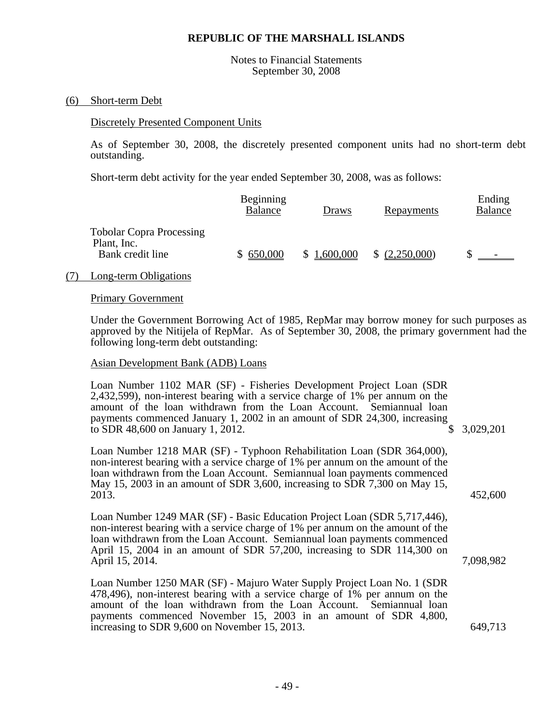Notes to Financial Statements September 30, 2008

#### (6) Short-term Debt

#### Discretely Presented Component Units

As of September 30, 2008, the discretely presented component units had no short-term debt outstanding.

Short-term debt activity for the year ended September 30, 2008, was as follows:

|                                                | Beginning<br>Balance | Draws                       | Repayments     | Ending<br>Balance |
|------------------------------------------------|----------------------|-----------------------------|----------------|-------------------|
| <b>Tobolar Copra Processing</b><br>Plant, Inc. |                      |                             |                |                   |
| Bank credit line                               | \$650,000            | 1,600,000<br>$\mathbb{S}^-$ | \$ (2,250,000) | $\sim$            |

#### (7) Long-term Obligations

#### Primary Government

Under the Government Borrowing Act of 1985, RepMar may borrow money for such purposes as approved by the Nitijela of RepMar. As of September 30, 2008, the primary government had the following long-term debt outstanding:

#### Asian Development Bank (ADB) Loans

Loan Number 1102 MAR (SF) - Fisheries Development Project Loan (SDR 2,432,599), non-interest bearing with a service charge of 1% per annum on the amount of the loan withdrawn from the Loan Account. Semiannual loan payments commenced January 1, 2002 in an amount of SDR 24,300, increasing to SDR 48.600 on January 1, 2012. \$ 3,029,201 to SDR 48,600 on January 1, 2012.

Loan Number 1218 MAR (SF) - Typhoon Rehabilitation Loan (SDR 364,000), non-interest bearing with a service charge of 1% per annum on the amount of the loan withdrawn from the Loan Account. Semiannual loan payments commenced May 15, 2003 in an amount of SDR 3,600, increasing to SDR 7,300 on May 15, 2013. 452,600

Loan Number 1249 MAR (SF) - Basic Education Project Loan (SDR 5,717,446), non-interest bearing with a service charge of 1% per annum on the amount of the loan withdrawn from the Loan Account. Semiannual loan payments commenced April 15, 2004 in an amount of SDR 57,200, increasing to SDR 114,300 on April 15, 2014. 2014.

Loan Number 1250 MAR (SF) - Majuro Water Supply Project Loan No. 1 (SDR 478,496), non-interest bearing with a service charge of 1% per annum on the amount of the loan withdrawn from the Loan Account. Semiannual loan payments commenced November 15, 2003 in an amount of SDR 4,800, increasing to SDR 9,600 on November 15, 2013. 649,713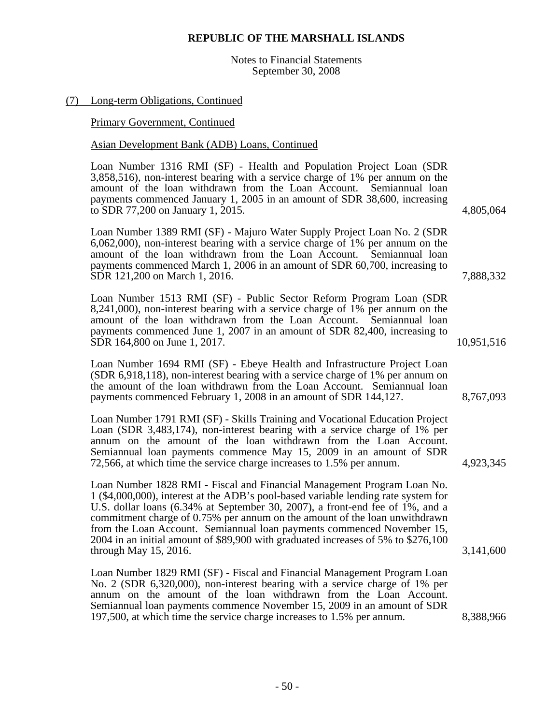Notes to Financial Statements September 30, 2008

# (7) Long-term Obligations, Continued

Primary Government, Continued

# Asian Development Bank (ADB) Loans, Continued

Loan Number 1316 RMI (SF) - Health and Population Project Loan (SDR 3,858,516), non-interest bearing with a service charge of 1% per annum on the amount of the loan withdrawn from the Loan Account. Semiannual loan payments commenced January 1, 2005 in an amount of SDR 38,600, increasing to SDR 77,200 on January 1, 2015. 4,805,064

Loan Number 1389 RMI (SF) - Majuro Water Supply Project Loan No. 2 (SDR 6,062,000), non-interest bearing with a service charge of 1% per annum on the amount of the loan withdrawn from the Loan Account. Semiannual loan payments commenced March 1, 2006 in an amount of SDR 60,700, increasing to SDR 121,200 on March 1, 2016. 7,888,332

Loan Number 1513 RMI (SF) - Public Sector Reform Program Loan (SDR 8,241,000), non-interest bearing with a service charge of 1% per annum on the amount of the loan withdrawn from the Loan Account. Semiannual loan payments commenced June 1, 2007 in an amount of SDR 82,400, increasing to SDR 164,800 on June 1, 2017. 10,951,516

Loan Number 1694 RMI (SF) - Ebeye Health and Infrastructure Project Loan (SDR 6,918,118), non-interest bearing with a service charge of 1% per annum on the amount of the loan withdrawn from the Loan Account. Semiannual loan payments commenced February 1, 2008 in an amount of SDR 144,127. 8,767,093

Loan Number 1791 RMI (SF) - Skills Training and Vocational Education Project Loan (SDR 3,483,174), non-interest bearing with a service charge of 1% per annum on the amount of the loan withdrawn from the Loan Account. Semiannual loan payments commence May 15, 2009 in an amount of SDR 72,566, at which time the service charge increases to 1.5% per annum. 4,923,345

Loan Number 1828 RMI - Fiscal and Financial Management Program Loan No. 1 (\$4,000,000), interest at the ADB's pool-based variable lending rate system for U.S. dollar loans (6.34% at September 30, 2007), a front-end fee of 1%, and a commitment charge of 0.75% per annum on the amount of the loan unwithdrawn from the Loan Account. Semiannual loan payments commenced November 15, 2004 in an initial amount of \$89,900 with graduated increases of 5% to \$276,100 through May 15, 2016. 3,141,600

Loan Number 1829 RMI (SF) - Fiscal and Financial Management Program Loan No. 2 (SDR 6,320,000), non-interest bearing with a service charge of 1% per annum on the amount of the loan withdrawn from the Loan Account. Semiannual loan payments commence November 15, 2009 in an amount of SDR 197,500, at which time the service charge increases to 1.5% per annum. 8,388,966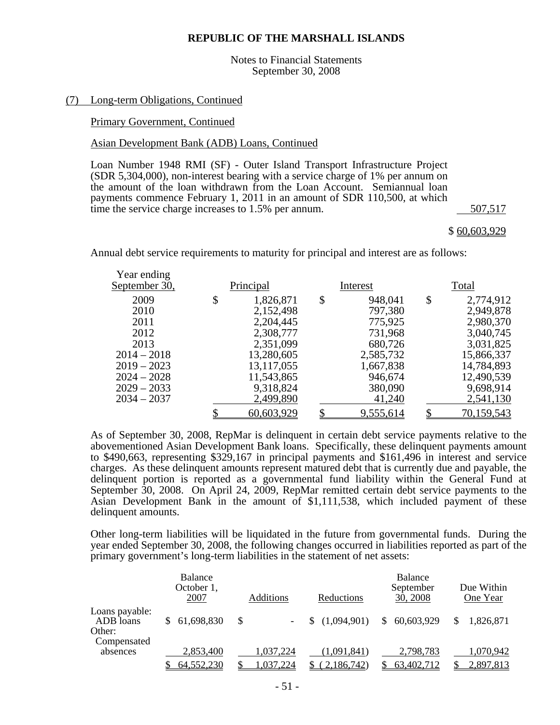Notes to Financial Statements September 30, 2008

#### (7) Long-term Obligations, Continued

#### Primary Government, Continued

#### Asian Development Bank (ADB) Loans, Continued

Loan Number 1948 RMI (SF) - Outer Island Transport Infrastructure Project (SDR 5,304,000), non-interest bearing with a service charge of 1% per annum on the amount of the loan withdrawn from the Loan Account. Semiannual loan payments commence February 1, 2011 in an amount of SDR 110,500, at which time the service charge increases to 1.5% per annum. 507,517

#### \$ 60,603,929

Annual debt service requirements to maturity for principal and interest are as follows:

| Year ending<br>September 30, | Principal       | Interest      | Total           |
|------------------------------|-----------------|---------------|-----------------|
| 2009                         | \$<br>1,826,871 | \$<br>948,041 | \$<br>2,774,912 |
| 2010                         | 2,152,498       | 797,380       | 2,949,878       |
| 2011                         | 2,204,445       | 775,925       | 2,980,370       |
| 2012                         | 2,308,777       | 731,968       | 3,040,745       |
| 2013                         | 2,351,099       | 680,726       | 3,031,825       |
| $2014 - 2018$                | 13,280,605      | 2,585,732     | 15,866,337      |
| $2019 - 2023$                | 13, 117, 055    | 1,667,838     | 14,784,893      |
| $2024 - 2028$                | 11,543,865      | 946,674       | 12,490,539      |
| $2029 - 2033$                | 9,318,824       | 380,090       | 9,698,914       |
| $2034 - 2037$                | 2,499,890       | 41,240        | 2,541,130       |
|                              | 60,603,929      | 9,555,614     | 70,159,543      |

As of September 30, 2008, RepMar is delinquent in certain debt service payments relative to the abovementioned Asian Development Bank loans. Specifically, these delinquent payments amount to \$490,663, representing \$329,167 in principal payments and \$161,496 in interest and service charges. As these delinquent amounts represent matured debt that is currently due and payable, the delinquent portion is reported as a governmental fund liability within the General Fund at September 30, 2008. On April 24, 2009, RepMar remitted certain debt service payments to the Asian Development Bank in the amount of \$1,111,538, which included payment of these delinquent amounts.

Other long-term liabilities will be liquidated in the future from governmental funds. During the year ended September 30, 2008, the following changes occurred in liabilities reported as part of the primary government's long-term liabilities in the statement of net assets:

|                                       | Balance<br>October 1,<br>2007 | <b>Additions</b>       | Reductions                | <b>Balance</b><br>September<br>30, 2008 | Due Within<br>One Year |
|---------------------------------------|-------------------------------|------------------------|---------------------------|-----------------------------------------|------------------------|
| Loans payable:<br>ADB loans<br>Other: | 61,698,830                    |                        | (1,094,901)               | 60,603,929<br><sup>S</sup>              | 1,826,871              |
| Compensated<br>absences               | 2,853,400<br>64,552,230       | 1,037,224<br>1,037,224 | (1.091.841)<br>2,186,742) | 2,798,783<br>63,402,712                 | 1,070,942<br>2,897,813 |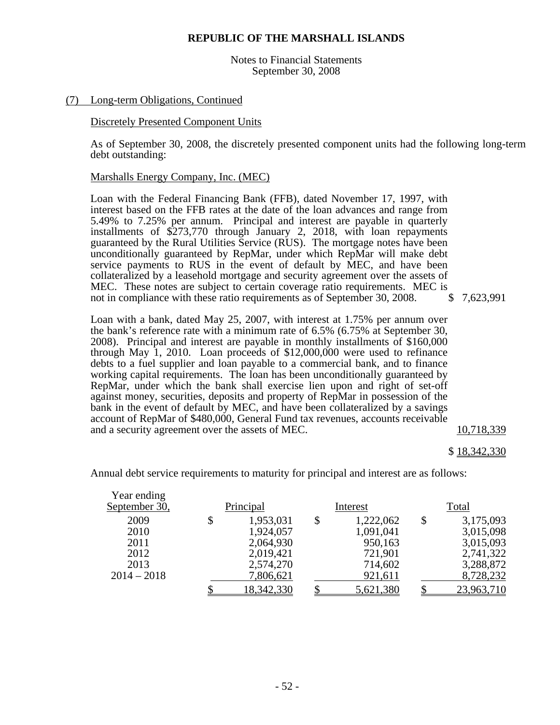Notes to Financial Statements September 30, 2008

#### (7) Long-term Obligations, Continued

#### Discretely Presented Component Units

As of September 30, 2008, the discretely presented component units had the following long-term debt outstanding:

#### Marshalls Energy Company, Inc. (MEC)

Loan with the Federal Financing Bank (FFB), dated November 17, 1997, with interest based on the FFB rates at the date of the loan advances and range from 5.49% to 7.25% per annum. Principal and interest are payable in quarterly installments of \$273,770 through January 2, 2018, with loan repayments guaranteed by the Rural Utilities Service (RUS). The mortgage notes have been unconditionally guaranteed by RepMar, under which RepMar will make debt service payments to RUS in the event of default by MEC, and have been collateralized by a leasehold mortgage and security agreement over the assets of MEC. These notes are subject to certain coverage ratio requirements. MEC is not in compliance with these ratio requirements as of September 30, 2008. \$7,623,991

Loan with a bank, dated May 25, 2007, with interest at 1.75% per annum over the bank's reference rate with a minimum rate of 6.5% (6.75% at September 30, 2008). Principal and interest are payable in monthly installments of \$160,000 through May 1, 2010. Loan proceeds of \$12,000,000 were used to refinance debts to a fuel supplier and loan payable to a commercial bank, and to finance working capital requirements. The loan has been unconditionally guaranteed by RepMar, under which the bank shall exercise lien upon and right of set-off against money, securities, deposits and property of RepMar in possession of the bank in the event of default by MEC, and have been collateralized by a savings account of RepMar of \$480,000, General Fund tax revenues, accounts receivable and a security agreement over the assets of MEC.  $10,718,339$ 

\$ 18,342,330

| Year ending   |           |                   |                 |       |            |
|---------------|-----------|-------------------|-----------------|-------|------------|
| September 30, | Principal |                   | Interest        | Total |            |
| 2009          |           | 1,953,031         | \$<br>1,222,062 | \$    | 3,175,093  |
| 2010          |           | 1,924,057         | 1,091,041       |       | 3,015,098  |
| 2011          |           | 2,064,930         | 950,163         |       | 3,015,093  |
| 2012          |           | 2,019,421         | 721,901         |       | 2,741,322  |
| 2013          |           | 2,574,270         | 714,602         |       | 3,288,872  |
| $2014 - 2018$ |           | 7,806,621         | 921,611         |       | 8,728,232  |
|               |           | <u>18,342,330</u> | 5,621,380       |       | 23,963,710 |

Annual debt service requirements to maturity for principal and interest are as follows: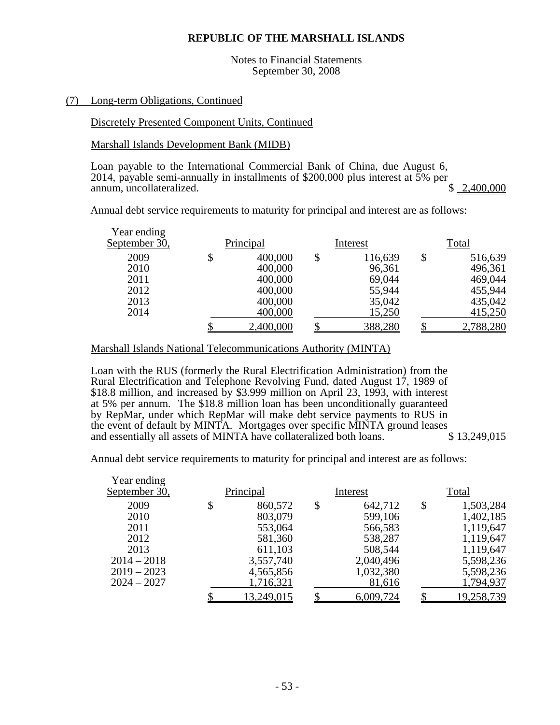Notes to Financial Statements September 30, 2008

#### (7) Long-term Obligations, Continued

#### Discretely Presented Component Units, Continued

#### Marshall Islands Development Bank (MIDB)

Loan payable to the International Commercial Bank of China, due August 6, 2014, payable semi-annually in installments of \$200,000 plus interest at  $\bar{5}$ % per annum, uncollateralized.<br>\$2.400,000 annum, uncollateralized.

Annual debt service requirements to maturity for principal and interest are as follows:

| Year ending<br>September 30, | Principal |           | Interest |         | Total |           |  |
|------------------------------|-----------|-----------|----------|---------|-------|-----------|--|
| 2009                         |           | 400,000   | \$       | 116,639 |       | 516,639   |  |
| 2010                         |           | 400,000   |          | 96,361  |       | 496,361   |  |
| 2011                         |           | 400,000   |          | 69,044  |       | 469,044   |  |
| 2012                         |           | 400,000   |          | 55,944  |       | 455,944   |  |
| 2013                         |           | 400,000   |          | 35,042  |       | 435,042   |  |
| 2014                         |           | 400,000   |          | 15,250  |       | 415,250   |  |
|                              |           | 2,400,000 |          | 388,280 |       | 2,788,280 |  |

#### Marshall Islands National Telecommunications Authority (MINTA)

Loan with the RUS (formerly the Rural Electrification Administration) from the Rural Electrification and Telephone Revolving Fund, dated August 17, 1989 of \$18.8 million, and increased by \$3.999 million on April 23, 1993, with interest at 5% per annum. The \$18.8 million loan has been unconditionally guaranteed by RepMar, under which RepMar will make debt service payments to RUS in the event of default by MINTA. Mortgages over specific MINTA ground leases<br>and essentially all assets of MINTA have collateralized both loans. \$13.249.015 and essentially all assets of MINTA have collateralized both loans.

Annual debt service requirements to maturity for principal and interest are as follows:

| Year ending   |               |               |                 |
|---------------|---------------|---------------|-----------------|
| September 30, | Principal     | Interest      | Total           |
| 2009          | \$<br>860,572 | \$<br>642,712 | \$<br>1,503,284 |
| 2010          | 803,079       | 599,106       | 1,402,185       |
| 2011          | 553,064       | 566,583       | 1,119,647       |
| 2012          | 581,360       | 538,287       | 1,119,647       |
| 2013          | 611,103       | 508,544       | 1,119,647       |
| $2014 - 2018$ | 3,557,740     | 2,040,496     | 5,598,236       |
| $2019 - 2023$ | 4,565,856     | 1,032,380     | 5,598,236       |
| $2024 - 2027$ | 1,716,321     | 81,616        | 1,794,937       |
|               | 13,249,015    | 6,009,724     | 19,258,739      |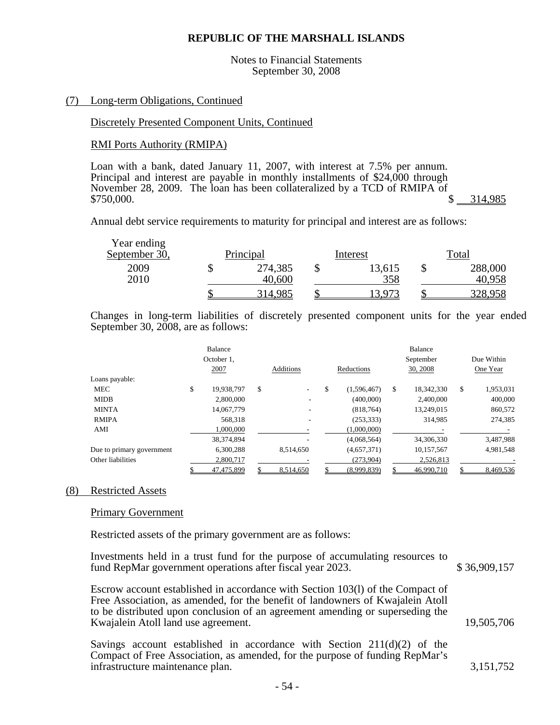Notes to Financial Statements September 30, 2008

#### (7) Long-term Obligations, Continued

### Discretely Presented Component Units, Continued

#### RMI Ports Authority (RMIPA)

Loan with a bank, dated January 11, 2007, with interest at 7.5% per annum. Principal and interest are payable in monthly installments of \$24,000 through November 28, 2009. The loan has been collateralized by a TCD of RMIPA of \$5750,000.  $$314,985$   $$314,985$ 

Annual debt service requirements to maturity for principal and interest are as follows:

| Year ending<br>September 30, | Principal |                   | Interest |               |  | Total             |  |  |
|------------------------------|-----------|-------------------|----------|---------------|--|-------------------|--|--|
| 2009<br>2010                 |           | 274,385<br>40,600 |          | 13,615<br>358 |  | 288,000<br>40,958 |  |  |
|                              |           | 314,985           |          | 3.973         |  | 328,958           |  |  |

Changes in long-term liabilities of discretely presented component units for the year ended September 30, 2008, are as follows:

|                           |      | Balance    |    |                  |    |             |    | Balance    |    |            |  |
|---------------------------|------|------------|----|------------------|----|-------------|----|------------|----|------------|--|
|                           |      | October 1. |    |                  |    |             |    | September  |    | Due Within |  |
|                           | 2007 |            |    | <b>Additions</b> |    | Reductions  |    | 30, 2008   |    | One Year   |  |
| Loans payable:            |      |            |    |                  |    |             |    |            |    |            |  |
| MEC                       | \$   | 19.938.797 | \$ |                  | \$ | (1.596.467) | \$ | 18.342.330 | \$ | 1,953,031  |  |
| <b>MIDB</b>               |      | 2.800,000  |    |                  |    | (400,000)   |    | 2,400,000  |    | 400,000    |  |
| <b>MINTA</b>              |      | 14,067,779 |    |                  |    | (818, 764)  |    | 13,249,015 |    | 860,572    |  |
| <b>RMIPA</b>              |      | 568.318    |    |                  |    | (253, 333)  |    | 314,985    |    | 274,385    |  |
| AMI                       |      | 1.000.000  |    |                  |    | (1,000,000) |    |            |    |            |  |
|                           |      | 38,374,894 |    |                  |    | (4,068,564) |    | 34,306,330 |    | 3,487,988  |  |
| Due to primary government |      | 6.300.288  |    | 8.514.650        |    | (4,657,371) |    | 10,157,567 |    | 4.981.548  |  |
| Other liabilities         |      | 2,800,717  |    |                  |    | (273,904)   |    | 2,526,813  |    |            |  |
|                           |      | 47.475.899 |    | 8.514.650        |    | (8.999.839) |    | 46,990,710 |    | 8.469.536  |  |

#### (8) Restricted Assets

#### Primary Government

Restricted assets of the primary government are as follows:

| Investments held in a trust fund for the purpose of accumulating resources to<br>fund RepMar government operations after fiscal year 2023.                                                                                                                                               | \$36,909,157 |
|------------------------------------------------------------------------------------------------------------------------------------------------------------------------------------------------------------------------------------------------------------------------------------------|--------------|
| Escrow account established in accordance with Section 103(1) of the Compact of<br>Free Association, as amended, for the benefit of landowners of Kwajalein Atoll<br>to be distributed upon conclusion of an agreement amending or superseding the<br>Kwajalein Atoll land use agreement. | 19,505,706   |
| Savings account established in accordance with Section $211(d)(2)$ of the<br>Compact of Free Association, as amended, for the purpose of funding RepMar's                                                                                                                                |              |

infrastructure maintenance plan. 3,151,752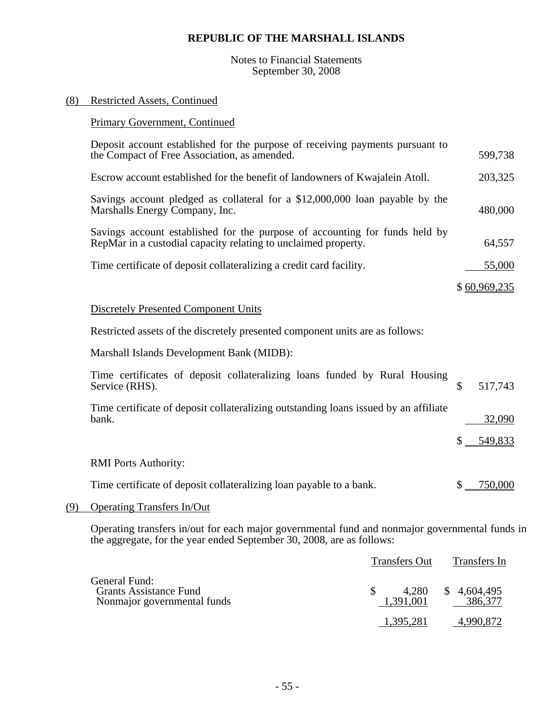#### Notes to Financial Statements September 30, 2008

#### (8) Restricted Assets, Continued

# Primary Government, Continued

| Deposit account established for the purpose of receiving payments pursuant to<br>the Compact of Free Association, as amended.                 | 599,738       |
|-----------------------------------------------------------------------------------------------------------------------------------------------|---------------|
| Escrow account established for the benefit of landowners of Kwajalein Atoll.                                                                  | 203,325       |
| Savings account pledged as collateral for a \$12,000,000 loan payable by the<br>Marshalls Energy Company, Inc.                                | 480,000       |
| Savings account established for the purpose of accounting for funds held by<br>RepMar in a custodial capacity relating to unclaimed property. | 64,557        |
| Time certificate of deposit collateralizing a credit card facility.                                                                           | 55,000        |
|                                                                                                                                               | \$60,969,235  |
| <b>Discretely Presented Component Units</b>                                                                                                   |               |
| Restricted assets of the discretely presented component units are as follows:                                                                 |               |
| Marshall Islands Development Bank (MIDB):                                                                                                     |               |
| Time certificates of deposit collateralizing loans funded by Rural Housing<br>Service (RHS).                                                  | \$<br>517,743 |
| Time certificate of deposit collateralizing outstanding loans issued by an affiliate<br>bank.                                                 | 32,090        |
|                                                                                                                                               | 549,833       |
| <b>RMI</b> Ports Authority:                                                                                                                   |               |
| Time certificate of deposit collateralizing loan payable to a bank.                                                                           | 750,000       |

# (9) Operating Transfers In/Out

Operating transfers in/out for each major governmental fund and nonmajor governmental funds in the aggregate, for the year ended September 30, 2008, are as follows:

|                                                                               | <b>Transfers Out</b> | Transfers In           |  |  |
|-------------------------------------------------------------------------------|----------------------|------------------------|--|--|
| General Fund:<br><b>Grants Assistance Fund</b><br>Nonmajor governmental funds | 4,280<br>1.391.001   | \$4,604,495<br>386,377 |  |  |
|                                                                               | 1,395,281            | 4.990.872              |  |  |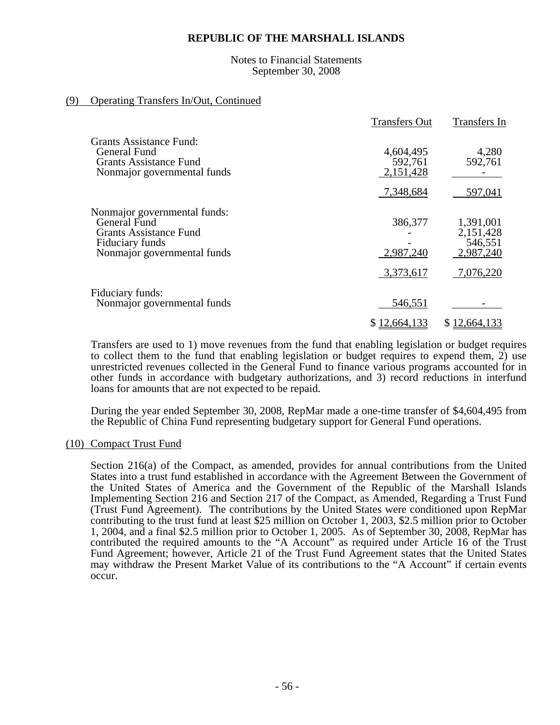#### Notes to Financial Statements September 30, 2008

### (9) Operating Transfers In/Out, Continued

|                                                                                                                                 | <b>Transfers Out</b>              | Transfers In                                                |
|---------------------------------------------------------------------------------------------------------------------------------|-----------------------------------|-------------------------------------------------------------|
| Grants Assistance Fund:<br>General Fund<br><b>Grants Assistance Fund</b><br>Nonmajor governmental funds                         | 4,604,495<br>592,761<br>2,151,428 | 4,280<br>592,761                                            |
|                                                                                                                                 | 7,348,684                         | 597,041                                                     |
| Nonmajor governmental funds:<br>General Fund<br><b>Grants Assistance Fund</b><br>Fiduciary funds<br>Nonmajor governmental funds | 386,377<br>2,987,240<br>3,373,617 | 1,391,001<br>2,151,428<br>546,551<br>2,987,240<br>7,076,220 |
| Fiduciary funds:<br>Nonmajor governmental funds                                                                                 | 546,551                           |                                                             |
|                                                                                                                                 | \$12,664,133                      | \$12,664,133                                                |

Transfers are used to 1) move revenues from the fund that enabling legislation or budget requires to collect them to the fund that enabling legislation or budget requires to expend them, 2) use unrestricted revenues collected in the General Fund to finance various programs accounted for in other funds in accordance with budgetary authorizations, and 3) record reductions in interfund loans for amounts that are not expected to be repaid.

During the year ended September 30, 2008, RepMar made a one-time transfer of \$4,604,495 from the Republic of China Fund representing budgetary support for General Fund operations.

#### (10) Compact Trust Fund

Section 216(a) of the Compact, as amended, provides for annual contributions from the United States into a trust fund established in accordance with the Agreement Between the Government of the United States of America and the Government of the Republic of the Marshall Islands Implementing Section 216 and Section 217 of the Compact, as Amended, Regarding a Trust Fund (Trust Fund Agreement). The contributions by the United States were conditioned upon RepMar contributing to the trust fund at least \$25 million on October 1, 2003, \$2.5 million prior to October 1, 2004, and a final \$2.5 million prior to October 1, 2005. As of September 30, 2008, RepMar has contributed the required amounts to the "A Account" as required under Article 16 of the Trust Fund Agreement; however, Article 21 of the Trust Fund Agreement states that the United States may withdraw the Present Market Value of its contributions to the "A Account" if certain events occur.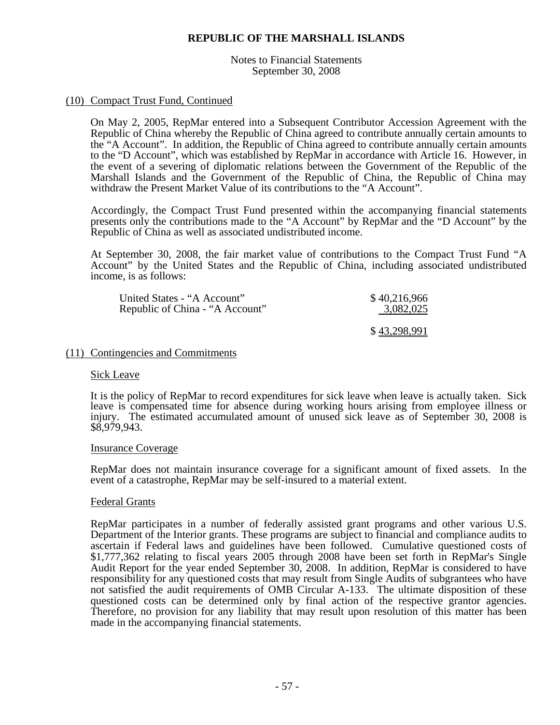Notes to Financial Statements September 30, 2008

#### (10) Compact Trust Fund, Continued

On May 2, 2005, RepMar entered into a Subsequent Contributor Accession Agreement with the Republic of China whereby the Republic of China agreed to contribute annually certain amounts to the "A Account". In addition, the Republic of China agreed to contribute annually certain amounts to the "D Account", which was established by RepMar in accordance with Article 16. However, in the event of a severing of diplomatic relations between the Government of the Republic of the Marshall Islands and the Government of the Republic of China, the Republic of China may withdraw the Present Market Value of its contributions to the "A Account".

Accordingly, the Compact Trust Fund presented within the accompanying financial statements presents only the contributions made to the "A Account" by RepMar and the "D Account" by the Republic of China as well as associated undistributed income.

At September 30, 2008, the fair market value of contributions to the Compact Trust Fund "A Account" by the United States and the Republic of China, including associated undistributed income, is as follows:

| United States - "A Account"     | \$40,216,966 |
|---------------------------------|--------------|
| Republic of China - "A Account" | 3,082,025    |
|                                 | \$43,298,991 |

#### (11) Contingencies and Commitments

#### Sick Leave

It is the policy of RepMar to record expenditures for sick leave when leave is actually taken. Sick leave is compensated time for absence during working hours arising from employee illness or injury. The estimated accumulated amount of unused sick leave as of September 30, 2008 is \$8,979,943.

#### Insurance Coverage

RepMar does not maintain insurance coverage for a significant amount of fixed assets. In the event of a catastrophe, RepMar may be self-insured to a material extent.

#### Federal Grants

RepMar participates in a number of federally assisted grant programs and other various U.S. Department of the Interior grants. These programs are subject to financial and compliance audits to ascertain if Federal laws and guidelines have been followed. Cumulative questioned costs of \$1,777,362 relating to fiscal years 2005 through 2008 have been set forth in RepMar's Single Audit Report for the year ended September 30, 2008. In addition, RepMar is considered to have responsibility for any questioned costs that may result from Single Audits of subgrantees who have not satisfied the audit requirements of OMB Circular A-133. The ultimate disposition of these questioned costs can be determined only by final action of the respective grantor agencies. Therefore, no provision for any liability that may result upon resolution of this matter has been made in the accompanying financial statements.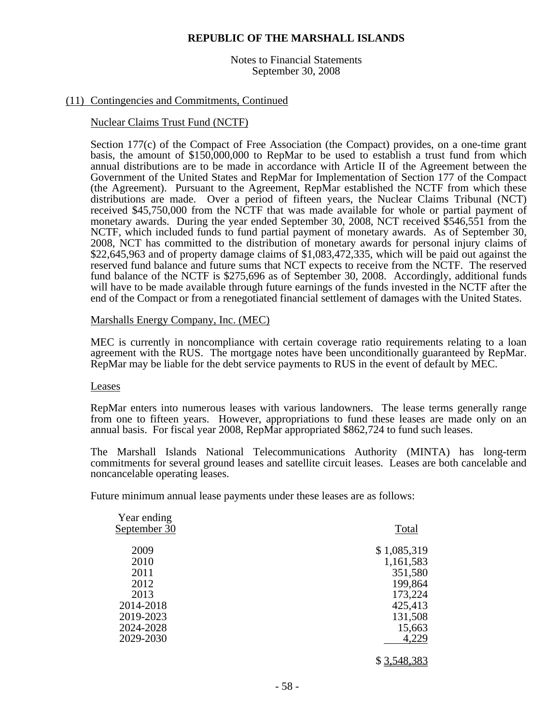Notes to Financial Statements September 30, 2008

#### (11) Contingencies and Commitments, Continued

#### Nuclear Claims Trust Fund (NCTF)

 Section 177(c) of the Compact of Free Association (the Compact) provides, on a one-time grant basis, the amount of \$150,000,000 to RepMar to be used to establish a trust fund from which annual distributions are to be made in accordance with Article II of the Agreement between the Government of the United States and RepMar for Implementation of Section 177 of the Compact (the Agreement). Pursuant to the Agreement, RepMar established the NCTF from which these distributions are made. Over a period of fifteen years, the Nuclear Claims Tribunal (NCT) received \$45,750,000 from the NCTF that was made available for whole or partial payment of monetary awards. During the year ended September 30, 2008, NCT received \$546,551 from the NCTF, which included funds to fund partial payment of monetary awards. As of September 30, 2008, NCT has committed to the distribution of monetary awards for personal injury claims of \$22,645,963 and of property damage claims of \$1,083,472,335, which will be paid out against the reserved fund balance and future sums that NCT expects to receive from the NCTF. The reserved fund balance of the NCTF is \$275,696 as of September 30, 2008. Accordingly, additional funds will have to be made available through future earnings of the funds invested in the NCTF after the end of the Compact or from a renegotiated financial settlement of damages with the United States.

#### Marshalls Energy Company, Inc. (MEC)

MEC is currently in noncompliance with certain coverage ratio requirements relating to a loan agreement with the RUS. The mortgage notes have been unconditionally guaranteed by RepMar. RepMar may be liable for the debt service payments to RUS in the event of default by MEC.

#### Leases

RepMar enters into numerous leases with various landowners. The lease terms generally range from one to fifteen years. However, appropriations to fund these leases are made only on an annual basis. For fiscal year 2008, RepMar appropriated \$862,724 to fund such leases.

The Marshall Islands National Telecommunications Authority (MINTA) has long-term commitments for several ground leases and satellite circuit leases. Leases are both cancelable and noncancelable operating leases.

Future minimum annual lease payments under these leases are as follows:

| Year ending<br>September 30 | Total       |
|-----------------------------|-------------|
| 2009                        | \$1,085,319 |
| 2010                        | 1,161,583   |
| 2011                        | 351,580     |
| 2012                        | 199,864     |
| 2013                        | 173,224     |
| 2014-2018                   | 425,413     |
| 2019-2023                   | 131,508     |
| 2024-2028                   | 15,663      |
| 2029-2030                   | 4,229       |
|                             | \$3,548,383 |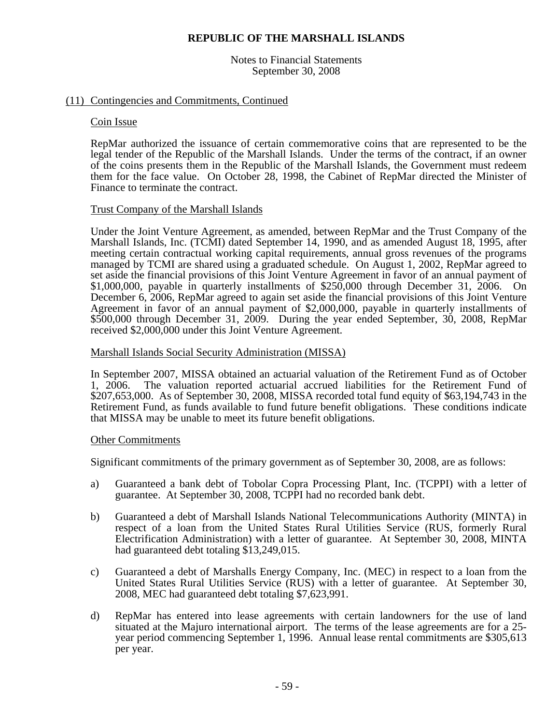Notes to Financial Statements September 30, 2008

#### (11) Contingencies and Commitments, Continued

Coin Issue<br>RepMar authorized the issuance of certain commemorative coins that are represented to be the legal tender of the Republic of the Marshall Islands. Under the terms of the contract, if an owner of the coins presents them in the Republic of the Marshall Islands, the Government must redeem them for the face value. On October 28, 1998, the Cabinet of RepMar directed the Minister of Finance to terminate the contract.

#### Trust Company of the Marshall Islands

Under the Joint Venture Agreement, as amended, between RepMar and the Trust Company of the Marshall Islands, Inc. (TCMI) dated September 14, 1990, and as amended August 18, 1995, after meeting certain contractual working capital requirements, annual gross revenues of the programs managed by TCMI are shared using a graduated schedule. On August 1, 2002, RepMar agreed to set aside the financial provisions of this Joint Venture Agreement in favor of an annual payment of \$1,000,000, payable in quarterly installments of \$250,000 through December 31, 2006. On December 6, 2006, RepMar agreed to again set aside the financial provisions of this Joint Venture Agreement in favor of an annual payment of \$2,000,000, payable in quarterly installments of \$500,000 through December 31, 2009. During the year ended September, 30, 2008, RepMar received \$2,000,000 under this Joint Venture Agreement.

#### Marshall Islands Social Security Administration (MISSA)

In September 2007, MISSA obtained an actuarial valuation of the Retirement Fund as of October 1, 2006. The valuation reported actuarial accrued liabilities for the Retirement Fund of \$207,653,000. As of September 30, 2008, MISSA recorded total fund equity of \$63,194,743 in the Retirement Fund, as funds available to fund future benefit obligations. These conditions indicate that MISSA may be unable to meet its future benefit obligations.

#### Other Commitments

Significant commitments of the primary government as of September 30, 2008, are as follows:

- a) Guaranteed a bank debt of Tobolar Copra Processing Plant, Inc. (TCPPI) with a letter of guarantee. At September 30, 2008, TCPPI had no recorded bank debt.
- b) Guaranteed a debt of Marshall Islands National Telecommunications Authority (MINTA) in respect of a loan from the United States Rural Utilities Service (RUS, formerly Rural Electrification Administration) with a letter of guarantee. At September 30, 2008, MINTA had guaranteed debt totaling \$13,249,015.
- c) Guaranteed a debt of Marshalls Energy Company, Inc. (MEC) in respect to a loan from the United States Rural Utilities Service (RUS) with a letter of guarantee. At September 30, 2008, MEC had guaranteed debt totaling \$7,623,991.
- d) RepMar has entered into lease agreements with certain landowners for the use of land situated at the Majuro international airport. The terms of the lease agreements are for a 25 year period commencing September 1, 1996. Annual lease rental commitments are \$305,613 per year.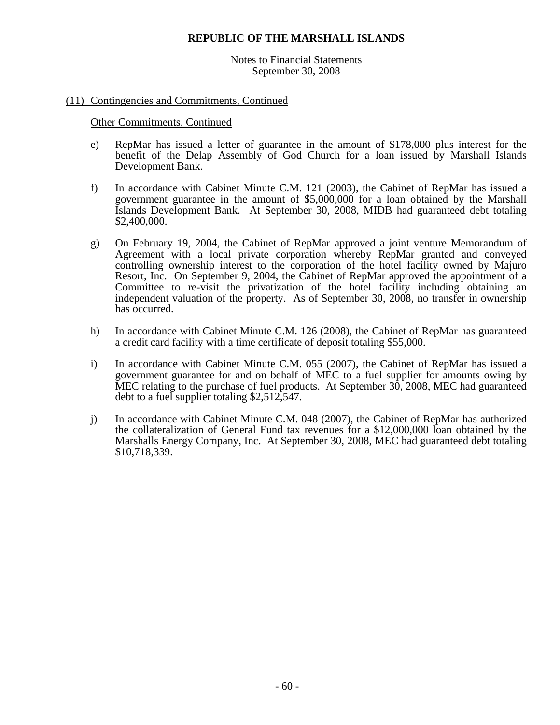Notes to Financial Statements September 30, 2008

#### (11) Contingencies and Commitments, Continued

Other Commitments, Continued

- e) RepMar has issued a letter of guarantee in the amount of \$178,000 plus interest for the benefit of the Delap Assembly of God Church for a loan issued by Marshall Islands Development Bank.
- f) In accordance with Cabinet Minute C.M. 121 (2003), the Cabinet of RepMar has issued a government guarantee in the amount of \$5,000,000 for a loan obtained by the Marshall Islands Development Bank. At September 30, 2008, MIDB had guaranteed debt totaling \$2,400,000.
- g) On February 19, 2004, the Cabinet of RepMar approved a joint venture Memorandum of Agreement with a local private corporation whereby RepMar granted and conveyed controlling ownership interest to the corporation of the hotel facility owned by Majuro Resort, Inc. On September 9, 2004, the Cabinet of RepMar approved the appointment of a Committee to re-visit the privatization of the hotel facility including obtaining an independent valuation of the property. As of September 30, 2008, no transfer in ownership has occurred.
- h) In accordance with Cabinet Minute C.M. 126 (2008), the Cabinet of RepMar has guaranteed a credit card facility with a time certificate of deposit totaling \$55,000.
- i) In accordance with Cabinet Minute C.M. 055 (2007), the Cabinet of RepMar has issued a government guarantee for and on behalf of MEC to a fuel supplier for amounts owing by MEC relating to the purchase of fuel products. At September 30, 2008, MEC had guaranteed debt to a fuel supplier totaling \$2,512,547.
- j) In accordance with Cabinet Minute C.M. 048 (2007), the Cabinet of RepMar has authorized the collateralization of General Fund tax revenues for a \$12,000,000 loan obtained by the Marshalls Energy Company, Inc. At September 30, 2008, MEC had guaranteed debt totaling \$10,718,339.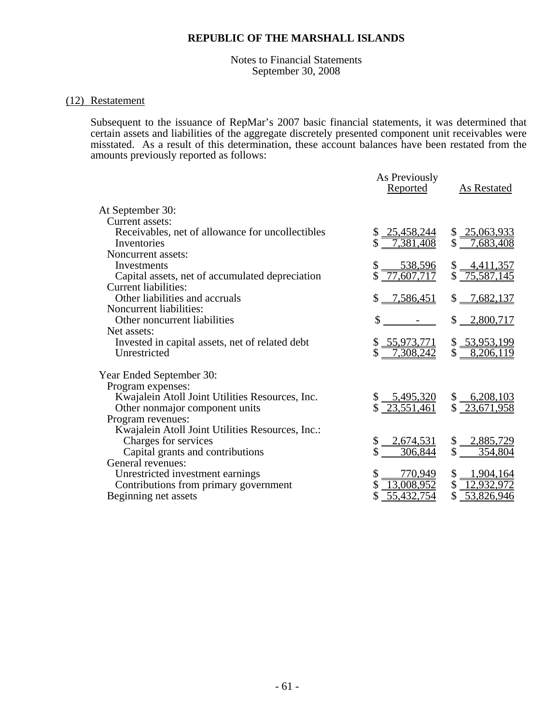#### Notes to Financial Statements September 30, 2008

#### (12) Restatement

Subsequent to the issuance of RepMar's 2007 basic financial statements, it was determined that certain assets and liabilities of the aggregate discretely presented component unit receivables were misstated. As a result of this determination, these account balances have been restated from the amounts previously reported as follows:

|                                                                 | As Previously<br>Reported                | As Restated                      |
|-----------------------------------------------------------------|------------------------------------------|----------------------------------|
| At September 30:                                                |                                          |                                  |
| Current assets:                                                 |                                          |                                  |
| Receivables, net of allowance for uncollectibles<br>Inventories | 25,458,244<br>\$<br>7,381,408            | \$ 25,063,933<br>\$<br>7,683,408 |
| Noncurrent assets:                                              |                                          |                                  |
| Investments                                                     |                                          | <u>4,411,357</u>                 |
| Capital assets, net of accumulated depreciation                 | $\frac{$}{5} \frac{538,596}{77,607,717}$ | \$75,587,145                     |
| <b>Current liabilities:</b>                                     |                                          |                                  |
| Other liabilities and accruals                                  | \$<br>$-7,586,451$                       | 7,682,137<br>\$                  |
| Noncurrent liabilities:                                         |                                          |                                  |
| Other noncurrent liabilities                                    | \$                                       | $$ -2,800,717$                   |
| Net assets:                                                     |                                          |                                  |
| Invested in capital assets, net of related debt                 | \$ 55,973,771                            | \$ 53,953,199                    |
| Unrestricted                                                    | 7,308,242<br>\$                          | \$<br>8,206,119                  |
| Year Ended September 30:                                        |                                          |                                  |
| Program expenses:                                               |                                          |                                  |
| Kwajalein Atoll Joint Utilities Resources, Inc.                 | $\frac{5,495,320}{2}$                    | $$ -6,208,103$                   |
| Other nonmajor component units                                  | $\sqrt{23,551,461}$                      | \$23,671,958                     |
| Program revenues:                                               |                                          |                                  |
| Kwajalein Atoll Joint Utilities Resources, Inc.:                |                                          |                                  |
| Charges for services                                            | $-2,674,531$                             | \$<br>$-2,885,729$               |
| Capital grants and contributions                                | 306,844                                  | \$<br>354,804                    |
| General revenues:                                               |                                          |                                  |
| Unrestricted investment earnings                                | 770,949                                  | \$<br>$-1,904,164$               |
| Contributions from primary government                           | 13,008,952                               | \$<br>12,932,972                 |
| Beginning net assets                                            | <u>55,432,754</u>                        | 53,826,946                       |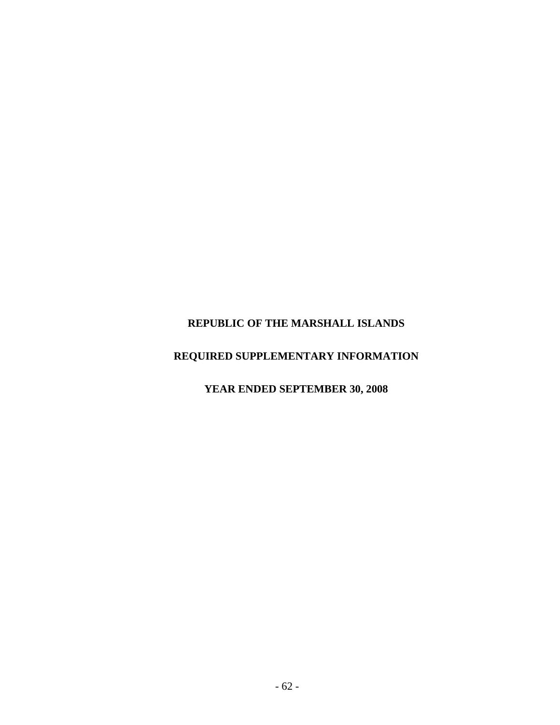# **REQUIRED SUPPLEMENTARY INFORMATION**

# **YEAR ENDED SEPTEMBER 30, 2008**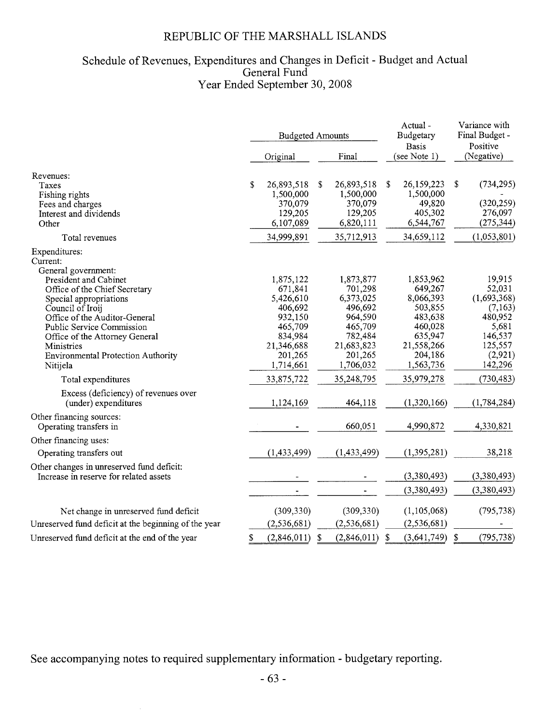# Schedule of Revenues, Expenditures and Changes in Deficit - Budget and Actual General Fund Year Ended September 30, 2008

|                                                                                     | <b>Budgeted Amounts</b> |                      |   |                      |    | Actual -<br>Budgetary<br><b>Basis</b> |            | Variance with<br>Final Budget -<br>Positive |  |
|-------------------------------------------------------------------------------------|-------------------------|----------------------|---|----------------------|----|---------------------------------------|------------|---------------------------------------------|--|
|                                                                                     |                         | Original             |   | Final                |    | (see Note 1)                          |            | (Negative)                                  |  |
| Revenues:<br>Taxes                                                                  | \$                      | 26,893,518           | S | 26,893,518           | S  | 26,159,223                            | $\sqrt{2}$ | (734, 295)                                  |  |
| Fishing rights                                                                      |                         | 1,500,000            |   | 1,500,000            |    | 1,500,000                             |            |                                             |  |
| Fees and charges                                                                    |                         | 370,079              |   | 370,079              |    | 49,820                                |            | (320, 259)                                  |  |
| Interest and dividends                                                              |                         | 129,205              |   | 129,205              |    | 405,302                               |            | 276,097                                     |  |
| Other                                                                               |                         | 6,107,089            |   | 6,820,111            |    | 6,544,767                             |            | (275, 344)                                  |  |
| Total revenues                                                                      |                         | 34,999,891           |   | 35,712,913           |    | 34,659,112                            |            | (1,053,801)                                 |  |
| Expenditures:<br>Current:                                                           |                         |                      |   |                      |    |                                       |            |                                             |  |
| General government:                                                                 |                         |                      |   |                      |    |                                       |            |                                             |  |
| President and Cabinet                                                               |                         | 1,875,122            |   | 1,873,877            |    | 1,853,962                             |            | 19,915                                      |  |
| Office of the Chief Secretary                                                       |                         | 671,841<br>5,426,610 |   | 701,298<br>6,373,025 |    | 649,267<br>8,066,393                  |            | 52,031<br>(1,693,368)                       |  |
| Special appropriations<br>Council of Iroij                                          |                         | 406,692              |   | 496,692              |    | 503,855                               |            | (7,163)                                     |  |
| Office of the Auditor-General                                                       |                         | 932,150              |   | 964,590              |    | 483,638                               |            | 480,952                                     |  |
| Public Service Commission                                                           |                         | 465,709              |   | 465,709              |    | 460,028                               |            | 5,681                                       |  |
| Office of the Attorney General                                                      |                         | 834,984              |   | 782,484              |    | 635,947                               |            | 146,537                                     |  |
| Ministries                                                                          |                         | 21,346,688           |   | 21,683,823           |    | 21,558,266                            |            | 125,557                                     |  |
| <b>Environmental Protection Authority</b>                                           |                         | 201,265              |   | 201,265              |    | 204,186                               |            | (2,921)                                     |  |
| Nitijela                                                                            |                         | 1,714,661            |   | 1,706,032            |    | 1,563,736                             |            | 142,296                                     |  |
| Total expenditures                                                                  |                         | 33,875,722           |   | 35,248,795           |    | 35,979,278                            |            | (730, 483)                                  |  |
| Excess (deficiency) of revenues over<br>(under) expenditures                        |                         | 1,124,169            |   | 464,118              |    | (1,320,166)                           |            | (1,784,284)                                 |  |
| Other financing sources:<br>Operating transfers in                                  |                         |                      |   | 660,051              |    | 4,990,872                             |            | 4,330,821                                   |  |
| Other financing uses:                                                               |                         |                      |   |                      |    |                                       |            |                                             |  |
| Operating transfers out                                                             |                         | (1,433,499)          |   | (1,433,499)          |    | (1, 395, 281)                         |            | 38,218                                      |  |
| Other changes in unreserved fund deficit:<br>Increase in reserve for related assets |                         |                      |   |                      |    | (3,380,493)                           |            | (3,380,493)                                 |  |
|                                                                                     |                         |                      |   |                      |    | (3,380,493)                           |            | (3,380,493)                                 |  |
| Net change in unreserved fund deficit                                               |                         | (309, 330)           |   | (309, 330)           |    | (1, 105, 068)                         |            | (795, 738)                                  |  |
| Unreserved fund deficit at the beginning of the year                                |                         | (2,536,681)          |   | (2, 536, 681)        |    | (2, 536, 681)                         |            |                                             |  |
| Unreserved fund deficit at the end of the year                                      | \$                      | $(2,846,011)$ \$     |   | (2,846,011)          | \$ | (3,641,749)                           | $\sqrt{3}$ | (795, 738)                                  |  |

See accompanying notes to required supplementary information - budgetary reporting.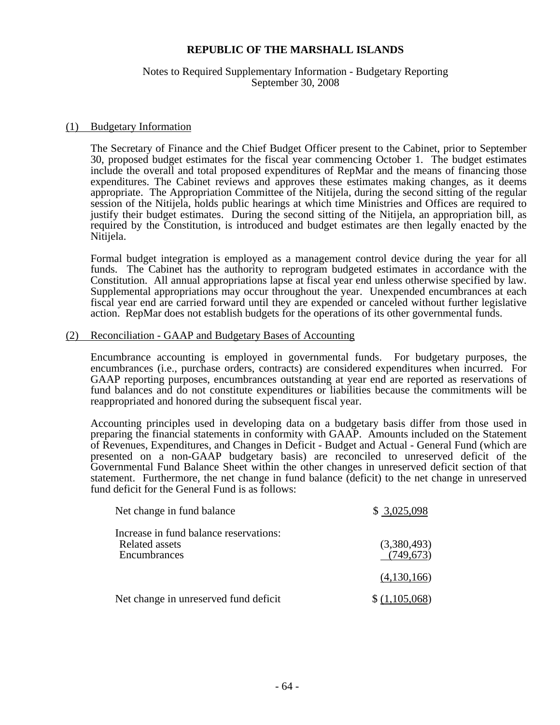#### Notes to Required Supplementary Information - Budgetary Reporting September 30, 2008

#### (1) Budgetary Information

The Secretary of Finance and the Chief Budget Officer present to the Cabinet, prior to September 30, proposed budget estimates for the fiscal year commencing October 1. The budget estimates include the overall and total proposed expenditures of RepMar and the means of financing those expenditures. The Cabinet reviews and approves these estimates making changes, as it deems appropriate. The Appropriation Committee of the Nitijela, during the second sitting of the regular session of the Nitijela, holds public hearings at which time Ministries and Offices are required to justify their budget estimates. During the second sitting of the Nitijela, an appropriation bill, as required by the Constitution, is introduced and budget estimates are then legally enacted by the Nitijela.

Formal budget integration is employed as a management control device during the year for all funds. The Cabinet has the authority to reprogram budgeted estimates in accordance with the Constitution. All annual appropriations lapse at fiscal year end unless otherwise specified by law. Supplemental appropriations may occur throughout the year. Unexpended encumbrances at each fiscal year end are carried forward until they are expended or canceled without further legislative action. RepMar does not establish budgets for the operations of its other governmental funds.

#### (2) Reconciliation - GAAP and Budgetary Bases of Accounting

Encumbrance accounting is employed in governmental funds. For budgetary purposes, the encumbrances (i.e., purchase orders, contracts) are considered expenditures when incurred. For GAAP reporting purposes, encumbrances outstanding at year end are reported as reservations of fund balances and do not constitute expenditures or liabilities because the commitments will be reappropriated and honored during the subsequent fiscal year.

Accounting principles used in developing data on a budgetary basis differ from those used in preparing the financial statements in conformity with GAAP. Amounts included on the Statement of Revenues, Expenditures, and Changes in Deficit - Budget and Actual - General Fund (which are presented on a non-GAAP budgetary basis) are reconciled to unreserved deficit of the Governmental Fund Balance Sheet within the other changes in unreserved deficit section of that statement. Furthermore, the net change in fund balance (deficit) to the net change in unreserved fund deficit for the General Fund is as follows:

| Net change in fund balance                                                      | \$3,025,098               |
|---------------------------------------------------------------------------------|---------------------------|
| Increase in fund balance reservations:<br><b>Related assets</b><br>Encumbrances | (3,380,493)<br>(749, 673) |
|                                                                                 | (4,130,166)               |
| Net change in unreserved fund deficit                                           | \$(1,105,068)             |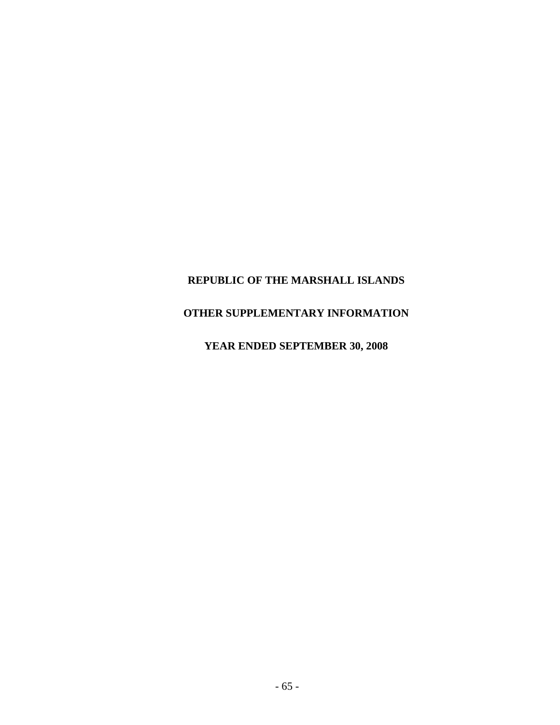# **OTHER SUPPLEMENTARY INFORMATION**

**YEAR ENDED SEPTEMBER 30, 2008**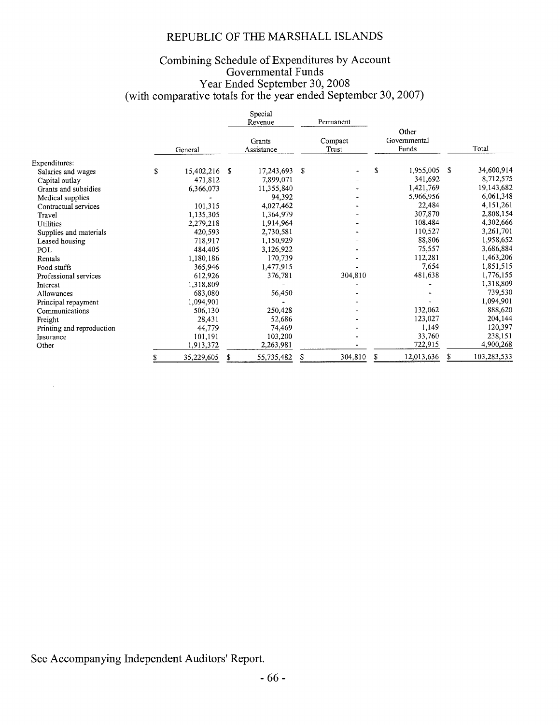# Combining Schedule of Expenditures by Account<br>Governmental Funds<br>Year Ended September 30, 2008<br>(with comparative totals for the year ended September 30, 2007)

|                           |                  |    | Special<br>Revenue   |    | Permanent        |    |                                |    |             |
|---------------------------|------------------|----|----------------------|----|------------------|----|--------------------------------|----|-------------|
|                           | General          |    | Grants<br>Assistance |    | Compact<br>Trust |    | Other<br>Governmental<br>Funds |    | Total       |
| Expenditures:             |                  |    |                      |    |                  |    |                                |    |             |
| Salaries and wages        | \$<br>15,402,216 | -S | 17,243,693           | S  |                  | S  | 1,955,005                      | -S | 34,600,914  |
| Capital outlay            | 471,812          |    | 7,899,071            |    |                  |    | 341,692                        |    | 8,712,575   |
| Grants and subsidies      | 6,366,073        |    | 11,355,840           |    |                  |    | 1,421,769                      |    | 19,143,682  |
| Medical supplies          |                  |    | 94,392               |    |                  |    | 5,966,956                      |    | 6,061,348   |
| Contractual services      | 101,315          |    | 4,027,462            |    |                  |    | 22,484                         |    | 4,151,261   |
| Travel                    | 1,135,305        |    | 1,364,979            |    |                  |    | 307,870                        |    | 2,808,154   |
| Utilities                 | 2,279,218        |    | 1,914,964            |    |                  |    | 108,484                        |    | 4,302,666   |
| Supplies and materials    | 420,593          |    | 2,730,581            |    |                  |    | 110,527                        |    | 3,261,701   |
| Leased housing            | 718,917          |    | 1,150,929            |    |                  |    | 88,806                         |    | 1,958,652   |
| POL                       | 484,405          |    | 3,126,922            |    |                  |    | 75,557                         |    | 3,686,884   |
| Rentals                   | 1,180,186        |    | 170,739              |    |                  |    | 112,281                        |    | 1,463,206   |
| Food stuffs               | 365,946          |    | 1,477,915            |    |                  |    | 7,654                          |    | 1,851,515   |
| Professional services     | 612,926          |    | 376,781              |    | 304,810          |    | 481,638                        |    | 1,776,155   |
| Interest                  | 1,318,809        |    |                      |    |                  |    |                                |    | 1,318,809   |
| Allowances                | 683,080          |    | 56,450               |    |                  |    |                                |    | 739,530     |
| Principal repayment       | 1,094,901        |    |                      |    |                  |    |                                |    | 1,094,901   |
| Communications            | 506,130          |    | 250,428              |    |                  |    | 132,062                        |    | 888,620     |
| Freight                   | 28,431           |    | 52,686               |    |                  |    | 123,027                        |    | 204,144     |
| Printing and reproduction | 44,779           |    | 74,469               |    |                  |    | 1,149                          |    | 120,397     |
| Insurance                 | 101,191          |    | 103,200              |    |                  |    | 33,760                         |    | 238,151     |
| Other                     | 1,913,372        |    | 2,263,981            |    |                  |    | 722,915                        |    | 4,900,268   |
|                           | \$<br>35,229,605 | S  | 55,735,482           | \$ | 304,810          | \$ | 12,013,636                     | S  | 103,283,533 |

See Accompanying Independent Auditors' Report.

 $\mathcal{A}^{\pm}$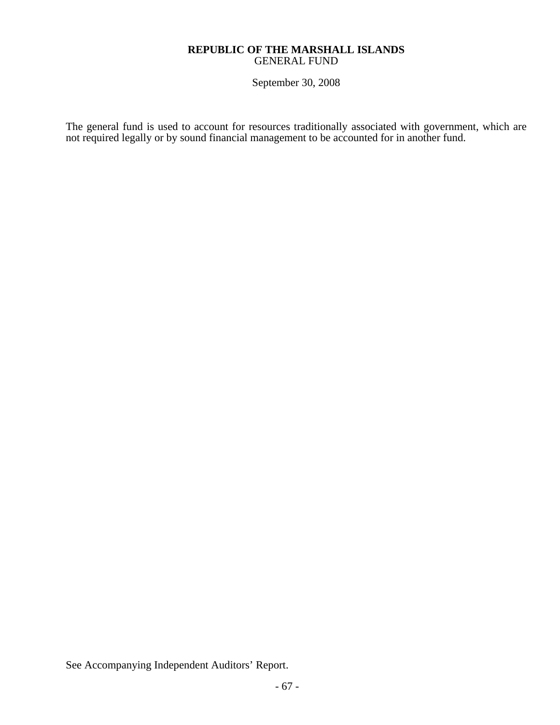### **REPUBLIC OF THE MARSHALL ISLANDS**  GENERAL FUND

September 30, 2008

The general fund is used to account for resources traditionally associated with government, which are not required legally or by sound financial management to be accounted for in another fund.

See Accompanying Independent Auditors' Report.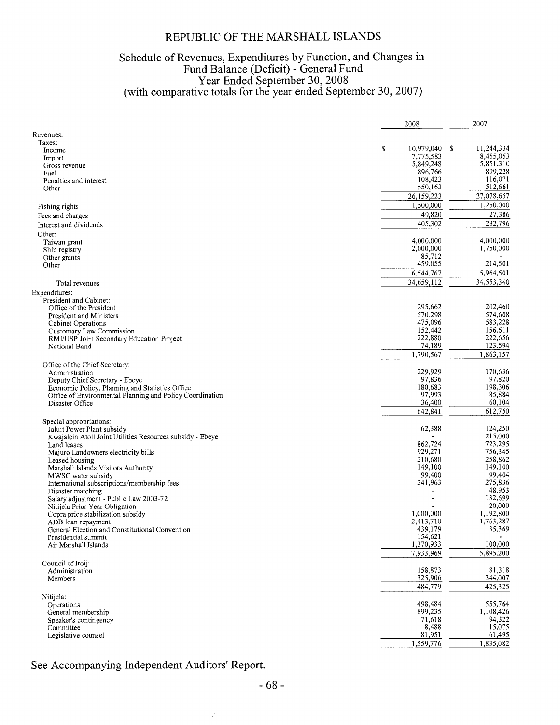# Schedule of Revenues, Expenditures by Function, and Changes in<br>Fund Balance (Deficit) - General Fund<br>Year Ended September 30, 2008<br>(with comparative totals for the year ended September 30, 2007)

|                                                             | 2008               | 2007               |
|-------------------------------------------------------------|--------------------|--------------------|
| Revenues:                                                   |                    |                    |
| Taxes:                                                      |                    |                    |
| Income                                                      | \$<br>10,979,040   | -S<br>11,244,334   |
| Import                                                      | 7,775,583          | 8,455,053          |
| Gross revenue                                               | 5,849,248          | 5,851,310          |
| Fuel                                                        | 896,766            | 899,228            |
| Penalties and interest                                      | 108,423            | 116,071            |
| Other                                                       | 550,163            | 512,661            |
|                                                             | 26,159,223         | 27,078,657         |
| Fishing rights                                              | 1,500,000          | 1,250,000          |
| Fees and charges                                            | 49,820             | 27,386             |
| Interest and dividends                                      | 405,302            | 232,796            |
|                                                             |                    |                    |
| Other:                                                      | 4,000,000          | 4,000,000          |
| Taiwan grant<br>Ship registry                               | 2,000,000          | 1,750,000          |
| Other grants                                                | 85,712             |                    |
| Other                                                       | 459,055            | 214,501            |
|                                                             | 6,544,767          | 5,964,501          |
|                                                             |                    | 34,553,340         |
| Total revenues                                              | 34,659,112         |                    |
| Expenditures:                                               |                    |                    |
| President and Cabinet:                                      |                    |                    |
| Office of the President                                     | 295,662            | 202,460            |
| President and Ministers                                     | 570,298            | 574,608            |
| <b>Cabinet Operations</b>                                   | 475,096<br>152,442 | 583,228<br>156,611 |
| Customary Law Commission                                    | 222,880            | 222,656            |
| RMI/USP Joint Secondary Education Project<br>National Band  | 74,189             | 123,594            |
|                                                             |                    |                    |
|                                                             | 1,790,567          | 1,863,157          |
| Office of the Chief Secretary:                              |                    |                    |
| Administration                                              | 229,929            | 170,636            |
| Deputy Chief Secretary - Ebeye                              | 97,836             | 97,820             |
| Economic Policy, Planning and Statistics Office             | 180,683            | 198,306            |
| Office of Environmental Planning and Policy Coordination    | 97,993             | 85,884             |
| Disaster Office                                             | 36,400             | 60,104             |
|                                                             | 642,841            | 612,750            |
| Special appropriations:                                     |                    |                    |
| Jaluit Power Plant subsidy                                  | 62,388             | 124,250            |
| Kwajalein Atoll Joint Utilities Resources subsidy - Ebeye   |                    | 215,000            |
| Land leases                                                 | 862,724            | 723,295            |
| Majuro Landowners electricity bills                         | 929,271            | 756,345            |
| Leased housing                                              | 210,680            | 258,862            |
| Marshall Islands Visitors Authority                         | 149,100            | 149,100            |
| MWSC water subsidy                                          | 99,400<br>241,963  | 99,404<br>275,836  |
| International subscriptions/membership fees                 |                    | 48,953             |
| Disaster matching<br>Salary adjustment - Public Law 2003-72 |                    | 132,699            |
| Nitijela Prior Year Obligation                              |                    | 20,000             |
| Copra price stabilization subsidy                           | 1,000,000          | 1,192,800          |
| ADB loan repayment                                          | 2,413,710          | 1,763,287          |
| General Election and Constitutional Convention              | 439,179            | 35,369             |
| Presidential summit                                         | 154,621            |                    |
| Air Marshall Islands                                        | 1,370,933          | 100,000            |
|                                                             | 7,933,969          | 5,895,200          |
| Council of Iroij:                                           |                    |                    |
| Administration                                              | 158,873            | 81,318             |
| Members                                                     | 325,906            | 344,007            |
|                                                             | 484,779            | 425,325            |
|                                                             |                    |                    |
| Nitijela:                                                   |                    |                    |
| Operations                                                  | 498,484            | 555,764            |
| General membership                                          | 899,235            | 1,108,426          |
| Speaker's contingency                                       | 71,618             | 94,322             |
| Committee                                                   | 8,488              | 15,075             |
| Legislative counsel                                         | 81,951             | 61,495             |
|                                                             | 1,559,776          | 1,835,082          |

See Accompanying Independent Auditors' Report.

 $\mathcal{I}$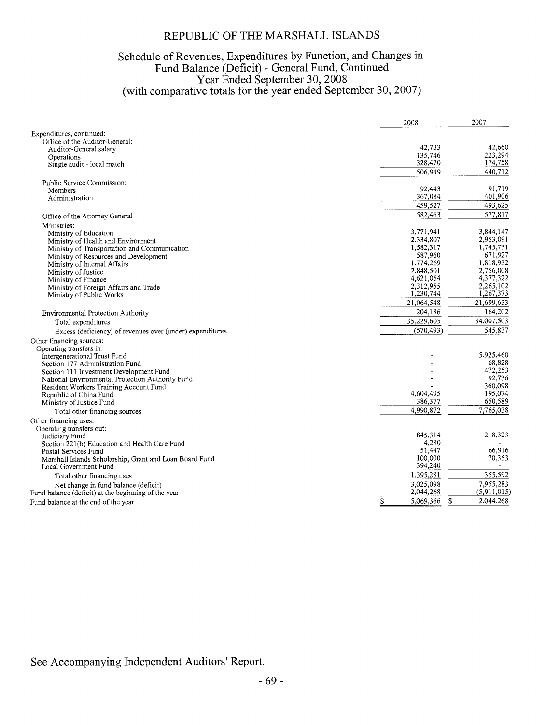# Schedule of Revenues, Expenditures by Function, and Changes in<br>Fund Balance (Deficit) - General Fund, Continued<br>Year Ended September 30, 2008<br>(with comparative totals for the year ended September 30, 2007)

|                                                                 | 2008            | 2007            |
|-----------------------------------------------------------------|-----------------|-----------------|
| Expenditures, continued:                                        |                 |                 |
| Office of the Auditor-General:                                  |                 |                 |
| Auditor-General salary                                          | 42,733          | 42,660          |
| Operations                                                      | 135,746         | 223,294         |
| Single audit - local match                                      | 328,470         | 174,758         |
|                                                                 | 506,949         | 440,712         |
| Public Service Commission:                                      |                 |                 |
| Members                                                         | 92,443          | 91,719          |
| Administration                                                  | 367,084         | 401,906         |
|                                                                 | 459,527         | 493,625         |
| Office of the Attorney General                                  | 582,463         | 577.817         |
| Ministries:                                                     |                 |                 |
| Ministry of Education                                           | 3,771,941       | 3,844,147       |
| Ministry of Health and Environment                              | 2,334,807       | 2,953,091       |
| Ministry of Transportation and Communication                    | 1,582,317       | 1,745,731       |
| Ministry of Resources and Development                           | 587,960         | 671,927         |
| Ministry of Internal Affairs                                    | 1,774,269       | 1,818,932       |
| Ministry of Justice                                             | 2,848,501       | 2,756,008       |
| Ministry of Finance                                             | 4,621,054       | 4,377,322       |
| Ministry of Foreign Affairs and Trade                           | 2,312,955       | 2,265,102       |
| Ministry of Public Works                                        | 1,230,744       | 1,267,373       |
|                                                                 | 21,064,548      | 21,699,633      |
| Environmental Protection Authority                              | 204,186         | 164,202         |
| Total expenditures                                              | 35,229,605      | 34,007,503      |
| Excess (deficiency) of revenues over (under) expenditures       | (570, 493)      | 545,837         |
| Other financing sources:                                        |                 |                 |
| Operating transfers in:                                         |                 |                 |
| Intergenerational Trust Fund                                    |                 | 5,925,460       |
| Section 177 Administration Fund                                 |                 | 68,828          |
| Section 111 Investment Development Fund                         |                 | 472,253         |
| National Environmental Protection Authority Fund                |                 | 92,736          |
| Resident Workers Training Account Fund                          |                 | 360,098         |
| Republic of China Fund                                          | 4.604.495       | 195,074         |
| Ministry of Justice Fund                                        | 386,377         | 650,589         |
| Total other financing sources                                   | 4,990,872       | 7,765,038       |
| Other financing uses:                                           |                 |                 |
| Operating transfers out:                                        |                 |                 |
|                                                                 | 845,314         | 218,323         |
| Judiciary Fund<br>Section 221(b) Education and Health Care Fund | 4,280           |                 |
|                                                                 | 51,447          | 66,916          |
| Postal Services Fund                                            | 100,000         | 70,353          |
| Marshall Islands Scholarship, Grant and Loan Board Fund         | 394,240         |                 |
| Local Government Fund                                           | 1,395,281       | 355,592         |
| Total other financing uses                                      |                 |                 |
| Net change in fund balance (deficit)                            | 3,025,098       | 7,955,283       |
| Fund balance (deficit) at the beginning of the year             | 2,044,268       | (5,911,015)     |
| Fund balance at the end of the year                             | 5,069,366<br>\$ | 2,044,268<br>\$ |

See Accompanying Independent Auditors' Report.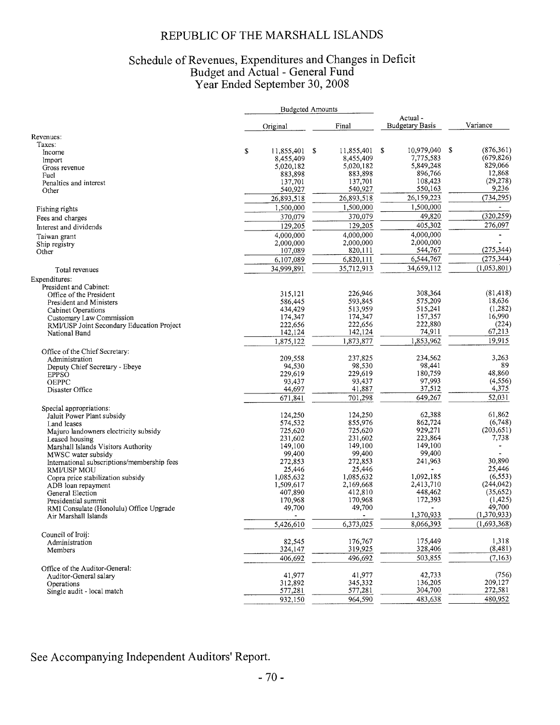#### REPUBLIC OF THE MARSHALL ISLANDS

# Schedule of Revenues, Expenditures and Changes in Deficit<br>Budget and Actual - General Fund<br>Year Ended September 30, 2008

|                                             |                  | <b>Budgeted Amounts</b> |                             |                  |
|---------------------------------------------|------------------|-------------------------|-----------------------------|------------------|
|                                             | Original         | Final                   | Actual -<br>Budgetary Basis | Variance         |
| Revenues:                                   |                  |                         |                             |                  |
| Taxes:                                      |                  |                         |                             |                  |
| Income                                      | \$<br>11,855,401 | \$<br>11,855,401        | 10,979,040<br>-S            | (876, 361)<br>\$ |
| <b>Import</b>                               | 8,455,409        | 8,455,409               | 7,775,583                   | (679, 826)       |
| Gross revenue                               | 5,020,182        | 5,020,182               | 5,849,248                   | 829,066          |
| Fuel                                        | 883,898          | 883,898                 | 896,766                     | 12,868           |
| Penalties and interest                      | 137,701          | 137,701                 | 108,423                     | (29, 278)        |
| Other                                       | 540,927          | 540,927                 | 550,163                     | 9,236            |
|                                             | 26,893,518       | 26,893,518              | 26,159,223                  | (734, 295)       |
| Fishing rights                              | 1,500,000        | 1,500,000               | 1,500,000                   |                  |
| Fees and charges                            | 370,079          | 370,079                 | 49,820                      | (320, 259)       |
| Interest and dividends                      | 129,205          | 129,205                 | 405,302                     | 276,097          |
|                                             |                  | 4,000,000               | 4.000.000                   |                  |
| Taiwan grant                                | 4,000,000        | 2,000,000               | 2,000,000                   |                  |
| Ship registry                               | 2,000,000        | 820,111                 | 544,767                     | (275, 344)       |
| Other                                       | 107,089          |                         |                             |                  |
|                                             | 6,107,089        | 6,820,111               | 6,544,767                   | (275, 344)       |
| Total revenues                              | 34,999,891       | 35,712,913              | 34,659,112                  | (1,053,801)      |
| Expenditures:                               |                  |                         |                             |                  |
| President and Cabinet:                      |                  |                         |                             |                  |
| Office of the President                     | 315,121          | 226,946                 | 308,364                     | (81, 418)        |
| President and Ministers                     | 586,445          | 593,845                 | 575,209                     | 18,636           |
| Cabinet Operations                          | 434,429          | 513,959                 | 515,241                     | (1,282)          |
| Customary Law Commission                    | 174,347          | 174,347                 | 157,357                     | 16,990           |
| RMI/USP Joint Secondary Education Project   | 222,656          | 222,656                 | 222,880                     | (224)            |
| National Band                               | 142,124          | 142,124                 | 74,911                      | 67,213           |
|                                             | 1,875,122        | 1,873,877               | 1.853.962                   | 19.915           |
| Office of the Chief Secretary:              |                  |                         |                             |                  |
| Administration                              | 209,558          | 237,825                 | 234,562                     | 3,263            |
| Deputy Chief Secretary - Ebeye              |                  | 98,530<br>94,530        | 98,441                      | 89               |
| <b>EPPSO</b>                                | 229,619          | 229,619                 | 180,759                     | 48,860           |
| <b>OEPPC</b>                                | 93,437           | 93,437                  | 97,993                      | (4, 556)         |
| Disaster Office                             | 44,697           | 41,887                  | 37,512                      | 4,375            |
|                                             | 671,841          | 701,298                 | 649,267                     | 52,031           |
| Special appropriations:                     |                  |                         |                             |                  |
| Jaluit Power Plant subsidy                  | 124,250          | 124,250                 | 62,388                      | 61,862           |
| Land leases                                 | 574,532          | 855,976                 | 862,724                     | (6,748)          |
| Majuro landowners electricity subsidy       | 725,620          | 725,620                 | 929,271                     | (203, 651)       |
| Leased housing                              | 231,602          | 231,602                 | 223,864                     | 7,738            |
| Marshall Islands Visitors Authority         | 149,100          | 149,100                 | 149,100                     |                  |
| MWSC water subsidy                          | 99,400           | 99,400                  | 99,400                      |                  |
| International subscriptions/membership fees | 272,853          | 272,853                 | 241,963                     | 30,890           |
| <b>RMI/USP MOU</b>                          |                  | 25,446<br>25,446        |                             | 25,446           |
| Copra price stabilization subsidy           | 1,085,632        | 1,085,632               | 1,092,185                   | (6, 553)         |
| ADB loan repayment                          | 1,509,617        | 2,169,668               | 2,413,710                   | (244, 042)       |
| General Election                            | 407,890          | 412,810                 | 448,462                     | (35, 652)        |
| Presidential summit                         | 170,968          | 170,968                 | 172,393                     | (1,425)          |
| RMI Consulate (Honolulu) Office Upgrade     | 49,700           | 49,700                  | $\bullet$                   | 49,700           |
| Air Marshall Islands                        |                  | ۰                       | 1,370,933                   | (1,370,933)      |
|                                             | 5,426,610        | 6,373,025               | 8,066,393                   | (1,693,368)      |
|                                             |                  |                         |                             |                  |
| Council of Iroij:<br>Administration         | 82,545           | 176,767                 | 175,449                     | 1,318            |
| Members                                     | 324,147          | 319,925                 | 328,406                     | (8, 481)         |
|                                             |                  | 496,692                 | 503,855                     | (7,163)          |
|                                             | 406,692          |                         |                             |                  |
| Office of the Auditor-General:              |                  |                         |                             |                  |
| Auditor-General salary                      | 41,977           | 41,977                  | 42,733                      | (756)            |
| Operations                                  | 312,892          | 345,332                 | 136,205                     | 209,127          |
| Single audit - local match                  | 577,281          | 577,281                 | 304,700                     | 272,581          |
|                                             | 932,150          | 964.590                 | 483,638                     | 480,952          |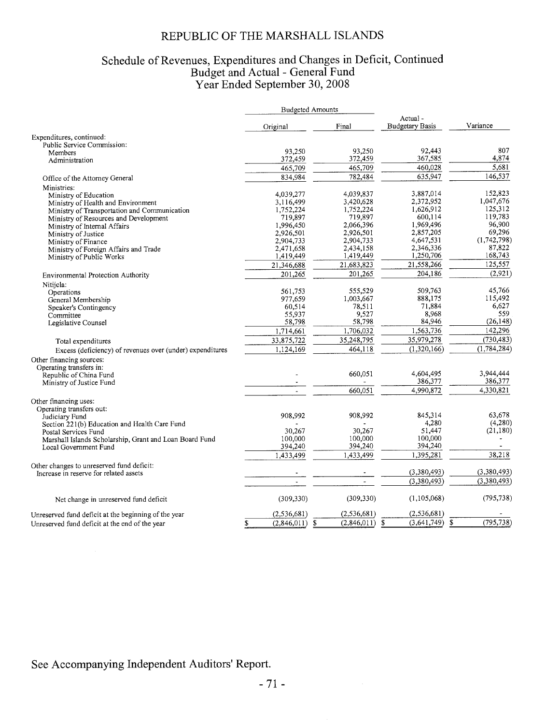#### REPUBLIC OF THE MARSHALL ISLANDS

## Schedule of Revenues, Expenditures and Changes in Deficit, Continued<br>Budget and Actual - General Fund<br>Year Ended September 30, 2008

|                                                           |                        | <b>Budgeted Amounts</b> |                                   |                   |
|-----------------------------------------------------------|------------------------|-------------------------|-----------------------------------|-------------------|
|                                                           | Original               | Final                   | Actual-<br><b>Budgetary Basis</b> | Variance          |
| Expenditures, continued:                                  |                        |                         |                                   |                   |
| Public Service Commission:                                |                        |                         |                                   |                   |
| Members                                                   | 93,250                 | 93,250                  | 92.443                            | 807               |
| Administration                                            | 372,459                | 372,459                 | 367,585                           | 4,874             |
|                                                           | 465,709                | 465,709                 | 460,028                           | 5,681             |
| Office of the Attorney General                            | 834,984                | 782,484                 | 635,947                           | 146,537           |
| Ministries:                                               |                        |                         |                                   |                   |
| Ministry of Education                                     | 4,039,277              | 4,039,837               | 3,887,014                         | 152,823           |
| Ministry of Health and Environment                        | 3,116,499              | 3,420,628               | 2,372,952                         | 1,047,676         |
| Ministry of Transportation and Communication              | 1,752,224              | 1,752,224               | 1,626,912                         | 125,312           |
| Ministry of Resources and Development                     | 719,897                | 719,897                 | 600,114                           | 119,783           |
| Ministry of Internal Affairs                              | 1,996,450              | 2,066,396               | 1,969,496                         | 96,900            |
| Ministry of Justice                                       | 2,926,501              | 2,926,501               | 2,857,205                         | 69,296            |
| Ministry of Finance                                       | 2,904,733              | 2,904,733               | 4,647,531                         | (1,742,798)       |
| Ministry of Foreign Affairs and Trade                     | 2,471,658              | 2,434,158               | 2,346,336                         | 87,822<br>168,743 |
| Ministry of Public Works                                  | 1,419,449              | 1,419,449               | 1,250,706                         |                   |
|                                                           | 21,346,688             | 21,683,823              | 21,558,266                        | 125,557           |
| Environmental Protection Authority                        | 201,265                | 201,265                 | 204,186                           | (2,921)           |
| Nitijela:                                                 |                        |                         |                                   |                   |
| Operations                                                | 561,753                | 555,529                 | 509.763                           | 45.766            |
| General Membership                                        | 977,659                | 1,003,667               | 888,175                           | 115,492           |
| Speaker's Contingency                                     | 60,514                 | 78,511                  | 71,884                            | 6,627             |
| Committee                                                 | 55,937                 | 9.527                   | 8,968                             | 559               |
| Legislative Counsel                                       | 58,798                 | 58,798                  | 84,946                            | (26, 148)         |
|                                                           | 1,714,661              | 1,706,032               | 1,563,736                         | 142,296           |
| Total expenditures                                        | 33,875,722             | 35,248,795              | 35,979,278                        | (730, 483)        |
| Excess (deficiency) of revenues over (under) expenditures | 1,124,169              | 464,118                 | (1,320,166)                       | (1, 784, 284)     |
| Other financing sources:                                  |                        |                         |                                   |                   |
| Operating transfers in:                                   |                        |                         |                                   |                   |
| Republic of China Fund                                    |                        | 660,051                 | 4,604,495                         | 3,944,444         |
| Ministry of Justice Fund                                  |                        |                         | 386,377                           | 386,377           |
|                                                           |                        | 660,051                 | 4,990,872                         | 4,330,821         |
| Other financing uses:                                     |                        |                         |                                   |                   |
| Operating transfers out:                                  |                        |                         |                                   |                   |
| Judiciary Fund                                            | 908,992                | 908,992                 | 845,314                           | 63,678            |
| Section 221(b) Education and Health Care Fund             |                        |                         | 4,280                             | (4,280)           |
| Postal Services Fund                                      | 30,267                 | 30,267                  | 51,447                            | (21, 180)         |
| Marshall Islands Scholarship, Grant and Loan Board Fund   | 100,000                | 100,000<br>394,240      | 100,000<br>394,240                |                   |
| Local Government Fund                                     | 394,240                |                         |                                   |                   |
|                                                           | 1,433,499              | 1,433,499               | 1,395,281                         | 38,218            |
| Other changes to unreserved fund deficit:                 |                        |                         |                                   |                   |
| Increase in reserve for related assets                    |                        |                         | (3,380,493)                       | (3,380,493)       |
|                                                           |                        |                         | (3,380,493)                       | (3,380,493)       |
| Net change in unreserved fund deficit                     | (309, 330)             | (309, 330)              | (1,105,068)                       | (795, 738)        |
| Unreserved fund deficit at the beginning of the year      | (2, 536, 681)          | (2, 536, 681)           | (2, 536, 681)                     |                   |
| Unreserved fund deficit at the end of the year            | \$<br>$(2,846,011)$ \$ | $(2,846,011)$ \$        | $(3,641,749)$ \$                  | (795, 738)        |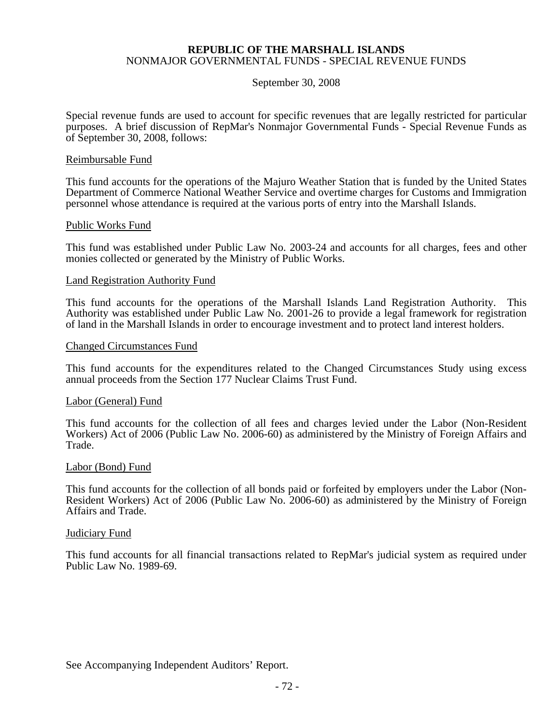#### September 30, 2008

Special revenue funds are used to account for specific revenues that are legally restricted for particular purposes. A brief discussion of RepMar's Nonmajor Governmental Funds - Special Revenue Funds as of September 30, 2008, follows:

#### Reimbursable Fund

This fund accounts for the operations of the Majuro Weather Station that is funded by the United States Department of Commerce National Weather Service and overtime charges for Customs and Immigration personnel whose attendance is required at the various ports of entry into the Marshall Islands.

#### Public Works Fund

This fund was established under Public Law No. 2003-24 and accounts for all charges, fees and other monies collected or generated by the Ministry of Public Works.

#### Land Registration Authority Fund

This fund accounts for the operations of the Marshall Islands Land Registration Authority. This Authority was established under Public Law No. 2001-26 to provide a legal framework for registration of land in the Marshall Islands in order to encourage investment and to protect land interest holders.

#### Changed Circumstances Fund

This fund accounts for the expenditures related to the Changed Circumstances Study using excess annual proceeds from the Section 177 Nuclear Claims Trust Fund.

#### Labor (General) Fund

This fund accounts for the collection of all fees and charges levied under the Labor (Non-Resident Workers) Act of 2006 (Public Law No. 2006-60) as administered by the Ministry of Foreign Affairs and Trade.

#### Labor (Bond) Fund

This fund accounts for the collection of all bonds paid or forfeited by employers under the Labor (Non-Resident Workers) Act of 2006 (Public Law No. 2006-60) as administered by the Ministry of Foreign Affairs and Trade.

#### Judiciary Fund

This fund accounts for all financial transactions related to RepMar's judicial system as required under Public Law No. 1989-69.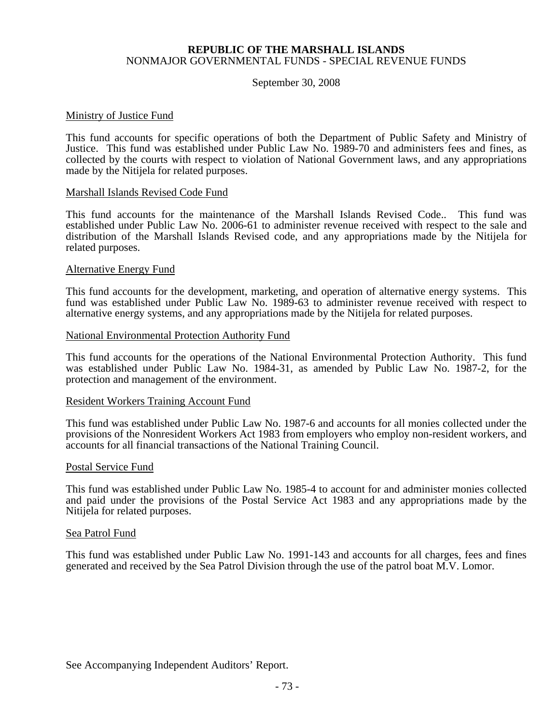#### September 30, 2008

#### Ministry of Justice Fund

This fund accounts for specific operations of both the Department of Public Safety and Ministry of Justice. This fund was established under Public Law No. 1989-70 and administers fees and fines, as collected by the courts with respect to violation of National Government laws, and any appropriations made by the Nitijela for related purposes.

#### Marshall Islands Revised Code Fund

This fund accounts for the maintenance of the Marshall Islands Revised Code.. This fund was established under Public Law No. 2006-61 to administer revenue received with respect to the sale and distribution of the Marshall Islands Revised code, and any appropriations made by the Nitijela for related purposes.

#### Alternative Energy Fund

This fund accounts for the development, marketing, and operation of alternative energy systems. This fund was established under Public Law No. 1989-63 to administer revenue received with respect to alternative energy systems, and any appropriations made by the Nitijela for related purposes.

#### National Environmental Protection Authority Fund

This fund accounts for the operations of the National Environmental Protection Authority. This fund was established under Public Law No. 1984-31, as amended by Public Law No. 1987-2, for the protection and management of the environment.

#### Resident Workers Training Account Fund

This fund was established under Public Law No. 1987-6 and accounts for all monies collected under the provisions of the Nonresident Workers Act 1983 from employers who employ non-resident workers, and accounts for all financial transactions of the National Training Council.

#### Postal Service Fund

This fund was established under Public Law No. 1985-4 to account for and administer monies collected and paid under the provisions of the Postal Service Act 1983 and any appropriations made by the Nitijela for related purposes.

#### Sea Patrol Fund

This fund was established under Public Law No. 1991-143 and accounts for all charges, fees and fines generated and received by the Sea Patrol Division through the use of the patrol boat M.V. Lomor.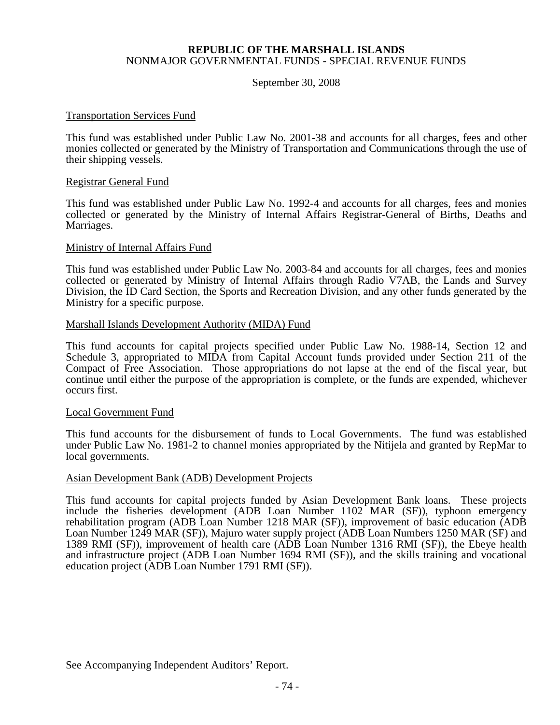#### September 30, 2008

#### Transportation Services Fund

This fund was established under Public Law No. 2001-38 and accounts for all charges, fees and other monies collected or generated by the Ministry of Transportation and Communications through the use of their shipping vessels.

#### Registrar General Fund

This fund was established under Public Law No. 1992-4 and accounts for all charges, fees and monies collected or generated by the Ministry of Internal Affairs Registrar-General of Births, Deaths and Marriages.

#### Ministry of Internal Affairs Fund

This fund was established under Public Law No. 2003-84 and accounts for all charges, fees and monies collected or generated by Ministry of Internal Affairs through Radio V7AB, the Lands and Survey Division, the ID Card Section, the Sports and Recreation Division, and any other funds generated by the Ministry for a specific purpose.

#### Marshall Islands Development Authority (MIDA) Fund

This fund accounts for capital projects specified under Public Law No. 1988-14, Section 12 and Schedule 3, appropriated to MIDA from Capital Account funds provided under Section 211 of the Compact of Free Association. Those appropriations do not lapse at the end of the fiscal year, but continue until either the purpose of the appropriation is complete, or the funds are expended, whichever occurs first.

#### Local Government Fund

This fund accounts for the disbursement of funds to Local Governments. The fund was established under Public Law No. 1981-2 to channel monies appropriated by the Nitijela and granted by RepMar to local governments.

#### Asian Development Bank (ADB) Development Projects

This fund accounts for capital projects funded by Asian Development Bank loans. These projects include the fisheries development (ADB Loan Number 1102 MAR (SF)), typhoon emergency rehabilitation program (ADB Loan Number 1218 MAR (SF)), improvement of basic education (ADB Loan Number 1249 MAR (SF)), Majuro water supply project (ADB Loan Numbers 1250 MAR (SF) and 1389 RMI (SF)), improvement of health care (ADB Loan Number 1316 RMI (SF)), the Ebeye health and infrastructure project (ADB Loan Number 1694 RMI (SF)), and the skills training and vocational education project (ADB Loan Number 1791 RMI (SF)).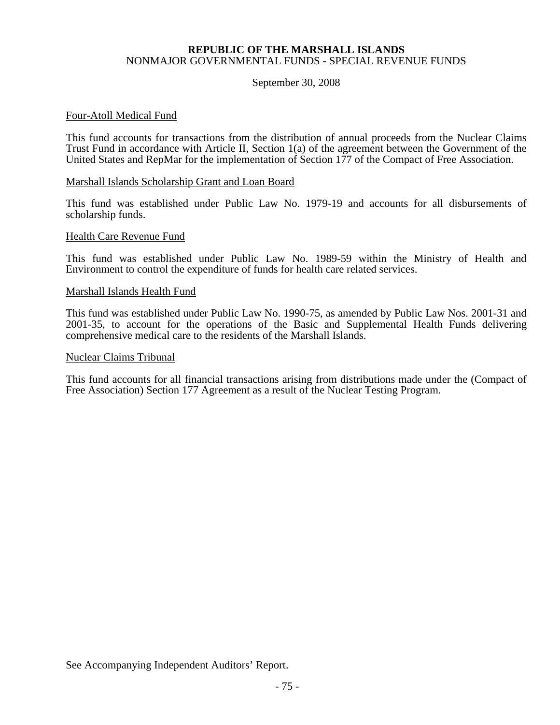#### September 30, 2008

#### Four-Atoll Medical Fund

This fund accounts for transactions from the distribution of annual proceeds from the Nuclear Claims Trust Fund in accordance with Article II, Section 1(a) of the agreement between the Government of the United States and RepMar for the implementation of Section 177 of the Compact of Free Association.

#### Marshall Islands Scholarship Grant and Loan Board

This fund was established under Public Law No. 1979-19 and accounts for all disbursements of scholarship funds.

#### Health Care Revenue Fund

This fund was established under Public Law No. 1989-59 within the Ministry of Health and Environment to control the expenditure of funds for health care related services.

#### Marshall Islands Health Fund

This fund was established under Public Law No. 1990-75, as amended by Public Law Nos. 2001-31 and 2001-35, to account for the operations of the Basic and Supplemental Health Funds delivering comprehensive medical care to the residents of the Marshall Islands.

#### Nuclear Claims Tribunal

This fund accounts for all financial transactions arising from distributions made under the (Compact of Free Association) Section 177 Agreement as a result of the Nuclear Testing Program.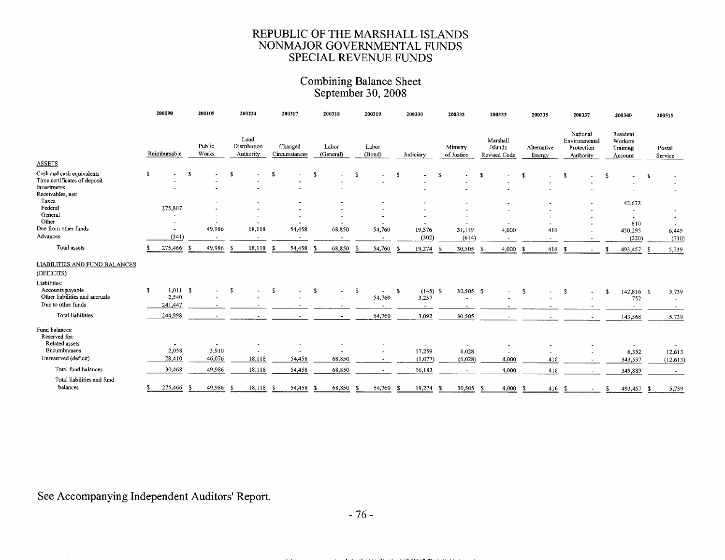### Combining Balance Sheet<br>September 30, 2008

|                                      |    | 200090                   |     | 200105          |               | 200224                            |     | 200317                   |    | 200318                   |               | 200319              |      | 200330     |    | 200332                 |      | 200333                              |     | 200335                |          | 200337                                               |     | 200340                                     |      | 200515            |
|--------------------------------------|----|--------------------------|-----|-----------------|---------------|-----------------------------------|-----|--------------------------|----|--------------------------|---------------|---------------------|------|------------|----|------------------------|------|-------------------------------------|-----|-----------------------|----------|------------------------------------------------------|-----|--------------------------------------------|------|-------------------|
| <b>ASSETS</b>                        |    | Reimbursable             |     | Public<br>Works |               | Land<br>Distribution<br>Authority |     | Changed<br>Circumstances |    | Labor<br>(General)       |               | Labor<br>(Bond)     |      | Judiciary  |    | Ministry<br>of Justice |      | Marshall<br>Islands<br>Revised Code |     | Alternative<br>Energy |          | National<br>Environmental<br>Protection<br>Authority |     | Resident<br>Workers<br>Training<br>Account |      | Postal<br>Service |
| Cash and cash equivalents            | s. |                          | S   |                 | -S            |                                   | -5  |                          | s. | $\blacksquare$           | <sup>\$</sup> |                     | -\$  |            | S  |                        |      |                                     |     |                       |          |                                                      |     |                                            |      |                   |
| Time certificates of deposit         |    |                          |     |                 |               |                                   |     |                          |    |                          |               |                     |      |            |    |                        | -S   |                                     | -8  |                       | <b>S</b> |                                                      | S   |                                            | s    |                   |
| Investments                          |    |                          |     |                 |               |                                   |     |                          |    |                          |               |                     |      |            |    |                        |      |                                     |     |                       |          |                                                      |     |                                            |      |                   |
| Receivables, net:                    |    |                          |     |                 |               |                                   |     |                          |    |                          |               |                     |      |            |    |                        |      |                                     |     |                       |          |                                                      |     |                                            |      |                   |
| Taxes                                |    | $\overline{\phantom{a}}$ |     |                 |               |                                   |     |                          |    |                          |               |                     |      |            |    |                        |      |                                     |     |                       |          |                                                      |     | 42,672                                     |      |                   |
| Federal                              |    | 275,807                  |     |                 |               |                                   |     |                          |    |                          |               |                     |      |            |    |                        |      |                                     |     |                       |          |                                                      |     |                                            |      |                   |
| General                              |    | ٠                        |     |                 |               |                                   |     |                          |    |                          |               |                     |      |            |    |                        |      |                                     |     |                       |          |                                                      |     | $\blacksquare$                             |      |                   |
| Other<br>Due from other funds        |    | $\overline{\phantom{a}}$ |     |                 |               |                                   |     |                          |    |                          |               |                     |      |            |    |                        |      | ٠                                   |     | $\hat{\phantom{a}}$   |          |                                                      |     | 810                                        |      |                   |
|                                      |    | $\overline{\phantom{a}}$ |     | 49,986          |               | 18,118                            |     | 54,458                   |    | 68,850                   |               | 54,760              |      | 19,576     |    | 31,119                 |      | 4,000                               |     | 416                   |          |                                                      |     | 450,295                                    |      | 6,449             |
| Advances                             |    | (341)                    |     |                 |               |                                   |     |                          |    | $\overline{\phantom{a}}$ |               |                     |      | (302)      |    | (614)                  |      | $\overline{\phantom{a}}$            |     | ٠                     |          |                                                      |     | (320)                                      |      | (710)             |
| Total assets                         |    | 275,466                  |     | 49,986          | Æ             | 18,118                            | £   | 54,458                   |    | 68,850                   |               | 54,760              | -9   | 19,274     | -S | 30,505                 | - 5  | 4,000                               |     | 416                   | - \$     |                                                      | - 3 | 493,457                                    | - \$ | 5,739             |
| <b>LIABILITIES AND FUND BALANCES</b> |    |                          |     |                 |               |                                   |     |                          |    |                          |               |                     |      |            |    |                        |      |                                     |     |                       |          |                                                      |     |                                            |      |                   |
| (DEFICITS)                           |    |                          |     |                 |               |                                   |     |                          |    |                          |               |                     |      |            |    |                        |      |                                     |     |                       |          |                                                      |     |                                            |      |                   |
| Liabilities:                         |    |                          |     |                 |               |                                   |     |                          |    |                          |               |                     |      |            |    |                        |      |                                     |     |                       |          |                                                      |     |                                            |      |                   |
| Accounts payable                     | s. | 1.011 S                  |     |                 | <sup>\$</sup> |                                   | -8  |                          | -S | ÷.                       | S.            | $\hat{\phantom{a}}$ | - \$ | $(145)$ \$ |    | 30,505 \$              |      | $\overline{a}$                      | -5  |                       | -S       |                                                      | £.  | 142,816 \$                                 |      | 5,739             |
| Other liabilities and accruals       |    | 2,540                    |     |                 |               |                                   |     |                          |    |                          |               | 54,760              |      | 3,237      |    |                        |      |                                     |     |                       |          |                                                      |     | 752                                        |      | $\overline{a}$    |
| Due to other funds                   |    | 241,447                  |     |                 |               |                                   |     |                          |    |                          |               |                     |      |            |    |                        |      |                                     |     |                       |          |                                                      |     |                                            |      |                   |
| <b>Total liabilities</b>             |    | 244,998                  |     |                 |               |                                   |     |                          |    |                          |               | 54,760              |      | 3,092      |    | 30,505                 |      |                                     |     |                       |          |                                                      |     | 143,568                                    |      | 5,739             |
| Fund balances:                       |    |                          |     |                 |               |                                   |     |                          |    |                          |               |                     |      |            |    |                        |      |                                     |     |                       |          |                                                      |     |                                            |      |                   |
| Reserved for:                        |    |                          |     |                 |               |                                   |     |                          |    |                          |               |                     |      |            |    |                        |      |                                     |     |                       |          |                                                      |     |                                            |      |                   |
| Related assets                       |    |                          |     |                 |               |                                   |     |                          |    |                          |               |                     |      |            |    |                        |      |                                     |     |                       |          |                                                      |     |                                            |      |                   |
| Encumbrances                         |    | 2,058                    |     | 3,910           |               |                                   |     |                          |    |                          |               |                     |      | 17,259     |    | 6,028                  |      |                                     |     |                       |          |                                                      |     | 6,352                                      |      | 12,613            |
| Unreserved (deficit)                 |    | 28,410                   |     | 46,076          |               | 18,118                            |     | 54,458                   |    | 68,850                   |               | $\sim$              |      | (1,077)    |    | (6,028)                |      | 4,000                               |     | 416                   |          | $\sim$                                               |     | 343,537                                    |      | (12, 613)         |
| Total fund balances                  |    | 30,468                   |     | 49,986          |               | 18,118                            |     | 54,458                   |    | 68,850                   |               |                     |      | 16,182     |    | $\sim$                 |      | 4,000                               |     | 416                   |          | $\sim$                                               |     | 349,889                                    |      |                   |
| Total liabilities and fund           |    |                          |     |                 |               |                                   |     |                          |    |                          |               |                     |      |            |    |                        |      |                                     |     |                       |          |                                                      |     |                                            |      |                   |
| balances                             |    | 275,466                  | - 5 | 49,986          | -S            | 18,118                            | - 5 | 54,458                   |    | 68,850                   | - 5           | 54,760              | -S   | 19,274     | S  | 30,505                 | - \$ | 4,000                               | - 1 | 416                   | - S      |                                                      |     | 493,457                                    | S    | 5,739             |

See Accompanying Independent Auditors' Report.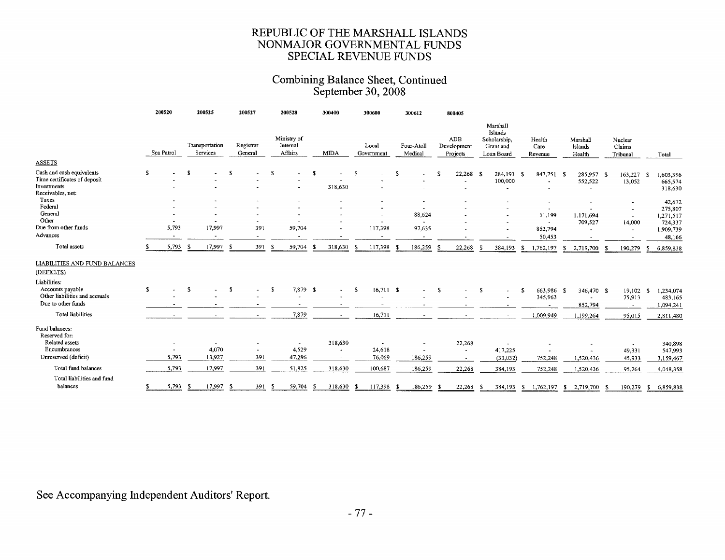### Combining Balance Sheet, Continued<br>September 30, 2008

|                                                                                               |    | 200520         |      | 200525                     |     | 200527                   |      | 200528                             |      | 300400      |      | 300600                   |   | 300612                             |     | 800405                         |      |                                                                |    |                           |     |                                                   |    |                                               |      |                                 |
|-----------------------------------------------------------------------------------------------|----|----------------|------|----------------------------|-----|--------------------------|------|------------------------------------|------|-------------|------|--------------------------|---|------------------------------------|-----|--------------------------------|------|----------------------------------------------------------------|----|---------------------------|-----|---------------------------------------------------|----|-----------------------------------------------|------|---------------------------------|
|                                                                                               |    | Sea Patrol     |      | Transportation<br>Services |     | Registrar<br>General     |      | Ministry of<br>Internal<br>Affairs |      | <b>MIDA</b> |      | Local<br>Government      |   | Four-Atoll<br>Medical              |     | ADB<br>Development<br>Projects |      | Marshall<br>Islands<br>Scholarship.<br>Grant and<br>Loan Board |    | Health<br>Care<br>Revenue |     | Marshall<br>Islands<br>Health                     |    | Nuclear<br>Claims<br>Tribunal                 |      | Total                           |
| <b>ASSETS</b>                                                                                 |    |                |      |                            |     |                          |      |                                    |      |             |      |                          |   |                                    |     |                                |      |                                                                |    |                           |     |                                                   |    |                                               |      |                                 |
| Cash and cash equivalents<br>Time certificates of deposit<br>Investments<br>Receivables, net: | s  |                | -8   |                            | £.  | $\tilde{\phantom{a}}$    | s    | $\ddot{\phantom{1}}$               | - \$ | 318,630     | - \$ |                          | S | $\overline{\phantom{a}}$           | s   | 22,268<br>٠                    | - \$ | 284,193 \$<br>100,000<br>$\tilde{\phantom{a}}$                 |    | 847,751 \$                |     | 285,957 \$<br>552,522<br>$\overline{\phantom{a}}$ |    | 163,227<br>13,052<br>$\overline{\phantom{a}}$ | - \$ | 1,603,396<br>665,574<br>318,630 |
| Taxes                                                                                         |    |                |      |                            |     |                          |      |                                    |      |             |      |                          |   | $\bullet$                          |     |                                |      |                                                                |    |                           |     |                                                   |    |                                               |      | 42,672                          |
| Federal<br>General<br>Other                                                                   |    | $\sim$         |      |                            |     | $\overline{\phantom{a}}$ |      |                                    |      |             |      | $\overline{\phantom{a}}$ |   | $\blacksquare$<br>88,624<br>$\sim$ |     |                                |      | $\sim$<br>$\overline{\phantom{a}}$                             |    | 11,199<br>$\sim$          |     | 1.171.694<br>709,527                              |    | $\overline{\phantom{a}}$<br>14,000            |      | 275,807<br>1,271,517<br>724,337 |
| Due from other funds                                                                          |    | 5,793          |      | 17,997                     |     | 391                      |      | 59,704                             |      |             |      | 117,398                  |   | 97,635                             |     |                                |      |                                                                |    | 852,794                   |     |                                                   |    | $\sim$                                        |      | 1,909,739                       |
| Advances                                                                                      |    | $\blacksquare$ |      | $\overline{\phantom{a}}$   |     | $\overline{\phantom{a}}$ |      | $\overline{\phantom{a}}$           |      |             |      | $\sim$                   |   | $\blacksquare$                     |     |                                |      |                                                                |    | 50,453                    |     | $\overline{\phantom{a}}$                          |    |                                               |      | 48,166                          |
| Total assets                                                                                  | S. | 5,793          | - S  | 17,997                     | - 5 | 391                      | - 5  | 59,704                             | - 5  | 318,630     | -S   | 117,398                  |   | 186,259                            | -9  | 22,268                         | -5   | 384,193                                                        | -S | 1,762,197                 |     | \$ 2,719,700                                      |    | 190,279                                       | -S   | 6,859,838                       |
| <b>LIABILITIES AND FUND BALANCES</b><br>(DEFICITS)                                            |    |                |      |                            |     |                          |      |                                    |      |             |      |                          |   |                                    |     |                                |      |                                                                |    |                           |     |                                                   |    |                                               |      |                                 |
| Liabilities:                                                                                  |    |                |      |                            |     |                          |      |                                    |      |             |      |                          |   |                                    |     |                                |      |                                                                |    |                           |     |                                                   |    |                                               |      |                                 |
| Accounts payable<br>Other liabilities and accruals                                            | s  |                | S    |                            | -S  | $\overline{a}$           | -8   | 7,879 \$                           |      |             | S    | 16,711 S                 |   | ٠                                  | S   |                                | S    |                                                                | -S | 663,986 \$<br>345,963     |     | 346,470 \$                                        |    | $19,102$ \$<br>75,913                         |      | 1,234,074<br>483,165            |
| Due to other funds                                                                            |    |                |      |                            |     |                          |      | $\overline{\phantom{0}}$           |      |             |      | $\overline{\phantom{a}}$ |   |                                    |     |                                |      |                                                                |    | $\overline{\phantom{a}}$  |     | 852,794                                           |    | $\sim$                                        |      | 1,094,241                       |
| <b>Total liabilities</b>                                                                      |    |                |      |                            |     | $\blacksquare$           |      | 7,879                              |      | $\sim$      |      | 16,711                   |   |                                    |     |                                |      | $\sim$                                                         |    | 1,009,949                 |     | 1,199,264                                         |    | 95,015                                        |      | 2,811,480                       |
| Fund balances:<br>Reserved for:                                                               |    |                |      |                            |     |                          |      |                                    |      |             |      |                          |   |                                    |     |                                |      |                                                                |    |                           |     |                                                   |    |                                               |      |                                 |
| Related assets                                                                                |    |                |      |                            |     |                          |      | $\sim$                             |      | 318,630     |      | $\overline{\phantom{a}}$ |   |                                    |     | 22,268                         |      |                                                                |    |                           |     |                                                   |    |                                               |      | 340,898                         |
| Encumbrances                                                                                  |    | $\sim$         |      | 4,070                      |     |                          |      | 4,529                              |      |             |      | 24,618                   |   | $\blacksquare$                     |     | $\blacksquare$                 |      | 417,225                                                        |    |                           |     |                                                   |    | 49,331                                        |      | 547,993                         |
| Unreserved (deficit)                                                                          |    | 5,793          |      | 13,927                     |     | 391                      |      | 47,296                             |      |             |      | 76,069                   |   | 186,259                            |     | $\overline{\phantom{a}}$       |      | (33,032)                                                       |    | 752,248                   |     | 1,520,436                                         |    | 45,933                                        |      | 3,159,467                       |
| Total fund balances                                                                           |    | 5,793          |      | 17,997                     |     | 391                      |      | 51,825                             |      | 318,630     |      | 100,687                  |   | 186,259                            |     | 22,268                         |      | 384,193                                                        |    | 752,248                   |     | 1,520,436                                         |    | 95,264                                        |      | 4,048,358                       |
| Total liabilities and fund<br>balances                                                        | s  | 5,793          | - 56 | 17,997                     | -S  | 391                      | - \$ | 59,704                             | - \$ | 318,630     | -S.  | 117,398                  |   | 186,259                            | - 5 | 22,268                         | -S   | 384,193                                                        | s. | 1,762,197                 | -SI | 2,719,700                                         | -S | 190,279                                       | -S   | 6,859,838                       |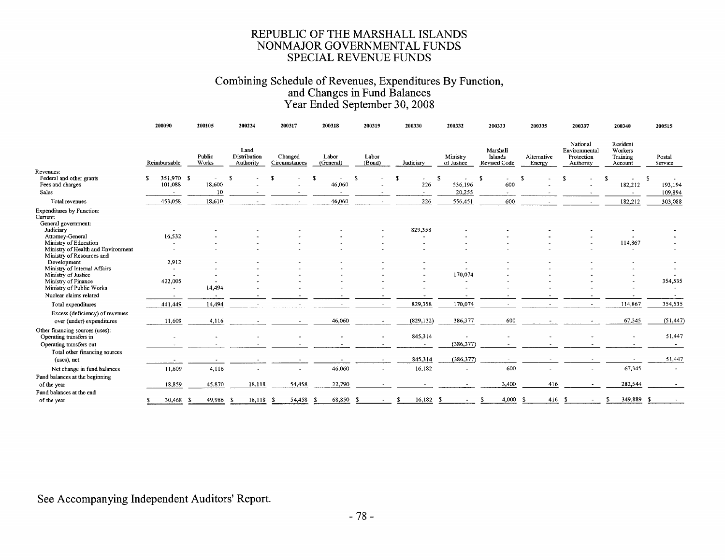## Combining Schedule of Revenues, Expenditures By Function,<br>and Changes in Fund Balances<br>Year Ended September 30, 2008

|                                                                           | 200090                             | 200105                | 200224                            | 200317                   | 200318             | 200319                | 200330                   | 200332                          | 200333                              | 200335                | 200337                                               | 200340                                     | 200515                   |
|---------------------------------------------------------------------------|------------------------------------|-----------------------|-----------------------------------|--------------------------|--------------------|-----------------------|--------------------------|---------------------------------|-------------------------------------|-----------------------|------------------------------------------------------|--------------------------------------------|--------------------------|
|                                                                           | Reimbursable                       | Public<br>Works       | Land<br>Distribution<br>Authority | Changed<br>Circumstances | Labor<br>(General) | Labor<br>(Bond)       | Judiciary                | Ministry<br>of Justice          | Marshall<br>Islands<br>Revised Code | Alternative<br>Energy | National<br>Environmental<br>Protection<br>Authority | Resident<br>Workers<br>Training<br>Account | Postal<br>Service        |
| Revenues:<br>Federal and other grants<br>Fees and charges                 | 351,970 \$<br>101,088              | 18,600                |                                   |                          | £.<br>46,060       | -S                    | -8<br>226                | -S<br>$\blacksquare$<br>536,196 | S<br>$\tilde{\phantom{a}}$<br>600   | -S                    | ፍ                                                    | £.<br>182,212                              | S<br>193,194             |
| Sales                                                                     | $\rightarrow$                      | 10                    |                                   |                          |                    |                       | $\tilde{\phantom{a}}$    | 20,255                          | $\tilde{\phantom{a}}$               |                       |                                                      | $\sim$                                     | 109,894                  |
| Total revenues                                                            | 453,058                            | 18,610                |                                   | $\bullet$                | 46,060             | $\overline{a}$        | 226                      | 556,451                         | 600                                 |                       |                                                      | 182,212                                    | 303,088                  |
| Expenditures by Function:<br>Current:<br>General government:<br>Judiciary | $\sim$                             |                       |                                   |                          |                    |                       | 829,358                  |                                 |                                     |                       |                                                      |                                            |                          |
| Attorney-General                                                          | 16,532                             |                       |                                   |                          |                    |                       |                          |                                 |                                     |                       |                                                      |                                            |                          |
| Ministry of Education                                                     | $\tilde{\phantom{a}}$              |                       |                                   |                          |                    |                       | ٠                        |                                 |                                     |                       |                                                      | 114,867                                    |                          |
| Ministry of Health and Environment                                        | $\blacksquare$                     |                       |                                   |                          |                    |                       | $\overline{\phantom{a}}$ |                                 |                                     |                       |                                                      | $\sim$                                     |                          |
| Ministry of Resources and<br>Development<br>Ministry of Internal Affairs  | 2,912                              |                       |                                   |                          |                    |                       |                          |                                 |                                     |                       |                                                      |                                            |                          |
| Ministry of Justice                                                       | $\overline{\phantom{a}}$<br>$\sim$ |                       |                                   |                          |                    |                       |                          | 170,074                         |                                     |                       |                                                      |                                            |                          |
| Ministry of Finance<br>Ministry of Public Works                           | 422,005<br>$\sim$                  | 14,494                |                                   |                          |                    |                       |                          | $\overline{\phantom{a}}$        |                                     |                       |                                                      |                                            | 354,535                  |
| Nuclear claims related                                                    | $\overline{\phantom{a}}$           | $\tilde{\phantom{a}}$ |                                   |                          |                    |                       |                          |                                 |                                     |                       |                                                      |                                            |                          |
| Total expenditures                                                        | 441,449                            | 14,494                |                                   |                          |                    | $\blacksquare$        | 829,358                  | 170,074                         | $\sim$                              |                       | $\overline{\phantom{a}}$                             | 114,867                                    | 354,535                  |
| Excess (deficiency) of revenues<br>over (under) expenditures              | 11,609                             | 4,116                 |                                   |                          | 46,060             | $\tilde{\phantom{a}}$ | (829, 132)               | 386,377                         | 600                                 |                       | ٠                                                    | 67,345                                     | (51, 447)                |
| Other financing sources (uses):<br>Operating transfers in                 |                                    |                       |                                   |                          |                    |                       | 845,314                  |                                 |                                     |                       |                                                      |                                            | 51,447                   |
| Operating transfers out                                                   |                                    |                       |                                   |                          |                    |                       | ۰                        | (386, 377)                      |                                     |                       |                                                      |                                            | $\sim$                   |
| Total other financing sources<br>(uses), net                              |                                    |                       |                                   |                          |                    | $\sim$                | 845,314                  | (386, 377)                      | $\sim$                              |                       |                                                      |                                            | 51,447                   |
| Net change in fund balances                                               | 11,609                             | 4,116                 |                                   | $\blacksquare$           | 46,060             |                       | 16,182                   |                                 | 600                                 |                       |                                                      | 67,345                                     | $\overline{\phantom{a}}$ |
| Fund balances at the beginning                                            |                                    |                       |                                   |                          |                    |                       |                          |                                 |                                     |                       |                                                      |                                            |                          |
| of the year                                                               | 18,859                             | 45,870                | 18,118                            | 54,458                   | 22,790             |                       |                          |                                 | 3,400                               | 416                   |                                                      | 282,544                                    |                          |
| Fund balances at the end                                                  |                                    |                       |                                   |                          |                    |                       |                          |                                 |                                     |                       |                                                      |                                            |                          |
| of the year                                                               | 30,468                             | 49,986<br>-8          | 18,118                            | 54,458<br>- 5            | 68,850             | - \$                  | 16,182                   | Я                               | 4,000                               | -S                    | 416S                                                 | 349,889                                    | -S                       |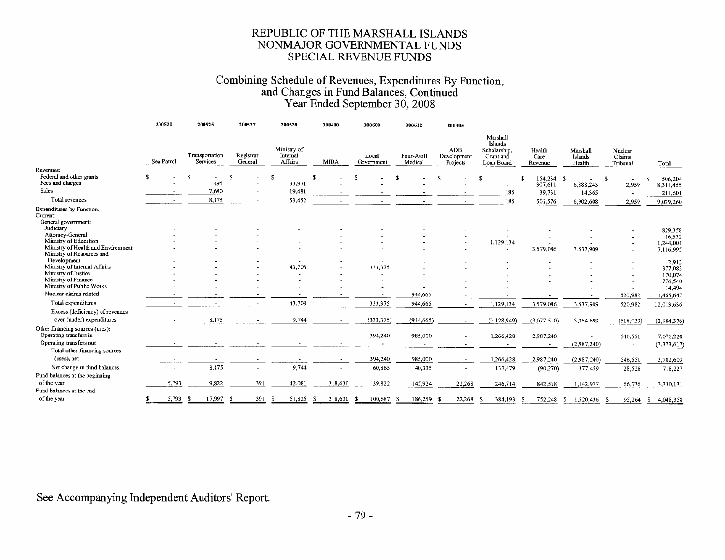## Combining Schedule of Revenues, Expenditures By Function,<br>and Changes in Fund Balances, Continued<br>Year Ended September 30, 2008

|                                                              | 200520     |    | 200525                     | 200527               |     | 200528                                    |    | 300400      | 300600              | 300612                |    | 800405                         |                                                                |                           |                               |   |                               |    |                      |
|--------------------------------------------------------------|------------|----|----------------------------|----------------------|-----|-------------------------------------------|----|-------------|---------------------|-----------------------|----|--------------------------------|----------------------------------------------------------------|---------------------------|-------------------------------|---|-------------------------------|----|----------------------|
|                                                              | Sea Patrol |    | Transportation<br>Services | Registrar<br>General |     | Ministry of<br>Internal<br><b>Affairs</b> |    | <b>MIDA</b> | Local<br>Government | Four-Atoll<br>Medical |    | ADB<br>Development<br>Projects | Marshall<br>Islands<br>Scholarship,<br>Grant and<br>Loan Board | Health<br>Care<br>Revenue | Marshall<br>Islands<br>Health |   | Nuclear<br>Claims<br>Tribunal |    | Total                |
| Revenues:<br>Federal and other grants<br>Fees and charges    |            | -8 | $\blacksquare$<br>495      | S                    | S   | ۰<br>33,971                               | -S |             |                     |                       | Я. |                                | ٠                                                              | 154,234 \$<br>307,611     | 6,888,243                     | S | 2,959                         |    | 506,204<br>8,311,455 |
| Sales                                                        |            |    | 7,680                      |                      |     | 19,481                                    |    |             |                     |                       |    |                                | 185                                                            | 39,731                    | 14,365                        |   | $\sim$                        |    | 211,601              |
| Total revenues                                               |            |    | 8,175                      |                      |     | 53,452                                    |    |             |                     |                       |    |                                | 185                                                            | 501,576                   | 6,902,608                     |   | 2,959                         |    | 9,029,260            |
| <b>Expenditures</b> by Function:                             |            |    |                            |                      |     |                                           |    |             |                     |                       |    |                                |                                                                |                           |                               |   |                               |    |                      |
| Current:<br>General government:<br>Judiciary                 |            |    |                            |                      |     |                                           |    |             |                     |                       |    |                                |                                                                |                           |                               |   |                               |    |                      |
| Attorney-General                                             |            |    |                            |                      |     |                                           |    |             |                     |                       |    |                                |                                                                |                           |                               |   |                               |    | 829,358              |
| Ministry of Education                                        |            |    |                            |                      |     |                                           |    |             |                     |                       |    |                                | 1,129,134                                                      |                           |                               |   |                               |    | 16,532<br>1,244,001  |
| Ministry of Health and Environment                           |            |    |                            |                      |     |                                           |    |             |                     |                       |    |                                | $\overline{\phantom{a}}$                                       | 3,579,086                 | 3,537,909                     |   |                               |    | 7,116,995            |
| Ministry of Resources and                                    |            |    |                            |                      |     |                                           |    |             |                     |                       |    |                                |                                                                |                           |                               |   |                               |    |                      |
| Development                                                  |            |    |                            |                      |     | $\hat{\phantom{a}}$                       |    |             |                     |                       |    |                                |                                                                |                           |                               |   |                               |    | 2,912                |
| Ministry of Internal Affairs<br>Ministry of Justice          |            |    |                            |                      |     | 43,708                                    |    |             | 333,375             |                       |    |                                |                                                                |                           |                               |   |                               |    | 377,083              |
| Ministry of Finance                                          |            |    |                            |                      |     |                                           |    |             |                     |                       |    |                                |                                                                |                           |                               |   |                               |    | 170,074              |
| Ministry of Public Works                                     |            |    |                            |                      |     |                                           |    |             |                     |                       |    |                                |                                                                |                           |                               |   |                               |    | 776,540<br>14,494    |
| Nuclear claims related                                       |            |    |                            |                      |     |                                           |    |             |                     | 944,665               |    |                                |                                                                |                           |                               |   | 520,982                       |    | 1,465,647            |
| Total expenditures                                           |            |    |                            |                      |     | 43,708                                    |    |             | 333,375             | 944,665               |    | ٠                              | 1,129,134                                                      | 3,579,086                 | 3,537,909                     |   | 520,982                       |    | 12,013,636           |
|                                                              |            |    |                            |                      |     |                                           |    |             |                     |                       |    |                                |                                                                |                           |                               |   |                               |    |                      |
| Excess (deficiency) of revenues<br>over (under) expenditures |            |    | 8,175                      |                      |     | 9,744                                     |    |             | (333, 375)          | (944, 665)            |    |                                | (1, 128, 949)                                                  | (3,077,510)               | 3,364,699                     |   | (518,023)                     |    | (2,984,376)          |
| Other financing sources (uses):<br>Operating transfers in    |            |    |                            |                      |     |                                           |    |             | 394,240             | 985,000               |    |                                | 1,266,428                                                      | 2,987,240                 |                               |   | 546,551                       |    | 7,076,220            |
| Operating transfers out                                      |            |    |                            |                      |     |                                           |    |             |                     |                       |    |                                |                                                                |                           | (2,987,240)                   |   |                               |    | (3, 373, 617)        |
| Total other financing sources<br>(uses), net                 |            |    |                            |                      |     |                                           |    |             |                     |                       |    |                                |                                                                |                           |                               |   |                               |    |                      |
|                                                              |            |    |                            |                      |     | $\overline{\phantom{a}}$                  |    |             | 394,240             | 985,000               |    |                                | 1,266,428                                                      | 2,987,240                 | (2,987,240)                   |   | 546,551                       |    | 3,702,603            |
| Net change in fund balances                                  |            |    | 8,175                      |                      |     | 9,744                                     |    |             | 60,865              | 40,335                |    |                                | 137,479                                                        | (90, 270)                 | 377,459                       |   | 28,528                        |    | 718,227              |
| Fund balances at the beginning                               |            |    |                            |                      |     |                                           |    |             |                     |                       |    |                                |                                                                |                           |                               |   |                               |    |                      |
| of the year                                                  | 5,793      |    | 9,822                      | 391                  |     | 42,081                                    |    | 318,630     | 39,822              | 145,924               |    | 22,268                         | 246,714                                                        | 842,518                   | 1,142,977                     |   | 66,736                        |    | 3,330,131            |
| Fund balances at the end                                     |            |    |                            |                      |     |                                           |    |             |                     |                       |    |                                |                                                                |                           |                               |   |                               |    |                      |
| of the year                                                  | 5,793      |    | 17,997                     | 391<br>- S           | - 5 | 51,825                                    |    | 318,630     | 100,687             | 186,259               |    | 22,268                         | 384,193<br>-5                                                  | 752,248                   | 1,520,436<br>S.               |   | 95,264                        | -S | 4,048,358            |

See Accompanying Independent Auditors' Report.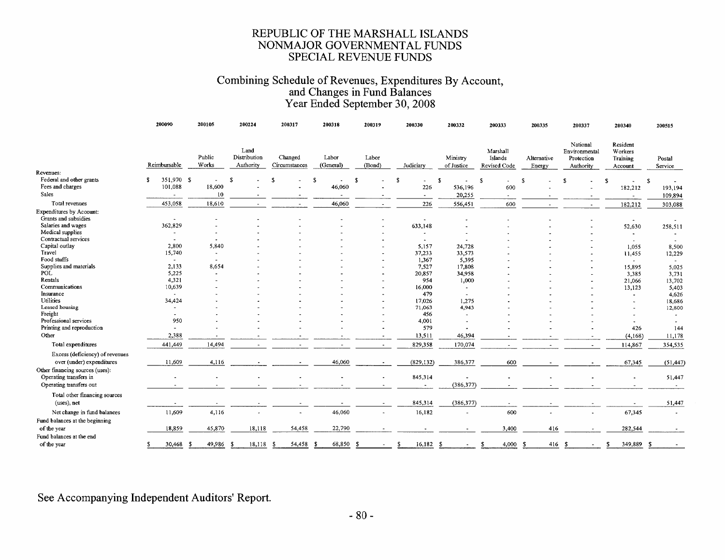#### Combining Schedule of Revenues, Expenditures By Account, and Changes in Fund Balances Year Ended September 30, 2008

200210

200220

300223

 $\ldots$ 

 $\sum_{n=1}^{n} a_n = a_n$ 

 $0.00227$ 

200240

300515

200318

200317

|                                       |                          |                   |                                   |                          |                    |                          |                       |                          |                                     | 20033-                |                                                      | 400J4U                                     | <b>TCONT</b>      |
|---------------------------------------|--------------------------|-------------------|-----------------------------------|--------------------------|--------------------|--------------------------|-----------------------|--------------------------|-------------------------------------|-----------------------|------------------------------------------------------|--------------------------------------------|-------------------|
|                                       | Reimbursable             | Public<br>Works   | Land<br>Distribution<br>Authority | Changed<br>Circumstances | Labor<br>(General) | Labor<br>(Bond)          | Judiciary             | Ministry<br>of Justice   | Marshall<br>Islands<br>Revised Code | Alternative<br>Energy | National<br>Environmental<br>Protection<br>Authority | Resident<br>Workers<br>Training<br>Account | Postal<br>Service |
| Revenues:<br>Federal and other grants | 351,970 \$               |                   |                                   |                          |                    |                          |                       |                          |                                     |                       |                                                      |                                            |                   |
| Fees and charges                      | s.<br>101,088            | 18,600            | S.                                |                          | S                  | -S                       | <b>S</b>              | S                        | £.                                  | $\mathcal{F}$         |                                                      | S                                          | S                 |
| Sales                                 |                          |                   |                                   |                          | 46,060             |                          | 226                   | 536,196                  | 600                                 |                       |                                                      | 182,212                                    | 193,194           |
|                                       |                          | 10                |                                   |                          | $\overline{a}$     |                          | $\blacksquare$        | 20,255                   | $\blacksquare$                      |                       |                                                      |                                            | 109,894           |
| Total revenues                        | 453,058                  | 18,610            |                                   |                          | 46,060             | $\tilde{\phantom{a}}$    | 226                   | 556,451                  | 600                                 |                       | $\blacksquare$                                       | 182,212                                    | 303,088           |
| Expenditures by Account:              |                          |                   |                                   |                          |                    |                          |                       |                          |                                     |                       |                                                      |                                            |                   |
| Grants and subsidies                  | $\tilde{\phantom{a}}$    |                   |                                   |                          |                    |                          |                       |                          |                                     |                       |                                                      |                                            |                   |
| Salaries and wages                    | 362,829                  |                   |                                   |                          |                    |                          | 633,148               |                          |                                     |                       |                                                      | 52,630                                     | 258,511           |
| Medical supplies                      |                          |                   |                                   |                          |                    |                          | $\tilde{\phantom{a}}$ |                          |                                     |                       |                                                      | $\overline{\phantom{a}}$                   |                   |
| Contractual services                  | $\overline{a}$           |                   |                                   |                          |                    |                          | $\tilde{\phantom{a}}$ |                          |                                     |                       |                                                      | $\overline{\phantom{a}}$                   |                   |
| Capital outlay                        | 2,800                    | 5,840             |                                   |                          |                    |                          | 5,157                 | 24,728                   |                                     |                       |                                                      | 1,055                                      | 8,500             |
| Travel                                | 15,740                   | $\sim$            |                                   |                          |                    |                          | 37,233                | 33,573                   |                                     |                       |                                                      | 11,455                                     | 12,229            |
| Food stuffs                           | $\overline{\phantom{a}}$ |                   |                                   |                          |                    |                          | 1,367                 | 5,395                    |                                     |                       |                                                      | $\sim$                                     |                   |
| Supplies and materials                | 2,133                    | 8,654             |                                   |                          |                    |                          | 7,527                 | 17,808                   |                                     |                       |                                                      | 15,895                                     | 5,025             |
| POL                                   | 5,225                    |                   |                                   |                          |                    |                          | 20,857                | 34,958                   |                                     |                       |                                                      | 3,385                                      | 3,731             |
| Rentals                               | 4,321                    |                   |                                   |                          |                    |                          | 954                   | 1,000                    |                                     |                       |                                                      | 21,066                                     | 13,702            |
| Communications                        | 10,639                   |                   |                                   |                          |                    |                          | 16,000                |                          |                                     |                       |                                                      | 13,123                                     | 5,403             |
| Insurance                             | $\sim$                   |                   |                                   |                          |                    |                          | 479                   |                          |                                     |                       |                                                      |                                            | 4,626             |
| <b>Utilities</b>                      | 34,424                   |                   |                                   |                          |                    |                          | 17,026                | 1,275                    |                                     |                       |                                                      |                                            | 18,686            |
| Leased housing                        | ٠                        |                   |                                   |                          |                    |                          | 71,063                | 4,943                    |                                     |                       |                                                      |                                            | 12,800            |
| Freight                               | $\blacksquare$           |                   |                                   |                          |                    |                          | 456                   |                          |                                     |                       |                                                      |                                            | $\sim$            |
| Professional services                 | 950                      |                   |                                   |                          |                    |                          | 4,001                 | $\overline{\phantom{a}}$ |                                     |                       |                                                      |                                            |                   |
| Printing and reproduction             |                          |                   |                                   |                          |                    |                          | 579                   |                          |                                     |                       |                                                      | 426                                        | 144               |
| Other                                 | 2,388                    |                   |                                   |                          |                    |                          | 13,511                | 46,394                   |                                     |                       |                                                      | (4,168)                                    | 11,178            |
| Total expenditures                    | 441,449                  | 14,494            |                                   | $\tilde{\phantom{a}}$    |                    |                          | 829,358               | 170,074                  |                                     |                       |                                                      | 114,867                                    | 354,535           |
| Excess (deficiency) of revenues       |                          |                   |                                   |                          |                    |                          |                       |                          |                                     |                       |                                                      |                                            |                   |
| over (under) expenditures             | 11,609                   | 4,116             |                                   |                          | 46,060             |                          | (829, 132)            | 386,377                  | 600                                 |                       |                                                      | 67,345                                     | (51, 447)         |
| Other financing sources (uses):       |                          |                   |                                   |                          |                    |                          |                       |                          |                                     |                       |                                                      |                                            |                   |
| Operating transfers in                |                          |                   |                                   |                          |                    |                          | 845,314               |                          |                                     |                       |                                                      |                                            | 51,447            |
| Operating transfers out               |                          |                   |                                   |                          |                    |                          |                       | (386, 377)               |                                     |                       |                                                      |                                            | $\sim$            |
|                                       |                          |                   |                                   |                          |                    |                          |                       |                          |                                     |                       |                                                      |                                            |                   |
| Total other financing sources         |                          |                   |                                   |                          |                    |                          |                       |                          |                                     |                       |                                                      |                                            |                   |
| (uses), net                           |                          | $\sim$            |                                   | $\overline{\phantom{a}}$ |                    | $\overline{\phantom{a}}$ | 845,314               | (386, 377)               | ٠                                   |                       |                                                      | $\blacksquare$                             | 51,447            |
| Net change in fund balances           | 11,609                   | 4,116             |                                   | ۰                        | 46,060             |                          | 16,182                |                          | 600                                 |                       |                                                      | 67,345                                     |                   |
|                                       |                          |                   |                                   |                          |                    |                          |                       |                          |                                     |                       |                                                      |                                            |                   |
| Fund balances at the beginning        |                          |                   |                                   |                          |                    |                          |                       |                          |                                     |                       |                                                      |                                            |                   |
| of the year                           | 18,859                   | 45,870            | 18,118                            | 54,458                   | 22,790             |                          |                       | $\overline{\phantom{a}}$ | 3,400                               | 416                   | $\overline{\phantom{a}}$                             | 282,544                                    | $\sim$            |
| Fund balances at the end              |                          |                   |                                   |                          |                    |                          |                       |                          |                                     |                       |                                                      |                                            |                   |
| of the year                           | 30,468<br>s.             | 49,986 \$<br>- \$ | 18,118                            | 54,458<br>-S             | 68,850 \$<br>- \$  |                          | $16,182$ \$<br>-S     | $\overline{\phantom{a}}$ | 4,000S<br>S                         |                       | 416 \$                                               | 349,889 \$<br>S                            |                   |

See Accompanying Independent Auditors' Report.

200090

200105

200224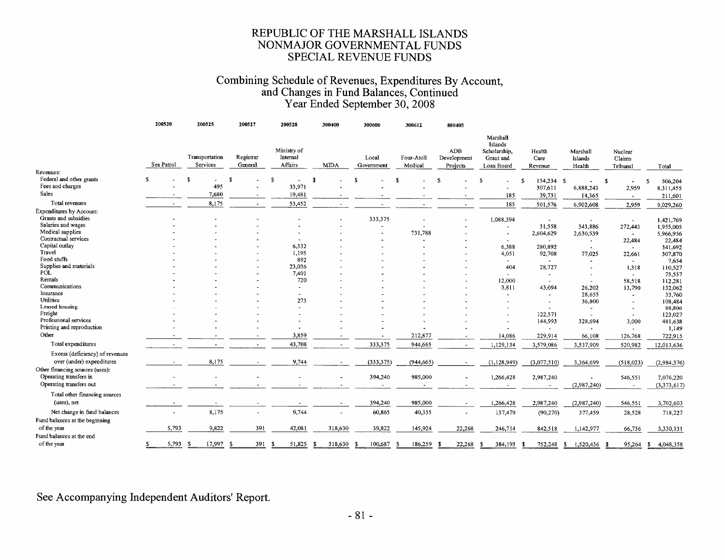## Combining Schedule of Revenues, Expenditures By Account,<br>and Changes in Fund Balances, Continued<br>Year Ended September 30, 2008

 $\frac{1}{2}$ 

|                                                              | 200520      |    | 200525                     | 200527               | 200528                             | 300400                | 300600              | 300612                   | 800405                         |                                                                |                           |                               |                               |                         |
|--------------------------------------------------------------|-------------|----|----------------------------|----------------------|------------------------------------|-----------------------|---------------------|--------------------------|--------------------------------|----------------------------------------------------------------|---------------------------|-------------------------------|-------------------------------|-------------------------|
| Revenues:                                                    | Sea Patrol  |    | Transportation<br>Services | Registrar<br>General | Ministry of<br>Internal<br>Affairs | <b>MDA</b>            | Local<br>Government | Four-Atoll<br>Medical    | ADB<br>Development<br>Projects | Marshall<br>Islands<br>Scholarship,<br>Grant and<br>Loan Board | Health<br>Care<br>Revenue | Marshall<br>Islands<br>Health | Nuclear<br>Claims<br>Tribunal | Total                   |
| Federal and other grants                                     | s.          | £. | L.                         | £.                   | \$.                                | $\mathbf{f}$          | -S                  |                          | £.                             | s                                                              | 154,234 \$<br>£.          |                               | s                             | $\mathbf{s}$<br>506,204 |
| Fees and charges                                             |             |    | 495                        |                      | 33,971                             |                       |                     |                          |                                |                                                                | 307,611                   | 6,888,243                     | 2,959                         | 8,311,455               |
| Sales                                                        |             |    | 7,680                      |                      | 19,481                             |                       |                     |                          |                                | 185                                                            | 39,731                    | 14,365                        | $\sim$                        | 211,601                 |
| Total revenues                                               |             |    | 8,175                      |                      | 53,452                             |                       |                     |                          |                                | 185                                                            | 501,576                   | 6,902,608                     | 2,959                         | 9,029,260               |
| <b>Expenditures by Account:</b>                              |             |    |                            |                      |                                    |                       |                     |                          |                                |                                                                |                           |                               |                               |                         |
| Grants and subsidies                                         |             |    |                            |                      |                                    |                       | 333,375             |                          |                                | 1,088,394                                                      |                           | $\ddot{\phantom{1}}$          |                               | 1,421,769               |
| Salaries and wages                                           |             |    |                            |                      |                                    |                       |                     |                          |                                |                                                                | 31,558                    | 343,886                       | 272,443                       | 1,955,005               |
| Medical supplies                                             |             |    |                            |                      |                                    |                       |                     | 731,788                  |                                | $\sim$                                                         | 2,604,629                 | 2,630,539                     | ٠                             | 5,966,956               |
| Contractual services                                         |             |    |                            |                      |                                    |                       |                     |                          |                                |                                                                |                           | $\tilde{\phantom{a}}$         | 22,484                        | 22,484                  |
| Capital outlay                                               |             |    |                            |                      | 6,332                              |                       |                     |                          |                                | 6,388                                                          | 280,892                   | $\blacksquare$                | $\sim$                        | 341,692                 |
| Travel                                                       |             |    |                            |                      | 1,195                              |                       |                     |                          |                                | 4,051                                                          | 92,708                    | 77,025                        | 22,661                        | 307,870                 |
| Food stuffs                                                  |             |    |                            |                      | 892                                |                       |                     |                          |                                |                                                                | $\tilde{\phantom{a}}$     |                               | $\sim$                        | 7,654                   |
| Supplies and materials                                       |             |    |                            |                      | 23,036                             |                       |                     |                          |                                | 404                                                            | 28,727                    | $\cdot$                       | 1,318                         | 110,527                 |
| POL                                                          |             |    |                            |                      | 7,401                              |                       |                     |                          |                                |                                                                |                           |                               | $\sim$                        | 75,557                  |
| Rentals                                                      |             |    |                            |                      | 720                                |                       |                     |                          |                                | 12,000                                                         | $\sim$                    | $\overline{a}$                | 58,518                        | 112,281                 |
| Communications                                               |             |    |                            |                      |                                    |                       |                     |                          |                                | 3,811                                                          | 43,094                    | 26,202                        | 13,790                        | 132,062                 |
| Insurance                                                    |             |    |                            |                      | $\sim$                             |                       |                     |                          |                                |                                                                | $\ddot{\phantom{1}}$      | 28,655                        | $\sim$                        | 33,760                  |
| <b>Utilities</b>                                             |             |    |                            |                      | 273                                |                       |                     |                          |                                |                                                                | $\overline{\phantom{a}}$  | 36,800                        | $\sim$                        | 108,484                 |
| Leased housing                                               |             |    |                            |                      |                                    |                       |                     |                          |                                |                                                                |                           | $\tilde{\phantom{a}}$         |                               | 88,806                  |
| Freight                                                      |             |    |                            |                      |                                    |                       |                     |                          |                                |                                                                | 122,571                   | $\sim$                        | $\sim$                        | 123,027                 |
| Professional services                                        |             |    |                            |                      |                                    |                       |                     |                          |                                |                                                                | 144,993                   | 328,694                       | 3,000                         | 481,638                 |
| Printing and reproduction                                    |             |    |                            |                      |                                    |                       |                     |                          |                                |                                                                | $\blacksquare$            | ٠                             | $\sim$                        | 1,149                   |
| Other                                                        |             |    |                            |                      | 3,859                              |                       | $\blacksquare$      | 212,877                  |                                | 14,086                                                         | 229,914                   | 66,108                        | 126,768                       | 722,915                 |
| Total expenditures                                           |             |    |                            |                      | 43,708                             |                       | 333,375             | 944,665                  |                                | 1,129,134                                                      | 3,579,086                 | 3,537,909                     | 520,982                       | 12,013,636              |
| Excess (deficiency) of revenues<br>over (under) expenditures |             |    | 8,175                      |                      | 9,744                              |                       | (333, 375)          | (944, 665)               |                                | (1, 128, 949)                                                  | (3,077,510)               | 3,364,699                     | (518,023)                     | (2,984,376)             |
| Other financing sources (uses):<br>Operating transfers in    |             |    |                            |                      |                                    |                       |                     |                          |                                |                                                                |                           |                               |                               |                         |
| Operating transfers out                                      |             |    |                            |                      |                                    |                       | 394,240             | 985,000                  |                                | 1,266,428                                                      | 2,987,240                 |                               | 546,551                       | 7,076,220               |
|                                                              |             |    |                            |                      |                                    |                       | $\sim$              | $\overline{\phantom{a}}$ | $\overline{\phantom{a}}$       | $\sim$                                                         |                           | (2,987,240)                   | $\sim$                        | (3,373,617)             |
| Total other financing sources<br>(uses), net                 |             |    |                            | $\sim$               | $\overline{\phantom{a}}$           | $\tilde{\phantom{a}}$ | 394,240             | 985,000                  | $\sim$                         | 1,266,428                                                      | 2,987,240                 | (2,987,240)                   | 546,551                       | 3,702,603               |
| Net change in fund balances                                  |             |    | 8,175                      |                      | 9,744                              |                       | 60,865              | 40,335                   |                                | 137,479                                                        | (90, 270)                 | 377,459                       | 28,528                        | 718,227                 |
| Fund balances at the beginning                               |             |    |                            |                      |                                    |                       |                     |                          |                                |                                                                |                           |                               |                               |                         |
| of the year                                                  | 5,793       |    | 9,822                      | 391                  | 42,081                             | 318,630               | 39,822              | 145,924                  | 22,268                         | 246,714                                                        | 842,518                   | 1,142,977                     | 66,736                        | 3,330,131               |
| Fund balances at the end                                     |             |    |                            |                      |                                    |                       |                     |                          |                                |                                                                |                           |                               |                               |                         |
| of the year                                                  | 5,793<br>£. | -S | 17,997                     | 391<br>- 5           | 51,825<br>- \$                     | 318,630<br>- \$       | 100,687<br>- S      | 186,259<br>- 5           | 22,268<br>- \$                 | 384,193<br>-8                                                  | 752,248<br>- 56           | -S<br>1,520,436 \$            | 95,264                        | 4,048,358<br>-\$        |

See Accompanying Independent Auditors' Report.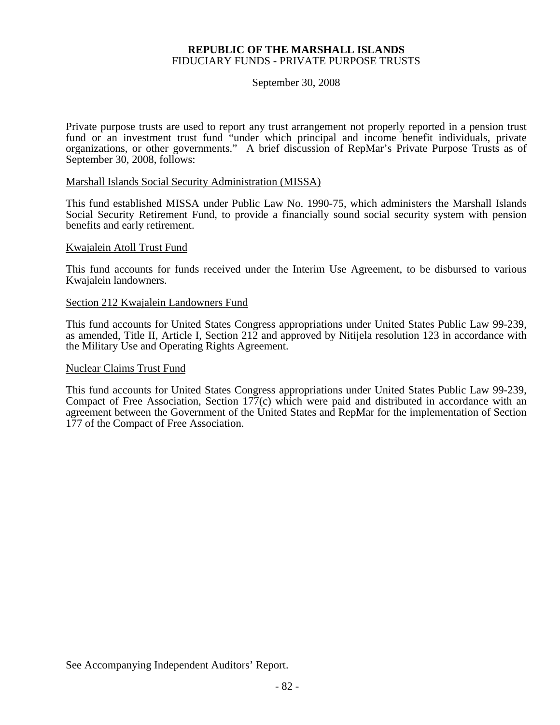#### **REPUBLIC OF THE MARSHALL ISLANDS**  FIDUCIARY FUNDS - PRIVATE PURPOSE TRUSTS

September 30, 2008

Private purpose trusts are used to report any trust arrangement not properly reported in a pension trust fund or an investment trust fund "under which principal and income benefit individuals, private organizations, or other governments." A brief discussion of RepMar's Private Purpose Trusts as of September 30, 2008, follows:

#### Marshall Islands Social Security Administration (MISSA)

This fund established MISSA under Public Law No. 1990-75, which administers the Marshall Islands Social Security Retirement Fund, to provide a financially sound social security system with pension benefits and early retirement.

#### Kwajalein Atoll Trust Fund

This fund accounts for funds received under the Interim Use Agreement, to be disbursed to various Kwajalein landowners.

#### Section 212 Kwajalein Landowners Fund

This fund accounts for United States Congress appropriations under United States Public Law 99-239, as amended, Title II, Article I, Section 212 and approved by Nitijela resolution 123 in accordance with the Military Use and Operating Rights Agreement.

#### Nuclear Claims Trust Fund

This fund accounts for United States Congress appropriations under United States Public Law 99-239, Compact of Free Association, Section 177(c) which were paid and distributed in accordance with an agreement between the Government of the United States and RepMar for the implementation of Section 177 of the Compact of Free Association.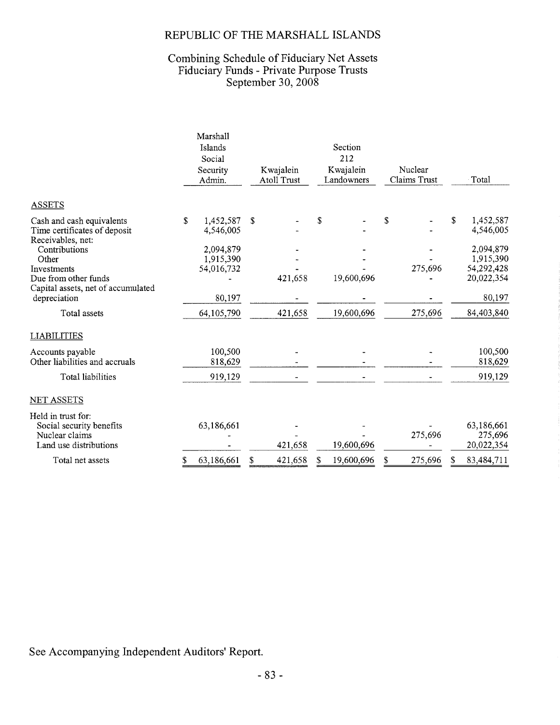#### REPUBLIC OF THE MARSHALL ISLANDS

# Combining Schedule of Fiduciary Net Assets<br>Fiduciary Funds - Private Purpose Trusts<br>September 30, 2008

|                                                   | Marshall         |    |                    |   |            |    |              |    |            |
|---------------------------------------------------|------------------|----|--------------------|---|------------|----|--------------|----|------------|
|                                                   | Islands          |    |                    |   | Section    |    |              |    |            |
|                                                   | Social           |    |                    |   | 212        |    |              |    |            |
|                                                   | Security         |    | Kwajalein          |   | Kwajalein  |    | Nuclear      |    |            |
|                                                   | Admin.           |    | <b>Atoll Trust</b> |   | Landowners |    | Claims Trust |    | Total      |
| <b>ASSETS</b>                                     |                  |    |                    |   |            |    |              |    |            |
| Cash and cash equivalents                         | \$<br>1,452,587  | S  |                    | S |            | \$ |              | S  | 1,452,587  |
| Time certificates of deposit<br>Receivables, net: | 4,546,005        |    |                    |   |            |    |              |    | 4,546,005  |
| Contributions                                     | 2,094,879        |    |                    |   |            |    |              |    | 2,094,879  |
| Other                                             | 1,915,390        |    |                    |   |            |    |              |    | 1,915,390  |
| Investments                                       | 54,016,732       |    |                    |   |            |    | 275,696      |    | 54,292,428 |
| Due from other funds                              |                  |    | 421,658            |   | 19,600,696 |    |              |    | 20,022,354 |
| Capital assets, net of accumulated                |                  |    |                    |   |            |    |              |    |            |
| depreciation                                      | 80,197           |    |                    |   |            |    |              |    | 80,197     |
| Total assets                                      | 64,105,790       |    | 421,658            |   | 19,600,696 |    | 275,696      |    | 84,403,840 |
| <b>LIABILITIES</b>                                |                  |    |                    |   |            |    |              |    |            |
| Accounts payable                                  | 100,500          |    |                    |   |            |    |              |    | 100,500    |
| Other liabilities and accruals                    | 818,629          |    |                    |   |            |    |              |    | 818,629    |
| Total liabilities                                 | 919,129          |    |                    |   |            |    |              |    | 919,129    |
| <b>NET ASSETS</b>                                 |                  |    |                    |   |            |    |              |    |            |
| Held in trust for:                                |                  |    |                    |   |            |    |              |    |            |
| Social security benefits                          | 63,186,661       |    |                    |   |            |    |              |    | 63,186,661 |
| Nuclear claims                                    |                  |    |                    |   |            |    | 275,696      |    | 275,696    |
| Land use distributions                            |                  |    | 421,658            |   | 19,600,696 |    |              |    | 20,022,354 |
| Total net assets                                  | \$<br>63,186,661 | \$ | 421,658            | S | 19,600,696 | S  | 275,696      | \$ | 83,484,711 |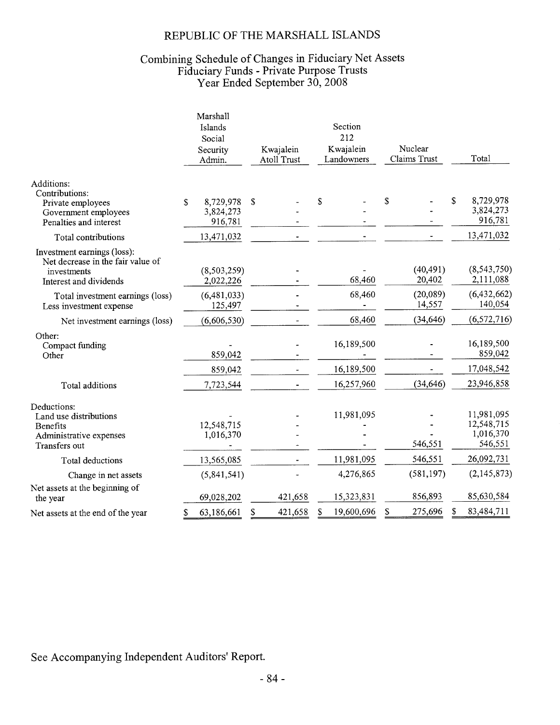#### REPUBLIC OF THE MARSHALL ISLANDS

# Combining Schedule of Changes in Fiduciary Net Assets<br>Fiduciary Funds - Private Purpose Trusts<br>Year Ended September 30, 2008

|                                                                                                           | Marshall<br>Islands<br>Social<br>Security<br>Admin. | Kwajalein<br>Atoll Trust | Section<br>212<br>Kwajalein<br>Landowners | Nuclear<br>Claims Trust | Total                                            |
|-----------------------------------------------------------------------------------------------------------|-----------------------------------------------------|--------------------------|-------------------------------------------|-------------------------|--------------------------------------------------|
| Additions:<br>Contributions:<br>Private employees<br>Government employees<br>Penalties and interest       | 8,729,978<br>S<br>3,824,273<br>916,781              | \$                       | \$                                        | \$                      | S<br>8,729,978<br>3,824,273<br>916,781           |
| Total contributions                                                                                       | 13,471,032                                          |                          |                                           |                         | 13,471,032                                       |
| Investment earnings (loss):<br>Net decrease in the fair value of<br>investments<br>Interest and dividends | (8,503,259)<br>2,022,226                            |                          | 68,460                                    | (40, 491)<br>20,402     | (8, 543, 750)<br>2,111,088                       |
| Total investment earnings (loss)<br>Less investment expense                                               | (6,481,033)<br>125,497                              |                          | 68,460                                    | (20,089)<br>14,557      | (6,432,662)<br>140,054                           |
| Net investment earnings (loss)                                                                            | (6,606,530)                                         |                          | 68,460                                    | (34, 646)               | (6, 572, 716)                                    |
| Other:<br>Compact funding<br>Other                                                                        | 859,042                                             |                          | 16,189,500                                |                         | 16,189,500<br>859,042                            |
|                                                                                                           | 859,042                                             |                          | 16,189,500                                |                         | 17,048,542                                       |
| Total additions                                                                                           | 7,723,544                                           |                          | 16,257,960                                | (34, 646)               | 23,946,858                                       |
| Deductions:<br>Land use distributions<br>Benefits<br>Administrative expenses<br>Transfers out             | 12,548,715<br>1,016,370                             |                          | 11,981,095                                | 546,551                 | 11,981,095<br>12,548,715<br>1,016,370<br>546,551 |
| Total deductions                                                                                          | 13,565,085                                          |                          | 11,981,095                                | 546,551                 | 26,092,731                                       |
| Change in net assets                                                                                      | (5,841,541)                                         |                          | 4,276,865                                 | (581, 197)              | (2, 145, 873)                                    |
| Net assets at the beginning of<br>the year                                                                | 69,028,202                                          | 421,658                  | 15,323,831                                | 856,893                 | 85,630,584                                       |
| Net assets at the end of the year                                                                         | 63,186,661<br>\$                                    | 421,658<br>\$            | 19,600,696<br>\$                          | 275,696<br>\$           | 83,484,711                                       |
|                                                                                                           |                                                     |                          |                                           |                         |                                                  |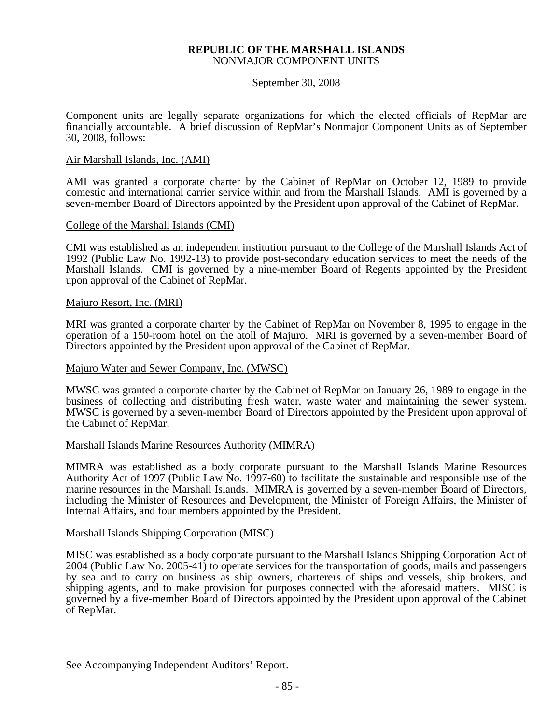#### **REPUBLIC OF THE MARSHALL ISLANDS**  NONMAJOR COMPONENT UNITS

September 30, 2008

Component units are legally separate organizations for which the elected officials of RepMar are financially accountable. A brief discussion of RepMar's Nonmajor Component Units as of September 30, 2008, follows:

#### Air Marshall Islands, Inc. (AMI)

AMI was granted a corporate charter by the Cabinet of RepMar on October 12, 1989 to provide domestic and international carrier service within and from the Marshall Islands. AMI is governed by a seven-member Board of Directors appointed by the President upon approval of the Cabinet of RepMar.

#### College of the Marshall Islands (CMI)

CMI was established as an independent institution pursuant to the College of the Marshall Islands Act of 1992 (Public Law No. 1992-13) to provide post-secondary education services to meet the needs of the Marshall Islands. CMI is governed by a nine-member Board of Regents appointed by the President upon approval of the Cabinet of RepMar.

#### Majuro Resort, Inc. (MRI)

MRI was granted a corporate charter by the Cabinet of RepMar on November 8, 1995 to engage in the operation of a 150-room hotel on the atoll of Majuro. MRI is governed by a seven-member Board of Directors appointed by the President upon approval of the Cabinet of RepMar.

#### Majuro Water and Sewer Company, Inc. (MWSC)

MWSC was granted a corporate charter by the Cabinet of RepMar on January 26, 1989 to engage in the business of collecting and distributing fresh water, waste water and maintaining the sewer system. MWSC is governed by a seven-member Board of Directors appointed by the President upon approval of the Cabinet of RepMar.

#### Marshall Islands Marine Resources Authority (MIMRA)

MIMRA was established as a body corporate pursuant to the Marshall Islands Marine Resources Authority Act of 1997 (Public Law No. 1997-60) to facilitate the sustainable and responsible use of the marine resources in the Marshall Islands. MIMRA is governed by a seven-member Board of Directors, including the Minister of Resources and Development, the Minister of Foreign Affairs, the Minister of Internal Affairs, and four members appointed by the President.

#### Marshall Islands Shipping Corporation (MISC)

MISC was established as a body corporate pursuant to the Marshall Islands Shipping Corporation Act of 2004 (Public Law No. 2005-41) to operate services for the transportation of goods, mails and passengers by sea and to carry on business as ship owners, charterers of ships and vessels, ship brokers, and shipping agents, and to make provision for purposes connected with the aforesaid matters. MISC is governed by a five-member Board of Directors appointed by the President upon approval of the Cabinet of RepMar.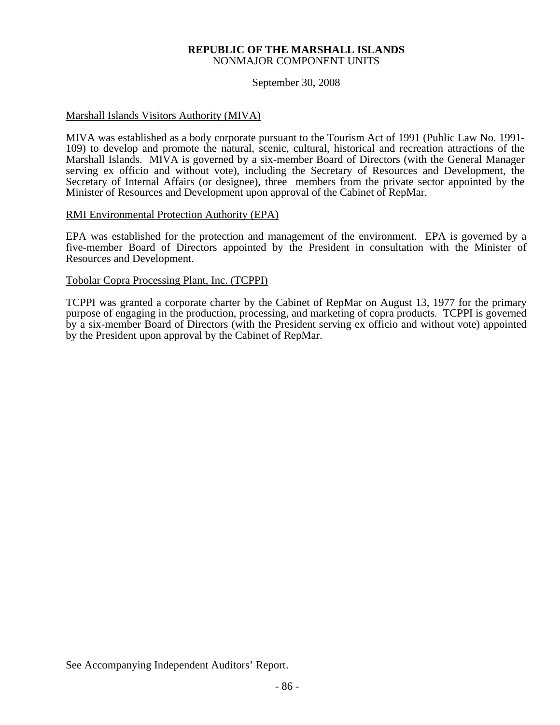#### **REPUBLIC OF THE MARSHALL ISLANDS**  NONMAJOR COMPONENT UNITS

September 30, 2008

#### Marshall Islands Visitors Authority (MIVA)

MIVA was established as a body corporate pursuant to the Tourism Act of 1991 (Public Law No. 1991- 109) to develop and promote the natural, scenic, cultural, historical and recreation attractions of the Marshall Islands. MIVA is governed by a six-member Board of Directors (with the General Manager serving ex officio and without vote), including the Secretary of Resources and Development, the Secretary of Internal Affairs (or designee), three members from the private sector appointed by the Minister of Resources and Development upon approval of the Cabinet of RepMar.

#### RMI Environmental Protection Authority (EPA)

EPA was established for the protection and management of the environment. EPA is governed by a five-member Board of Directors appointed by the President in consultation with the Minister of Resources and Development.

#### Tobolar Copra Processing Plant, Inc. (TCPPI)

TCPPI was granted a corporate charter by the Cabinet of RepMar on August 13, 1977 for the primary purpose of engaging in the production, processing, and marketing of copra products. TCPPI is governed by a six-member Board of Directors (with the President serving ex officio and without vote) appointed by the President upon approval by the Cabinet of RepMar.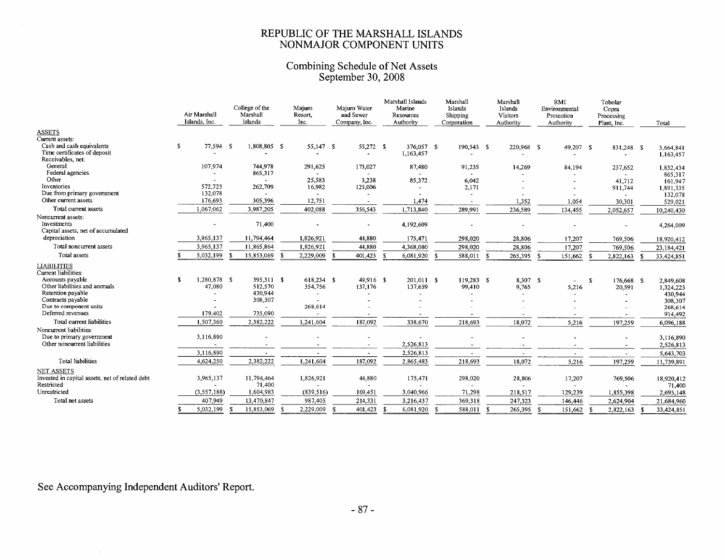### REPUBLIC OF THE MARSHALL ISLANDS<br>NONMAJOR COMPONENT UNITS

### Combining Schedule of Net Assets<br>September 30, 2008

|                                                                         |    | Air Marshall<br>Islands, Inc. |   | College of the<br>Marshall<br>Islands | Majuro<br>Resort.<br>Inc. |              | Maiuro Water<br>and Sewer<br>Company, Inc. |   | Marshall Islands<br>Marine<br>Resources<br>Authority |    | Marshall<br>Islands<br>Shipping<br>Corporation |    | Marshall<br>Islands<br>Visitors<br>Authority |      | RMI<br>Environmental<br>Protection<br>Authority |      | Tobolar<br>Copra<br>Processing<br>Plant, Inc. |      | Total      |
|-------------------------------------------------------------------------|----|-------------------------------|---|---------------------------------------|---------------------------|--------------|--------------------------------------------|---|------------------------------------------------------|----|------------------------------------------------|----|----------------------------------------------|------|-------------------------------------------------|------|-----------------------------------------------|------|------------|
| <b>ASSETS</b>                                                           |    |                               |   |                                       |                           |              |                                            |   |                                                      |    |                                                |    |                                              |      |                                                 |      |                                               |      |            |
| Current assets:                                                         |    |                               |   |                                       |                           |              |                                            |   |                                                      |    |                                                |    |                                              |      |                                                 |      |                                               |      |            |
| Cash and cash equivalents                                               | s. | 77,594 \$                     |   | 1,808,805 \$                          | 55,147 \$                 |              | 55,272 \$                                  |   | 376,057 \$                                           |    | 190,543 \$                                     |    | 220,968 \$                                   |      | 49,207 \$                                       |      | 831,248 \$                                    |      | 3,664,841  |
| Time certificates of deposit                                            |    |                               |   |                                       |                           |              |                                            |   | 1,163,457                                            |    |                                                |    |                                              |      |                                                 |      |                                               |      | 1,163,457  |
| Receivables, net:                                                       |    |                               |   |                                       |                           |              |                                            |   |                                                      |    |                                                |    |                                              |      |                                                 |      |                                               |      |            |
| General<br>Federal agencies                                             |    | 107,974                       |   | 744.978                               | 291,625                   |              | 173,027                                    |   | 87,480                                               |    | 91,235                                         |    | 14,269                                       |      | 84,194                                          |      | 237,652                                       |      | 1,832,434  |
| Other                                                                   |    |                               |   | 865,317                               |                           |              |                                            |   |                                                      |    |                                                |    |                                              |      |                                                 |      |                                               |      | 865,317    |
| Inventories                                                             |    | 572,723                       |   | 262,709                               | 25,583<br>16,982          |              | 3,238<br>125,006                           |   | 85,372                                               |    | 6,042                                          |    |                                              |      |                                                 |      | 41,712                                        |      | 161,947    |
| Due from primary government                                             |    | 132,078                       |   |                                       |                           |              |                                            |   |                                                      |    | 2,171                                          |    |                                              |      |                                                 |      | 911,744                                       |      | 1,891,335  |
| Other current assets                                                    |    | 176,693                       |   | 305,396                               | 12,751                    |              | $\overline{\phantom{a}}$                   |   | 1,474                                                |    |                                                |    | 1,352                                        |      | 1,054                                           |      |                                               |      | 132,078    |
| Total current assets                                                    |    | 1,067,062                     |   |                                       |                           |              |                                            |   |                                                      |    |                                                |    |                                              |      |                                                 |      | 30,301                                        |      | 529,021    |
|                                                                         |    |                               |   | 3,987,205                             | 402,088                   |              | 356,543                                    |   | 1,713,840                                            |    | 289,991                                        |    | 236,589                                      |      | 134,455                                         |      | 2,052,657                                     |      | 10,240,430 |
| Noncurrent assets:<br>Investments<br>Capital assets, net of accumulated |    |                               |   | 71,400                                |                           |              |                                            |   | 4,192,609                                            |    |                                                |    |                                              |      |                                                 |      |                                               |      | 4,264,009  |
| depreciation                                                            |    | 3,965,137                     |   | 11,794,464                            | 1,826,921                 |              | 44,880                                     |   | 175,471                                              |    | 298,020                                        |    | 28,806                                       |      | 17,207                                          |      | 769,506                                       |      | 18,920,412 |
| Total noncurrent assets                                                 |    | 3,965,137                     |   | 11,865,864                            | 1,826,921                 |              | 44,880                                     |   | 4,368,080                                            |    | 298,020                                        |    | 28,806                                       |      | 17,207                                          |      | 769,506                                       |      | 23,184,421 |
| Total assets                                                            |    | 5,032,199                     |   | 15,853,069                            | 2,229,009                 | $\mathbf{S}$ | 401,423                                    |   | 6,081,920                                            |    | 588,011                                        | -S | 265,395                                      |      | 151,662                                         | -8   | 2,822,163                                     |      | 33,424,851 |
| <b>LIABILITIES</b>                                                      |    |                               |   |                                       |                           |              |                                            |   |                                                      |    |                                                |    |                                              |      |                                                 |      |                                               |      |            |
| Current liabilities:                                                    |    |                               |   |                                       |                           |              |                                            |   |                                                      |    |                                                |    |                                              |      |                                                 |      |                                               |      |            |
| Accounts payable                                                        | s. | 1,280,878 \$                  |   | 395,311 \$                            | 618,234 \$                |              | 49,916 \$                                  |   | 201.011 \$                                           |    | 119,283 \$                                     |    | 8,307 \$                                     |      | $\overline{\phantom{a}}$                        | -S   | 176,668 \$                                    |      | 2,849,608  |
| Other liabilities and accruals                                          |    | 47,080                        |   | 512,570                               | 354,756                   |              | 137,176                                    |   | 137,659                                              |    | 99,410                                         |    | 9,765                                        |      | 5,216                                           |      | 20,591                                        |      | 1,324,223  |
| Retention payable                                                       |    |                               |   | 430,944                               |                           |              |                                            |   |                                                      |    |                                                |    |                                              |      |                                                 |      |                                               |      | 430,944    |
| Contracts payable                                                       |    |                               |   | 308,307                               |                           |              |                                            |   |                                                      |    |                                                |    |                                              |      |                                                 |      |                                               |      | 308,307    |
| Due to component units                                                  |    |                               |   |                                       | 268,614                   |              |                                            |   |                                                      |    |                                                |    |                                              |      |                                                 |      |                                               |      | 268,614    |
| Deferred revenues                                                       |    | 179,402                       |   | 735,090                               |                           |              |                                            |   |                                                      |    |                                                |    |                                              |      |                                                 |      |                                               |      | 914,492    |
| Total current liabilities                                               |    | 1,507,360                     |   | 2,382,222                             | 1,241,604                 |              | 187,092                                    |   | 338,670                                              |    | 218,693                                        |    | 18,072                                       |      | 5,216                                           |      | 197,259                                       |      | 6,096,188  |
| Noncurrent liabilities:                                                 |    |                               |   |                                       |                           |              |                                            |   |                                                      |    |                                                |    |                                              |      |                                                 |      |                                               |      |            |
| Due to primary government                                               |    | 3,116,890                     |   |                                       |                           |              |                                            |   | $\overline{\phantom{a}}$                             |    |                                                |    |                                              |      |                                                 |      |                                               |      | 3,116,890  |
| Other noncurrent liabilities                                            |    |                               |   | $\sim$                                | $\sim$                    |              | $\sim$                                     |   | 2,526,813                                            |    | $\overline{\phantom{a}}$                       |    | $\blacksquare$                               |      | $\cdot$                                         |      | $\sim$                                        |      | 2,526,813  |
|                                                                         |    | 3,116,890                     |   | $\sim$                                | $\overline{\phantom{a}}$  |              | $\overline{\phantom{a}}$                   |   | 2,526,813                                            |    | $\overline{a}$                                 |    | $\sim$                                       |      | $\sim$                                          |      | $\sim$                                        |      | 5,643,703  |
| <b>Total liabilities</b>                                                |    | 4,624,250                     |   | 2,382,222                             | 1,241,604                 |              | 187,092                                    |   | 2,865,483                                            |    | 218,693                                        |    | 18,072                                       |      | 5,216                                           |      | 197,259                                       |      | 11,739,891 |
| <b>NET ASSETS</b>                                                       |    |                               |   |                                       |                           |              |                                            |   |                                                      |    |                                                |    |                                              |      |                                                 |      |                                               |      |            |
| Invested in capital assets, net of related debt                         |    | 3,965,137                     |   | 11,794,464                            | 1,826,921                 |              | 44,880                                     |   | 175,471                                              |    | 298,020                                        |    | 28,806                                       |      | 17,207                                          |      | 769,506                                       |      | 18,920,412 |
| Restricted                                                              |    |                               |   | 71,400                                |                           |              |                                            |   |                                                      |    |                                                |    |                                              |      |                                                 |      |                                               |      | 71,400     |
| Unrestricted                                                            |    | (3, 557, 188)                 |   | 1,604,983                             | (839, 516)                |              | 169,451                                    |   | 3,040,966                                            |    | 71,298                                         |    | 218,517                                      |      | 129,239                                         |      | 1,855,398                                     |      | 2,693,148  |
| Total net assets                                                        |    | 407,949                       |   | 13,470,847                            | 987,405                   |              | 214,331                                    |   | 3,216,437                                            |    | 369,318                                        |    | 247,323                                      |      | 146,446                                         |      | 2,624,904                                     |      | 21,684,960 |
|                                                                         |    | 5,032,199                     | S | 15,853,069                            | 2.229,009                 | -S           | 401,423                                    | S | 6,081,920                                            | -S | 588,011                                        | -S | 265,395                                      | - \$ | 151,662                                         | - \$ | 2,822,163                                     | - 50 | 33,424,851 |

See Accompanying Independent Auditors' Report.

 $\sim$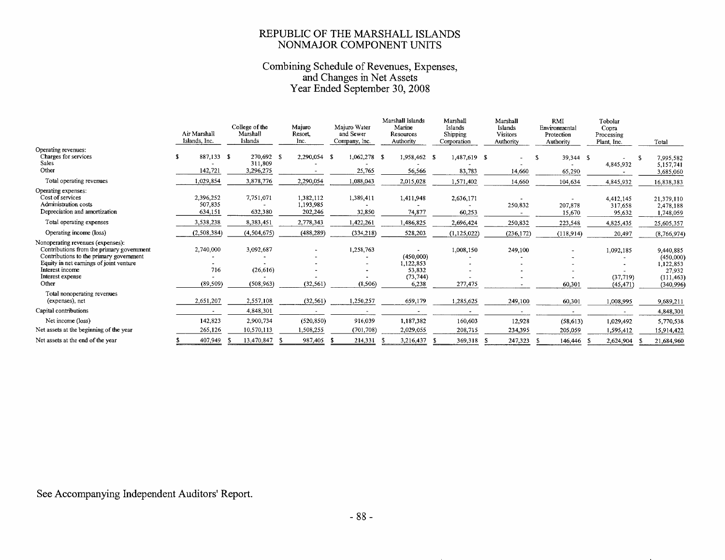#### REPUBLIC OF THE MARSHALL ISLANDS NONMAJOR COMPONENT UNITS

## Combining Schedule of Revenues, Expenses,<br>and Changes in Net Assets<br>Year Ended September 30, 2008

|                                                                                                                                                                                                                      | Air Marshall<br>Islands, Inc.   | College of the<br>Marshall<br>Islands | Majuro<br>Resort<br>Inc.          | Majuro Water<br>and Sewer<br>Company, Inc. | Marshall Islands<br>Marine<br>Resources<br>Authority   | Marshall<br>Islands<br>Shipping<br>Corporation | Marshall<br>Islands<br>Visitors<br>Authority | RMI<br>Environmental<br>Protection<br>Authority | Tobolar<br>Copra<br>Processing<br>Plant, Inc. | Total                                                                     |
|----------------------------------------------------------------------------------------------------------------------------------------------------------------------------------------------------------------------|---------------------------------|---------------------------------------|-----------------------------------|--------------------------------------------|--------------------------------------------------------|------------------------------------------------|----------------------------------------------|-------------------------------------------------|-----------------------------------------------|---------------------------------------------------------------------------|
| Operating revenues:<br>Charges for services<br><b>Sales</b><br>Other                                                                                                                                                 | 887,133 \$<br>142,721           | 270,692 \$<br>311,809<br>3,296,275    | 2,290,054 \$                      | $1,062,278$ \$<br>25,765                   | 1,958,462 \$<br>56,566                                 | 1,487,619 \$<br>83,783                         | 14.660                                       | 39,344 \$<br>65,290                             | 4,845,932                                     | 7,995,582<br>5,157,741<br>3,685,060                                       |
| Total operating revenues                                                                                                                                                                                             | 1,029,854                       | 3,878,776                             | 2,290,054                         | 1,088,043                                  | 2,015,028                                              | 1,571,402                                      | 14,660                                       | 104,634                                         | 4,845,932                                     | 16,838,383                                                                |
| Operating expenses:<br>Cost of services<br>Administration costs<br>Depreciation and amortization                                                                                                                     | 2,396,252<br>507,835<br>634,151 | 7,751,071<br>632,380                  | 1,382,112<br>1,193,985<br>202,246 | 1,389,411<br>32,850                        | 1,411,948<br>74,877                                    | 2,636,171<br>60,253                            | 250,832                                      | 207,878<br>15,670                               | 4,412,145<br>317,658<br>95,632                | 21,379,110<br>2,478,188<br>1,748,059                                      |
| Total operating expenses                                                                                                                                                                                             | 3,538,238                       | 8,383,451                             | 2,778,343                         | 1,422,261                                  | 1,486,825                                              | 2,696,424                                      | 250,832                                      | 223,548                                         | 4,825,435                                     | 25,605,357                                                                |
| Operating income (loss)                                                                                                                                                                                              | (2,508,384)                     | (4, 504, 675)                         | (488, 289)                        | (334, 218)                                 | 528,203                                                | (1, 125, 022)                                  | (236, 172)                                   | (118,914)                                       | 20,497                                        | (8,766,974)                                                               |
| Nonoperating revenues (expenses):<br>Contributions from the primary government<br>Contributions to the primary government<br>Equity in net earnings of joint venture<br>Interest income<br>Interest expense<br>Other | 2,740,000<br>716<br>(89, 509)   | 3,092,687<br>(26, 616)<br>(508, 963)  | (32, 561)                         | 1,258,763<br>(8,506)                       | (450,000)<br>1,122,853<br>53,832<br>(73, 744)<br>6,238 | 1,008,150<br>277,475                           | 249,100                                      | 60,301                                          | 1,092,185<br>(37,719)<br>(45, 471)            | 9,440,885<br>(450,000)<br>1,122,853<br>27,932<br>(111, 463)<br>(340, 996) |
| Total nonoperating revenues<br>(expenses), net                                                                                                                                                                       | 2,651,207                       | 2,557,108                             | (32, 561)                         | 1,250,257                                  | 659,179                                                | 1,285,625                                      | 249,100                                      | 60,301                                          | 1,008,995                                     | 9,689,211                                                                 |
| Capital contributions                                                                                                                                                                                                | $\sim$                          | 4,848,301                             | $\overline{\phantom{a}}$          |                                            |                                                        |                                                |                                              |                                                 |                                               | 4,848,301                                                                 |
| Net income (loss)                                                                                                                                                                                                    | 142,823                         | 2,900,734                             | (520, 850)                        | 916,039                                    | 1,187,382                                              | 160,603                                        | 12,928                                       | (58, 613)                                       | 1,029,492                                     | 5,770,538                                                                 |
| Net assets at the beginning of the year                                                                                                                                                                              | 265,126                         | 10,570,113                            | 1,508,255                         | (701, 708)                                 | 2,029,055                                              | 208,715                                        | 234,395                                      | 205,059                                         | 1,595,412                                     | 15,914,422                                                                |
| Net assets at the end of the year                                                                                                                                                                                    | 407,949                         | 13,470,847                            | 987,405                           | 214,331                                    | 3,216,437                                              | 369,318                                        | 247,323                                      | 146,446 \$                                      | 2,624,904                                     | 21,684,960                                                                |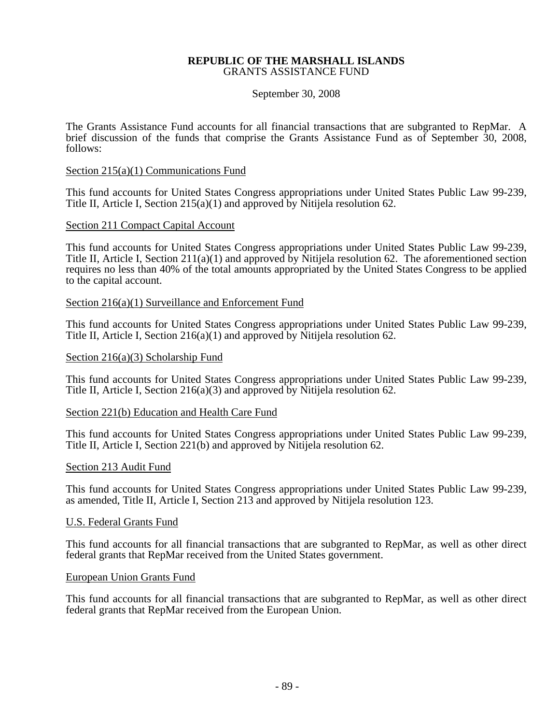#### **REPUBLIC OF THE MARSHALL ISLANDS**  GRANTS ASSISTANCE FUND

#### September 30, 2008

The Grants Assistance Fund accounts for all financial transactions that are subgranted to RepMar. A brief discussion of the funds that comprise the Grants Assistance Fund as of September 30, 2008, follows:

#### Section 215(a)(1) Communications Fund

This fund accounts for United States Congress appropriations under United States Public Law 99-239, Title II, Article I, Section 215(a)(1) and approved by Nitijela resolution 62.

#### Section 211 Compact Capital Account

This fund accounts for United States Congress appropriations under United States Public Law 99-239, Title II, Article I, Section 211(a)(1) and approved by Nitijela resolution 62. The aforementioned section requires no less than 40% of the total amounts appropriated by the United States Congress to be applied to the capital account.

#### Section 216(a)(1) Surveillance and Enforcement Fund

This fund accounts for United States Congress appropriations under United States Public Law 99-239, Title II, Article I, Section 216(a)(1) and approved by Nitijela resolution 62.

#### Section 216(a)(3) Scholarship Fund

This fund accounts for United States Congress appropriations under United States Public Law 99-239, Title II, Article I, Section 216(a)(3) and approved by Nitijela resolution 62.

#### Section 221(b) Education and Health Care Fund

This fund accounts for United States Congress appropriations under United States Public Law 99-239, Title II, Article I, Section 221(b) and approved by Nitijela resolution 62.

#### Section 213 Audit Fund

This fund accounts for United States Congress appropriations under United States Public Law 99-239, as amended, Title II, Article I, Section 213 and approved by Nitijela resolution 123.

#### U.S. Federal Grants Fund

This fund accounts for all financial transactions that are subgranted to RepMar, as well as other direct federal grants that RepMar received from the United States government.

#### European Union Grants Fund

This fund accounts for all financial transactions that are subgranted to RepMar, as well as other direct federal grants that RepMar received from the European Union.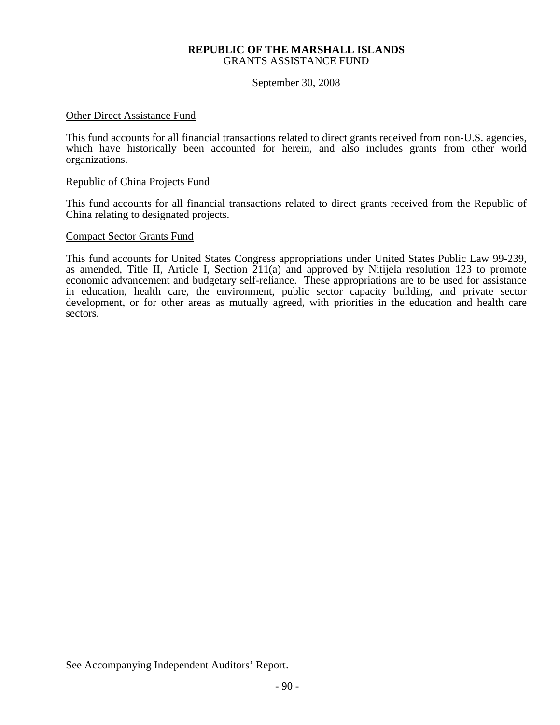#### **REPUBLIC OF THE MARSHALL ISLANDS**  GRANTS ASSISTANCE FUND

September 30, 2008

#### Other Direct Assistance Fund

This fund accounts for all financial transactions related to direct grants received from non-U.S. agencies, which have historically been accounted for herein, and also includes grants from other world organizations.

#### Republic of China Projects Fund

This fund accounts for all financial transactions related to direct grants received from the Republic of China relating to designated projects.

#### Compact Sector Grants Fund

This fund accounts for United States Congress appropriations under United States Public Law 99-239, as amended, Title II, Article I, Section 211(a) and approved by Nitijela resolution 123 to promote economic advancement and budgetary self-reliance. These appropriations are to be used for assistance in education, health care, the environment, public sector capacity building, and private sector development, or for other areas as mutually agreed, with priorities in the education and health care sectors.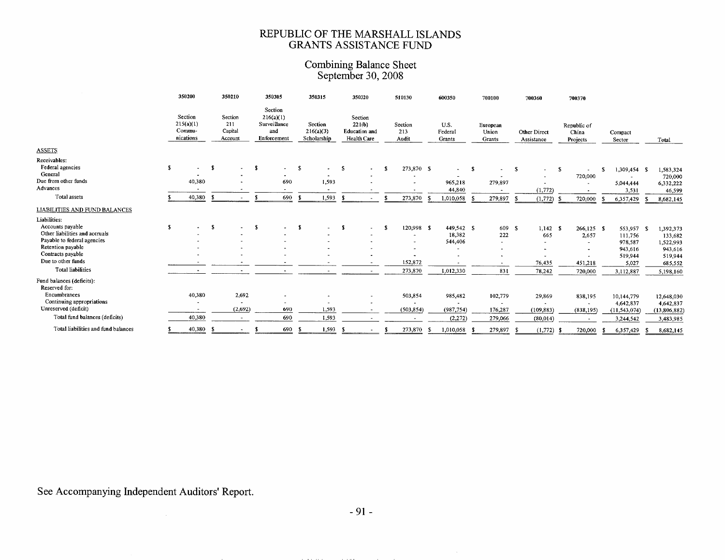### REPUBLIC OF THE MARSHALL ISLANDS<br>GRANTS ASSISTANCE FUND

### Combining Balance Sheet<br>September 30, 2008

|                                                                                                                                                                               | 350200                                           |      | 350210                                       |      | 350305                                                     | 350315                              |       |      | 350320                                                   |      | 510130                                                       |     | 600350                                                                   |      | 700100                                                                                 |    | 700360                                                                                        |   | 700370                                      |    |                                                                              |                                                                                 |
|-------------------------------------------------------------------------------------------------------------------------------------------------------------------------------|--------------------------------------------------|------|----------------------------------------------|------|------------------------------------------------------------|-------------------------------------|-------|------|----------------------------------------------------------|------|--------------------------------------------------------------|-----|--------------------------------------------------------------------------|------|----------------------------------------------------------------------------------------|----|-----------------------------------------------------------------------------------------------|---|---------------------------------------------|----|------------------------------------------------------------------------------|---------------------------------------------------------------------------------|
|                                                                                                                                                                               | Section<br>215(a)(1)<br>Commu-<br>nications      |      | Section<br>211<br>Capital<br>Account         |      | Section<br>216(a)(1)<br>Surveillance<br>and<br>Enforcement | Section<br>216(a)(3)<br>Scholarship |       |      | Section<br>221(b)<br><b>Education</b> and<br>Health Care |      | Section<br>213<br>Audit                                      |     | U.S.<br>Federal<br>Grants                                                |      | European<br>Union<br>Grants                                                            |    | Other Direct<br>Assistance                                                                    |   | Republic of<br>China<br>Projects            |    | Compact<br>Sector                                                            | Total                                                                           |
| <b>ASSETS</b>                                                                                                                                                                 |                                                  |      |                                              |      |                                                            |                                     |       |      |                                                          |      |                                                              |     |                                                                          |      |                                                                                        |    |                                                                                               |   |                                             |    |                                                                              |                                                                                 |
| Receivables:<br>Federal agencies<br>General<br>Due from other funds<br>Advances                                                                                               | \$<br>$\blacksquare$<br>40,380<br>$\blacksquare$ | - \$ | $\sim$                                       | - \$ | $\sim$<br>690                                              | $\mathbf{s}$                        | 1.593 | -S   | $\sim$                                                   | - 93 | 273.870 \$                                                   |     | $\sim$<br>965,218                                                        | - \$ | $\blacksquare$<br>279,897                                                              | -S | $\overline{\phantom{a}}$                                                                      | S | 720,000                                     | s. | 1,309,454 \$<br>$\sim$<br>5,044,444                                          | 1,583,324<br>720,000<br>6,332,222                                               |
| Total assets                                                                                                                                                                  | 40,380                                           | - S  |                                              | s.   | 690                                                        | - \$                                | 1,593 | - \$ |                                                          |      | 273,870                                                      | - 5 | 44,840<br>1,010,058                                                      |      | $\overline{\phantom{a}}$<br>279,897                                                    | -5 | (1,772)<br>(1,772)                                                                            |   | 720,000                                     |    | 3,531<br>6,357,429                                                           | 46,599<br>8,682,145                                                             |
| <b>LIABILITIES AND FUND BALANCES</b>                                                                                                                                          |                                                  |      |                                              |      |                                                            |                                     |       |      |                                                          |      |                                                              |     |                                                                          |      |                                                                                        |    |                                                                                               |   |                                             |    |                                                                              |                                                                                 |
| Liabilities:                                                                                                                                                                  |                                                  |      |                                              |      |                                                            |                                     |       |      |                                                          |      |                                                              |     |                                                                          |      |                                                                                        |    |                                                                                               |   |                                             |    |                                                                              |                                                                                 |
| Accounts payable<br>Other liabilities and accruals<br>Payable to federal agencies<br>Retention payable<br>Contracts payable<br>Due to other funds<br><b>Total liabilities</b> | \$                                               | -S   |                                              | -S   |                                                            | - 1                                 |       | - 1  | $\overline{\phantom{0}}$                                 | - S  | 120.998 \$<br>$\overline{\phantom{a}}$<br>152,872<br>273,870 |     | 449,542 \$<br>18,382<br>544,406<br>$\overline{\phantom{a}}$<br>1,012,330 |      | 609 \$<br>222<br>$\sim$<br>$\overline{\phantom{a}}$<br>$\overline{\phantom{a}}$<br>831 |    | $1,142$ \$<br>665<br>$\overline{\phantom{a}}$<br>$\overline{\phantom{a}}$<br>76,435<br>78,242 |   | $266,125$ \$<br>2,657<br>451,218<br>720,000 |    | 553,957 \$<br>111,756<br>978,587<br>943,616<br>519,944<br>5,027<br>3,112,887 | 1.392,373<br>133,682<br>1,522,993<br>943,616<br>519,944<br>685,552<br>5,198.160 |
| Fund balances (deficits):<br>Reserved for:                                                                                                                                    |                                                  |      |                                              |      |                                                            |                                     |       |      |                                                          |      |                                                              |     |                                                                          |      |                                                                                        |    |                                                                                               |   |                                             |    |                                                                              |                                                                                 |
| Encumbrances<br>Continuing appropriations<br>Unreserved (deficit)                                                                                                             | 40,380<br>$\overline{\phantom{a}}$               |      | 2,692<br>$\overline{\phantom{a}}$<br>(2,692) |      | $\overline{\phantom{a}}$<br>690                            |                                     | 1,593 |      | $\bullet$                                                |      | 503,854<br>$\overline{\phantom{a}}$<br>(503, 854)            |     | 985,482<br>(987, 754)                                                    |      | 102,779<br>$\overline{\phantom{a}}$<br>176,287                                         |    | 29,869<br>$\hat{\phantom{a}}$<br>(109, 883)                                                   |   | 838,195<br>$\sim$<br>(838, 195)             |    | 10,144,779<br>4,642,837<br>(11, 543, 074)                                    | 12,648,030<br>4,642,837<br>(13,806,882)                                         |
| Total fund balances (deficits)                                                                                                                                                | 40,380                                           |      | $\sim$                                       |      | 690                                                        |                                     | 1,593 |      |                                                          |      |                                                              |     | (2, 272)                                                                 |      | 279,066                                                                                |    | (80, 014)                                                                                     |   |                                             |    | 3,244,542                                                                    | 3,483,985                                                                       |
| Total liabilities and fund balances                                                                                                                                           | 40,380                                           | -5   | $\sim$                                       | S    | 690                                                        | - \$                                | 1,593 | - 5  |                                                          |      | 273,870                                                      | - S | 1,010,058                                                                |      | 279,897                                                                                |    | (1,772)                                                                                       |   | 720,000                                     | -S | 6,357,429                                                                    | 8,682,145                                                                       |

### See Accompanying Independent Auditors' Report.

 $\sim$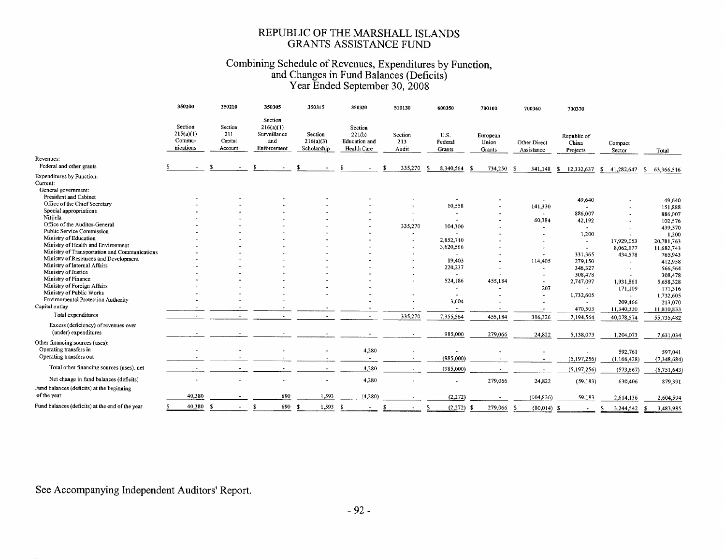#### REPUBLIC OF THE MARSHALL ISLANDS **GRANTS ASSISTANCE FUND**

## Combining Schedule of Revenues, Expenditures by Function,<br>and Changes in Fund Balances (Deficits)<br>Year Ended September 30, 2008

| Section<br>Section<br>Section<br>216(a)(1)<br>Section<br>215(a)(1)<br>211<br>Surveillance<br>221(b)<br>Section<br>Section<br>U.S.<br>European<br>Republic of<br>Commu-<br>Capital<br>and<br>216(a)(3)<br>Education and<br>213<br>Federal<br>Union<br>Other Direct<br>China<br>Compact<br>nications<br>Scholarship<br>Enforcement<br>Health Care<br>Account<br>Audit<br>Grants<br>Grants<br>Assistance<br>Projects<br>Sector<br>Total<br>Revenues:<br>Federal and other grants<br>335,270<br>8,340,564<br>-S<br>734,250<br>- 3<br>- \$<br>341,148<br>12,332,637<br>-S<br>41,282,647<br>-S<br>63,366,516<br>-S<br><b>Expenditures by Function:</b><br>Current:<br>General government:<br>President and Cabinet<br>49,640<br>49,640<br>Office of the Chief Secretary<br>10,558<br>141,330<br>151,888<br>Special appropriations<br>886,007<br>886,007<br>$\sim$<br>$\sim$<br>Nitijela<br>60,384<br>42,192<br>102,576<br>$\overline{\phantom{a}}$<br>Office of the Auditor-General<br>335,270<br>104,300<br>439,570<br>$\bullet$<br>Public Service Commission<br>1,200<br>1,200<br>$\overline{a}$<br>$\overline{\phantom{a}}$<br>Ministry of Education<br>2,852,710<br>17,929,053<br>20,781,763<br>$\sim$<br>Ministry of Health and Environment<br>3,620,566<br>8,062,177<br>11,682,743<br>$\ddot{\phantom{1}}$<br>$\sim$<br>Ministry of Transportation and Communications<br>331,365<br>434,578<br>765,943<br>$\overline{\phantom{a}}$<br>Ministry of Resources and Development<br>19,403<br>114,405<br>279,150<br>412,958<br>Ministry of Internal Affairs<br>220,237<br>346,327<br>566,564<br>$\sim$<br>Ministry of Justice<br>308,478<br>308,478<br>$\overline{\phantom{a}}$<br>$\overline{\phantom{a}}$<br>Ministry of Finance<br>524,186<br>455,184<br>2,747,097<br>1,931,861<br>5,658,328<br>$\blacksquare$<br>Ministry of Foreign Affairs<br>207<br>171,109<br>171,316<br>$\sim$<br>Ministry of Public Works<br>1,732,605<br>1,732,605<br>$\sim$<br>$\tilde{\phantom{a}}$<br>$\sim$<br><b>Environmental Protection Authority</b><br>3,604<br>209,466<br>213,070<br>$\overline{\phantom{a}}$<br>Capital outlay<br>470,503<br>11,340,330<br>11,810,833<br>$\overline{\phantom{a}}$<br>$\overline{\phantom{a}}$<br>Total expenditures<br>335,270<br>7,355,564<br>455,184<br>316,326<br>$\sim$<br>7,194,564<br>$\tilde{\phantom{a}}$<br>$\sim$<br>$\blacksquare$<br>40,078,574<br>55,735,482<br>Excess (deficiency) of revenues over<br>(under) expenditures<br>985,000<br>279,066<br>24,822<br>5,138,073<br>1,204,073<br>7,631,034<br>Other financing sources (uses):<br>Operating transfers in<br>4,280<br>592,761<br>597,041<br>Operating transfers out<br>(985,000)<br>(5, 197, 256)<br>(1, 166, 428)<br>(7,348,684)<br>$\sim$<br>Total other financing sources (uses), net<br>4,280<br>(985,000)<br>(5,197,256)<br>(573, 667)<br>(6,751,643)<br>$\sim$<br>$\hat{\phantom{a}}$<br>$\sim$<br>Net change in fund balances (deficits)<br>4,280<br>279,066<br>24,822<br>(59, 183)<br>630,406<br>879,391<br>Fund balances (deficits) at the beginning<br>of the year<br>40,380<br>690<br>1,593<br>(4,280)<br>(2, 272)<br>(104, 836)<br>59,183<br>2,614,136<br>2,604,594<br>Fund balances (deficits) at the end of the year<br>40,380<br>-S<br>690<br>1,593<br>-S<br>S<br>(2,272)<br>279,066<br>$(80,014)$ \$<br>$\tilde{\phantom{a}}$<br>S<br>-S<br>- \$<br>3,244,542<br>$\tilde{\phantom{a}}$<br>- 5<br>S<br>3,483,985<br>- \$ | 350200 | 350210 | 350305 | 350315 | 350320 | 510130 | 600350 | 700100 | 700360 | 700370 |  |
|------------------------------------------------------------------------------------------------------------------------------------------------------------------------------------------------------------------------------------------------------------------------------------------------------------------------------------------------------------------------------------------------------------------------------------------------------------------------------------------------------------------------------------------------------------------------------------------------------------------------------------------------------------------------------------------------------------------------------------------------------------------------------------------------------------------------------------------------------------------------------------------------------------------------------------------------------------------------------------------------------------------------------------------------------------------------------------------------------------------------------------------------------------------------------------------------------------------------------------------------------------------------------------------------------------------------------------------------------------------------------------------------------------------------------------------------------------------------------------------------------------------------------------------------------------------------------------------------------------------------------------------------------------------------------------------------------------------------------------------------------------------------------------------------------------------------------------------------------------------------------------------------------------------------------------------------------------------------------------------------------------------------------------------------------------------------------------------------------------------------------------------------------------------------------------------------------------------------------------------------------------------------------------------------------------------------------------------------------------------------------------------------------------------------------------------------------------------------------------------------------------------------------------------------------------------------------------------------------------------------------------------------------------------------------------------------------------------------------------------------------------------------------------------------------------------------------------------------------------------------------------------------------------------------------------------------------------------------------------------------------------------------------------------------------------------------------------------------------------------------------------------------------------------------------------------------------------------------------------------------------------------------------------------------------------------------------------------------------------------------------------------------------------------------------|--------|--------|--------|--------|--------|--------|--------|--------|--------|--------|--|
|                                                                                                                                                                                                                                                                                                                                                                                                                                                                                                                                                                                                                                                                                                                                                                                                                                                                                                                                                                                                                                                                                                                                                                                                                                                                                                                                                                                                                                                                                                                                                                                                                                                                                                                                                                                                                                                                                                                                                                                                                                                                                                                                                                                                                                                                                                                                                                                                                                                                                                                                                                                                                                                                                                                                                                                                                                                                                                                                                                                                                                                                                                                                                                                                                                                                                                                                                                                                                              |        |        |        |        |        |        |        |        |        |        |  |
|                                                                                                                                                                                                                                                                                                                                                                                                                                                                                                                                                                                                                                                                                                                                                                                                                                                                                                                                                                                                                                                                                                                                                                                                                                                                                                                                                                                                                                                                                                                                                                                                                                                                                                                                                                                                                                                                                                                                                                                                                                                                                                                                                                                                                                                                                                                                                                                                                                                                                                                                                                                                                                                                                                                                                                                                                                                                                                                                                                                                                                                                                                                                                                                                                                                                                                                                                                                                                              |        |        |        |        |        |        |        |        |        |        |  |
|                                                                                                                                                                                                                                                                                                                                                                                                                                                                                                                                                                                                                                                                                                                                                                                                                                                                                                                                                                                                                                                                                                                                                                                                                                                                                                                                                                                                                                                                                                                                                                                                                                                                                                                                                                                                                                                                                                                                                                                                                                                                                                                                                                                                                                                                                                                                                                                                                                                                                                                                                                                                                                                                                                                                                                                                                                                                                                                                                                                                                                                                                                                                                                                                                                                                                                                                                                                                                              |        |        |        |        |        |        |        |        |        |        |  |
|                                                                                                                                                                                                                                                                                                                                                                                                                                                                                                                                                                                                                                                                                                                                                                                                                                                                                                                                                                                                                                                                                                                                                                                                                                                                                                                                                                                                                                                                                                                                                                                                                                                                                                                                                                                                                                                                                                                                                                                                                                                                                                                                                                                                                                                                                                                                                                                                                                                                                                                                                                                                                                                                                                                                                                                                                                                                                                                                                                                                                                                                                                                                                                                                                                                                                                                                                                                                                              |        |        |        |        |        |        |        |        |        |        |  |
|                                                                                                                                                                                                                                                                                                                                                                                                                                                                                                                                                                                                                                                                                                                                                                                                                                                                                                                                                                                                                                                                                                                                                                                                                                                                                                                                                                                                                                                                                                                                                                                                                                                                                                                                                                                                                                                                                                                                                                                                                                                                                                                                                                                                                                                                                                                                                                                                                                                                                                                                                                                                                                                                                                                                                                                                                                                                                                                                                                                                                                                                                                                                                                                                                                                                                                                                                                                                                              |        |        |        |        |        |        |        |        |        |        |  |
|                                                                                                                                                                                                                                                                                                                                                                                                                                                                                                                                                                                                                                                                                                                                                                                                                                                                                                                                                                                                                                                                                                                                                                                                                                                                                                                                                                                                                                                                                                                                                                                                                                                                                                                                                                                                                                                                                                                                                                                                                                                                                                                                                                                                                                                                                                                                                                                                                                                                                                                                                                                                                                                                                                                                                                                                                                                                                                                                                                                                                                                                                                                                                                                                                                                                                                                                                                                                                              |        |        |        |        |        |        |        |        |        |        |  |
|                                                                                                                                                                                                                                                                                                                                                                                                                                                                                                                                                                                                                                                                                                                                                                                                                                                                                                                                                                                                                                                                                                                                                                                                                                                                                                                                                                                                                                                                                                                                                                                                                                                                                                                                                                                                                                                                                                                                                                                                                                                                                                                                                                                                                                                                                                                                                                                                                                                                                                                                                                                                                                                                                                                                                                                                                                                                                                                                                                                                                                                                                                                                                                                                                                                                                                                                                                                                                              |        |        |        |        |        |        |        |        |        |        |  |
|                                                                                                                                                                                                                                                                                                                                                                                                                                                                                                                                                                                                                                                                                                                                                                                                                                                                                                                                                                                                                                                                                                                                                                                                                                                                                                                                                                                                                                                                                                                                                                                                                                                                                                                                                                                                                                                                                                                                                                                                                                                                                                                                                                                                                                                                                                                                                                                                                                                                                                                                                                                                                                                                                                                                                                                                                                                                                                                                                                                                                                                                                                                                                                                                                                                                                                                                                                                                                              |        |        |        |        |        |        |        |        |        |        |  |
|                                                                                                                                                                                                                                                                                                                                                                                                                                                                                                                                                                                                                                                                                                                                                                                                                                                                                                                                                                                                                                                                                                                                                                                                                                                                                                                                                                                                                                                                                                                                                                                                                                                                                                                                                                                                                                                                                                                                                                                                                                                                                                                                                                                                                                                                                                                                                                                                                                                                                                                                                                                                                                                                                                                                                                                                                                                                                                                                                                                                                                                                                                                                                                                                                                                                                                                                                                                                                              |        |        |        |        |        |        |        |        |        |        |  |
|                                                                                                                                                                                                                                                                                                                                                                                                                                                                                                                                                                                                                                                                                                                                                                                                                                                                                                                                                                                                                                                                                                                                                                                                                                                                                                                                                                                                                                                                                                                                                                                                                                                                                                                                                                                                                                                                                                                                                                                                                                                                                                                                                                                                                                                                                                                                                                                                                                                                                                                                                                                                                                                                                                                                                                                                                                                                                                                                                                                                                                                                                                                                                                                                                                                                                                                                                                                                                              |        |        |        |        |        |        |        |        |        |        |  |
|                                                                                                                                                                                                                                                                                                                                                                                                                                                                                                                                                                                                                                                                                                                                                                                                                                                                                                                                                                                                                                                                                                                                                                                                                                                                                                                                                                                                                                                                                                                                                                                                                                                                                                                                                                                                                                                                                                                                                                                                                                                                                                                                                                                                                                                                                                                                                                                                                                                                                                                                                                                                                                                                                                                                                                                                                                                                                                                                                                                                                                                                                                                                                                                                                                                                                                                                                                                                                              |        |        |        |        |        |        |        |        |        |        |  |
|                                                                                                                                                                                                                                                                                                                                                                                                                                                                                                                                                                                                                                                                                                                                                                                                                                                                                                                                                                                                                                                                                                                                                                                                                                                                                                                                                                                                                                                                                                                                                                                                                                                                                                                                                                                                                                                                                                                                                                                                                                                                                                                                                                                                                                                                                                                                                                                                                                                                                                                                                                                                                                                                                                                                                                                                                                                                                                                                                                                                                                                                                                                                                                                                                                                                                                                                                                                                                              |        |        |        |        |        |        |        |        |        |        |  |
|                                                                                                                                                                                                                                                                                                                                                                                                                                                                                                                                                                                                                                                                                                                                                                                                                                                                                                                                                                                                                                                                                                                                                                                                                                                                                                                                                                                                                                                                                                                                                                                                                                                                                                                                                                                                                                                                                                                                                                                                                                                                                                                                                                                                                                                                                                                                                                                                                                                                                                                                                                                                                                                                                                                                                                                                                                                                                                                                                                                                                                                                                                                                                                                                                                                                                                                                                                                                                              |        |        |        |        |        |        |        |        |        |        |  |
|                                                                                                                                                                                                                                                                                                                                                                                                                                                                                                                                                                                                                                                                                                                                                                                                                                                                                                                                                                                                                                                                                                                                                                                                                                                                                                                                                                                                                                                                                                                                                                                                                                                                                                                                                                                                                                                                                                                                                                                                                                                                                                                                                                                                                                                                                                                                                                                                                                                                                                                                                                                                                                                                                                                                                                                                                                                                                                                                                                                                                                                                                                                                                                                                                                                                                                                                                                                                                              |        |        |        |        |        |        |        |        |        |        |  |
|                                                                                                                                                                                                                                                                                                                                                                                                                                                                                                                                                                                                                                                                                                                                                                                                                                                                                                                                                                                                                                                                                                                                                                                                                                                                                                                                                                                                                                                                                                                                                                                                                                                                                                                                                                                                                                                                                                                                                                                                                                                                                                                                                                                                                                                                                                                                                                                                                                                                                                                                                                                                                                                                                                                                                                                                                                                                                                                                                                                                                                                                                                                                                                                                                                                                                                                                                                                                                              |        |        |        |        |        |        |        |        |        |        |  |
|                                                                                                                                                                                                                                                                                                                                                                                                                                                                                                                                                                                                                                                                                                                                                                                                                                                                                                                                                                                                                                                                                                                                                                                                                                                                                                                                                                                                                                                                                                                                                                                                                                                                                                                                                                                                                                                                                                                                                                                                                                                                                                                                                                                                                                                                                                                                                                                                                                                                                                                                                                                                                                                                                                                                                                                                                                                                                                                                                                                                                                                                                                                                                                                                                                                                                                                                                                                                                              |        |        |        |        |        |        |        |        |        |        |  |
|                                                                                                                                                                                                                                                                                                                                                                                                                                                                                                                                                                                                                                                                                                                                                                                                                                                                                                                                                                                                                                                                                                                                                                                                                                                                                                                                                                                                                                                                                                                                                                                                                                                                                                                                                                                                                                                                                                                                                                                                                                                                                                                                                                                                                                                                                                                                                                                                                                                                                                                                                                                                                                                                                                                                                                                                                                                                                                                                                                                                                                                                                                                                                                                                                                                                                                                                                                                                                              |        |        |        |        |        |        |        |        |        |        |  |
|                                                                                                                                                                                                                                                                                                                                                                                                                                                                                                                                                                                                                                                                                                                                                                                                                                                                                                                                                                                                                                                                                                                                                                                                                                                                                                                                                                                                                                                                                                                                                                                                                                                                                                                                                                                                                                                                                                                                                                                                                                                                                                                                                                                                                                                                                                                                                                                                                                                                                                                                                                                                                                                                                                                                                                                                                                                                                                                                                                                                                                                                                                                                                                                                                                                                                                                                                                                                                              |        |        |        |        |        |        |        |        |        |        |  |
|                                                                                                                                                                                                                                                                                                                                                                                                                                                                                                                                                                                                                                                                                                                                                                                                                                                                                                                                                                                                                                                                                                                                                                                                                                                                                                                                                                                                                                                                                                                                                                                                                                                                                                                                                                                                                                                                                                                                                                                                                                                                                                                                                                                                                                                                                                                                                                                                                                                                                                                                                                                                                                                                                                                                                                                                                                                                                                                                                                                                                                                                                                                                                                                                                                                                                                                                                                                                                              |        |        |        |        |        |        |        |        |        |        |  |
|                                                                                                                                                                                                                                                                                                                                                                                                                                                                                                                                                                                                                                                                                                                                                                                                                                                                                                                                                                                                                                                                                                                                                                                                                                                                                                                                                                                                                                                                                                                                                                                                                                                                                                                                                                                                                                                                                                                                                                                                                                                                                                                                                                                                                                                                                                                                                                                                                                                                                                                                                                                                                                                                                                                                                                                                                                                                                                                                                                                                                                                                                                                                                                                                                                                                                                                                                                                                                              |        |        |        |        |        |        |        |        |        |        |  |
|                                                                                                                                                                                                                                                                                                                                                                                                                                                                                                                                                                                                                                                                                                                                                                                                                                                                                                                                                                                                                                                                                                                                                                                                                                                                                                                                                                                                                                                                                                                                                                                                                                                                                                                                                                                                                                                                                                                                                                                                                                                                                                                                                                                                                                                                                                                                                                                                                                                                                                                                                                                                                                                                                                                                                                                                                                                                                                                                                                                                                                                                                                                                                                                                                                                                                                                                                                                                                              |        |        |        |        |        |        |        |        |        |        |  |
|                                                                                                                                                                                                                                                                                                                                                                                                                                                                                                                                                                                                                                                                                                                                                                                                                                                                                                                                                                                                                                                                                                                                                                                                                                                                                                                                                                                                                                                                                                                                                                                                                                                                                                                                                                                                                                                                                                                                                                                                                                                                                                                                                                                                                                                                                                                                                                                                                                                                                                                                                                                                                                                                                                                                                                                                                                                                                                                                                                                                                                                                                                                                                                                                                                                                                                                                                                                                                              |        |        |        |        |        |        |        |        |        |        |  |
|                                                                                                                                                                                                                                                                                                                                                                                                                                                                                                                                                                                                                                                                                                                                                                                                                                                                                                                                                                                                                                                                                                                                                                                                                                                                                                                                                                                                                                                                                                                                                                                                                                                                                                                                                                                                                                                                                                                                                                                                                                                                                                                                                                                                                                                                                                                                                                                                                                                                                                                                                                                                                                                                                                                                                                                                                                                                                                                                                                                                                                                                                                                                                                                                                                                                                                                                                                                                                              |        |        |        |        |        |        |        |        |        |        |  |
|                                                                                                                                                                                                                                                                                                                                                                                                                                                                                                                                                                                                                                                                                                                                                                                                                                                                                                                                                                                                                                                                                                                                                                                                                                                                                                                                                                                                                                                                                                                                                                                                                                                                                                                                                                                                                                                                                                                                                                                                                                                                                                                                                                                                                                                                                                                                                                                                                                                                                                                                                                                                                                                                                                                                                                                                                                                                                                                                                                                                                                                                                                                                                                                                                                                                                                                                                                                                                              |        |        |        |        |        |        |        |        |        |        |  |
|                                                                                                                                                                                                                                                                                                                                                                                                                                                                                                                                                                                                                                                                                                                                                                                                                                                                                                                                                                                                                                                                                                                                                                                                                                                                                                                                                                                                                                                                                                                                                                                                                                                                                                                                                                                                                                                                                                                                                                                                                                                                                                                                                                                                                                                                                                                                                                                                                                                                                                                                                                                                                                                                                                                                                                                                                                                                                                                                                                                                                                                                                                                                                                                                                                                                                                                                                                                                                              |        |        |        |        |        |        |        |        |        |        |  |
|                                                                                                                                                                                                                                                                                                                                                                                                                                                                                                                                                                                                                                                                                                                                                                                                                                                                                                                                                                                                                                                                                                                                                                                                                                                                                                                                                                                                                                                                                                                                                                                                                                                                                                                                                                                                                                                                                                                                                                                                                                                                                                                                                                                                                                                                                                                                                                                                                                                                                                                                                                                                                                                                                                                                                                                                                                                                                                                                                                                                                                                                                                                                                                                                                                                                                                                                                                                                                              |        |        |        |        |        |        |        |        |        |        |  |
|                                                                                                                                                                                                                                                                                                                                                                                                                                                                                                                                                                                                                                                                                                                                                                                                                                                                                                                                                                                                                                                                                                                                                                                                                                                                                                                                                                                                                                                                                                                                                                                                                                                                                                                                                                                                                                                                                                                                                                                                                                                                                                                                                                                                                                                                                                                                                                                                                                                                                                                                                                                                                                                                                                                                                                                                                                                                                                                                                                                                                                                                                                                                                                                                                                                                                                                                                                                                                              |        |        |        |        |        |        |        |        |        |        |  |
|                                                                                                                                                                                                                                                                                                                                                                                                                                                                                                                                                                                                                                                                                                                                                                                                                                                                                                                                                                                                                                                                                                                                                                                                                                                                                                                                                                                                                                                                                                                                                                                                                                                                                                                                                                                                                                                                                                                                                                                                                                                                                                                                                                                                                                                                                                                                                                                                                                                                                                                                                                                                                                                                                                                                                                                                                                                                                                                                                                                                                                                                                                                                                                                                                                                                                                                                                                                                                              |        |        |        |        |        |        |        |        |        |        |  |
|                                                                                                                                                                                                                                                                                                                                                                                                                                                                                                                                                                                                                                                                                                                                                                                                                                                                                                                                                                                                                                                                                                                                                                                                                                                                                                                                                                                                                                                                                                                                                                                                                                                                                                                                                                                                                                                                                                                                                                                                                                                                                                                                                                                                                                                                                                                                                                                                                                                                                                                                                                                                                                                                                                                                                                                                                                                                                                                                                                                                                                                                                                                                                                                                                                                                                                                                                                                                                              |        |        |        |        |        |        |        |        |        |        |  |
|                                                                                                                                                                                                                                                                                                                                                                                                                                                                                                                                                                                                                                                                                                                                                                                                                                                                                                                                                                                                                                                                                                                                                                                                                                                                                                                                                                                                                                                                                                                                                                                                                                                                                                                                                                                                                                                                                                                                                                                                                                                                                                                                                                                                                                                                                                                                                                                                                                                                                                                                                                                                                                                                                                                                                                                                                                                                                                                                                                                                                                                                                                                                                                                                                                                                                                                                                                                                                              |        |        |        |        |        |        |        |        |        |        |  |
|                                                                                                                                                                                                                                                                                                                                                                                                                                                                                                                                                                                                                                                                                                                                                                                                                                                                                                                                                                                                                                                                                                                                                                                                                                                                                                                                                                                                                                                                                                                                                                                                                                                                                                                                                                                                                                                                                                                                                                                                                                                                                                                                                                                                                                                                                                                                                                                                                                                                                                                                                                                                                                                                                                                                                                                                                                                                                                                                                                                                                                                                                                                                                                                                                                                                                                                                                                                                                              |        |        |        |        |        |        |        |        |        |        |  |
|                                                                                                                                                                                                                                                                                                                                                                                                                                                                                                                                                                                                                                                                                                                                                                                                                                                                                                                                                                                                                                                                                                                                                                                                                                                                                                                                                                                                                                                                                                                                                                                                                                                                                                                                                                                                                                                                                                                                                                                                                                                                                                                                                                                                                                                                                                                                                                                                                                                                                                                                                                                                                                                                                                                                                                                                                                                                                                                                                                                                                                                                                                                                                                                                                                                                                                                                                                                                                              |        |        |        |        |        |        |        |        |        |        |  |
|                                                                                                                                                                                                                                                                                                                                                                                                                                                                                                                                                                                                                                                                                                                                                                                                                                                                                                                                                                                                                                                                                                                                                                                                                                                                                                                                                                                                                                                                                                                                                                                                                                                                                                                                                                                                                                                                                                                                                                                                                                                                                                                                                                                                                                                                                                                                                                                                                                                                                                                                                                                                                                                                                                                                                                                                                                                                                                                                                                                                                                                                                                                                                                                                                                                                                                                                                                                                                              |        |        |        |        |        |        |        |        |        |        |  |
|                                                                                                                                                                                                                                                                                                                                                                                                                                                                                                                                                                                                                                                                                                                                                                                                                                                                                                                                                                                                                                                                                                                                                                                                                                                                                                                                                                                                                                                                                                                                                                                                                                                                                                                                                                                                                                                                                                                                                                                                                                                                                                                                                                                                                                                                                                                                                                                                                                                                                                                                                                                                                                                                                                                                                                                                                                                                                                                                                                                                                                                                                                                                                                                                                                                                                                                                                                                                                              |        |        |        |        |        |        |        |        |        |        |  |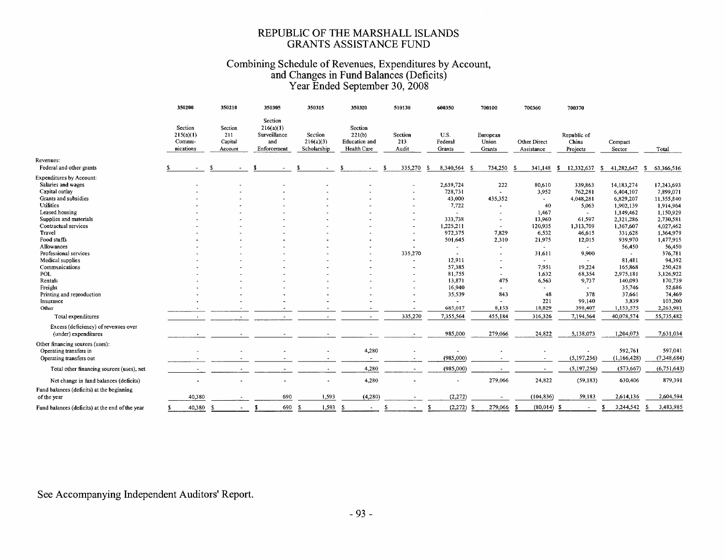#### REPUBLIC OF THE MARSHALL ISLANDS GRANTS ASSISTANCE FUND

## Combining Schedule of Revenues, Expenditures by Account,<br>and Changes in Fund Balances (Deficits)<br>Year Ended September 30, 2008

|                                                                                                                                                                 | 350200                                      | 350210                               | 350305                                                     | 350315                              | 350320                                            | 510130                  | 600350                                             | 700100                                                    | 700360                                             | 700370                                             |                                                                             |                                                                              |
|-----------------------------------------------------------------------------------------------------------------------------------------------------------------|---------------------------------------------|--------------------------------------|------------------------------------------------------------|-------------------------------------|---------------------------------------------------|-------------------------|----------------------------------------------------|-----------------------------------------------------------|----------------------------------------------------|----------------------------------------------------|-----------------------------------------------------------------------------|------------------------------------------------------------------------------|
| Revenues:<br>Federal and other grants                                                                                                                           | Section<br>215(a)(1)<br>Commu-<br>nications | Section<br>211<br>Capital<br>Account | Section<br>216(a)(1)<br>Surveillance<br>and<br>Enforcement | Section<br>216(a)(3)<br>Scholarship | Section<br>221(b)<br>Education and<br>Health Care | Section<br>213<br>Audit | U.S.<br>Federal<br>Grants                          | European<br>Union<br>Grants                               | <b>Other Direct</b><br>Assistance                  | Republic of<br>China<br>Projects                   | Compact<br>Sector                                                           | Total                                                                        |
|                                                                                                                                                                 |                                             |                                      |                                                            |                                     |                                                   | 335,270                 | 8,340,564<br>-S                                    | 734,250                                                   | 341,148<br>- \$                                    | 12,332,637<br>s.                                   | 41,282,647<br>-S                                                            | 63,366,516<br>-S                                                             |
| <b>Expenditures by Account:</b><br>Salaries and wages<br>Capital outlay<br>Grants and subsidies<br><b>Utilities</b><br>Leased housing<br>Supplies and materials |                                             |                                      |                                                            |                                     |                                                   |                         | 2,639,724<br>728,731<br>43,000<br>7,722<br>333,738 | 222<br>$\blacksquare$<br>435,352<br>$\tilde{\phantom{a}}$ | 80,610<br>3,952<br>$\sim$<br>40<br>1,467<br>13,960 | 339,863<br>762,281<br>4,048,281<br>5,063<br>61,597 | 14,183,274<br>6,404,107<br>6,829,207<br>1,902,139<br>1,149,462<br>2,321,286 | 17,243,693<br>7,899,071<br>11,355,840<br>1,914,964<br>1,150,929<br>2,730,581 |
| Contractual services<br>Travel<br>Food stuffs                                                                                                                   |                                             |                                      |                                                            |                                     |                                                   |                         | 1,225,211<br>972,375<br>501,645                    | $\overline{\phantom{a}}$<br>7,829<br>2,310                | 120,935<br>6.532<br>21,975                         | 1,313,709<br>46,615<br>12,015                      | 1,367,607<br>331,628<br>939,970                                             | 4,027,462<br>1,364,979<br>1,477,915                                          |
| Allowances<br>Professional services<br>Medical supplies                                                                                                         |                                             |                                      |                                                            |                                     |                                                   | 335,270                 | $\blacksquare$<br>12,911                           | $\sim$                                                    | $\sim$<br>31,611<br>$\sim$                         | $\sim$<br>9,900                                    | 56,450<br>81,481                                                            | 56,450<br>376,781<br>94,392                                                  |
| Communications<br><b>POL</b><br>Rentals                                                                                                                         |                                             |                                      |                                                            |                                     |                                                   |                         | 57,385<br>81,755<br>13,871                         | $\blacksquare$<br>475                                     | 7,951<br>1,632<br>6,563                            | 19,224<br>68,354<br>9,737                          | 165,868<br>2,975,181<br>140,093                                             | 250,428<br>3,126,922<br>170,739                                              |
| Freight<br>Printing and reproduction<br>Insurance                                                                                                               |                                             |                                      |                                                            |                                     |                                                   |                         | 16,940<br>35,539                                   | $\overline{\phantom{a}}$<br>843                           | 48<br>221                                          | 378<br>99,140                                      | 35,746<br>37.661<br>3,839                                                   | 52,686<br>74,469<br>103,200                                                  |
| Other                                                                                                                                                           |                                             |                                      |                                                            |                                     |                                                   |                         | 685,017                                            | 8,153                                                     | 18,829                                             | 398,407                                            | 1,153,575                                                                   | 2,263,981                                                                    |
| Total expenditures                                                                                                                                              |                                             |                                      |                                                            |                                     | $\tilde{\phantom{a}}$                             | 335,270                 | 7,355,564                                          | 455,184                                                   | 316,326                                            | 7,194,564                                          | 40,078,574                                                                  | 55,735,482                                                                   |
| Excess (deficiency) of revenues over<br>(under) expenditures                                                                                                    |                                             |                                      |                                                            |                                     |                                                   |                         | 985,000                                            | 279,066                                                   | 24,822                                             | 5,138,073                                          | 1,204,073                                                                   | 7,631,034                                                                    |
| Other financing sources (uses):<br>Operating transfers in<br>Operating transfers out                                                                            |                                             |                                      |                                                            |                                     | 4,280                                             |                         | (985,000)                                          |                                                           |                                                    | (5,197,256)                                        | 592,761<br>(1,166,428)                                                      | 597,041<br>(7,348,684)                                                       |
| Total other financing sources (uses), net                                                                                                                       |                                             |                                      |                                                            |                                     | 4,280                                             | $\sim$                  | (985,000)                                          |                                                           | $\sim$                                             | (5, 197, 256)                                      | (573, 667)                                                                  | (6,751,643)                                                                  |
| Net change in fund balances (deficits)<br>Fund balances (deficits) at the beginning                                                                             |                                             |                                      |                                                            |                                     | 4,280                                             |                         |                                                    | 279,066                                                   | 24,822                                             | (59, 183)                                          | 630,406                                                                     | 879,391                                                                      |
| of the year                                                                                                                                                     | 40,380                                      |                                      | 690                                                        | 1,593                               | (4,280)                                           |                         | (2,272)                                            |                                                           | (104, 836)                                         | 59,183                                             | 2,614,136                                                                   | 2,604,594                                                                    |
| Fund balances (deficits) at the end of the year                                                                                                                 | 40,380<br>£                                 | - \$                                 | 690<br>S                                                   | 1,593<br>-S                         | -S                                                | s                       | (2,272)<br>s                                       | 279,066<br>s.                                             | $(80,014)$ \$                                      |                                                    | 3,244,542<br>-S                                                             | 3,483,985                                                                    |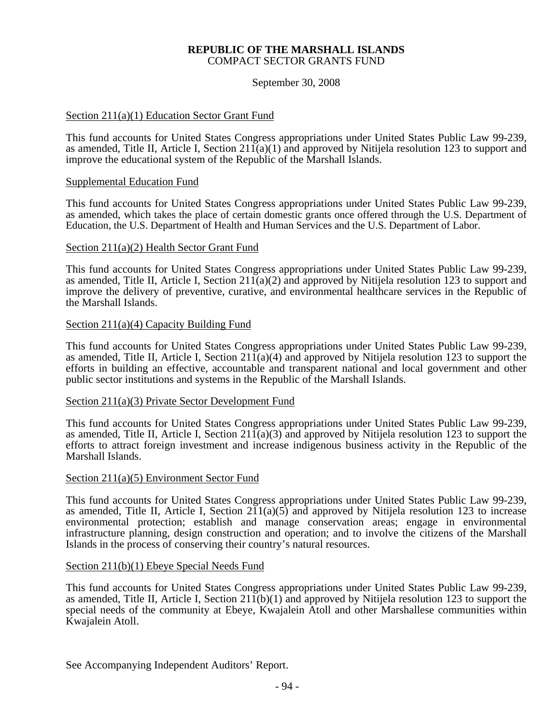#### **REPUBLIC OF THE MARSHALL ISLANDS**  COMPACT SECTOR GRANTS FUND

#### September 30, 2008

#### Section 211(a)(1) Education Sector Grant Fund

This fund accounts for United States Congress appropriations under United States Public Law 99-239, as amended, Title II, Article I, Section 211(a)(1) and approved by Nitijela resolution 123 to support and improve the educational system of the Republic of the Marshall Islands.

#### Supplemental Education Fund

This fund accounts for United States Congress appropriations under United States Public Law 99-239, as amended, which takes the place of certain domestic grants once offered through the U.S. Department of Education, the U.S. Department of Health and Human Services and the U.S. Department of Labor.

#### Section 211(a)(2) Health Sector Grant Fund

This fund accounts for United States Congress appropriations under United States Public Law 99-239, as amended, Title II, Article I, Section 211(a)(2) and approved by Nitijela resolution 123 to support and improve the delivery of preventive, curative, and environmental healthcare services in the Republic of the Marshall Islands.

#### Section 211(a)(4) Capacity Building Fund

This fund accounts for United States Congress appropriations under United States Public Law 99-239, as amended, Title II, Article I, Section  $21\bar{1}(a)(4)$  and approved by Nitijela resolution 123 to support the efforts in building an effective, accountable and transparent national and local government and other public sector institutions and systems in the Republic of the Marshall Islands.

#### Section 211(a)(3) Private Sector Development Fund

This fund accounts for United States Congress appropriations under United States Public Law 99-239, as amended, Title II, Article I, Section  $211(a)(3)$  and approved by Nitijela resolution 123 to support the efforts to attract foreign investment and increase indigenous business activity in the Republic of the Marshall Islands.

#### Section 211(a)(5) Environment Sector Fund

This fund accounts for United States Congress appropriations under United States Public Law 99-239, as amended, Title II, Article I, Section  $211(a)(5)$  and approved by Nitijela resolution 123 to increase environmental protection; establish and manage conservation areas; engage in environmental infrastructure planning, design construction and operation; and to involve the citizens of the Marshall Islands in the process of conserving their country's natural resources.

#### Section 211(b)(1) Ebeye Special Needs Fund

This fund accounts for United States Congress appropriations under United States Public Law 99-239, as amended, Title II, Article I, Section  $21\bar{1}$ (b)(1) and approved by Nitijela resolution 123 to support the special needs of the community at Ebeye, Kwajalein Atoll and other Marshallese communities within Kwajalein Atoll.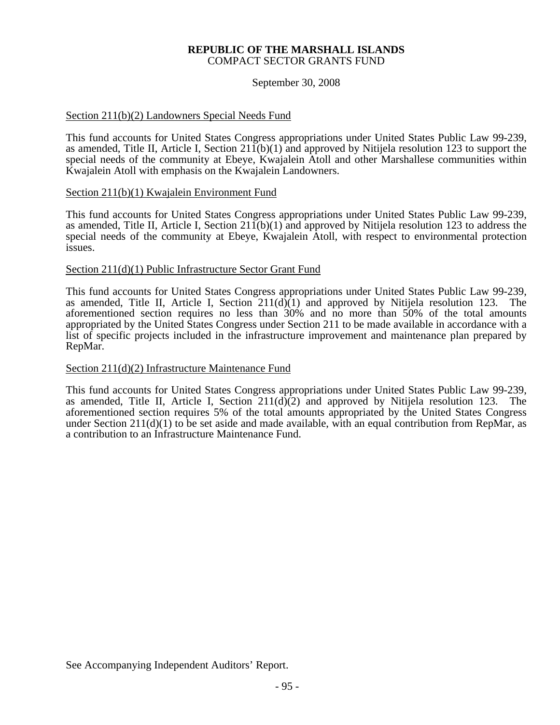#### **REPUBLIC OF THE MARSHALL ISLANDS**  COMPACT SECTOR GRANTS FUND

#### September 30, 2008

#### Section 211(b)(2) Landowners Special Needs Fund

This fund accounts for United States Congress appropriations under United States Public Law 99-239, as amended, Title II, Article I, Section 211(b)(1) and approved by Nitijela resolution 123 to support the special needs of the community at Ebeye, Kwajalein Atoll and other Marshallese communities within Kwajalein Atoll with emphasis on the Kwajalein Landowners.

#### Section 211(b)(1) Kwajalein Environment Fund

This fund accounts for United States Congress appropriations under United States Public Law 99-239, as amended, Title II, Article I, Section 211(b)(1) and approved by Nitijela resolution 123 to address the special needs of the community at Ebeye, Kwajalein Atoll, with respect to environmental protection issues.

#### Section 211(d)(1) Public Infrastructure Sector Grant Fund

This fund accounts for United States Congress appropriations under United States Public Law 99-239, as amended, Title II, Article I, Section 211(d)(1) and approved by Nitijela resolution 123. The aforementioned section requires no less than 30% and no more than 50% of the total amounts appropriated by the United States Congress under Section 211 to be made available in accordance with a list of specific projects included in the infrastructure improvement and maintenance plan prepared by RepMar.

#### Section 211(d)(2) Infrastructure Maintenance Fund

This fund accounts for United States Congress appropriations under United States Public Law 99-239, as amended, Title II, Article I, Section 211(d)(2) and approved by Nitijela resolution 123. The aforementioned section requires 5% of the total amounts appropriated by the United States Congress under Section  $211(d)(1)$  to be set aside and made available, with an equal contribution from RepMar, as a contribution to an Infrastructure Maintenance Fund.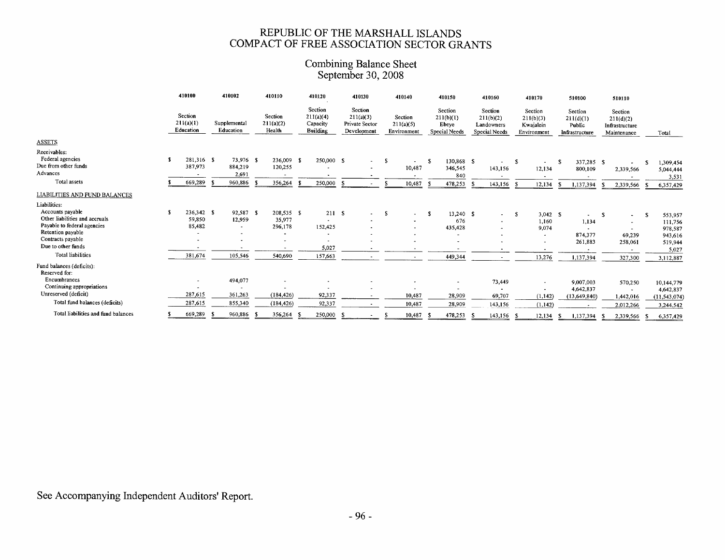### REPUBLIC OF THE MARSHALL ISLANDS<br>COMPACT OF FREE ASSOCIATION SECTOR GRANTS

### Combining Balance Sheet<br>September 30, 2008

|                                                                                                        |    | 410100                            | 410102                                       |      | 410110                                                      |      | 410120                                              |     | 410130                                                       |     | 410140                              |    | 410150                                         |     | 410160                                                     |      | 410170                                           |     | 510100                                           |     | 510110                                                |      |                                          |
|--------------------------------------------------------------------------------------------------------|----|-----------------------------------|----------------------------------------------|------|-------------------------------------------------------------|------|-----------------------------------------------------|-----|--------------------------------------------------------------|-----|-------------------------------------|----|------------------------------------------------|-----|------------------------------------------------------------|------|--------------------------------------------------|-----|--------------------------------------------------|-----|-------------------------------------------------------|------|------------------------------------------|
|                                                                                                        |    | Section<br>211(a)(1)<br>Education | Supplemental<br>Education                    |      | Section<br>211(a)(2)<br>Health                              |      | Section<br>211(a)(4)<br>Capacity<br><b>Building</b> |     | <b>Section</b><br>211(a)(3)<br>Private Sector<br>Development |     | Section<br>211(a)(5)<br>Environment |    | Section<br>211(b)(1)<br>Ebeye<br>Special Needs |     | Section<br>211(b)(2)<br>Landowners<br><b>Special Needs</b> |      | Section<br>211(b)(3)<br>Kwajalein<br>Environment |     | Section<br>211(d)(1)<br>Public<br>Infrastructure |     | Section<br>211(d)(2)<br>Infrastructure<br>Maintenance |      | Total                                    |
| <b>ASSETS</b>                                                                                          |    |                                   |                                              |      |                                                             |      |                                                     |     |                                                              |     |                                     |    |                                                |     |                                                            |      |                                                  |     |                                                  |     |                                                       |      |                                          |
| Receivables:<br>Federal agencies<br>Due from other funds<br>Advances                                   | £. | 281,316 \$<br>387,973             | 73,976 \$<br>884,219                         |      | 236,009 \$<br>120,255                                       |      | 250,000 \$                                          |     | $\sim 100$                                                   | - 5 | $\hat{\phantom{a}}$<br>10,487       | -S | 130,868 \$<br>346,545                          |     | 143,156                                                    | -S   | $\sim$<br>12,134                                 | -S  | 337,285 \$<br>800,109                            |     | 2,339,566                                             |      | 1,309,454<br>5,044,444                   |
| Total assets                                                                                           |    |                                   | 2,691                                        |      |                                                             |      |                                                     |     |                                                              |     |                                     |    | 840                                            |     |                                                            |      |                                                  |     |                                                  |     |                                                       |      | 3,531                                    |
|                                                                                                        |    | 669,289                           | 960,886                                      | - 55 | 356,264                                                     |      | 250,000                                             |     |                                                              |     | 10,487                              |    | 478,253                                        | -S  | 143,156 \$                                                 |      | 12,134                                           | - 5 | 1,137,394                                        |     | 2,339,566                                             |      | 6,357,429                                |
| <b>LIABILITIES AND FUND BALANCES</b>                                                                   |    |                                   |                                              |      |                                                             |      |                                                     |     |                                                              |     |                                     |    |                                                |     |                                                            |      |                                                  |     |                                                  |     |                                                       |      |                                          |
| Liabilities:                                                                                           |    |                                   |                                              |      |                                                             |      |                                                     |     |                                                              |     |                                     |    |                                                |     |                                                            |      |                                                  |     |                                                  |     |                                                       |      |                                          |
| Accounts payable<br>Other liabilities and accruals<br>Payable to federal agencies<br>Retention payable | -S | 236,342 \$<br>59,850<br>85,482    | 92,587<br>12,959<br>$\overline{\phantom{a}}$ | - S  | 208,535 \$<br>35,977<br>296,178<br>$\overline{\phantom{a}}$ |      | 211S<br>152,425<br>٠                                |     | $\sim$                                                       | -S  | $\sim$                              | -S | $13,240$ \$<br>676<br>435,428<br>$\sim$        |     | $\sim$                                                     | -S   | $3,042$ \$<br>1,160<br>9,074                     |     | 1,134<br>874,377                                 | -S  | $\sim$<br>69,239                                      | s    | 553,957<br>111,756<br>978,587<br>943,616 |
| Contracts payable                                                                                      |    |                                   |                                              |      | $\overline{\phantom{0}}$                                    |      |                                                     |     |                                                              |     |                                     |    |                                                |     |                                                            |      |                                                  |     | 261,883                                          |     | 258,061                                               |      | 519,944                                  |
| Due to other funds                                                                                     |    | ٠                                 |                                              |      |                                                             |      | 5,027                                               |     | $\overline{\phantom{a}}$                                     |     |                                     |    |                                                |     |                                                            |      |                                                  |     |                                                  |     |                                                       |      | 5,027                                    |
| <b>Total liabilities</b>                                                                               |    | 381,674                           | 105,546                                      |      | 540,690                                                     |      | 157,663                                             |     |                                                              |     | $\overline{\phantom{a}}$            |    | 449,344                                        |     |                                                            |      | 13,276                                           |     | 1,137,394                                        |     | 327,300                                               |      | 3,112,887                                |
| Fund balances (deficits):<br>Reserved for:                                                             |    |                                   |                                              |      |                                                             |      |                                                     |     |                                                              |     |                                     |    |                                                |     |                                                            |      |                                                  |     |                                                  |     |                                                       |      |                                          |
| Encumbrances                                                                                           |    | ۰                                 | 494,077                                      |      | $\ddot{\phantom{0}}$                                        |      |                                                     |     |                                                              |     |                                     |    | $\overline{\phantom{a}}$                       |     | 73,449                                                     |      | $\overline{\phantom{a}}$                         |     | 9,007,003                                        |     | 570,250                                               |      | 10,144,779                               |
| Continuing appropriations                                                                              |    |                                   |                                              |      |                                                             |      |                                                     |     |                                                              |     |                                     |    |                                                |     |                                                            |      |                                                  |     | 4,642,837                                        |     | $\overline{\phantom{0}}$                              |      | 4,642,837                                |
| Unreserved (deficit)                                                                                   |    | 287,615                           | 361,263                                      |      | (184, 426)                                                  |      | 92,337                                              |     |                                                              |     | 10,487                              |    | 28,909                                         |     | 69,707                                                     |      | (1, 142)                                         |     | (13, 649, 840)                                   |     | 1,442,016                                             |      | (11, 543, 074)                           |
| Total fund balances (deficits)                                                                         |    | 287,615                           | 855,340                                      |      | (184, 426)                                                  |      | 92,337                                              |     |                                                              |     | 10,487                              |    | 28,909                                         |     | 143,156                                                    |      | (1, 142)                                         |     | $\overline{\phantom{a}}$                         |     | 2,012,266                                             |      | 3,244,542                                |
| Total liabilities and fund balances                                                                    |    | 669,289                           | 960,886                                      | -5   | 356,264                                                     | - 53 | 250,000                                             | - 5 |                                                              |     | 10,487                              |    | 478,253                                        | - 9 | 143.156                                                    | - \$ | 12.134                                           | -S  | 1.137.394                                        | - 5 | 2.339.566                                             | - \$ | 6.357.429                                |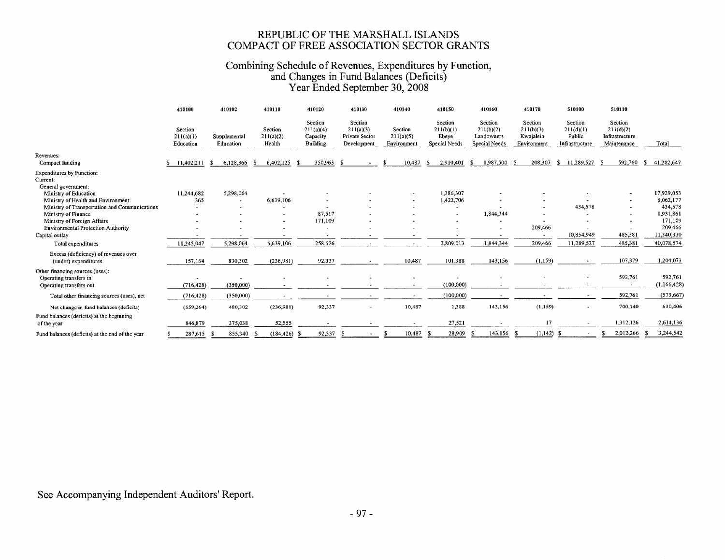### REPUBLIC OF THE MARSHALL ISLANDS<br>COMPACT OF FREE ASSOCIATION SECTOR GRANTS

## Combining Schedule of Revenues, Expenditures by Function,<br>and Changes in Fund Balances (Deficits)<br>Year Ended September 30, 2008

|                                                                     | 410100                            | 410102                    | 410110                         | 410120                                              | 410130                   | 410140                              | 410150                                         | 410160                                              | 410170                                           | 510100                                           | 510110                                                |                  |
|---------------------------------------------------------------------|-----------------------------------|---------------------------|--------------------------------|-----------------------------------------------------|--------------------------|-------------------------------------|------------------------------------------------|-----------------------------------------------------|--------------------------------------------------|--------------------------------------------------|-------------------------------------------------------|------------------|
| Revenues:                                                           | Section<br>211(a)(1)<br>Education | Supplemental<br>Education | Section<br>211(a)(2)<br>Health | Section<br>211(a)(4)<br>Capacity<br><b>Building</b> |                          | Section<br>211(a)(5)<br>Environment | Section<br>211(b)(1)<br>Ebeye<br>Special Needs | Section<br>211(b)(2)<br>Landowners<br>Special Needs | Section<br>211(b)(3)<br>Kwajalein<br>Environment | Section<br>211(d)(1)<br>Public<br>Infrastructure | Section<br>211(d)(2)<br>Infrastructure<br>Maintenance | Total            |
| Compact funding                                                     | 11,402,211<br>S.                  | 6,128,366                 | 6,402,125<br>-S                | 350,963                                             | - 5                      | 10,487                              | 2,910,401<br>-SI                               | 1,987,500 \$<br>-S.                                 | 208,307                                          | 11,289,527<br>s.                                 | 592,760<br>- S                                        | 41,282,647<br>s. |
| <b>Expenditures by Function:</b><br>Current:<br>General government: |                                   |                           |                                |                                                     |                          |                                     |                                                |                                                     |                                                  |                                                  |                                                       |                  |
| Ministry of Education                                               | 11,244,682                        | 5,298,064                 |                                |                                                     |                          |                                     | 1,386,307                                      |                                                     |                                                  |                                                  |                                                       | 17,929,053       |
| Ministry of Health and Environment                                  | 365                               |                           | 6,639,106                      |                                                     |                          |                                     | 1,422,706                                      |                                                     |                                                  |                                                  |                                                       | 8,062,177        |
| Ministry of Transportation and Communications                       |                                   |                           |                                |                                                     |                          |                                     |                                                |                                                     |                                                  | 434,578                                          |                                                       | 434,578          |
| Ministry of Finance                                                 |                                   |                           |                                | 87,517                                              |                          |                                     |                                                | 1,844,344                                           |                                                  |                                                  |                                                       | 1,931,861        |
| Ministry of Foreign Affairs                                         |                                   |                           |                                | 171,109                                             |                          |                                     |                                                |                                                     |                                                  |                                                  |                                                       | 171,109          |
| Environmental Protection Authority                                  |                                   |                           |                                |                                                     |                          |                                     |                                                |                                                     | 209,466                                          |                                                  |                                                       | 209,466          |
| Capital outlay                                                      |                                   |                           |                                |                                                     |                          |                                     |                                                |                                                     |                                                  | 10,854,949                                       | 485,381                                               | 11,340,330       |
| Total expenditures                                                  | 11,245,047                        | 5,298,064                 | 6,639,106                      | 258,626                                             |                          |                                     | 2,809,013                                      | 1,844,344                                           | 209,466                                          | 11,289,527                                       | 485,381                                               | 40,078,574       |
| Excess (deficiency) of revenues over<br>(under) expenditures        | 157,164                           | 830,302                   | (236,981)                      | 92,337                                              |                          | 10,487                              | 101,388                                        | 143,156                                             | (1,159)                                          |                                                  | 107,379                                               | 1,204,073        |
| Other financing sources (uses):<br>Operating transfers in           |                                   |                           |                                |                                                     |                          |                                     |                                                |                                                     |                                                  |                                                  | 592,761                                               | 592,761          |
| Operating transfers out                                             | (716, 428)                        | (350,000)                 |                                |                                                     |                          | $\sim$                              | (100,000)                                      |                                                     |                                                  |                                                  |                                                       | (1, 166, 428)    |
| Total other financing sources (uses), net                           | (716, 428)                        | (350,000)                 |                                |                                                     |                          |                                     | (100,000)                                      |                                                     |                                                  |                                                  | 592,761                                               | (573, 667)       |
| Net change in fund balances (deficits)                              | (559, 264)                        | 480,302                   | (236,981)                      | 92,337                                              | $\overline{\phantom{a}}$ | 10,487                              | 1,388                                          | 143,156                                             | (1,159)                                          | ۰                                                | 700,140                                               | 630,406          |
| Fund balances (deficits) at the beginning<br>of the year            | 846,879                           | 375,038                   | 52,555                         |                                                     |                          |                                     | 27,521                                         |                                                     | 17                                               |                                                  | 1,312,126                                             | 2,614,136        |
| Fund balances (deficits) at the end of the year                     | 287,615                           | 855,340                   | (184, 426)                     | 92,337                                              |                          | 10,487                              | 28,909                                         | 143,156 \$                                          | (1,142)                                          |                                                  | 2,012,266                                             | 3,244,542        |